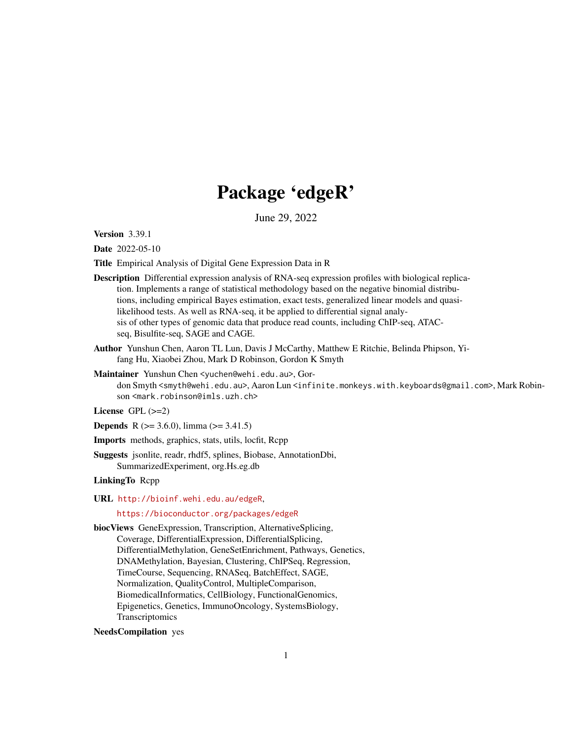# Package 'edgeR'

June 29, 2022

<span id="page-0-0"></span>Version 3.39.1

Date 2022-05-10

Title Empirical Analysis of Digital Gene Expression Data in R

- Description Differential expression analysis of RNA-seq expression profiles with biological replication. Implements a range of statistical methodology based on the negative binomial distributions, including empirical Bayes estimation, exact tests, generalized linear models and quasilikelihood tests. As well as RNA-seq, it be applied to differential signal analysis of other types of genomic data that produce read counts, including ChIP-seq, ATACseq, Bisulfite-seq, SAGE and CAGE.
- Author Yunshun Chen, Aaron TL Lun, Davis J McCarthy, Matthew E Ritchie, Belinda Phipson, Yifang Hu, Xiaobei Zhou, Mark D Robinson, Gordon K Smyth
- Maintainer Yunshun Chen <yuchen@wehi.edu.au>, Gordon Smyth <smyth@wehi.edu.au>, Aaron Lun <infinite.monkeys.with.keyboards@gmail.com>, Mark Robinson <mark.robinson@imls.uzh.ch>
- License  $GPL$  ( $>=2$ )
- **Depends** R ( $>= 3.6.0$ ), limma ( $>= 3.41.5$ )
- Imports methods, graphics, stats, utils, locfit, Rcpp
- Suggests jsonlite, readr, rhdf5, splines, Biobase, AnnotationDbi, SummarizedExperiment, org.Hs.eg.db

#### LinkingTo Rcpp

URL <http://bioinf.wehi.edu.au/edgeR>,

# <https://bioconductor.org/packages/edgeR>

biocViews GeneExpression, Transcription, AlternativeSplicing, Coverage, DifferentialExpression, DifferentialSplicing, DifferentialMethylation, GeneSetEnrichment, Pathways, Genetics, DNAMethylation, Bayesian, Clustering, ChIPSeq, Regression, TimeCourse, Sequencing, RNASeq, BatchEffect, SAGE, Normalization, QualityControl, MultipleComparison, BiomedicalInformatics, CellBiology, FunctionalGenomics, Epigenetics, Genetics, ImmunoOncology, SystemsBiology, **Transcriptomics** 

# NeedsCompilation yes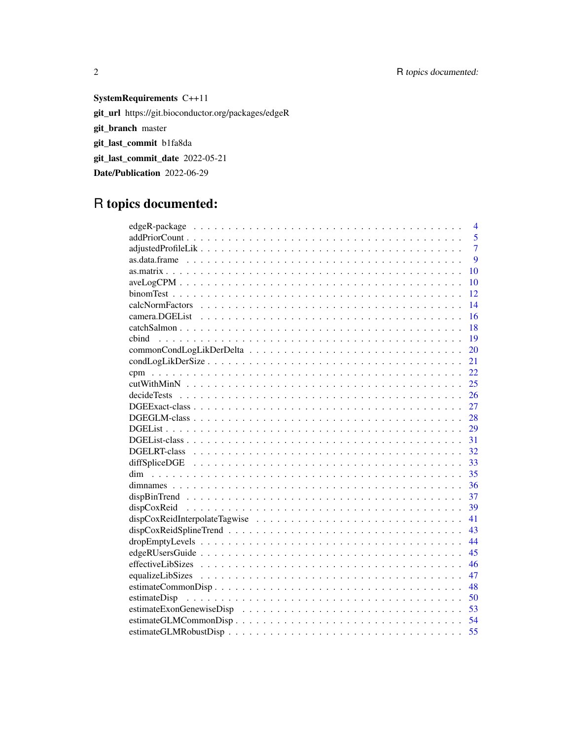# SystemRequirements C++11 git\_url https://git.bioconductor.org/packages/edgeR git\_branch master git\_last\_commit b1fa8da git\_last\_commit\_date 2022-05-21 Date/Publication 2022-06-29

# R topics documented:

| $\overline{4}$              |
|-----------------------------|
| 5                           |
| 7                           |
| 9                           |
| 10                          |
| 10                          |
| 12                          |
| 14                          |
| 16                          |
| 18                          |
| 19<br>chind                 |
| 20                          |
| 21                          |
| 22                          |
| 25                          |
| 26                          |
| 27                          |
| 28                          |
| 29                          |
| 31                          |
| 32                          |
| 33                          |
| 35                          |
| 36                          |
| 37                          |
| 39                          |
| 41                          |
| 43                          |
| 44                          |
| 45                          |
| 46                          |
| 47                          |
| 48                          |
| 50                          |
| 53                          |
| estimateGLMCommonDisp<br>54 |
| 55                          |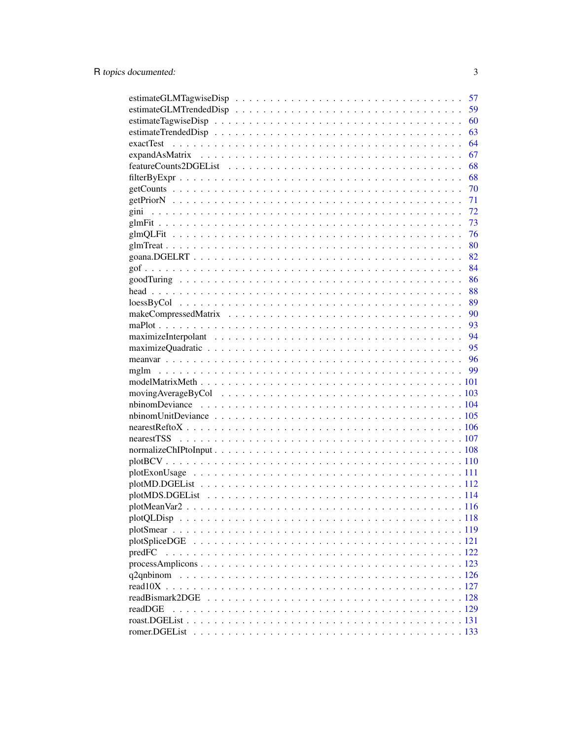|                                                                                                              |  |  |  |  |  |  |  | 57 |
|--------------------------------------------------------------------------------------------------------------|--|--|--|--|--|--|--|----|
|                                                                                                              |  |  |  |  |  |  |  | 59 |
|                                                                                                              |  |  |  |  |  |  |  | 60 |
|                                                                                                              |  |  |  |  |  |  |  | 63 |
|                                                                                                              |  |  |  |  |  |  |  | 64 |
|                                                                                                              |  |  |  |  |  |  |  | 67 |
|                                                                                                              |  |  |  |  |  |  |  | 68 |
|                                                                                                              |  |  |  |  |  |  |  | 68 |
|                                                                                                              |  |  |  |  |  |  |  | 70 |
|                                                                                                              |  |  |  |  |  |  |  | 71 |
|                                                                                                              |  |  |  |  |  |  |  | 72 |
|                                                                                                              |  |  |  |  |  |  |  | 73 |
|                                                                                                              |  |  |  |  |  |  |  | 76 |
|                                                                                                              |  |  |  |  |  |  |  | 80 |
|                                                                                                              |  |  |  |  |  |  |  | 82 |
|                                                                                                              |  |  |  |  |  |  |  | 84 |
|                                                                                                              |  |  |  |  |  |  |  | 86 |
|                                                                                                              |  |  |  |  |  |  |  | 88 |
| $loessByCol \dots \dots \dots \dots \dots \dots \dots \dots \dots \dots \dots \dots \dots \dots \dots \dots$ |  |  |  |  |  |  |  | 89 |
|                                                                                                              |  |  |  |  |  |  |  | 90 |
|                                                                                                              |  |  |  |  |  |  |  | 93 |
|                                                                                                              |  |  |  |  |  |  |  | 94 |
|                                                                                                              |  |  |  |  |  |  |  | 95 |
|                                                                                                              |  |  |  |  |  |  |  |    |
|                                                                                                              |  |  |  |  |  |  |  | 99 |
|                                                                                                              |  |  |  |  |  |  |  |    |
|                                                                                                              |  |  |  |  |  |  |  |    |
|                                                                                                              |  |  |  |  |  |  |  |    |
|                                                                                                              |  |  |  |  |  |  |  |    |
|                                                                                                              |  |  |  |  |  |  |  |    |
|                                                                                                              |  |  |  |  |  |  |  |    |
|                                                                                                              |  |  |  |  |  |  |  |    |
|                                                                                                              |  |  |  |  |  |  |  |    |
|                                                                                                              |  |  |  |  |  |  |  |    |
|                                                                                                              |  |  |  |  |  |  |  |    |
|                                                                                                              |  |  |  |  |  |  |  |    |
|                                                                                                              |  |  |  |  |  |  |  |    |
|                                                                                                              |  |  |  |  |  |  |  |    |
|                                                                                                              |  |  |  |  |  |  |  |    |
|                                                                                                              |  |  |  |  |  |  |  |    |
| predFC                                                                                                       |  |  |  |  |  |  |  |    |
|                                                                                                              |  |  |  |  |  |  |  |    |
| q2qnbinom                                                                                                    |  |  |  |  |  |  |  |    |
|                                                                                                              |  |  |  |  |  |  |  |    |
|                                                                                                              |  |  |  |  |  |  |  |    |
| readDGE                                                                                                      |  |  |  |  |  |  |  |    |
|                                                                                                              |  |  |  |  |  |  |  |    |
|                                                                                                              |  |  |  |  |  |  |  |    |
|                                                                                                              |  |  |  |  |  |  |  |    |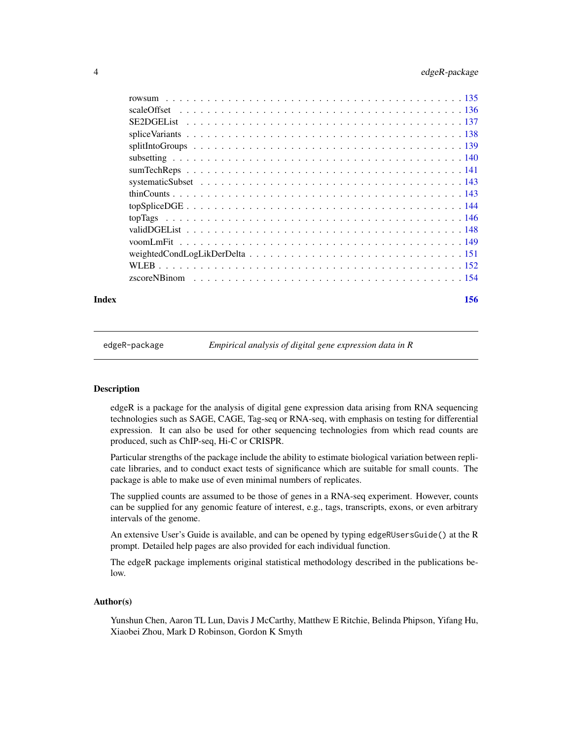<span id="page-3-0"></span>

#### **Index** 2008 **[156](#page-155-0)**

edgeR-package *Empirical analysis of digital gene expression data in R*

# **Description**

edgeR is a package for the analysis of digital gene expression data arising from RNA sequencing technologies such as SAGE, CAGE, Tag-seq or RNA-seq, with emphasis on testing for differential expression. It can also be used for other sequencing technologies from which read counts are produced, such as ChIP-seq, Hi-C or CRISPR.

Particular strengths of the package include the ability to estimate biological variation between replicate libraries, and to conduct exact tests of significance which are suitable for small counts. The package is able to make use of even minimal numbers of replicates.

The supplied counts are assumed to be those of genes in a RNA-seq experiment. However, counts can be supplied for any genomic feature of interest, e.g., tags, transcripts, exons, or even arbitrary intervals of the genome.

An extensive User's Guide is available, and can be opened by typing edgeRUsersGuide() at the R prompt. Detailed help pages are also provided for each individual function.

The edgeR package implements original statistical methodology described in the publications below.

#### Author(s)

Yunshun Chen, Aaron TL Lun, Davis J McCarthy, Matthew E Ritchie, Belinda Phipson, Yifang Hu, Xiaobei Zhou, Mark D Robinson, Gordon K Smyth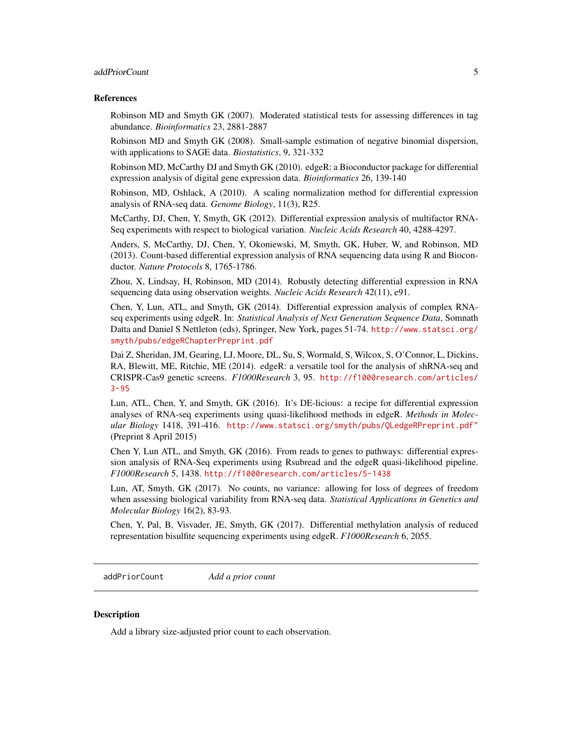# <span id="page-4-0"></span>addPriorCount 5

#### References

Robinson MD and Smyth GK (2007). Moderated statistical tests for assessing differences in tag abundance. *Bioinformatics* 23, 2881-2887

Robinson MD and Smyth GK (2008). Small-sample estimation of negative binomial dispersion, with applications to SAGE data. *Biostatistics*, 9, 321-332

Robinson MD, McCarthy DJ and Smyth GK (2010). edgeR: a Bioconductor package for differential expression analysis of digital gene expression data. *Bioinformatics* 26, 139-140

Robinson, MD, Oshlack, A (2010). A scaling normalization method for differential expression analysis of RNA-seq data. *Genome Biology*, 11(3), R25.

McCarthy, DJ, Chen, Y, Smyth, GK (2012). Differential expression analysis of multifactor RNA-Seq experiments with respect to biological variation. *Nucleic Acids Research* 40, 4288-4297.

Anders, S, McCarthy, DJ, Chen, Y, Okoniewski, M, Smyth, GK, Huber, W, and Robinson, MD (2013). Count-based differential expression analysis of RNA sequencing data using R and Bioconductor. *Nature Protocols* 8, 1765-1786.

Zhou, X, Lindsay, H, Robinson, MD (2014). Robustly detecting differential expression in RNA sequencing data using observation weights. *Nucleic Acids Research* 42(11), e91.

Chen, Y, Lun, ATL, and Smyth, GK (2014). Differential expression analysis of complex RNAseq experiments using edgeR. In: *Statistical Analysis of Next Generation Sequence Data*, Somnath Datta and Daniel S Nettleton (eds), Springer, New York, pages 51-74. [http://www.statsci.org/](http://www.statsci.org/smyth/pubs/edgeRChapterPreprint.pdf) [smyth/pubs/edgeRChapterPreprint.pdf](http://www.statsci.org/smyth/pubs/edgeRChapterPreprint.pdf)

Dai Z, Sheridan, JM, Gearing, LJ, Moore, DL, Su, S, Wormald, S, Wilcox, S, O'Connor, L, Dickins, RA, Blewitt, ME, Ritchie, ME (2014). edgeR: a versatile tool for the analysis of shRNA-seq and CRISPR-Cas9 genetic screens. *F1000Research* 3, 95. [http://f1000research.com/articles/](http://f1000research.com/articles/3-95) [3-95](http://f1000research.com/articles/3-95)

Lun, ATL, Chen, Y, and Smyth, GK (2016). It's DE-licious: a recipe for differential expression analyses of RNA-seq experiments using quasi-likelihood methods in edgeR. *Methods in Molecular Biology* 1418, 391-416. <http://www.statsci.org/smyth/pubs/QLedgeRPreprint.pdf"> (Preprint 8 April 2015)

Chen Y, Lun ATL, and Smyth, GK (2016). From reads to genes to pathways: differential expression analysis of RNA-Seq experiments using Rsubread and the edgeR quasi-likelihood pipeline. *F1000Research* 5, 1438. <http://f1000research.com/articles/5-1438>

Lun, AT, Smyth, GK (2017). No counts, no variance: allowing for loss of degrees of freedom when assessing biological variability from RNA-seq data. *Statistical Applications in Genetics and Molecular Biology* 16(2), 83-93.

Chen, Y, Pal, B, Visvader, JE, Smyth, GK (2017). Differential methylation analysis of reduced representation bisulfite sequencing experiments using edgeR. *F1000Research* 6, 2055.

<span id="page-4-1"></span>addPriorCount *Add a prior count*

#### **Description**

Add a library size-adjusted prior count to each observation.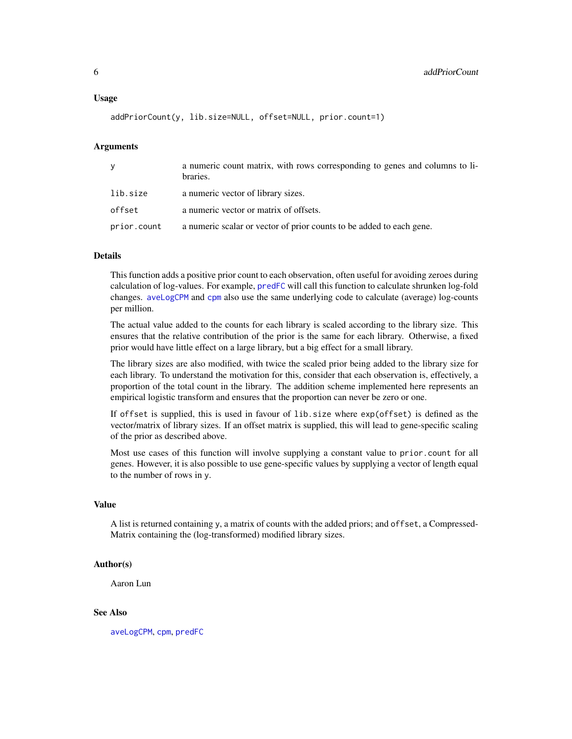```
addPriorCount(y, lib.size=NULL, offset=NULL, prior.count=1)
```
# Arguments

| y           | a numeric count matrix, with rows corresponding to genes and columns to li-<br>braries. |
|-------------|-----------------------------------------------------------------------------------------|
| lib.size    | a numeric vector of library sizes.                                                      |
| offset      | a numeric vector or matrix of offsets.                                                  |
| prior.count | a numeric scalar or vector of prior counts to be added to each gene.                    |

#### Details

This function adds a positive prior count to each observation, often useful for avoiding zeroes during calculation of log-values. For example, [predFC](#page-121-1) will call this function to calculate shrunken log-fold changes. [aveLogCPM](#page-9-1) and [cpm](#page-21-1) also use the same underlying code to calculate (average) log-counts per million.

The actual value added to the counts for each library is scaled according to the library size. This ensures that the relative contribution of the prior is the same for each library. Otherwise, a fixed prior would have little effect on a large library, but a big effect for a small library.

The library sizes are also modified, with twice the scaled prior being added to the library size for each library. To understand the motivation for this, consider that each observation is, effectively, a proportion of the total count in the library. The addition scheme implemented here represents an empirical logistic transform and ensures that the proportion can never be zero or one.

If offset is supplied, this is used in favour of lib.size where exp(offset) is defined as the vector/matrix of library sizes. If an offset matrix is supplied, this will lead to gene-specific scaling of the prior as described above.

Most use cases of this function will involve supplying a constant value to prior.count for all genes. However, it is also possible to use gene-specific values by supplying a vector of length equal to the number of rows in y.

#### Value

A list is returned containing y, a matrix of counts with the added priors; and offset, a Compressed-Matrix containing the (log-transformed) modified library sizes.

# Author(s)

Aaron Lun

#### See Also

[aveLogCPM](#page-9-1), [cpm](#page-21-1), [predFC](#page-121-1)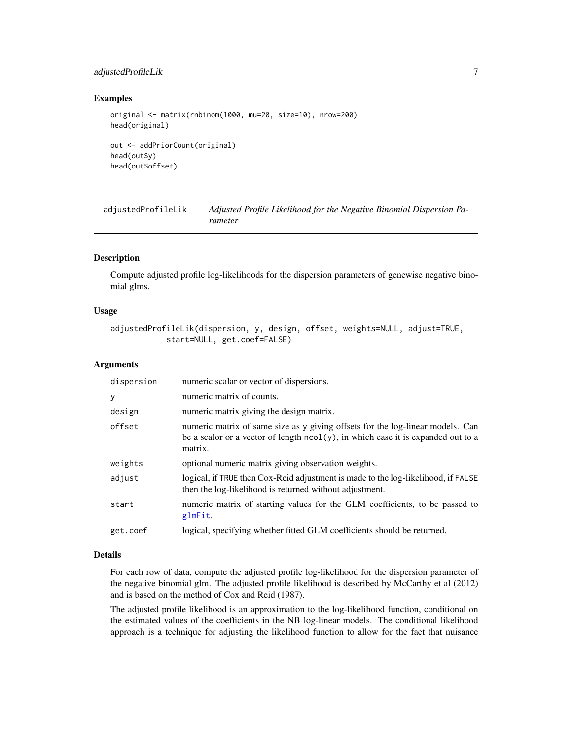# <span id="page-6-0"></span>adjustedProfileLik 7

#### Examples

```
original <- matrix(rnbinom(1000, mu=20, size=10), nrow=200)
head(original)
out <- addPriorCount(original)
head(out$y)
head(out$offset)
```
adjustedProfileLik *Adjusted Profile Likelihood for the Negative Binomial Dispersion Parameter*

# Description

Compute adjusted profile log-likelihoods for the dispersion parameters of genewise negative binomial glms.

# Usage

```
adjustedProfileLik(dispersion, y, design, offset, weights=NULL, adjust=TRUE,
            start=NULL, get.coef=FALSE)
```
#### Arguments

| dispersion | numeric scalar or vector of dispersions.                                                                                                                                         |
|------------|----------------------------------------------------------------------------------------------------------------------------------------------------------------------------------|
| <b>y</b>   | numeric matrix of counts.                                                                                                                                                        |
| design     | numeric matrix giving the design matrix.                                                                                                                                         |
| offset     | numeric matrix of same size as y giving offsets for the log-linear models. Can<br>be a scalor or a vector of length $ncol(y)$ , in which case it is expanded out to a<br>matrix. |
| weights    | optional numeric matrix giving observation weights.                                                                                                                              |
| adjust     | logical, if TRUE then Cox-Reid adjustment is made to the log-likelihood, if FALSE<br>then the log-likelihood is returned without adjustment.                                     |
| start      | numeric matrix of starting values for the GLM coefficients, to be passed to<br>glmFit.                                                                                           |
| get.coef   | logical, specifying whether fitted GLM coefficients should be returned.                                                                                                          |

#### Details

For each row of data, compute the adjusted profile log-likelihood for the dispersion parameter of the negative binomial glm. The adjusted profile likelihood is described by McCarthy et al (2012) and is based on the method of Cox and Reid (1987).

The adjusted profile likelihood is an approximation to the log-likelihood function, conditional on the estimated values of the coefficients in the NB log-linear models. The conditional likelihood approach is a technique for adjusting the likelihood function to allow for the fact that nuisance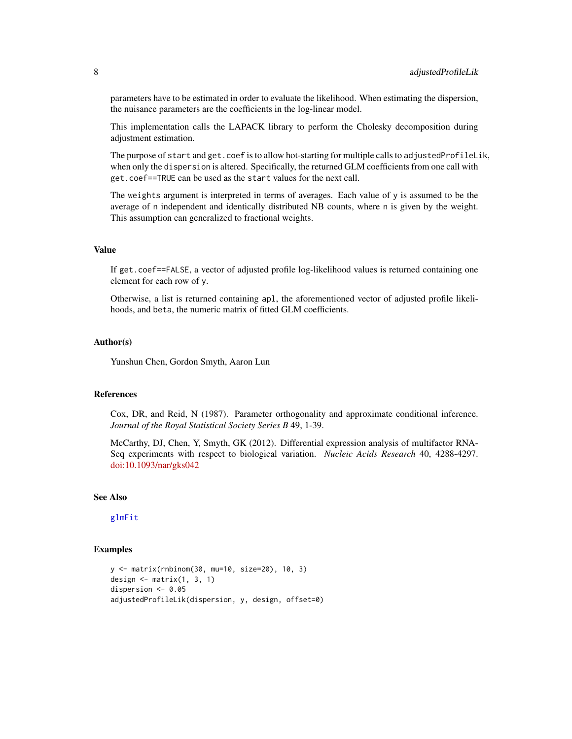parameters have to be estimated in order to evaluate the likelihood. When estimating the dispersion, the nuisance parameters are the coefficients in the log-linear model.

This implementation calls the LAPACK library to perform the Cholesky decomposition during adjustment estimation.

The purpose of start and get.coef is to allow hot-starting for multiple calls to adjustedProfileLik, when only the dispersion is altered. Specifically, the returned GLM coefficients from one call with get.coef==TRUE can be used as the start values for the next call.

The weights argument is interpreted in terms of averages. Each value of y is assumed to be the average of n independent and identically distributed NB counts, where n is given by the weight. This assumption can generalized to fractional weights.

#### Value

If get.coef==FALSE, a vector of adjusted profile log-likelihood values is returned containing one element for each row of y.

Otherwise, a list is returned containing apl, the aforementioned vector of adjusted profile likelihoods, and beta, the numeric matrix of fitted GLM coefficients.

#### Author(s)

Yunshun Chen, Gordon Smyth, Aaron Lun

# References

Cox, DR, and Reid, N (1987). Parameter orthogonality and approximate conditional inference. *Journal of the Royal Statistical Society Series B* 49, 1-39.

McCarthy, DJ, Chen, Y, Smyth, GK (2012). Differential expression analysis of multifactor RNA-Seq experiments with respect to biological variation. *Nucleic Acids Research* 40, 4288-4297. [doi:10.1093/nar/gks042](https://doi.org/10.1093/nar/gks042)

# See Also

[glmFit](#page-72-1)

#### Examples

```
y <- matrix(rnbinom(30, mu=10, size=20), 10, 3)
design \leq matrix(1, 3, 1)
dispersion <- 0.05
adjustedProfileLik(dispersion, y, design, offset=0)
```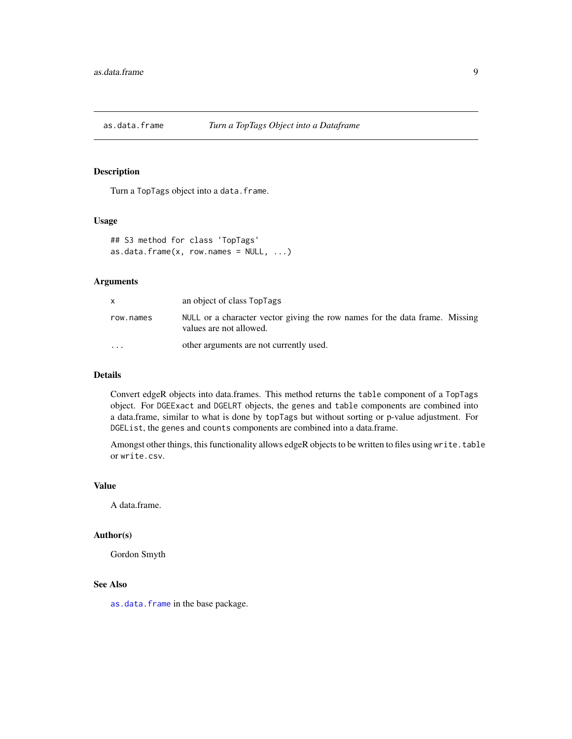<span id="page-8-1"></span><span id="page-8-0"></span>

# Description

Turn a TopTags object into a data.frame.

#### Usage

```
## S3 method for class 'TopTags'
as.data.frame(x, row.name = NULL, ...)
```
#### Arguments

| X         | an object of class TopTags                                                                             |
|-----------|--------------------------------------------------------------------------------------------------------|
| row.names | NULL or a character vector giving the row names for the data frame. Missing<br>values are not allowed. |
| $\cdots$  | other arguments are not currently used.                                                                |

# Details

Convert edgeR objects into data.frames. This method returns the table component of a TopTags object. For DGEExact and DGELRT objects, the genes and table components are combined into a data.frame, similar to what is done by topTags but without sorting or p-value adjustment. For DGEList, the genes and counts components are combined into a data.frame.

Amongst other things, this functionality allows edgeR objects to be written to files using write.table or write.csv.

# Value

A data.frame.

# Author(s)

Gordon Smyth

# See Also

[as.data.frame](#page-8-1) in the base package.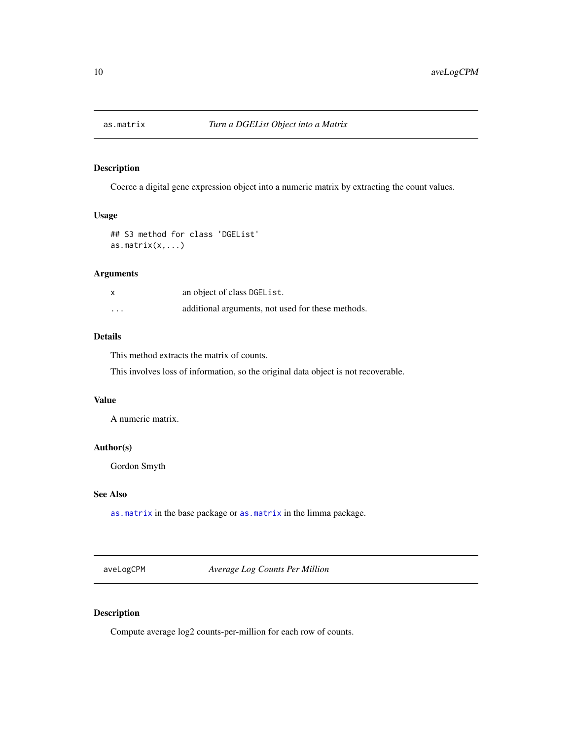<span id="page-9-2"></span><span id="page-9-0"></span>

# Description

Coerce a digital gene expression object into a numeric matrix by extracting the count values.

# Usage

```
## S3 method for class 'DGEList'
as.matrix(x,...)
```
# Arguments

|          | an object of class DGEL ist.                      |
|----------|---------------------------------------------------|
| $\cdots$ | additional arguments, not used for these methods. |

# Details

This method extracts the matrix of counts.

This involves loss of information, so the original data object is not recoverable.

# Value

A numeric matrix.

# Author(s)

Gordon Smyth

# See Also

[as.matrix](#page-9-2) in the base package or [as.matrix](#page-9-2) in the limma package.

<span id="page-9-1"></span>aveLogCPM *Average Log Counts Per Million*

# Description

Compute average log2 counts-per-million for each row of counts.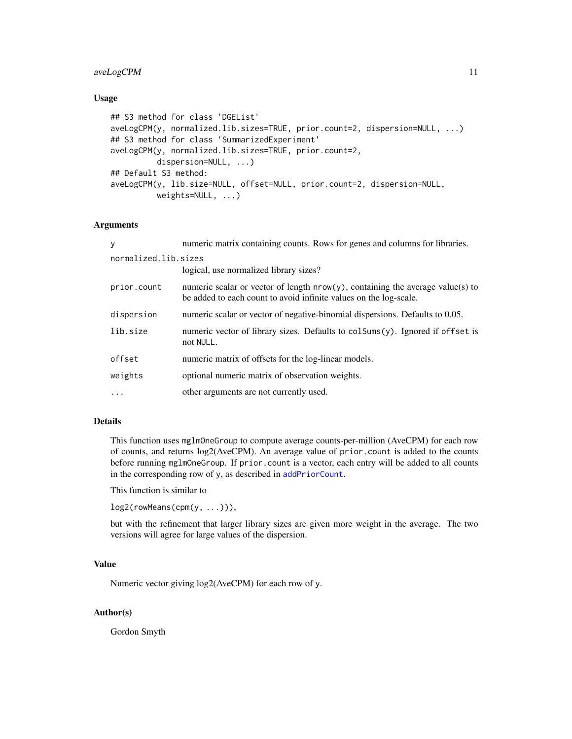# aveLogCPM 11

#### Usage

```
## S3 method for class 'DGEList'
aveLogCPM(y, normalized.lib.sizes=TRUE, prior.count=2, dispersion=NULL, ...)
## S3 method for class 'SummarizedExperiment'
aveLogCPM(y, normalized.lib.sizes=TRUE, prior.count=2,
         dispersion=NULL, ...)
## Default S3 method:
aveLogCPM(y, lib.size=NULL, offset=NULL, prior.count=2, dispersion=NULL,
         weights=NULL, ...)
```
#### Arguments

| V                    | numeric matrix containing counts. Rows for genes and columns for libraries.                                                                            |
|----------------------|--------------------------------------------------------------------------------------------------------------------------------------------------------|
| normalized.lib.sizes |                                                                                                                                                        |
|                      | logical, use normalized library sizes?                                                                                                                 |
| prior.count          | numeric scalar or vector of length $nrow(y)$ , containing the average value(s) to<br>be added to each count to avoid infinite values on the log-scale. |
| dispersion           | numeric scalar or vector of negative-binomial dispersions. Defaults to 0.05.                                                                           |
| lib.size             | numeric vector of library sizes. Defaults to colsums(y). Ignored if offset is<br>not NULL.                                                             |
| offset               | numeric matrix of offsets for the log-linear models.                                                                                                   |
| weights              | optional numeric matrix of observation weights.                                                                                                        |
|                      | other arguments are not currently used.                                                                                                                |

# Details

This function uses mglmOneGroup to compute average counts-per-million (AveCPM) for each row of counts, and returns log2(AveCPM). An average value of prior.count is added to the counts before running mglmOneGroup. If prior.count is a vector, each entry will be added to all counts in the corresponding row of y, as described in [addPriorCount](#page-4-1).

This function is similar to

log2(rowMeans(cpm(y, ...))),

but with the refinement that larger library sizes are given more weight in the average. The two versions will agree for large values of the dispersion.

# Value

Numeric vector giving log2(AveCPM) for each row of y.

# Author(s)

Gordon Smyth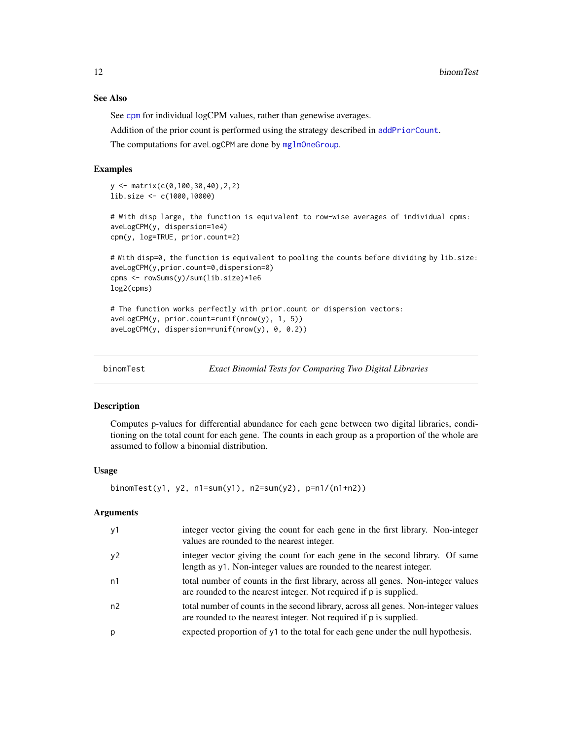# See Also

See [cpm](#page-21-1) for individual logCPM values, rather than genewise averages.

Addition of the prior count is performed using the strategy described in [addPriorCount](#page-4-1).

The computations for aveLogCPM are done by [mglmOneGroup](#page-98-1).

# Examples

```
y <- matrix(c(0,100,30,40),2,2)
lib.size <- c(1000,10000)
# With disp large, the function is equivalent to row-wise averages of individual cpms:
aveLogCPM(y, dispersion=1e4)
cpm(y, log=TRUE, prior.count=2)
# With disp=0, the function is equivalent to pooling the counts before dividing by lib.size:
aveLogCPM(y,prior.count=0,dispersion=0)
cpms <- rowSums(y)/sum(lib.size)*1e6
log2(cpms)
# The function works perfectly with prior.count or dispersion vectors:
aveLogCPM(y, prior.count=runif(nrow(y), 1, 5))
```

```
aveLogCPM(y, dispersion=runif(nrow(y), 0, 0.2))
```

```
binomTest Exact Binomial Tests for Comparing Two Digital Libraries
```
#### **Description**

Computes p-values for differential abundance for each gene between two digital libraries, conditioning on the total count for each gene. The counts in each group as a proportion of the whole are assumed to follow a binomial distribution.

#### Usage

```
binomTest(y1, y2, n1=sum(y1), n2=sum(y2), p=n1/(n1+n2))
```
# Arguments

| y1             | integer vector giving the count for each gene in the first library. Non-integer<br>values are rounded to the nearest integer.                            |
|----------------|----------------------------------------------------------------------------------------------------------------------------------------------------------|
| y2             | integer vector giving the count for each gene in the second library. Of same<br>length as y1. Non-integer values are rounded to the nearest integer.     |
| n1             | total number of counts in the first library, across all genes. Non-integer values<br>are rounded to the nearest integer. Not required if p is supplied.  |
| n <sub>2</sub> | total number of counts in the second library, across all genes. Non-integer values<br>are rounded to the nearest integer. Not required if p is supplied. |
| р              | expected proportion of y1 to the total for each gene under the null hypothesis.                                                                          |

<span id="page-11-0"></span>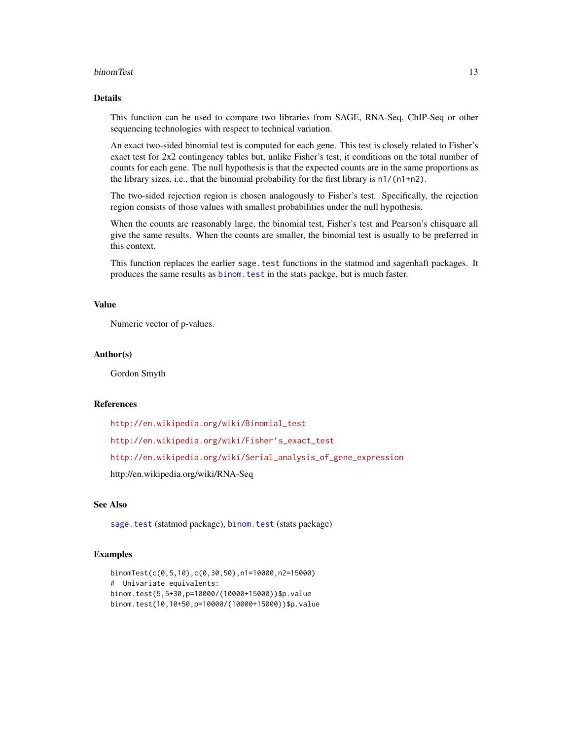#### binomTest 13

## Details

This function can be used to compare two libraries from SAGE, RNA-Seq, ChIP-Seq or other sequencing technologies with respect to technical variation.

An exact two-sided binomial test is computed for each gene. This test is closely related to Fisher's exact test for 2x2 contingency tables but, unlike Fisher's test, it conditions on the total number of counts for each gene. The null hypothesis is that the expected counts are in the same proportions as the library sizes, i.e., that the binomial probability for the first library is n1/(n1+n2).

The two-sided rejection region is chosen analogously to Fisher's test. Specifically, the rejection region consists of those values with smallest probabilities under the null hypothesis.

When the counts are reasonably large, the binomial test, Fisher's test and Pearson's chisquare all give the same results. When the counts are smaller, the binomial test is usually to be preferred in this context.

This function replaces the earlier sage.test functions in the statmod and sagenhaft packages. It produces the same results as [binom.test](#page-0-0) in the stats packge, but is much faster.

#### Value

Numeric vector of p-values.

#### Author(s)

Gordon Smyth

#### References

[http://en.wikipedia.org/wiki/Binomial\\_test](http://en.wikipedia.org/wiki/Binomial_test)

[http://en.wikipedia.org/wiki/Fisher's\\_exact\\_test](http://en.wikipedia.org/wiki/Fisher)

[http://en.wikipedia.org/wiki/Serial\\_analysis\\_of\\_gene\\_expression](http://en.wikipedia.org/wiki/Serial_analysis_of_gene_expression)

http://en.wikipedia.org/wiki/RNA-Seq

#### See Also

[sage.test](#page-0-0) (statmod package), [binom.test](#page-0-0) (stats package)

# Examples

```
binomTest(c(0,5,10),c(0,30,50),n1=10000,n2=15000)
# Univariate equivalents:
binom.test(5,5+30,p=10000/(10000+15000))$p.value
binom.test(10,10+50,p=10000/(10000+15000))$p.value
```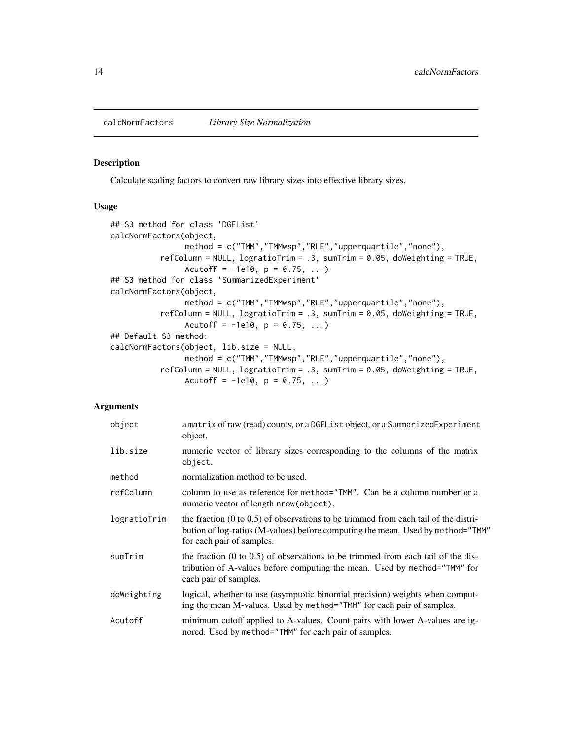<span id="page-13-0"></span>

#### Description

Calculate scaling factors to convert raw library sizes into effective library sizes.

#### Usage

```
## S3 method for class 'DGEList'
calcNormFactors(object,
                method = c("TMM","TMMwsp","RLE","upperquartile","none"),
           refColumn = NULL, logratioTrim = .3, sumTrim = 0.05, doWeighting = TRUE,
                Acutoff = -1e10, p = 0.75, ...)
## S3 method for class 'SummarizedExperiment'
calcNormFactors(object,
                method = c("TMM","TMMwsp","RLE","upperquartile","none"),
           refColumn = NULL, logratioTrim = .3, sumTrim = 0.05, doWeighting = TRUE,
                Acutoff = -1e10, p = 0.75, ...)
## Default S3 method:
calcNormFactors(object, lib.size = NULL,
                method = c("TMM","TMMwsp","RLE","upperquartile","none"),
           refColumn = NULL, logratioTrim = .3, sumTrim = 0.05, doWeighting = TRUE,
                Acutoff = -1e10, p = 0.75, ...)
```
# Arguments

| object       | a matrix of raw (read) counts, or a DGEL is t object, or a Summarized Experiment<br>object.                                                                                                                    |
|--------------|----------------------------------------------------------------------------------------------------------------------------------------------------------------------------------------------------------------|
| lib.size     | numeric vector of library sizes corresponding to the columns of the matrix<br>object.                                                                                                                          |
| method       | normalization method to be used.                                                                                                                                                                               |
| refColumn    | column to use as reference for method="TMM". Can be a column number or a<br>numeric vector of length nrow (object).                                                                                            |
| logratioTrim | the fraction $(0 \text{ to } 0.5)$ of observations to be trimmed from each tail of the distri-<br>bution of log-ratios (M-values) before computing the mean. Used by method="TMM"<br>for each pair of samples. |
| sumTrim      | the fraction $(0 \text{ to } 0.5)$ of observations to be trimmed from each tail of the dis-<br>tribution of A-values before computing the mean. Used by method="TMM" for<br>each pair of samples.              |
| doWeighting  | logical, whether to use (asymptotic binomial precision) weights when comput-<br>ing the mean M-values. Used by method="TMM" for each pair of samples.                                                          |
| Acutoff      | minimum cutoff applied to A-values. Count pairs with lower A-values are ig-<br>nored. Used by method="TMM" for each pair of samples.                                                                           |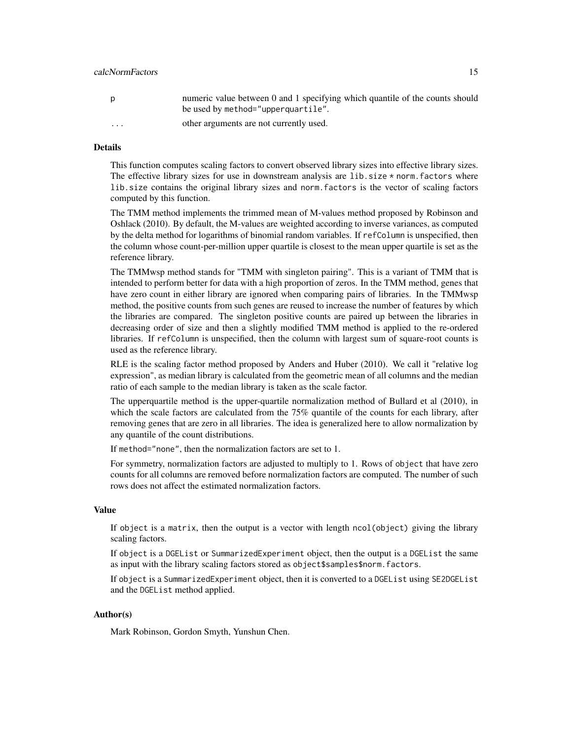# calcNormFactors 15

| p | numeric value between 0 and 1 specifying which quantile of the counts should<br>be used by method="upperquartile". |
|---|--------------------------------------------------------------------------------------------------------------------|
| . | other arguments are not currently used.                                                                            |

# Details

This function computes scaling factors to convert observed library sizes into effective library sizes. The effective library sizes for use in downstream analysis are  $lib.size * norm$ . factors where lib.size contains the original library sizes and norm.factors is the vector of scaling factors computed by this function.

The TMM method implements the trimmed mean of M-values method proposed by Robinson and Oshlack (2010). By default, the M-values are weighted according to inverse variances, as computed by the delta method for logarithms of binomial random variables. If refColumn is unspecified, then the column whose count-per-million upper quartile is closest to the mean upper quartile is set as the reference library.

The TMMwsp method stands for "TMM with singleton pairing". This is a variant of TMM that is intended to perform better for data with a high proportion of zeros. In the TMM method, genes that have zero count in either library are ignored when comparing pairs of libraries. In the TMMwsp method, the positive counts from such genes are reused to increase the number of features by which the libraries are compared. The singleton positive counts are paired up between the libraries in decreasing order of size and then a slightly modified TMM method is applied to the re-ordered libraries. If refColumn is unspecified, then the column with largest sum of square-root counts is used as the reference library.

RLE is the scaling factor method proposed by Anders and Huber (2010). We call it "relative log expression", as median library is calculated from the geometric mean of all columns and the median ratio of each sample to the median library is taken as the scale factor.

The upperquartile method is the upper-quartile normalization method of Bullard et al (2010), in which the scale factors are calculated from the 75% quantile of the counts for each library, after removing genes that are zero in all libraries. The idea is generalized here to allow normalization by any quantile of the count distributions.

If method="none", then the normalization factors are set to 1.

For symmetry, normalization factors are adjusted to multiply to 1. Rows of object that have zero counts for all columns are removed before normalization factors are computed. The number of such rows does not affect the estimated normalization factors.

#### Value

If object is a matrix, then the output is a vector with length ncol(object) giving the library scaling factors.

If object is a DGEList or SummarizedExperiment object, then the output is a DGEList the same as input with the library scaling factors stored as object\$samples\$norm.factors.

If object is a SummarizedExperiment object, then it is converted to a DGEList using SE2DGEList and the DGEList method applied.

# Author(s)

Mark Robinson, Gordon Smyth, Yunshun Chen.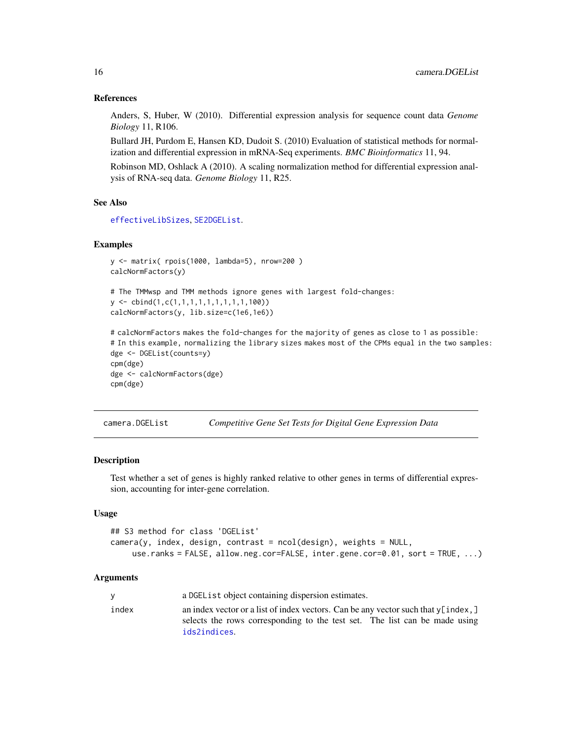#### References

Anders, S, Huber, W (2010). Differential expression analysis for sequence count data *Genome Biology* 11, R106.

Bullard JH, Purdom E, Hansen KD, Dudoit S. (2010) Evaluation of statistical methods for normalization and differential expression in mRNA-Seq experiments. *BMC Bioinformatics* 11, 94.

Robinson MD, Oshlack A (2010). A scaling normalization method for differential expression analysis of RNA-seq data. *Genome Biology* 11, R25.

# See Also

[effectiveLibSizes](#page-45-1), [SE2DGEList](#page-136-1).

#### Examples

```
y <- matrix( rpois(1000, lambda=5), nrow=200 )
calcNormFactors(y)
```

```
# The TMMwsp and TMM methods ignore genes with largest fold-changes:
y <- cbind(1,c(1,1,1,1,1,1,1,1,1,100))
calcNormFactors(y, lib.size=c(1e6,1e6))
```

```
# calcNormFactors makes the fold-changes for the majority of genes as close to 1 as possible:
# In this example, normalizing the library sizes makes most of the CPMs equal in the two samples:
dge <- DGEList(counts=y)
cpm(dge)
dge <- calcNormFactors(dge)
cpm(dge)
```
camera.DGEList *Competitive Gene Set Tests for Digital Gene Expression Data*

#### Description

Test whether a set of genes is highly ranked relative to other genes in terms of differential expression, accounting for inter-gene correlation.

#### Usage

```
## S3 method for class 'DGEList'
camera(y, index, design, contrast = ncol(design), weights = NULL,use.ranks = FALSE, allow.neg.cor=FALSE, inter.gene.cor=0.01, sort = TRUE, ...)
```
#### Arguments

|       | a DGEL is t object containing dispersion estimates.                                                                                                                                        |
|-------|--------------------------------------------------------------------------------------------------------------------------------------------------------------------------------------------|
| index | an index vector or a list of index vectors. Can be any vector such that $\sqrt{\ }$ index, ]<br>selects the rows corresponding to the test set. The list can be made using<br>ids2indices. |
|       |                                                                                                                                                                                            |

<span id="page-15-0"></span>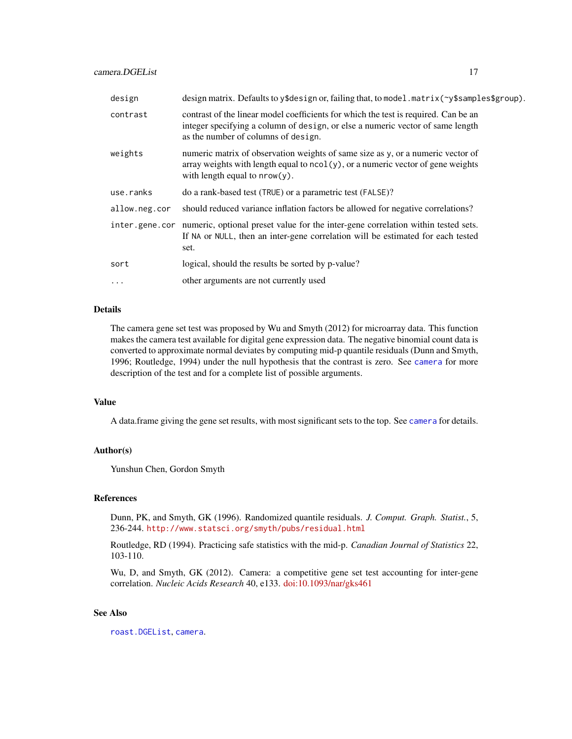| design         | design matrix. Defaults to y\$design or, failing that, to model.matrix( $\gamma$ \$samples\$group).                                                                                                          |
|----------------|--------------------------------------------------------------------------------------------------------------------------------------------------------------------------------------------------------------|
| contrast       | contrast of the linear model coefficients for which the test is required. Can be an<br>integer specifying a column of design, or else a numeric vector of same length<br>as the number of columns of design. |
| weights        | numeric matrix of observation weights of same size as y, or a numeric vector of<br>array weights with length equal to $ncol(y)$ , or a numeric vector of gene weights<br>with length equal to $nrow(y)$ .    |
| use.ranks      | do a rank-based test (TRUE) or a parametric test (FALSE)?                                                                                                                                                    |
| allow.neg.cor  | should reduced variance inflation factors be allowed for negative correlations?                                                                                                                              |
| inter.gene.cor | numeric, optional preset value for the inter-gene correlation within tested sets.<br>If NA or NULL, then an inter-gene correlation will be estimated for each tested<br>set.                                 |
| sort           | logical, should the results be sorted by p-value?                                                                                                                                                            |

... other arguments are not currently used

# Details

The camera gene set test was proposed by Wu and Smyth (2012) for microarray data. This function makes the camera test available for digital gene expression data. The negative binomial count data is converted to approximate normal deviates by computing mid-p quantile residuals (Dunn and Smyth, 1996; Routledge, 1994) under the null hypothesis that the contrast is zero. See [camera](#page-0-0) for more description of the test and for a complete list of possible arguments.

# Value

A data.frame giving the gene set results, with most significant sets to the top. See [camera](#page-0-0) for details.

# Author(s)

Yunshun Chen, Gordon Smyth

# References

Dunn, PK, and Smyth, GK (1996). Randomized quantile residuals. *J. Comput. Graph. Statist.*, 5, 236-244. <http://www.statsci.org/smyth/pubs/residual.html>

Routledge, RD (1994). Practicing safe statistics with the mid-p. *Canadian Journal of Statistics* 22, 103-110.

Wu, D, and Smyth, GK (2012). Camera: a competitive gene set test accounting for inter-gene correlation. *Nucleic Acids Research* 40, e133. [doi:10.1093/nar/gks461](https://doi.org/10.1093/nar/gks461)

#### See Also

[roast.DGEList](#page-130-1), [camera](#page-0-0).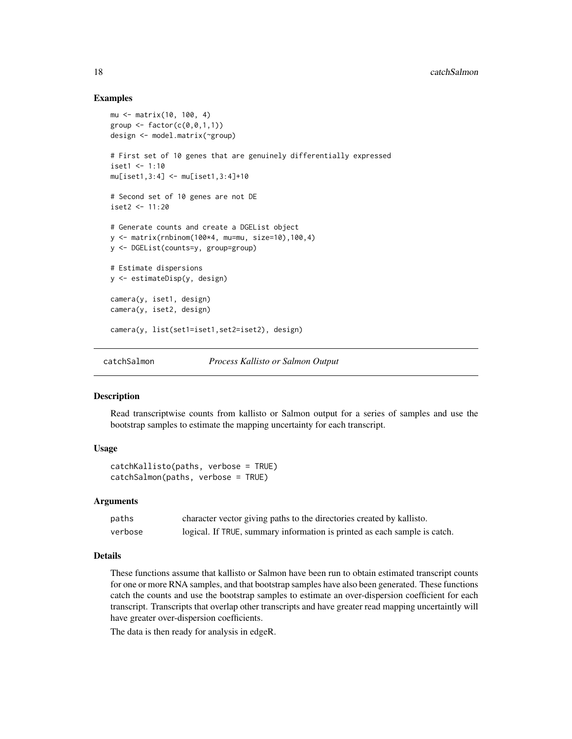# Examples

```
mu <- matrix(10, 100, 4)
group \leq factor(c(0, 0, 1, 1))
design <- model.matrix(~group)
# First set of 10 genes that are genuinely differentially expressed
iset1 < -1:10mu[iset1,3:4] <- mu[iset1,3:4]+10
# Second set of 10 genes are not DE
iset2 < -11:20# Generate counts and create a DGEList object
y <- matrix(rnbinom(100*4, mu=mu, size=10),100,4)
y <- DGEList(counts=y, group=group)
# Estimate dispersions
y <- estimateDisp(y, design)
camera(y, iset1, design)
camera(y, iset2, design)
camera(y, list(set1=iset1,set2=iset2), design)
```
catchSalmon *Process Kallisto or Salmon Output*

#### **Description**

Read transcriptwise counts from kallisto or Salmon output for a series of samples and use the bootstrap samples to estimate the mapping uncertainty for each transcript.

#### Usage

```
catchKallisto(paths, verbose = TRUE)
catchSalmon(paths, verbose = TRUE)
```
#### Arguments

| paths   | character vector giving paths to the directories created by kallisto.     |
|---------|---------------------------------------------------------------------------|
| verbose | logical. If TRUE, summary information is printed as each sample is catch. |

# Details

These functions assume that kallisto or Salmon have been run to obtain estimated transcript counts for one or more RNA samples, and that bootstrap samples have also been generated. These functions catch the counts and use the bootstrap samples to estimate an over-dispersion coefficient for each transcript. Transcripts that overlap other transcripts and have greater read mapping uncertaintly will have greater over-dispersion coefficients.

The data is then ready for analysis in edgeR.

<span id="page-17-0"></span>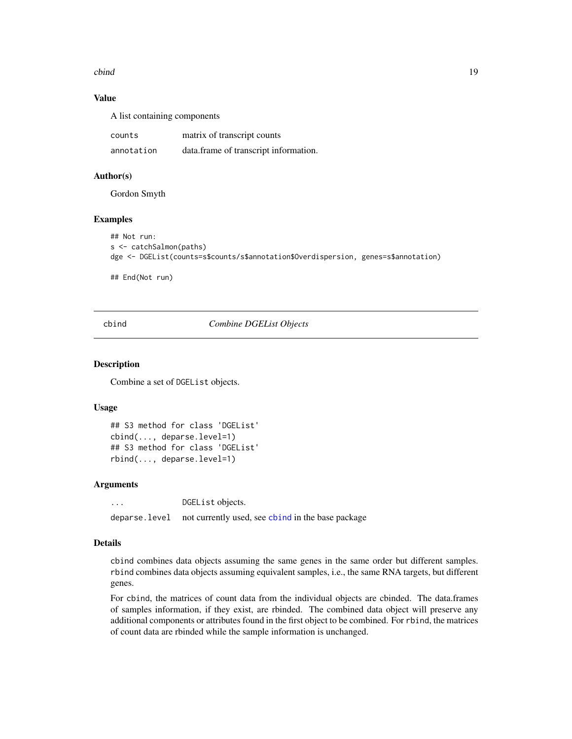<span id="page-18-0"></span>cbind 19

# Value

A list containing components

| counts     | matrix of transcript counts           |
|------------|---------------------------------------|
| annotation | data.frame of transcript information. |

# Author(s)

Gordon Smyth

# Examples

```
## Not run:
s <- catchSalmon(paths)
dge <- DGEList(counts=s$counts/s$annotation$Overdispersion, genes=s$annotation)
```
## End(Not run)

<span id="page-18-1"></span>cbind *Combine DGEList Objects*

# Description

Combine a set of DGEList objects.

#### Usage

```
## S3 method for class 'DGEList'
cbind(..., deparse.level=1)
## S3 method for class 'DGEList'
rbind(..., deparse.level=1)
```
#### Arguments

... DGEList objects. deparse.level not currently used, see [cbind](#page-18-1) in the base package

#### Details

cbind combines data objects assuming the same genes in the same order but different samples. rbind combines data objects assuming equivalent samples, i.e., the same RNA targets, but different genes.

For cbind, the matrices of count data from the individual objects are cbinded. The data.frames of samples information, if they exist, are rbinded. The combined data object will preserve any additional components or attributes found in the first object to be combined. For rbind, the matrices of count data are rbinded while the sample information is unchanged.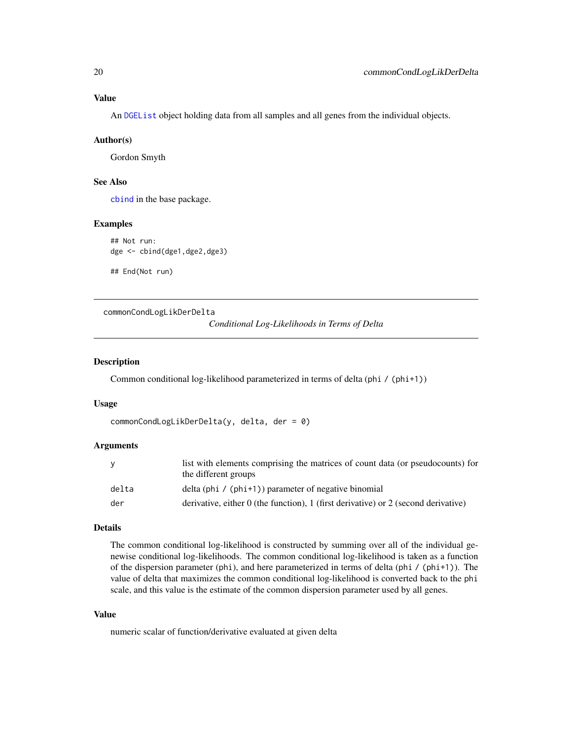# <span id="page-19-0"></span>Value

An [DGEList](#page-28-1) object holding data from all samples and all genes from the individual objects.

#### Author(s)

Gordon Smyth

# See Also

[cbind](#page-18-1) in the base package.

#### Examples

## Not run: dge <- cbind(dge1,dge2,dge3)

## End(Not run)

commonCondLogLikDerDelta

*Conditional Log-Likelihoods in Terms of Delta*

#### Description

Common conditional log-likelihood parameterized in terms of delta (phi / (phi+1))

#### Usage

```
commonCondLogLikDerDelta(y, delta, der = 0)
```
#### Arguments

|       | list with elements comprising the matrices of count data (or pseudocounts) for<br>the different groups |
|-------|--------------------------------------------------------------------------------------------------------|
| delta | delta (phi / $(\text{phi+1})$ ) parameter of negative binomial                                         |
| der   | derivative, either 0 (the function), 1 (first derivative) or 2 (second derivative)                     |

## Details

The common conditional log-likelihood is constructed by summing over all of the individual genewise conditional log-likelihoods. The common conditional log-likelihood is taken as a function of the dispersion parameter (phi), and here parameterized in terms of delta (phi / (phi+1)). The value of delta that maximizes the common conditional log-likelihood is converted back to the phi scale, and this value is the estimate of the common dispersion parameter used by all genes.

#### Value

numeric scalar of function/derivative evaluated at given delta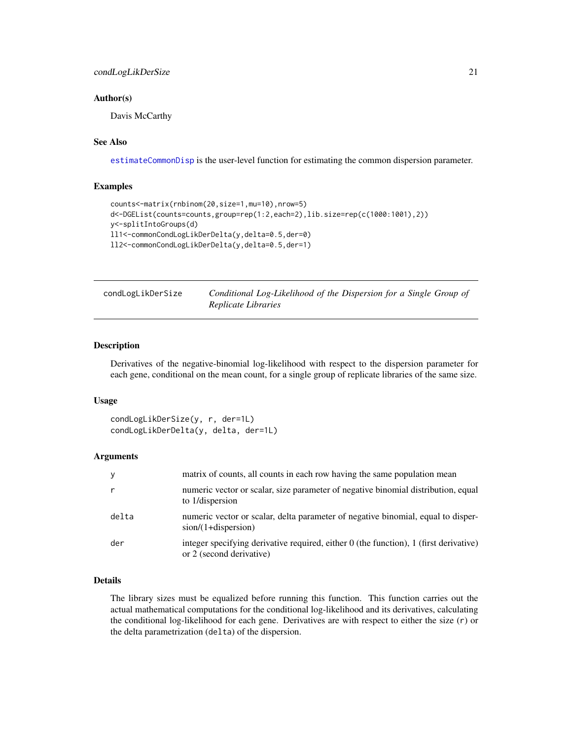# <span id="page-20-0"></span>condLogLikDerSize 21

# Author(s)

Davis McCarthy

# See Also

[estimateCommonDisp](#page-47-1) is the user-level function for estimating the common dispersion parameter.

#### Examples

```
counts<-matrix(rnbinom(20,size=1,mu=10),nrow=5)
d<-DGEList(counts=counts,group=rep(1:2,each=2),lib.size=rep(c(1000:1001),2))
y<-splitIntoGroups(d)
ll1<-commonCondLogLikDerDelta(y,delta=0.5,der=0)
ll2<-commonCondLogLikDerDelta(y,delta=0.5,der=1)
```

| condLogLikDerSize | Conditional Log-Likelihood of the Dispersion for a Single Group of |
|-------------------|--------------------------------------------------------------------|
|                   | Replicate Libraries                                                |

# Description

Derivatives of the negative-binomial log-likelihood with respect to the dispersion parameter for each gene, conditional on the mean count, for a single group of replicate libraries of the same size.

#### Usage

condLogLikDerSize(y, r, der=1L) condLogLikDerDelta(y, delta, der=1L)

# Arguments

| y            | matrix of counts, all counts in each row having the same population mean                                          |
|--------------|-------------------------------------------------------------------------------------------------------------------|
| $\mathsf{r}$ | numeric vector or scalar, size parameter of negative binomial distribution, equal<br>to 1/dispersion              |
| delta        | numeric vector or scalar, delta parameter of negative binomial, equal to disper-<br>$sion/(1+dispersion)$         |
| der          | integer specifying derivative required, either 0 (the function), 1 (first derivative)<br>or 2 (second derivative) |

# Details

The library sizes must be equalized before running this function. This function carries out the actual mathematical computations for the conditional log-likelihood and its derivatives, calculating the conditional log-likelihood for each gene. Derivatives are with respect to either the size (r) or the delta parametrization (delta) of the dispersion.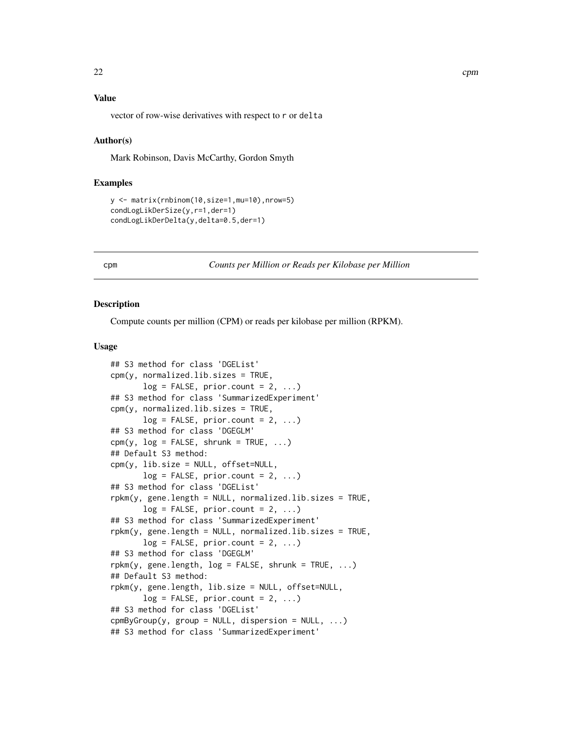# <span id="page-21-0"></span>Value

vector of row-wise derivatives with respect to r or delta

#### Author(s)

Mark Robinson, Davis McCarthy, Gordon Smyth

#### Examples

```
y <- matrix(rnbinom(10,size=1,mu=10),nrow=5)
condLogLikDerSize(y,r=1,der=1)
condLogLikDerDelta(y,delta=0.5,der=1)
```
#### <span id="page-21-1"></span>cpm *Counts per Million or Reads per Kilobase per Million*

#### Description

Compute counts per million (CPM) or reads per kilobase per million (RPKM).

#### Usage

```
## S3 method for class 'DGEList'
cpm(y, normalized.lib.sizes = TRUE,
       log = FALSE, prior.count = 2, ...)
## S3 method for class 'SummarizedExperiment'
cpm(y, normalizedu.ib.sizes = TRUE,
       log = FALSE, prior.count = 2, ...)## S3 method for class 'DGEGLM'
\text{cpm}(y, \text{log} = \text{FALSE}, \text{shrunk} = \text{TRUE}, \dots)## Default S3 method:
cpm(y, lib.size = NULL, offset=NULL,
       log = FALSE, prior.count = 2, ...)## S3 method for class 'DGEList'
rpkm(y, gene.length = NULL, normalized.lib.sizes = TRUE,
       log = FALSE, prior.count = 2, ...)## S3 method for class 'SummarizedExperiment'
rpkm(y, gene.length = NULL, normalized.lib.sizes = TRUE,
       log = FALSE, prior.count = 2, ...)
## S3 method for class 'DGEGLM'
rphm(y, gene.length, log = FALSE, shrunk = TRUE, ...)## Default S3 method:
rpkm(y, gene.length, lib.size = NULL, offset=NULL,
       log = FALSE, prior.count = 2, ...)## S3 method for class 'DGEList'
cmpMByGroup(y, group = NULL, dispersion = NULL, ...)## S3 method for class 'SummarizedExperiment'
```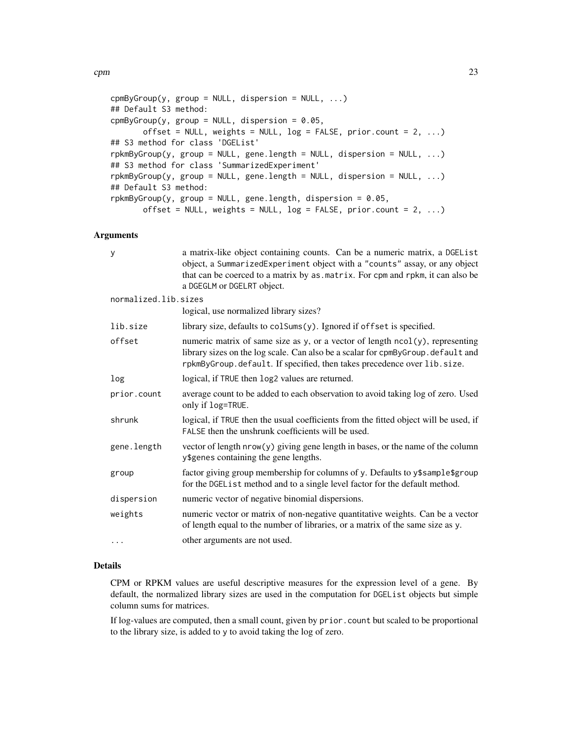```
cmpmByGroup(y, group = NULL, dispersion = NULL, ...)## Default S3 method:
cmpByGroup(y, group = NULL, dispersion = 0.05,offset = NULL, weights = NULL, log = FALSE, prior.count = 2, ...)
## S3 method for class 'DGEList'
rpkmByGroup(y, group = NULL, gene.length = NULL, dispersion = NULL, ...)
## S3 method for class 'SummarizedExperiment'
rpkmByGroup(y, group = NULL, gene.length = NULL, dispersion = NULL, ...)
## Default S3 method:
rpkmByGroup(y, group = NULL, gene.length, dispersion = 0.05,
      offset = NULL, weights = NULL, log = FALSE, prior.count = 2, ...)
```
#### Arguments

| y                    | a matrix-like object containing counts. Can be a numeric matrix, a DGEList<br>object, a SummarizedExperiment object with a "counts" assay, or any object<br>that can be coerced to a matrix by as . matrix. For cpm and rpkm, it can also be<br>a DGEGLM or DGELRT object. |
|----------------------|----------------------------------------------------------------------------------------------------------------------------------------------------------------------------------------------------------------------------------------------------------------------------|
| normalized.lib.sizes |                                                                                                                                                                                                                                                                            |
|                      | logical, use normalized library sizes?                                                                                                                                                                                                                                     |
| lib.size             | library size, defaults to colSums(y). Ignored if offset is specified.                                                                                                                                                                                                      |
| offset               | numeric matrix of same size as y, or a vector of length ncol(y), representing<br>library sizes on the log scale. Can also be a scalar for cpmByGroup. default and<br>rpkmByGroup.default. If specified, then takes precedence over lib.size.                               |
| log                  | logical, if TRUE then log2 values are returned.                                                                                                                                                                                                                            |
| prior.count          | average count to be added to each observation to avoid taking log of zero. Used<br>only if log=TRUE.                                                                                                                                                                       |
| shrunk               | logical, if TRUE then the usual coefficients from the fitted object will be used, if<br>FALSE then the unshrunk coefficients will be used.                                                                                                                                 |
| gene.length          | vector of length nrow(y) giving gene length in bases, or the name of the column<br>y\$genes containing the gene lengths.                                                                                                                                                   |
| group                | factor giving group membership for columns of y. Defaults to y\$sample\$group<br>for the DGEList method and to a single level factor for the default method.                                                                                                               |
| dispersion           | numeric vector of negative binomial dispersions.                                                                                                                                                                                                                           |
| weights              | numeric vector or matrix of non-negative quantitative weights. Can be a vector<br>of length equal to the number of libraries, or a matrix of the same size as y.                                                                                                           |
| $\cdots$             | other arguments are not used.                                                                                                                                                                                                                                              |

# Details

CPM or RPKM values are useful descriptive measures for the expression level of a gene. By default, the normalized library sizes are used in the computation for DGEList objects but simple column sums for matrices.

If log-values are computed, then a small count, given by prior.count but scaled to be proportional to the library size, is added to y to avoid taking the log of zero.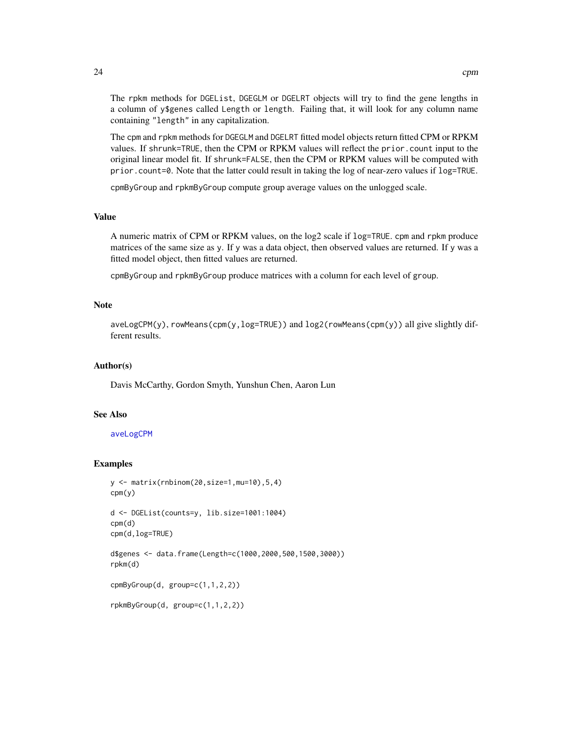The rpkm methods for DGEList, DGEGLM or DGELRT objects will try to find the gene lengths in a column of y\$genes called Length or length. Failing that, it will look for any column name containing "length" in any capitalization.

The cpm and rpkm methods for DGEGLM and DGELRT fitted model objects return fitted CPM or RPKM values. If shrunk=TRUE, then the CPM or RPKM values will reflect the prior.count input to the original linear model fit. If shrunk=FALSE, then the CPM or RPKM values will be computed with prior.count=0. Note that the latter could result in taking the log of near-zero values if log=TRUE.

cpmByGroup and rpkmByGroup compute group average values on the unlogged scale.

# Value

A numeric matrix of CPM or RPKM values, on the log2 scale if log=TRUE. cpm and rpkm produce matrices of the same size as y. If y was a data object, then observed values are returned. If y was a fitted model object, then fitted values are returned.

cpmByGroup and rpkmByGroup produce matrices with a column for each level of group.

# Note

 $a$ veLogCPM(y), rowMeans(cpm(y,  $log$ =TRUE)) and  $log2$ (rowMeans(cpm(y)) all give slightly different results.

#### Author(s)

Davis McCarthy, Gordon Smyth, Yunshun Chen, Aaron Lun

# See Also

#### [aveLogCPM](#page-9-1)

#### Examples

```
y <- matrix(rnbinom(20,size=1,mu=10),5,4)
cpm(y)
d <- DGEList(counts=y, lib.size=1001:1004)
cpm(d)
cpm(d,log=TRUE)
```

```
d$genes <- data.frame(Length=c(1000,2000,500,1500,3000))
rpkm(d)
```

```
cpmByGroup(d, group=c(1,1,2,2))
```

```
rpkmByGroup(d, group=c(1,1,2,2))
```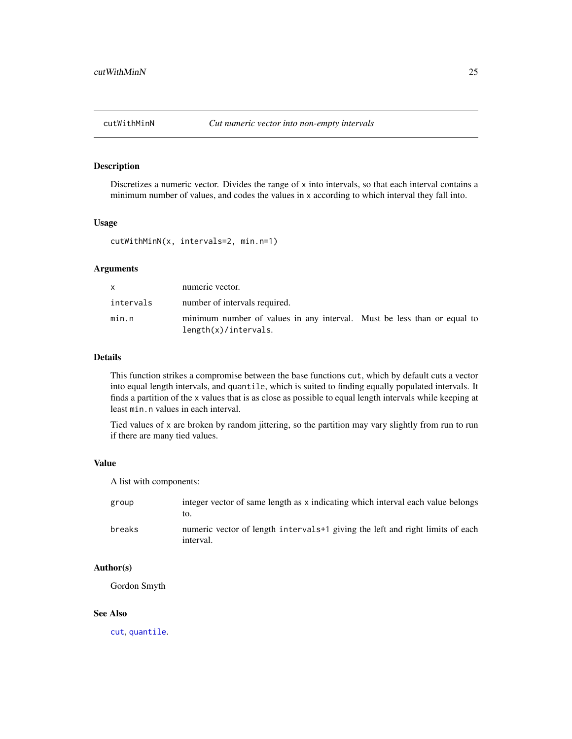<span id="page-24-0"></span>

# Description

Discretizes a numeric vector. Divides the range of x into intervals, so that each interval contains a minimum number of values, and codes the values in x according to which interval they fall into.

# Usage

cutWithMinN(x, intervals=2, min.n=1)

# Arguments

| <b>X</b>  | numeric vector.                                                                                 |  |
|-----------|-------------------------------------------------------------------------------------------------|--|
| intervals | number of intervals required.                                                                   |  |
| min.n     | minimum number of values in any interval. Must be less than or equal to<br>length(x)/intervals. |  |

#### Details

This function strikes a compromise between the base functions cut, which by default cuts a vector into equal length intervals, and quantile, which is suited to finding equally populated intervals. It finds a partition of the x values that is as close as possible to equal length intervals while keeping at least min.n values in each interval.

Tied values of x are broken by random jittering, so the partition may vary slightly from run to run if there are many tied values.

#### Value

A list with components:

| group  | integer vector of same length as x indicating which interval each value belongs<br>LO.                 |
|--------|--------------------------------------------------------------------------------------------------------|
| breaks | numeric vector of length intervals <sup>+1</sup> giving the left and right limits of each<br>interval. |

# Author(s)

Gordon Smyth

#### See Also

[cut](#page-0-0), [quantile](#page-0-0).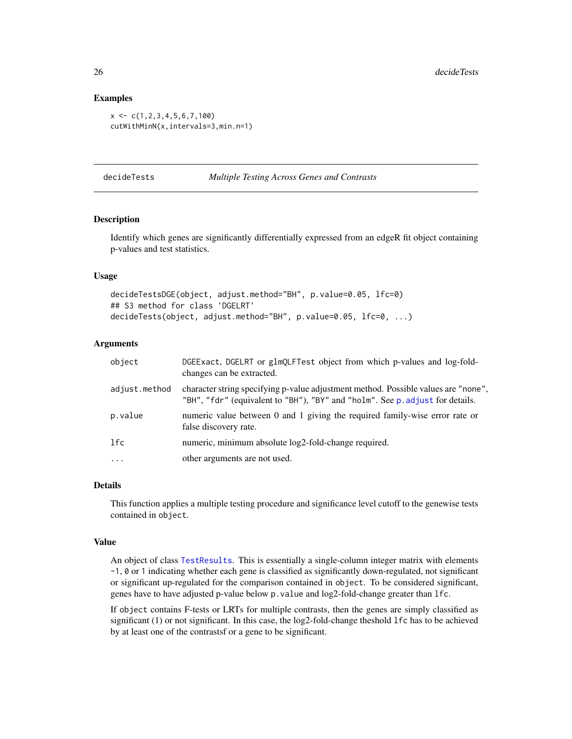#### Examples

```
x \leq -c(1, 2, 3, 4, 5, 6, 7, 100)cutWithMinN(x,intervals=3,min.n=1)
```
<span id="page-25-1"></span>decideTests *Multiple Testing Across Genes and Contrasts*

#### Description

Identify which genes are significantly differentially expressed from an edgeR fit object containing p-values and test statistics.

# Usage

```
decideTestsDGE(object, adjust.method="BH", p.value=0.05, lfc=0)
## S3 method for class 'DGELRT'
decideTests(object, adjust.method="BH", p.value=0.05, lfc=0, ...)
```
# Arguments

| object        | DGEExact, DGELRT or glmQLFTest object from which p-values and log-fold-<br>changes can be extracted.                                                                |
|---------------|---------------------------------------------------------------------------------------------------------------------------------------------------------------------|
| adjust.method | character string specifying p-value adjustment method. Possible values are "none",<br>"BH", "fdr" (equivalent to "BH"), "BY" and "holm". See p. adjust for details. |
| p.value       | numeric value between 0 and 1 giving the required family-wise error rate or<br>false discovery rate.                                                                |
| lfc           | numeric, minimum absolute log2-fold-change required.                                                                                                                |
| $\cdot$       | other arguments are not used.                                                                                                                                       |

#### Details

This function applies a multiple testing procedure and significance level cutoff to the genewise tests contained in object.

#### Value

An object of class [TestResults](#page-0-0). This is essentially a single-column integer matrix with elements -1, 0 or 1 indicating whether each gene is classified as significantly down-regulated, not significant or significant up-regulated for the comparison contained in object. To be considered significant, genes have to have adjusted p-value below p.value and log2-fold-change greater than lfc.

If object contains F-tests or LRTs for multiple contrasts, then the genes are simply classified as significant (1) or not significant. In this case, the log2-fold-change theshold lfc has to be achieved by at least one of the contrastsf or a gene to be significant.

<span id="page-25-0"></span>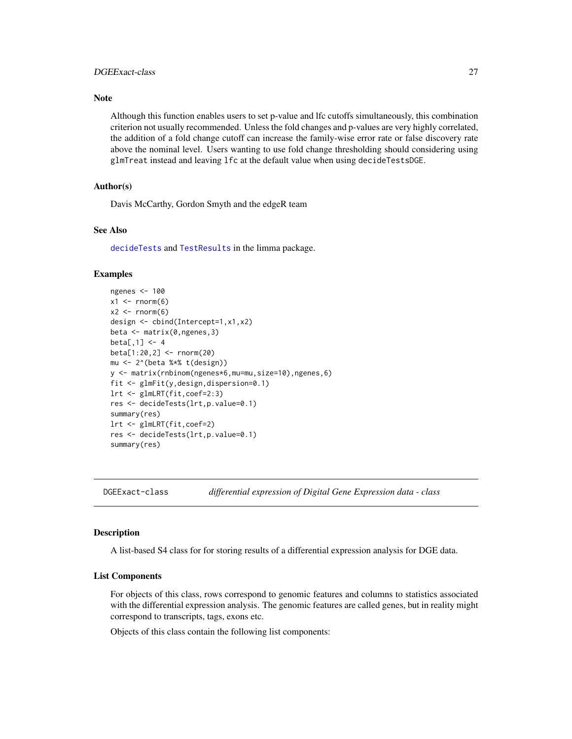# <span id="page-26-0"></span>DGEExact-class 27

# **Note**

Although this function enables users to set p-value and lfc cutoffs simultaneously, this combination criterion not usually recommended. Unless the fold changes and p-values are very highly correlated, the addition of a fold change cutoff can increase the family-wise error rate or false discovery rate above the nominal level. Users wanting to use fold change thresholding should considering using glmTreat instead and leaving lfc at the default value when using decideTestsDGE.

# Author(s)

Davis McCarthy, Gordon Smyth and the edgeR team

# See Also

[decideTests](#page-25-1) and [TestResults](#page-0-0) in the limma package.

#### Examples

```
ngenes <- 100
x1 \leftarrow \text{norm}(6)x2 \le rnorm(6)
design <- cbind(Intercept=1,x1,x2)
beta <- matrix(0,ngenes,3)
beta[, 1] < -4beta[1:20,2] <- rnorm(20)
mu <- 2^(beta %*% t(design))
y <- matrix(rnbinom(ngenes*6,mu=mu,size=10),ngenes,6)
fit <- glmFit(y,design,dispersion=0.1)
lrt <- glmLRT(fit,coef=2:3)
res <- decideTests(lrt,p.value=0.1)
summary(res)
lrt <- glmLRT(fit,coef=2)
res <- decideTests(lrt,p.value=0.1)
summary(res)
```
<span id="page-26-1"></span>DGEExact-class *differential expression of Digital Gene Expression data - class*

# Description

A list-based S4 class for for storing results of a differential expression analysis for DGE data.

#### List Components

For objects of this class, rows correspond to genomic features and columns to statistics associated with the differential expression analysis. The genomic features are called genes, but in reality might correspond to transcripts, tags, exons etc.

Objects of this class contain the following list components: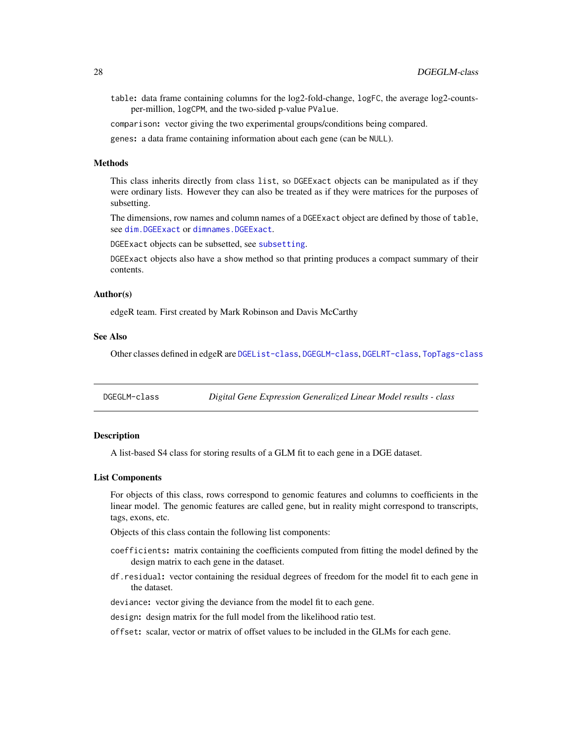<span id="page-27-0"></span>table: data frame containing columns for the log2-fold-change, logFC, the average log2-countsper-million, logCPM, and the two-sided p-value PValue.

comparison: vector giving the two experimental groups/conditions being compared.

genes: a data frame containing information about each gene (can be NULL).

# Methods

This class inherits directly from class list, so DGEExact objects can be manipulated as if they were ordinary lists. However they can also be treated as if they were matrices for the purposes of subsetting.

The dimensions, row names and column names of a DGEExact object are defined by those of table, see [dim.DGEExact](#page-34-1) or [dimnames.DGEExact](#page-35-1).

DGEExact objects can be subsetted, see [subsetting](#page-139-1).

DGEExact objects also have a show method so that printing produces a compact summary of their contents.

#### Author(s)

edgeR team. First created by Mark Robinson and Davis McCarthy

#### See Also

Other classes defined in edgeR are [DGEList-class](#page-30-1), [DGEGLM-class](#page-27-1), [DGELRT-class](#page-31-1), [TopTags-class](#page-145-1)

<span id="page-27-1"></span>DGEGLM-class *Digital Gene Expression Generalized Linear Model results - class*

# Description

A list-based S4 class for storing results of a GLM fit to each gene in a DGE dataset.

#### List Components

For objects of this class, rows correspond to genomic features and columns to coefficients in the linear model. The genomic features are called gene, but in reality might correspond to transcripts, tags, exons, etc.

Objects of this class contain the following list components:

- coefficients: matrix containing the coefficients computed from fitting the model defined by the design matrix to each gene in the dataset.
- df.residual: vector containing the residual degrees of freedom for the model fit to each gene in the dataset.

deviance: vector giving the deviance from the model fit to each gene.

design: design matrix for the full model from the likelihood ratio test.

offset: scalar, vector or matrix of offset values to be included in the GLMs for each gene.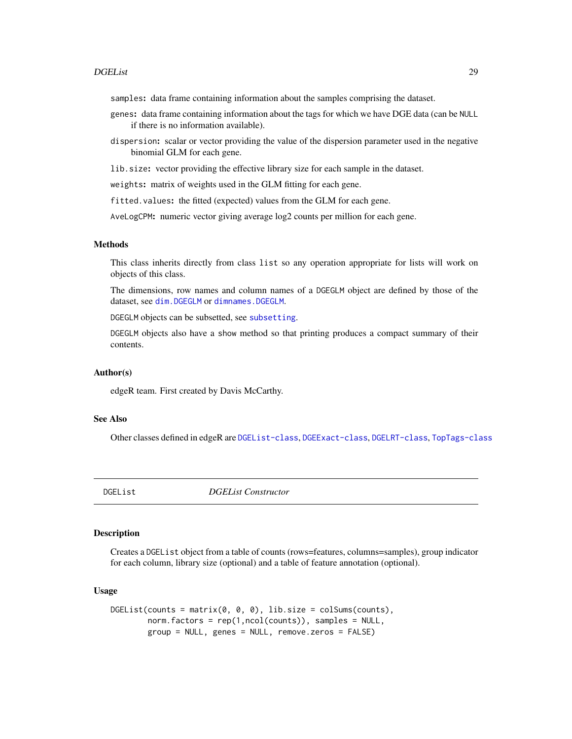#### <span id="page-28-0"></span>DGEList 29

samples: data frame containing information about the samples comprising the dataset.

- genes: data frame containing information about the tags for which we have DGE data (can be NULL if there is no information available).
- dispersion: scalar or vector providing the value of the dispersion parameter used in the negative binomial GLM for each gene.
- lib.size: vector providing the effective library size for each sample in the dataset.

weights: matrix of weights used in the GLM fitting for each gene.

fitted.values: the fitted (expected) values from the GLM for each gene.

AveLogCPM: numeric vector giving average log2 counts per million for each gene.

# Methods

This class inherits directly from class list so any operation appropriate for lists will work on objects of this class.

The dimensions, row names and column names of a DGEGLM object are defined by those of the dataset, see [dim.DGEGLM](#page-34-1) or [dimnames.DGEGLM](#page-35-1).

DGEGLM objects can be subsetted, see [subsetting](#page-139-1).

DGEGLM objects also have a show method so that printing produces a compact summary of their contents.

#### Author(s)

edgeR team. First created by Davis McCarthy.

#### See Also

Other classes defined in edgeR are [DGEList-class](#page-30-1), [DGEExact-class](#page-26-1), [DGELRT-class](#page-31-1), [TopTags-class](#page-145-1)

<span id="page-28-1"></span>DGEList *DGEList Constructor*

# Description

Creates a DGEList object from a table of counts (rows=features, columns=samples), group indicator for each column, library size (optional) and a table of feature annotation (optional).

#### Usage

```
DGEList(counts = matrix(0, 0, 0), lib.size = colSums(counts),
       norm.factors = rep(1,ncol(counts)), samples = NULL,
       group = NULL, genes = NULL, remove.zeros = FALSE)
```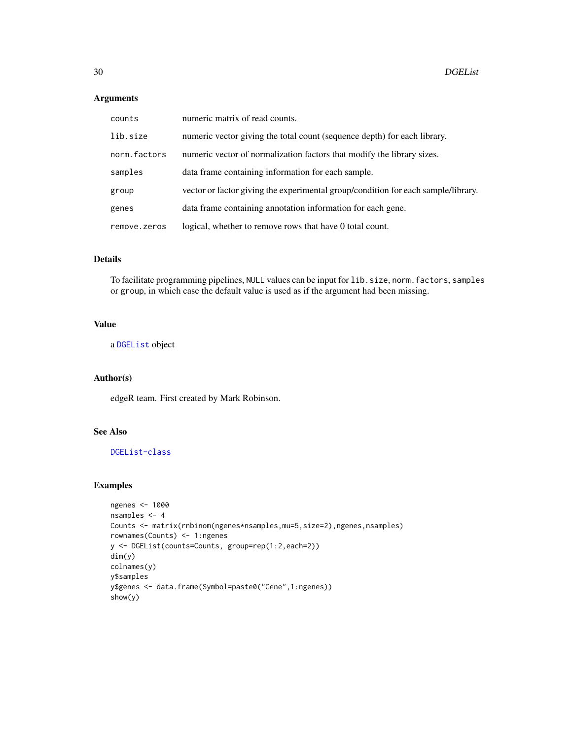# Arguments

| counts       | numeric matrix of read counts.                                                    |
|--------------|-----------------------------------------------------------------------------------|
| lib.size     | numeric vector giving the total count (sequence depth) for each library.          |
| norm.factors | numeric vector of normalization factors that modify the library sizes.            |
| samples      | data frame containing information for each sample.                                |
| group        | vector or factor giving the experimental group/condition for each sample/library. |
| genes        | data frame containing annotation information for each gene.                       |
| remove.zeros | logical, whether to remove rows that have 0 total count.                          |

# Details

To facilitate programming pipelines, NULL values can be input for lib.size, norm.factors, samples or group, in which case the default value is used as if the argument had been missing.

# Value

a [DGEList](#page-28-1) object

# Author(s)

edgeR team. First created by Mark Robinson.

# See Also

[DGEList-class](#page-30-1)

# Examples

```
ngenes <- 1000
nsamples <- 4
Counts <- matrix(rnbinom(ngenes*nsamples,mu=5,size=2),ngenes,nsamples)
rownames(Counts) <- 1:ngenes
y <- DGEList(counts=Counts, group=rep(1:2,each=2))
dim(y)
colnames(y)
y$samples
y$genes <- data.frame(Symbol=paste0("Gene",1:ngenes))
show(y)
```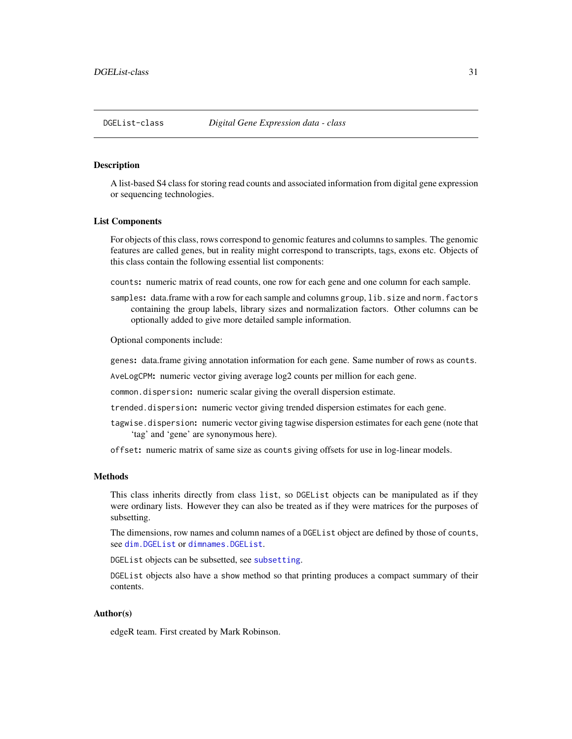# <span id="page-30-1"></span><span id="page-30-0"></span>**Description**

A list-based S4 class for storing read counts and associated information from digital gene expression or sequencing technologies.

#### List Components

For objects of this class, rows correspond to genomic features and columns to samples. The genomic features are called genes, but in reality might correspond to transcripts, tags, exons etc. Objects of this class contain the following essential list components:

counts: numeric matrix of read counts, one row for each gene and one column for each sample.

samples: data.frame with a row for each sample and columns group, lib.size and norm.factors containing the group labels, library sizes and normalization factors. Other columns can be optionally added to give more detailed sample information.

Optional components include:

genes: data.frame giving annotation information for each gene. Same number of rows as counts.

AveLogCPM: numeric vector giving average log2 counts per million for each gene.

common.dispersion: numeric scalar giving the overall dispersion estimate.

trended.dispersion: numeric vector giving trended dispersion estimates for each gene.

tagwise.dispersion: numeric vector giving tagwise dispersion estimates for each gene (note that 'tag' and 'gene' are synonymous here).

offset: numeric matrix of same size as counts giving offsets for use in log-linear models.

# Methods

This class inherits directly from class list, so DGEList objects can be manipulated as if they were ordinary lists. However they can also be treated as if they were matrices for the purposes of subsetting.

The dimensions, row names and column names of a DGEList object are defined by those of counts, see [dim.DGEList](#page-34-1) or [dimnames.DGEList](#page-35-1).

DGEList objects can be subsetted, see [subsetting](#page-139-1).

DGEList objects also have a show method so that printing produces a compact summary of their contents.

#### Author(s)

edgeR team. First created by Mark Robinson.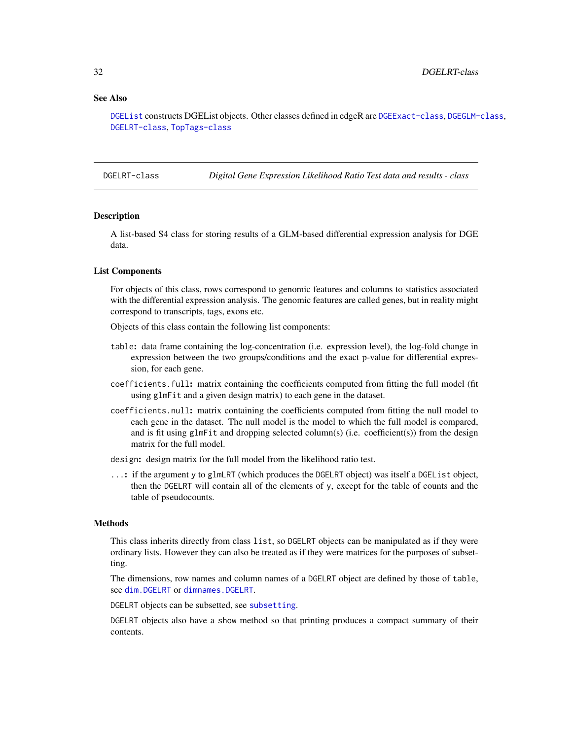#### <span id="page-31-0"></span>See Also

[DGEList](#page-28-1) constructs DGEList objects. Other classes defined in edgeR are [DGEExact-class](#page-26-1), [DGEGLM-class](#page-27-1), [DGELRT-class](#page-31-1), [TopTags-class](#page-145-1)

<span id="page-31-1"></span>DGELRT-class *Digital Gene Expression Likelihood Ratio Test data and results - class*

#### Description

A list-based S4 class for storing results of a GLM-based differential expression analysis for DGE data.

# List Components

For objects of this class, rows correspond to genomic features and columns to statistics associated with the differential expression analysis. The genomic features are called genes, but in reality might correspond to transcripts, tags, exons etc.

Objects of this class contain the following list components:

- table: data frame containing the log-concentration (i.e. expression level), the log-fold change in expression between the two groups/conditions and the exact p-value for differential expression, for each gene.
- coefficients.full: matrix containing the coefficients computed from fitting the full model (fit using glmFit and a given design matrix) to each gene in the dataset.
- coefficients.null: matrix containing the coefficients computed from fitting the null model to each gene in the dataset. The null model is the model to which the full model is compared, and is fit using glmFit and dropping selected column(s) (i.e. coefficient(s)) from the design matrix for the full model.

design: design matrix for the full model from the likelihood ratio test.

...: if the argument y to glmLRT (which produces the DGELRT object) was itself a DGEList object, then the DGELRT will contain all of the elements of y, except for the table of counts and the table of pseudocounts.

#### Methods

This class inherits directly from class list, so DGELRT objects can be manipulated as if they were ordinary lists. However they can also be treated as if they were matrices for the purposes of subsetting.

The dimensions, row names and column names of a DGELRT object are defined by those of table, see [dim.DGELRT](#page-34-1) or [dimnames.DGELRT](#page-35-1).

DGELRT objects can be subsetted, see [subsetting](#page-139-1).

DGELRT objects also have a show method so that printing produces a compact summary of their contents.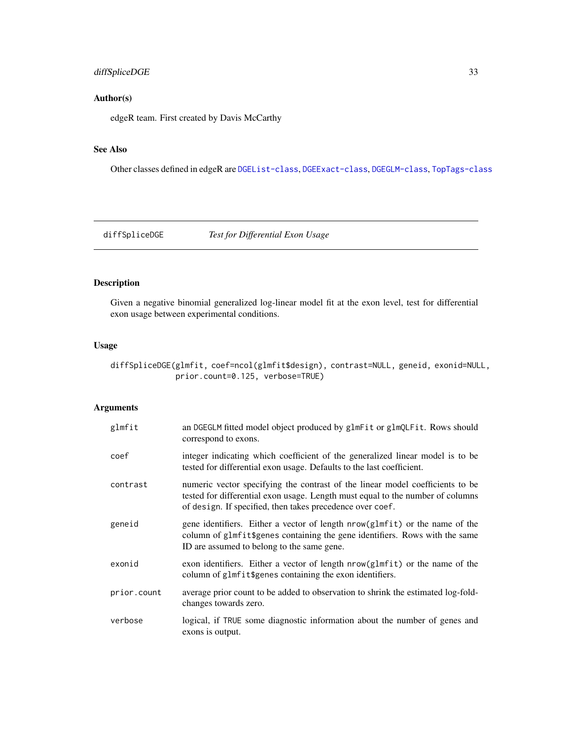# <span id="page-32-0"></span>diffSpliceDGE 33

# Author(s)

edgeR team. First created by Davis McCarthy

# See Also

Other classes defined in edgeR are [DGEList-class](#page-30-1), [DGEExact-class](#page-26-1), [DGEGLM-class](#page-27-1), [TopTags-class](#page-145-1)

diffSpliceDGE *Test for Differential Exon Usage*

# Description

Given a negative binomial generalized log-linear model fit at the exon level, test for differential exon usage between experimental conditions.

# Usage

diffSpliceDGE(glmfit, coef=ncol(glmfit\$design), contrast=NULL, geneid, exonid=NULL, prior.count=0.125, verbose=TRUE)

# Arguments

| glmfit      | an DGEGLM fitted model object produced by glmFit or glmQLFit. Rows should<br>correspond to exons.                                                                                                                            |
|-------------|------------------------------------------------------------------------------------------------------------------------------------------------------------------------------------------------------------------------------|
| coef        | integer indicating which coefficient of the generalized linear model is to be<br>tested for differential exon usage. Defaults to the last coefficient.                                                                       |
| contrast    | numeric vector specifying the contrast of the linear model coefficients to be<br>tested for differential exon usage. Length must equal to the number of columns<br>of design. If specified, then takes precedence over coef. |
| geneid      | gene identifiers. Either a vector of length nrow(glmfit) or the name of the<br>column of glmfit\$genes containing the gene identifiers. Rows with the same<br>ID are assumed to belong to the same gene.                     |
| exonid      | exon identifiers. Either a vector of length nrow(glmfit) or the name of the<br>column of glmfit\$genes containing the exon identifiers.                                                                                      |
| prior.count | average prior count to be added to observation to shrink the estimated log-fold-<br>changes towards zero.                                                                                                                    |
| verbose     | logical, if TRUE some diagnostic information about the number of genes and<br>exons is output.                                                                                                                               |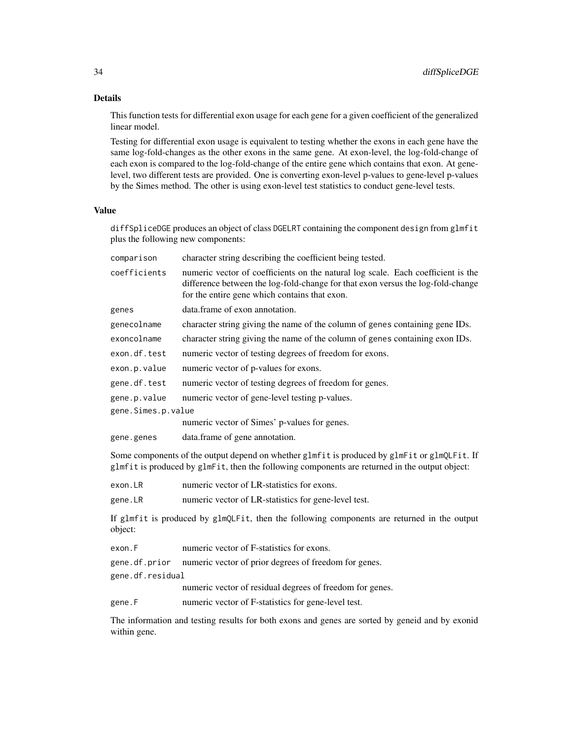# Details

This function tests for differential exon usage for each gene for a given coefficient of the generalized linear model.

Testing for differential exon usage is equivalent to testing whether the exons in each gene have the same log-fold-changes as the other exons in the same gene. At exon-level, the log-fold-change of each exon is compared to the log-fold-change of the entire gene which contains that exon. At genelevel, two different tests are provided. One is converting exon-level p-values to gene-level p-values by the Simes method. The other is using exon-level test statistics to conduct gene-level tests.

# Value

diffSpliceDGE produces an object of class DGELRT containing the component design from glmfit plus the following new components:

| comparison                                                                                                                                                                                     | character string describing the coefficient being tested.                                                                                                                                                            |  |
|------------------------------------------------------------------------------------------------------------------------------------------------------------------------------------------------|----------------------------------------------------------------------------------------------------------------------------------------------------------------------------------------------------------------------|--|
| coefficients                                                                                                                                                                                   | numeric vector of coefficients on the natural log scale. Each coefficient is the<br>difference between the log-fold-change for that exon versus the log-fold-change<br>for the entire gene which contains that exon. |  |
| genes                                                                                                                                                                                          | data.frame of exon annotation.                                                                                                                                                                                       |  |
| genecolname                                                                                                                                                                                    | character string giving the name of the column of genes containing gene IDs.                                                                                                                                         |  |
| exoncolname                                                                                                                                                                                    | character string giving the name of the column of genes containing exon IDs.                                                                                                                                         |  |
| exon.df.test                                                                                                                                                                                   | numeric vector of testing degrees of freedom for exons.                                                                                                                                                              |  |
| exon.p.value                                                                                                                                                                                   | numeric vector of p-values for exons.                                                                                                                                                                                |  |
| gene.df.test                                                                                                                                                                                   | numeric vector of testing degrees of freedom for genes.                                                                                                                                                              |  |
| gene.p.value                                                                                                                                                                                   | numeric vector of gene-level testing p-values.                                                                                                                                                                       |  |
| gene.Simes.p.value                                                                                                                                                                             | numeric vector of Simes' p-values for genes.                                                                                                                                                                         |  |
|                                                                                                                                                                                                |                                                                                                                                                                                                                      |  |
| gene.genes                                                                                                                                                                                     | data.frame of gene annotation.                                                                                                                                                                                       |  |
| Some components of the output depend on whether glmfit is produced by glmFit or glmQLFit. If<br>glmfit is produced by glmFit, then the following components are returned in the output object: |                                                                                                                                                                                                                      |  |
| exon.LR                                                                                                                                                                                        | numeric vector of LR-statistics for exons.                                                                                                                                                                           |  |
| gene.LR                                                                                                                                                                                        | numeric vector of LR-statistics for gene-level test.                                                                                                                                                                 |  |
| object:                                                                                                                                                                                        | If glmfit is produced by glmQLFit, then the following components are returned in the output                                                                                                                          |  |
| exon.F                                                                                                                                                                                         | numeric vector of F-statistics for exons.                                                                                                                                                                            |  |
| gene.df.prior                                                                                                                                                                                  | numeric vector of prior degrees of freedom for genes.                                                                                                                                                                |  |

gene.df.residual

numeric vector of residual degrees of freedom for genes.

gene.F numeric vector of F-statistics for gene-level test.

The information and testing results for both exons and genes are sorted by geneid and by exonid within gene.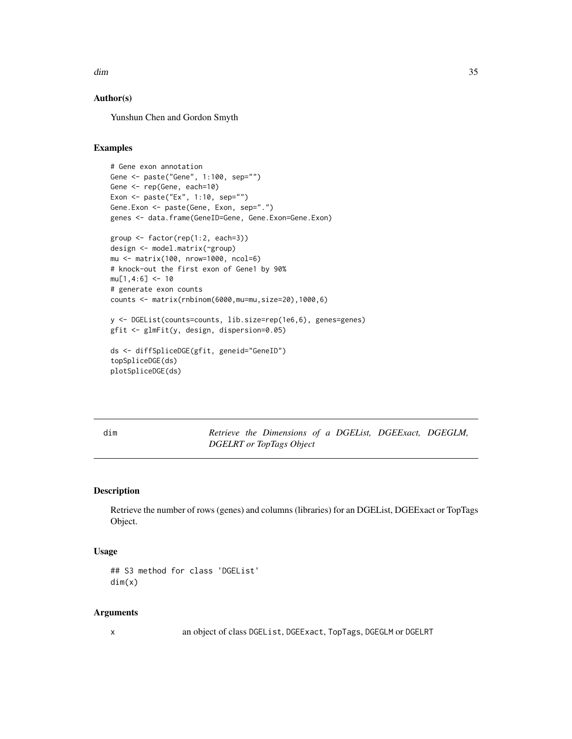<span id="page-34-0"></span>dim 35

# Author(s)

Yunshun Chen and Gordon Smyth

#### Examples

```
# Gene exon annotation
Gene <- paste("Gene", 1:100, sep="")
Gene <- rep(Gene, each=10)
Exon <- paste("Ex", 1:10, sep="")
Gene.Exon <- paste(Gene, Exon, sep=".")
genes <- data.frame(GeneID=Gene, Gene.Exon=Gene.Exon)
```

```
group <- factor(rep(1:2, each=3))
design <- model.matrix(~group)
mu <- matrix(100, nrow=1000, ncol=6)
# knock-out the first exon of Gene1 by 90%
mu[1,4:6] <- 10
# generate exon counts
counts <- matrix(rnbinom(6000,mu=mu,size=20),1000,6)
```
y <- DGEList(counts=counts, lib.size=rep(1e6,6), genes=genes) gfit <- glmFit(y, design, dispersion=0.05)

```
ds <- diffSpliceDGE(gfit, geneid="GeneID")
topSpliceDGE(ds)
plotSpliceDGE(ds)
```
<span id="page-34-2"></span>

dim *Retrieve the Dimensions of a DGEList, DGEExact, DGEGLM, DGELRT or TopTags Object*

#### <span id="page-34-1"></span>Description

Retrieve the number of rows (genes) and columns (libraries) for an DGEList, DGEExact or TopTags Object.

#### Usage

```
## S3 method for class 'DGEList'
dim(x)
```
#### Arguments

x an object of class DGEList, DGEExact, TopTags, DGEGLM or DGELRT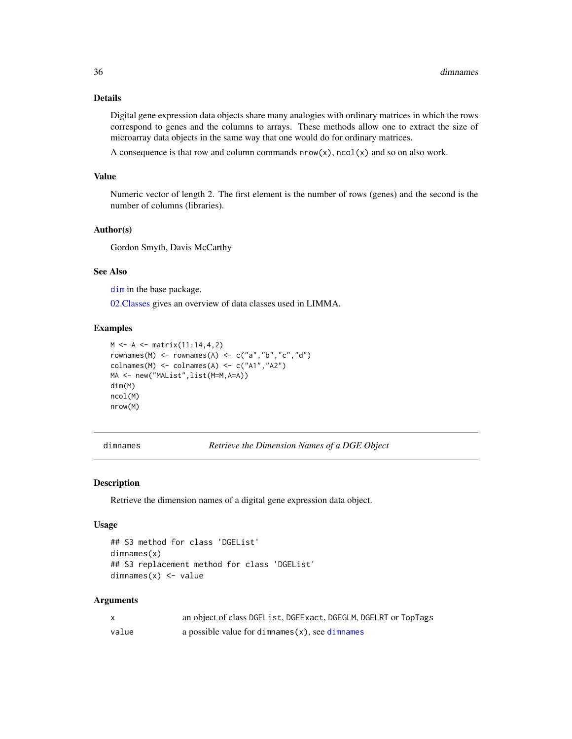# Details

Digital gene expression data objects share many analogies with ordinary matrices in which the rows correspond to genes and the columns to arrays. These methods allow one to extract the size of microarray data objects in the same way that one would do for ordinary matrices.

A consequence is that row and column commands  $now(x)$ ,  $ncol(x)$  and so on also work.

#### Value

Numeric vector of length 2. The first element is the number of rows (genes) and the second is the number of columns (libraries).

# Author(s)

Gordon Smyth, Davis McCarthy

# See Also

[dim](#page-34-2) in the base package.

[02.Classes](#page-0-0) gives an overview of data classes used in LIMMA.

# Examples

```
M < - A < - matrix(11:14, 4, 2)rownames(M) <- rownames(A) <- c("a","b","c","d")
colnames(M) <- colnames(A) <- c("A1","A2")
MA <- new("MAList",list(M=M,A=A))
dim(M)
ncol(M)
nrow(M)
```
<span id="page-35-2"></span>dimnames *Retrieve the Dimension Names of a DGE Object*

#### <span id="page-35-1"></span>Description

Retrieve the dimension names of a digital gene expression data object.

#### Usage

```
## S3 method for class 'DGEList'
dimnames(x)
## S3 replacement method for class 'DGEList'
dimnames(x) <- value
```
# Arguments

| X     | an object of class DGEList, DGEExact, DGEGLM, DGELRT or TopTags |
|-------|-----------------------------------------------------------------|
| value | a possible value for dimnames $(x)$ , see dimnames              |

<span id="page-35-0"></span>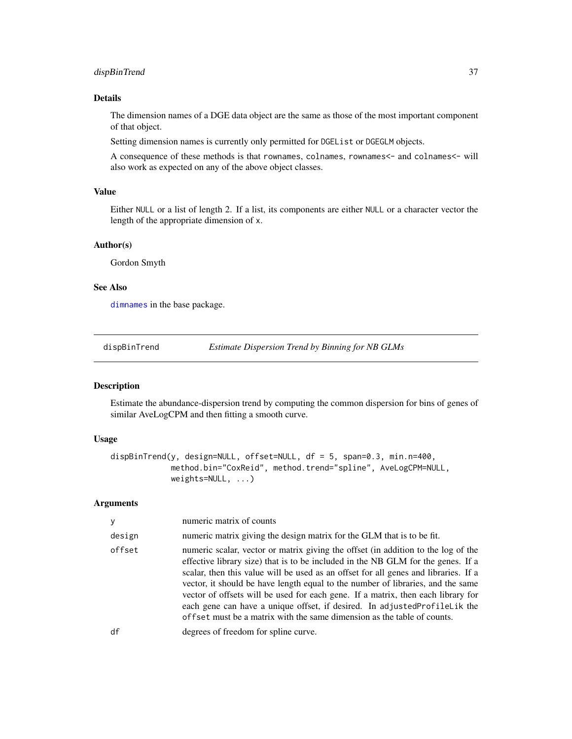# dispBinTrend 37

# Details

The dimension names of a DGE data object are the same as those of the most important component of that object.

Setting dimension names is currently only permitted for DGEList or DGEGLM objects.

A consequence of these methods is that rownames, colnames, rownames<- and colnames<- will also work as expected on any of the above object classes.

## Value

Either NULL or a list of length 2. If a list, its components are either NULL or a character vector the length of the appropriate dimension of x.

# Author(s)

Gordon Smyth

## See Also

[dimnames](#page-35-0) in the base package.

<span id="page-36-0"></span>dispBinTrend *Estimate Dispersion Trend by Binning for NB GLMs*

#### Description

Estimate the abundance-dispersion trend by computing the common dispersion for bins of genes of similar AveLogCPM and then fitting a smooth curve.

## Usage

```
dispBinTrend(y, design=NULL, offset=NULL, df = 5, span=0.3, min.n=400,
             method.bin="CoxReid", method.trend="spline", AveLogCPM=NULL,
            weights=NULL, ...)
```
# Arguments

| y      | numeric matrix of counts                                                                                                                                                                                                                                                                                                                                                                                                                                                                                                                                                                    |
|--------|---------------------------------------------------------------------------------------------------------------------------------------------------------------------------------------------------------------------------------------------------------------------------------------------------------------------------------------------------------------------------------------------------------------------------------------------------------------------------------------------------------------------------------------------------------------------------------------------|
| design | numeric matrix giving the design matrix for the GLM that is to be fit.                                                                                                                                                                                                                                                                                                                                                                                                                                                                                                                      |
| offset | numeric scalar, vector or matrix giving the offset (in addition to the log of the<br>effective library size) that is to be included in the NB GLM for the genes. If a<br>scalar, then this value will be used as an offset for all genes and libraries. If a<br>vector, it should be have length equal to the number of libraries, and the same<br>vector of offsets will be used for each gene. If a matrix, then each library for<br>each gene can have a unique offset, if desired. In adjustedProfileLik the<br>offset must be a matrix with the same dimension as the table of counts. |
| df     | degrees of freedom for spline curve.                                                                                                                                                                                                                                                                                                                                                                                                                                                                                                                                                        |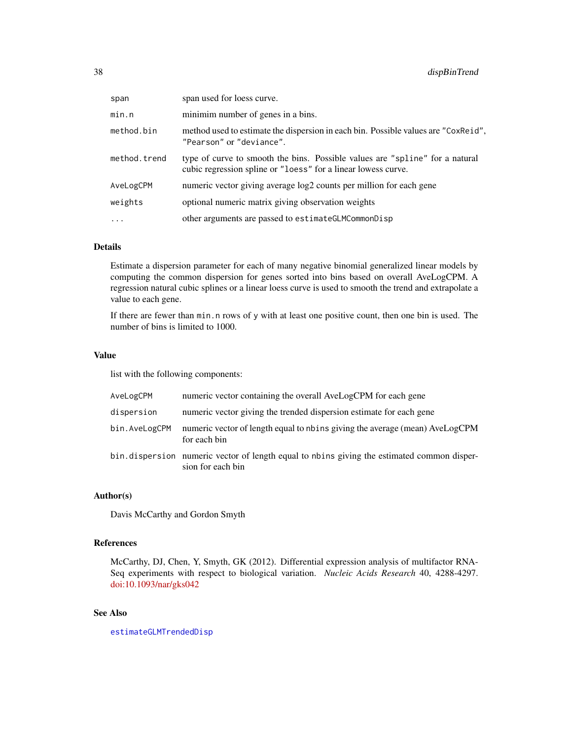| span         | span used for loess curve.                                                                                                                    |
|--------------|-----------------------------------------------------------------------------------------------------------------------------------------------|
| min.n        | minimim number of genes in a bins.                                                                                                            |
| method.bin   | method used to estimate the dispersion in each bin. Possible values are "CoxReid",<br>"Pearson" or "deviance".                                |
| method.trend | type of curve to smooth the bins. Possible values are "spline" for a natural<br>cubic regression spline or "loess" for a linear lowess curve. |
| AveLogCPM    | numeric vector giving average log2 counts per million for each gene                                                                           |
| weights      | optional numeric matrix giving observation weights                                                                                            |
| $\cdots$     | other arguments are passed to estimate GLMCommonDisp                                                                                          |

# Details

Estimate a dispersion parameter for each of many negative binomial generalized linear models by computing the common dispersion for genes sorted into bins based on overall AveLogCPM. A regression natural cubic splines or a linear loess curve is used to smooth the trend and extrapolate a value to each gene.

If there are fewer than min.n rows of y with at least one positive count, then one bin is used. The number of bins is limited to 1000.

## Value

list with the following components:

| AveLogCPM     | numeric vector containing the overall AveLogCPM for each gene                                                    |
|---------------|------------------------------------------------------------------------------------------------------------------|
| dispersion    | numeric vector giving the trended dispersion estimate for each gene                                              |
| bin.AveLogCPM | numeric vector of length equal to nbins giving the average (mean) AveLogCPM<br>for each bin                      |
|               | bin. dispersion numeric vector of length equal to nbins giving the estimated common disper-<br>sion for each bin |

# Author(s)

Davis McCarthy and Gordon Smyth

# References

McCarthy, DJ, Chen, Y, Smyth, GK (2012). Differential expression analysis of multifactor RNA-Seq experiments with respect to biological variation. *Nucleic Acids Research* 40, 4288-4297. [doi:10.1093/nar/gks042](https://doi.org/10.1093/nar/gks042)

# See Also

[estimateGLMTrendedDisp](#page-58-0)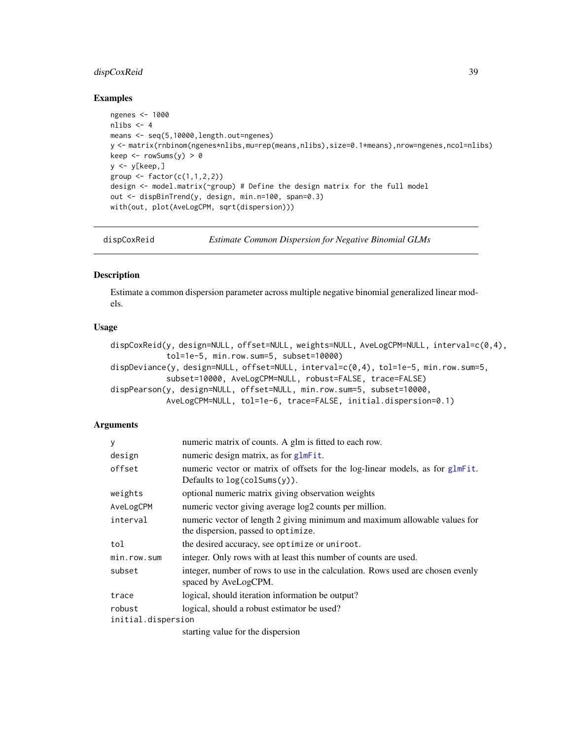# dispCoxReid 39

## Examples

```
ngenes <- 1000
nlibs <-4means <- seq(5,10000,length.out=ngenes)
y <- matrix(rnbinom(ngenes*nlibs,mu=rep(means,nlibs),size=0.1*means),nrow=ngenes,ncol=nlibs)
keep \leq rowSums(y) > 0
y <- y[keep,]
group \leq factor(c(1,1,2,2))
design <- model.matrix(~group) # Define the design matrix for the full model
out <- dispBinTrend(y, design, min.n=100, span=0.3)
with(out, plot(AveLogCPM, sqrt(dispersion)))
```
<span id="page-38-0"></span>dispCoxReid *Estimate Common Dispersion for Negative Binomial GLMs*

#### <span id="page-38-1"></span>Description

Estimate a common dispersion parameter across multiple negative binomial generalized linear models.

# Usage

```
dispCoxReid(y, design=NULL, offset=NULL, weights=NULL, AveLogCPM=NULL, interval=c(0,4),
            tol=1e-5, min.row.sum=5, subset=10000)
dispDeviance(y, design=NULL, offset=NULL, interval=c(0,4), tol=1e-5, min.row.sum=5,
            subset=10000, AveLogCPM=NULL, robust=FALSE, trace=FALSE)
dispPearson(y, design=NULL, offset=NULL, min.row.sum=5, subset=10000,
            AveLogCPM=NULL, tol=1e-6, trace=FALSE, initial.dispersion=0.1)
```
## Arguments

| У                  | numeric matrix of counts. A glm is fitted to each row.                                                            |  |  |
|--------------------|-------------------------------------------------------------------------------------------------------------------|--|--|
| design             | numeric design matrix, as for glmFit.                                                                             |  |  |
| offset             | numeric vector or matrix of offsets for the log-linear models, as for glmFit.<br>Defaults to $log(colsums(y))$ .  |  |  |
| weights            | optional numeric matrix giving observation weights                                                                |  |  |
| AveLogCPM          | numeric vector giving average log2 counts per million.                                                            |  |  |
| interval           | numeric vector of length 2 giving minimum and maximum allowable values for<br>the dispersion, passed to optimize. |  |  |
| tol                | the desired accuracy, see optimize or uniroot.                                                                    |  |  |
| min.row.sum        | integer. Only rows with at least this number of counts are used.                                                  |  |  |
| subset             | integer, number of rows to use in the calculation. Rows used are chosen evenly<br>spaced by AveLogCPM.            |  |  |
| trace              | logical, should iteration information be output?                                                                  |  |  |
| robust             | logical, should a robust estimator be used?                                                                       |  |  |
| initial.dispersion |                                                                                                                   |  |  |
|                    | starting value for the dispersion                                                                                 |  |  |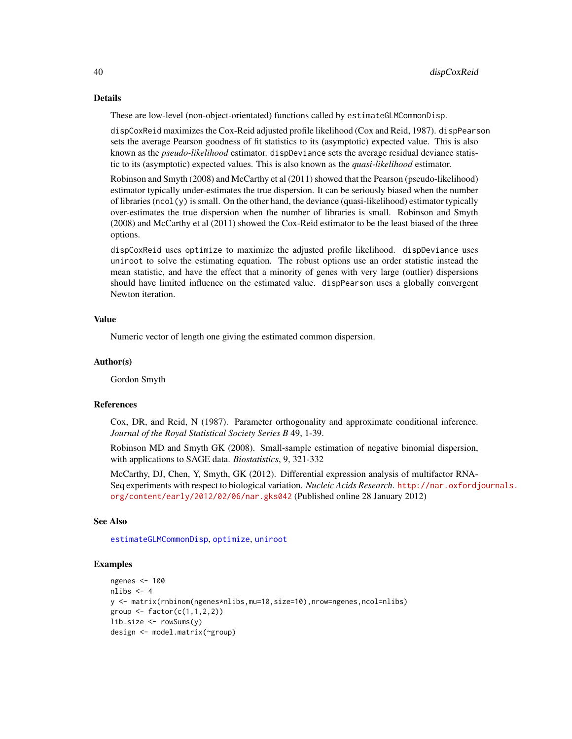#### Details

These are low-level (non-object-orientated) functions called by estimateGLMCommonDisp.

dispCoxReid maximizes the Cox-Reid adjusted profile likelihood (Cox and Reid, 1987). dispPearson sets the average Pearson goodness of fit statistics to its (asymptotic) expected value. This is also known as the *pseudo-likelihood* estimator. dispDeviance sets the average residual deviance statistic to its (asymptotic) expected values. This is also known as the *quasi-likelihood* estimator.

Robinson and Smyth (2008) and McCarthy et al (2011) showed that the Pearson (pseudo-likelihood) estimator typically under-estimates the true dispersion. It can be seriously biased when the number of libraries ( $ncol(y)$  is small. On the other hand, the deviance (quasi-likelihood) estimator typically over-estimates the true dispersion when the number of libraries is small. Robinson and Smyth (2008) and McCarthy et al (2011) showed the Cox-Reid estimator to be the least biased of the three options.

dispCoxReid uses optimize to maximize the adjusted profile likelihood. dispDeviance uses uniroot to solve the estimating equation. The robust options use an order statistic instead the mean statistic, and have the effect that a minority of genes with very large (outlier) dispersions should have limited influence on the estimated value. dispPearson uses a globally convergent Newton iteration.

## Value

Numeric vector of length one giving the estimated common dispersion.

#### Author(s)

Gordon Smyth

## References

Cox, DR, and Reid, N (1987). Parameter orthogonality and approximate conditional inference. *Journal of the Royal Statistical Society Series B* 49, 1-39.

Robinson MD and Smyth GK (2008). Small-sample estimation of negative binomial dispersion, with applications to SAGE data. *Biostatistics*, 9, 321-332

McCarthy, DJ, Chen, Y, Smyth, GK (2012). Differential expression analysis of multifactor RNA-Seq experiments with respect to biological variation. *Nucleic Acids Research*. [http://nar.oxfordj](http://nar.oxfordjournals.org/content/early/2012/02/06/nar.gks042)ournals. [org/content/early/2012/02/06/nar.gks042](http://nar.oxfordjournals.org/content/early/2012/02/06/nar.gks042) (Published online 28 January 2012)

## See Also

[estimateGLMCommonDisp](#page-53-0), [optimize](#page-0-0), [uniroot](#page-0-0)

## Examples

```
ngenes <- 100
nlibs <-4y <- matrix(rnbinom(ngenes*nlibs,mu=10,size=10),nrow=ngenes,ncol=nlibs)
group \leq factor(c(1,1,2,2))
lib.size <- rowSums(y)
design <- model.matrix(~group)
```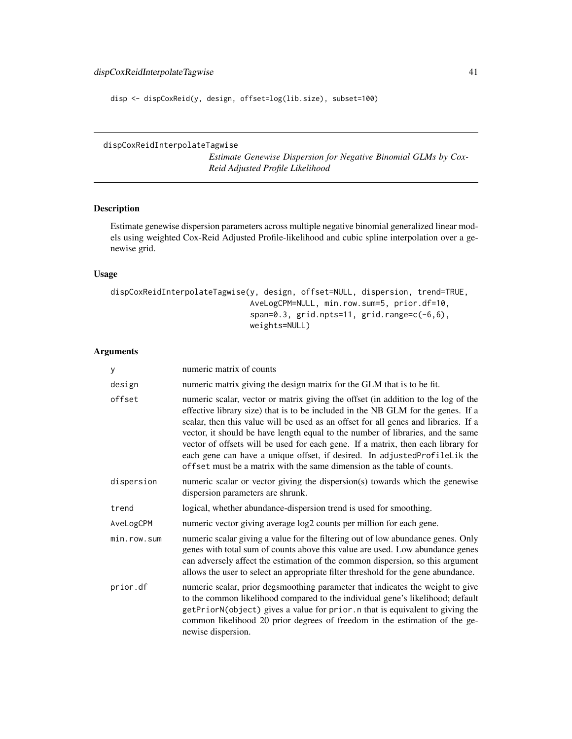disp <- dispCoxReid(y, design, offset=log(lib.size), subset=100)

## <span id="page-40-0"></span>dispCoxReidInterpolateTagwise

*Estimate Genewise Dispersion for Negative Binomial GLMs by Cox-Reid Adjusted Profile Likelihood*

# Description

Estimate genewise dispersion parameters across multiple negative binomial generalized linear models using weighted Cox-Reid Adjusted Profile-likelihood and cubic spline interpolation over a genewise grid.

# Usage

```
dispCoxReidInterpolateTagwise(y, design, offset=NULL, dispersion, trend=TRUE,
                              AveLogCPM=NULL, min.row.sum=5, prior.df=10,
                              span=0.3, grid.npts=11, grid.range=c(-6,6),
                              weights=NULL)
```
# Arguments

| У           | numeric matrix of counts                                                                                                                                                                                                                                                                                                                                                                                                                                                                                                                                                                    |  |  |  |
|-------------|---------------------------------------------------------------------------------------------------------------------------------------------------------------------------------------------------------------------------------------------------------------------------------------------------------------------------------------------------------------------------------------------------------------------------------------------------------------------------------------------------------------------------------------------------------------------------------------------|--|--|--|
| design      | numeric matrix giving the design matrix for the GLM that is to be fit.                                                                                                                                                                                                                                                                                                                                                                                                                                                                                                                      |  |  |  |
| offset      | numeric scalar, vector or matrix giving the offset (in addition to the log of the<br>effective library size) that is to be included in the NB GLM for the genes. If a<br>scalar, then this value will be used as an offset for all genes and libraries. If a<br>vector, it should be have length equal to the number of libraries, and the same<br>vector of offsets will be used for each gene. If a matrix, then each library for<br>each gene can have a unique offset, if desired. In adjustedProfileLik the<br>offset must be a matrix with the same dimension as the table of counts. |  |  |  |
| dispersion  | numeric scalar or vector giving the dispersion(s) towards which the genewise<br>dispersion parameters are shrunk.                                                                                                                                                                                                                                                                                                                                                                                                                                                                           |  |  |  |
| trend       | logical, whether abundance-dispersion trend is used for smoothing.                                                                                                                                                                                                                                                                                                                                                                                                                                                                                                                          |  |  |  |
| AveLogCPM   | numeric vector giving average log2 counts per million for each gene.                                                                                                                                                                                                                                                                                                                                                                                                                                                                                                                        |  |  |  |
| min.row.sum | numeric scalar giving a value for the filtering out of low abundance genes. Only<br>genes with total sum of counts above this value are used. Low abundance genes<br>can adversely affect the estimation of the common dispersion, so this argument<br>allows the user to select an appropriate filter threshold for the gene abundance.                                                                                                                                                                                                                                                    |  |  |  |
| prior.df    | numeric scalar, prior degsmoothing parameter that indicates the weight to give<br>to the common likelihood compared to the individual gene's likelihood; default<br>getPriorN(object) gives a value for prior. n that is equivalent to giving the<br>common likelihood 20 prior degrees of freedom in the estimation of the ge-<br>newise dispersion.                                                                                                                                                                                                                                       |  |  |  |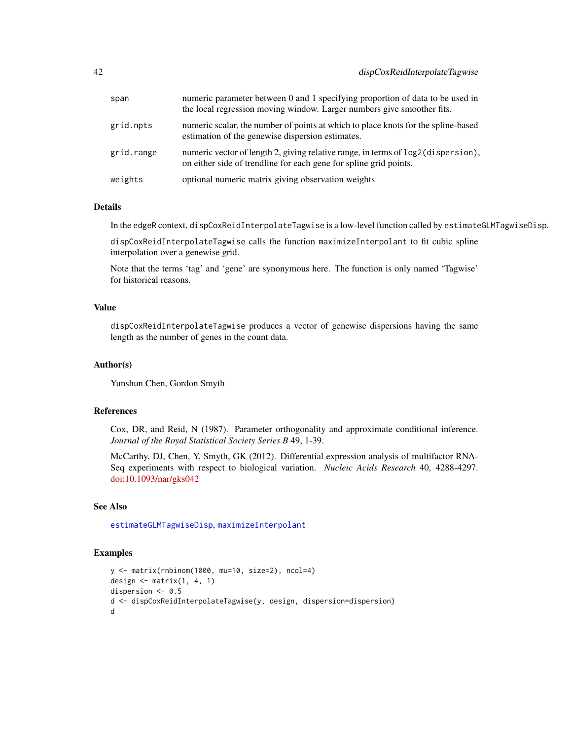| span       | numeric parameter between 0 and 1 specifying proportion of data to be used in<br>the local regression moving window. Larger numbers give smoother fits.  |
|------------|----------------------------------------------------------------------------------------------------------------------------------------------------------|
| grid.npts  | numeric scalar, the number of points at which to place knots for the spline-based<br>estimation of the genewise dispersion estimates.                    |
| grid.range | numeric vector of length 2, giving relative range, in terms of $log2$ (dispersion),<br>on either side of trendline for each gene for spline grid points. |
| weights    | optional numeric matrix giving observation weights                                                                                                       |

#### Details

In the edgeR context, dispCoxReidInterpolateTagwise is a low-level function called by estimateGLMTagwiseDisp.

dispCoxReidInterpolateTagwise calls the function maximizeInterpolant to fit cubic spline interpolation over a genewise grid.

Note that the terms 'tag' and 'gene' are synonymous here. The function is only named 'Tagwise' for historical reasons.

## Value

dispCoxReidInterpolateTagwise produces a vector of genewise dispersions having the same length as the number of genes in the count data.

# Author(s)

Yunshun Chen, Gordon Smyth

#### References

Cox, DR, and Reid, N (1987). Parameter orthogonality and approximate conditional inference. *Journal of the Royal Statistical Society Series B* 49, 1-39.

McCarthy, DJ, Chen, Y, Smyth, GK (2012). Differential expression analysis of multifactor RNA-Seq experiments with respect to biological variation. *Nucleic Acids Research* 40, 4288-4297. [doi:10.1093/nar/gks042](https://doi.org/10.1093/nar/gks042)

# See Also

[estimateGLMTagwiseDisp](#page-56-0), [maximizeInterpolant](#page-93-0)

## Examples

```
y <- matrix(rnbinom(1000, mu=10, size=2), ncol=4)
design \leq matrix(1, 4, 1)
dispersion <- 0.5
d <- dispCoxReidInterpolateTagwise(y, design, dispersion=dispersion)
d
```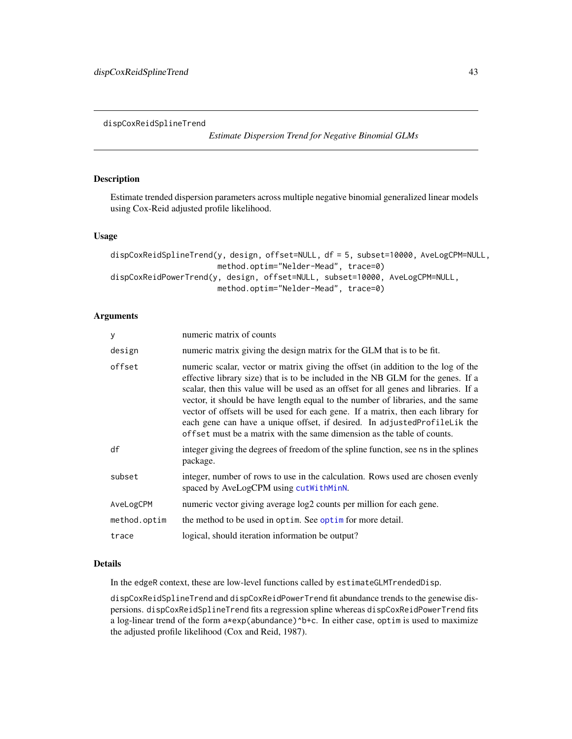<span id="page-42-1"></span>dispCoxReidSplineTrend

*Estimate Dispersion Trend for Negative Binomial GLMs*

# <span id="page-42-0"></span>Description

Estimate trended dispersion parameters across multiple negative binomial generalized linear models using Cox-Reid adjusted profile likelihood.

## Usage

```
dispCoxReidSplineTrend(y, design, offset=NULL, df = 5, subset=10000, AveLogCPM=NULL,
                       method.optim="Nelder-Mead", trace=0)
dispCoxReidPowerTrend(y, design, offset=NULL, subset=10000, AveLogCPM=NULL,
                       method.optim="Nelder-Mead", trace=0)
```
# Arguments

| У            | numeric matrix of counts                                                                                                                                                                                                                                                                                                                                                                                                                                                                                                                                                                    |
|--------------|---------------------------------------------------------------------------------------------------------------------------------------------------------------------------------------------------------------------------------------------------------------------------------------------------------------------------------------------------------------------------------------------------------------------------------------------------------------------------------------------------------------------------------------------------------------------------------------------|
| design       | numeric matrix giving the design matrix for the GLM that is to be fit.                                                                                                                                                                                                                                                                                                                                                                                                                                                                                                                      |
| offset       | numeric scalar, vector or matrix giving the offset (in addition to the log of the<br>effective library size) that is to be included in the NB GLM for the genes. If a<br>scalar, then this value will be used as an offset for all genes and libraries. If a<br>vector, it should be have length equal to the number of libraries, and the same<br>vector of offsets will be used for each gene. If a matrix, then each library for<br>each gene can have a unique offset, if desired. In adjustedProfileLik the<br>offset must be a matrix with the same dimension as the table of counts. |
| df           | integer giving the degrees of freedom of the spline function, see ns in the splines<br>package.                                                                                                                                                                                                                                                                                                                                                                                                                                                                                             |
| subset       | integer, number of rows to use in the calculation. Rows used are chosen evenly<br>spaced by AveLogCPM using cutWithMinN.                                                                                                                                                                                                                                                                                                                                                                                                                                                                    |
| AveLogCPM    | numeric vector giving average log2 counts per million for each gene.                                                                                                                                                                                                                                                                                                                                                                                                                                                                                                                        |
| method.optim | the method to be used in optim. See optime for more detail.                                                                                                                                                                                                                                                                                                                                                                                                                                                                                                                                 |
| trace        | logical, should iteration information be output?                                                                                                                                                                                                                                                                                                                                                                                                                                                                                                                                            |

#### Details

In the edgeR context, these are low-level functions called by estimateGLMTrendedDisp.

dispCoxReidSplineTrend and dispCoxReidPowerTrend fit abundance trends to the genewise dispersions. dispCoxReidSplineTrend fits a regression spline whereas dispCoxReidPowerTrend fits a log-linear trend of the form a\*exp(abundance)^b+c. In either case, optim is used to maximize the adjusted profile likelihood (Cox and Reid, 1987).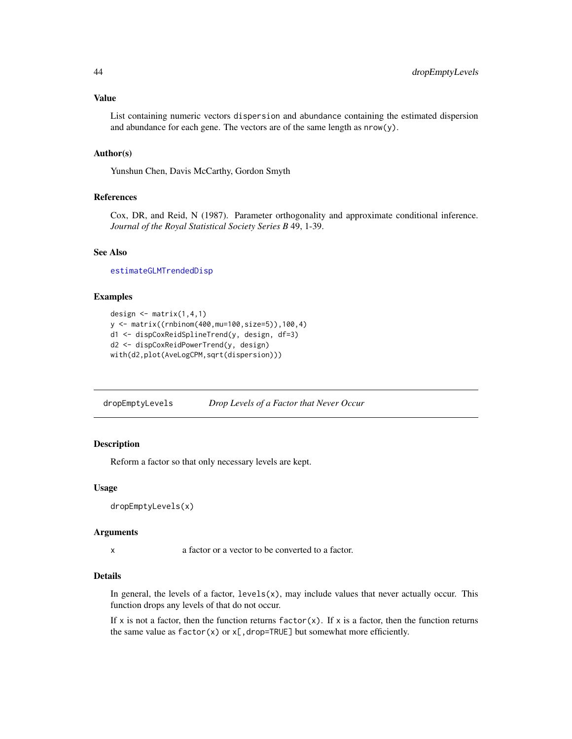List containing numeric vectors dispersion and abundance containing the estimated dispersion and abundance for each gene. The vectors are of the same length as nrow(y).

# Author(s)

Yunshun Chen, Davis McCarthy, Gordon Smyth

#### References

Cox, DR, and Reid, N (1987). Parameter orthogonality and approximate conditional inference. *Journal of the Royal Statistical Society Series B* 49, 1-39.

# See Also

[estimateGLMTrendedDisp](#page-58-0)

## Examples

```
design \leq matrix(1,4,1)
y <- matrix((rnbinom(400,mu=100,size=5)),100,4)
d1 <- dispCoxReidSplineTrend(y, design, df=3)
d2 <- dispCoxReidPowerTrend(y, design)
with(d2,plot(AveLogCPM,sqrt(dispersion)))
```
dropEmptyLevels *Drop Levels of a Factor that Never Occur*

## Description

Reform a factor so that only necessary levels are kept.

#### Usage

```
dropEmptyLevels(x)
```
#### Arguments

x a factor or a vector to be converted to a factor.

## Details

In general, the levels of a factor,  $levels(x)$ , may include values that never actually occur. This function drops any levels of that do not occur.

If x is not a factor, then the function returns factor(x). If x is a factor, then the function returns the same value as  $factor(x)$  or  $x$ [,drop=TRUE] but somewhat more efficiently.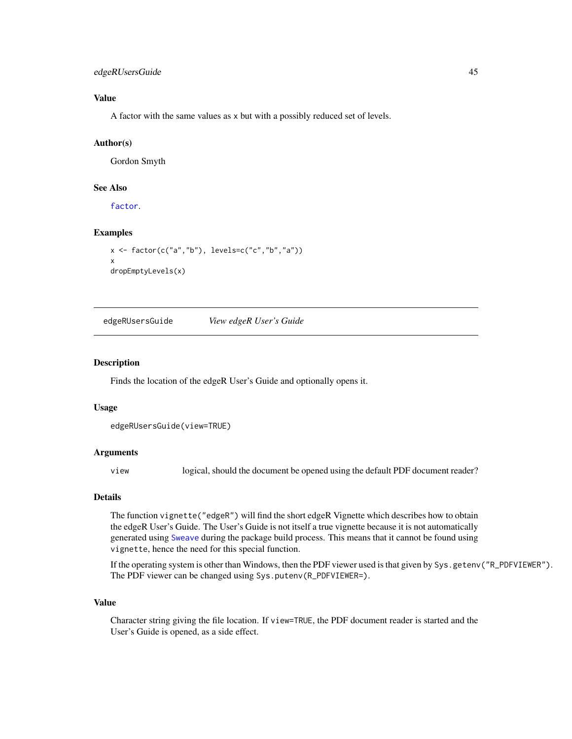# edgeRUsersGuide 45

# Value

A factor with the same values as x but with a possibly reduced set of levels.

# Author(s)

Gordon Smyth

## See Also

[factor](#page-0-0).

## Examples

```
x <- factor(c("a","b"), levels=c("c","b","a"))
x
dropEmptyLevels(x)
```
edgeRUsersGuide *View edgeR User's Guide*

#### Description

Finds the location of the edgeR User's Guide and optionally opens it.

#### Usage

```
edgeRUsersGuide(view=TRUE)
```
## Arguments

view logical, should the document be opened using the default PDF document reader?

# Details

The function vignette("edgeR") will find the short edgeR Vignette which describes how to obtain the edgeR User's Guide. The User's Guide is not itself a true vignette because it is not automatically generated using [Sweave](#page-0-0) during the package build process. This means that it cannot be found using vignette, hence the need for this special function.

If the operating system is other than Windows, then the PDF viewer used is that given by Sys.getenv("R\_PDFVIEWER"). The PDF viewer can be changed using Sys.putenv(R\_PDFVIEWER=).

## Value

Character string giving the file location. If view=TRUE, the PDF document reader is started and the User's Guide is opened, as a side effect.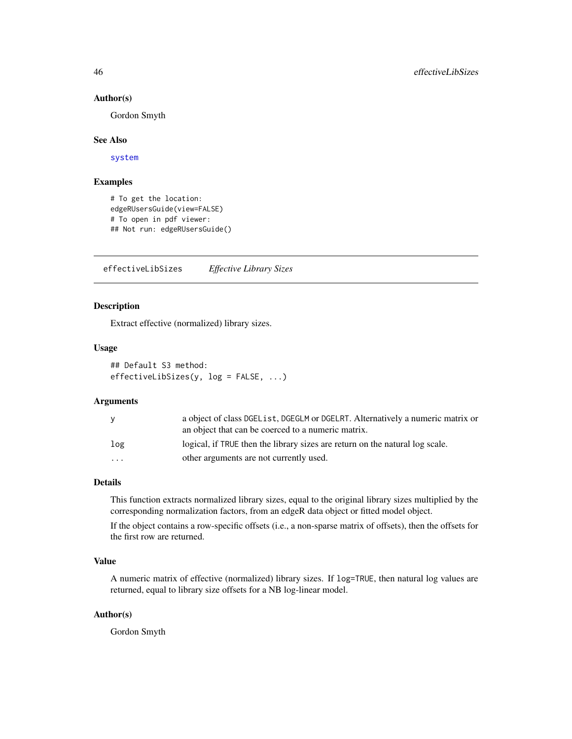#### Author(s)

Gordon Smyth

## See Also

[system](#page-0-0)

## Examples

# To get the location: edgeRUsersGuide(view=FALSE) # To open in pdf viewer: ## Not run: edgeRUsersGuide()

effectiveLibSizes *Effective Library Sizes*

# Description

Extract effective (normalized) library sizes.

## Usage

```
## Default S3 method:
effectiveLibSizes(y, log = FALSE, ...)
```
# Arguments

| <b>V</b> | a object of class DGEList, DGEGLM or DGELRT. Alternatively a numeric matrix or<br>an object that can be coerced to a numeric matrix. |
|----------|--------------------------------------------------------------------------------------------------------------------------------------|
| log      | logical, if TRUE then the library sizes are return on the natural log scale.                                                         |
| .        | other arguments are not currently used.                                                                                              |

# Details

This function extracts normalized library sizes, equal to the original library sizes multiplied by the corresponding normalization factors, from an edgeR data object or fitted model object.

If the object contains a row-specific offsets (i.e., a non-sparse matrix of offsets), then the offsets for the first row are returned.

# Value

A numeric matrix of effective (normalized) library sizes. If log=TRUE, then natural log values are returned, equal to library size offsets for a NB log-linear model.

## Author(s)

Gordon Smyth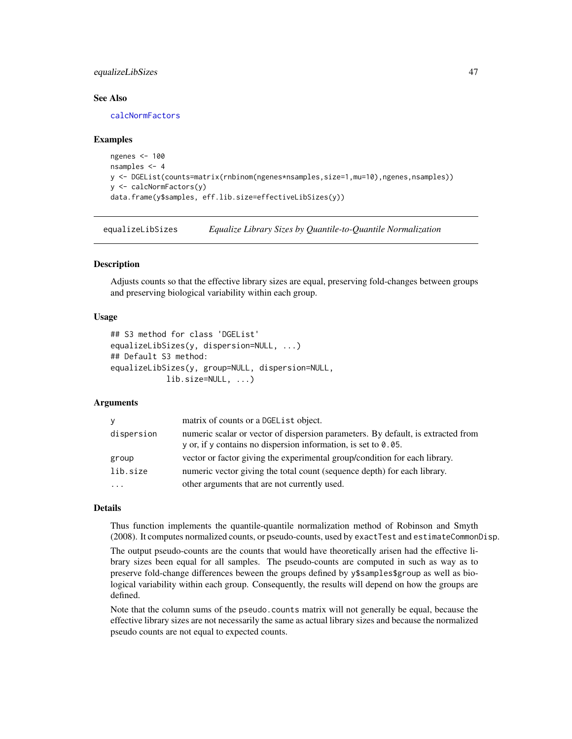# equalizeLibSizes 47

## See Also

[calcNormFactors](#page-13-0)

## Examples

```
ngenes <- 100
nsamples <- 4
y <- DGEList(counts=matrix(rnbinom(ngenes*nsamples,size=1,mu=10),ngenes,nsamples))
y <- calcNormFactors(y)
data.frame(y$samples, eff.lib.size=effectiveLibSizes(y))
```
<span id="page-46-0"></span>equalizeLibSizes *Equalize Library Sizes by Quantile-to-Quantile Normalization*

## Description

Adjusts counts so that the effective library sizes are equal, preserving fold-changes between groups and preserving biological variability within each group.

## Usage

```
## S3 method for class 'DGEList'
equalizeLibSizes(y, dispersion=NULL, ...)
## Default S3 method:
equalizeLibSizes(y, group=NULL, dispersion=NULL,
            lib.size=NULL, ...)
```
## Arguments

| <b>Y</b>   | matrix of counts or a DGEList object.                                                                                                                            |
|------------|------------------------------------------------------------------------------------------------------------------------------------------------------------------|
| dispersion | numeric scalar or vector of dispersion parameters. By default, is extracted from<br>$\gamma$ or, if $\gamma$ contains no dispersion information, is set to 0.05. |
| group      | vector or factor giving the experimental group/condition for each library.                                                                                       |
| lib.size   | numeric vector giving the total count (sequence depth) for each library.                                                                                         |
| $\cdots$   | other arguments that are not currently used.                                                                                                                     |

## Details

Thus function implements the quantile-quantile normalization method of Robinson and Smyth (2008). It computes normalized counts, or pseudo-counts, used by exactTest and estimateCommonDisp.

The output pseudo-counts are the counts that would have theoretically arisen had the effective library sizes been equal for all samples. The pseudo-counts are computed in such as way as to preserve fold-change differences beween the groups defined by y\$samples\$group as well as biological variability within each group. Consequently, the results will depend on how the groups are defined.

Note that the column sums of the pseudo.counts matrix will not generally be equal, because the effective library sizes are not necessarily the same as actual library sizes and because the normalized pseudo counts are not equal to expected counts.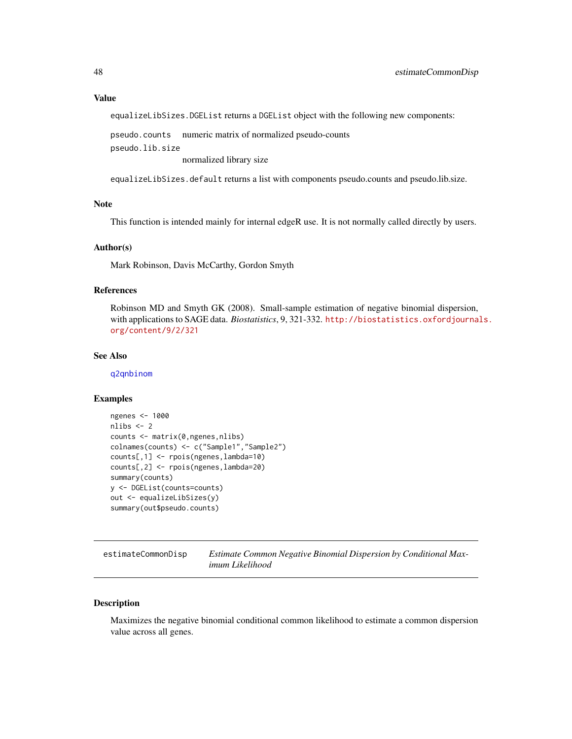equalizeLibSizes.DGEList returns a DGEList object with the following new components:

pseudo.counts numeric matrix of normalized pseudo-counts pseudo.lib.size

normalized library size

equalizeLibSizes.default returns a list with components pseudo.counts and pseudo.lib.size.

## Note

This function is intended mainly for internal edgeR use. It is not normally called directly by users.

# Author(s)

Mark Robinson, Davis McCarthy, Gordon Smyth

#### References

Robinson MD and Smyth GK (2008). Small-sample estimation of negative binomial dispersion, with applications to SAGE data. *Biostatistics*, 9, 321-332. [http://biostatistics.oxfordjournal](http://biostatistics.oxfordjournals.org/content/9/2/321)s. [org/content/9/2/321](http://biostatistics.oxfordjournals.org/content/9/2/321)

#### See Also

[q2qnbinom](#page-125-0)

## Examples

```
ngenes <- 1000
nlibs <- 2
counts <- matrix(0,ngenes,nlibs)
colnames(counts) <- c("Sample1","Sample2")
counts[,1] <- rpois(ngenes,lambda=10)
counts[,2] <- rpois(ngenes,lambda=20)
summary(counts)
y <- DGEList(counts=counts)
out <- equalizeLibSizes(y)
summary(out$pseudo.counts)
```
<span id="page-47-0"></span>estimateCommonDisp *Estimate Common Negative Binomial Dispersion by Conditional Maximum Likelihood*

## Description

Maximizes the negative binomial conditional common likelihood to estimate a common dispersion value across all genes.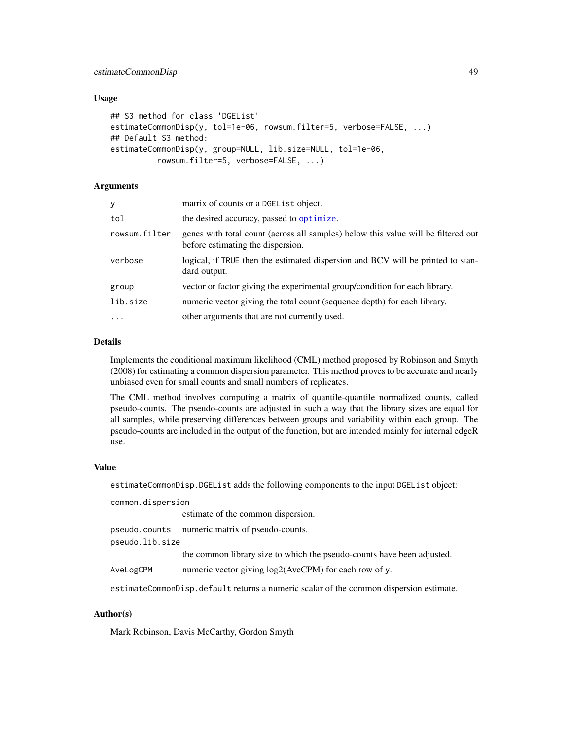## Usage

```
## S3 method for class 'DGEList'
estimateCommonDisp(y, tol=1e-06, rowsum.filter=5, verbose=FALSE, ...)
## Default S3 method:
estimateCommonDisp(y, group=NULL, lib.size=NULL, tol=1e-06,
          rowsum.filter=5, verbose=FALSE, ...)
```
## Arguments

| у             | matrix of counts or a DGEList object.                                                                                  |
|---------------|------------------------------------------------------------------------------------------------------------------------|
| tol           | the desired accuracy, passed to optimize.                                                                              |
| rowsum.filter | genes with total count (across all samples) below this value will be filtered out<br>before estimating the dispersion. |
| verbose       | logical, if TRUE then the estimated dispersion and BCV will be printed to stan-<br>dard output.                        |
| group         | vector or factor giving the experimental group/condition for each library.                                             |
| lib.size      | numeric vector giving the total count (sequence depth) for each library.                                               |
| $\ddots$      | other arguments that are not currently used.                                                                           |
|               |                                                                                                                        |

## Details

Implements the conditional maximum likelihood (CML) method proposed by Robinson and Smyth (2008) for estimating a common dispersion parameter. This method proves to be accurate and nearly unbiased even for small counts and small numbers of replicates.

The CML method involves computing a matrix of quantile-quantile normalized counts, called pseudo-counts. The pseudo-counts are adjusted in such a way that the library sizes are equal for all samples, while preserving differences between groups and variability within each group. The pseudo-counts are included in the output of the function, but are intended mainly for internal edgeR use.

#### Value

estimateCommonDisp.DGEList adds the following components to the input DGEList object:

common.dispersion

estimate of the common dispersion.

pseudo.counts numeric matrix of pseudo-counts.

pseudo.lib.size

the common library size to which the pseudo-counts have been adjusted.

AveLogCPM numeric vector giving log2(AveCPM) for each row of y.

estimateCommonDisp.default returns a numeric scalar of the common dispersion estimate.

# Author(s)

Mark Robinson, Davis McCarthy, Gordon Smyth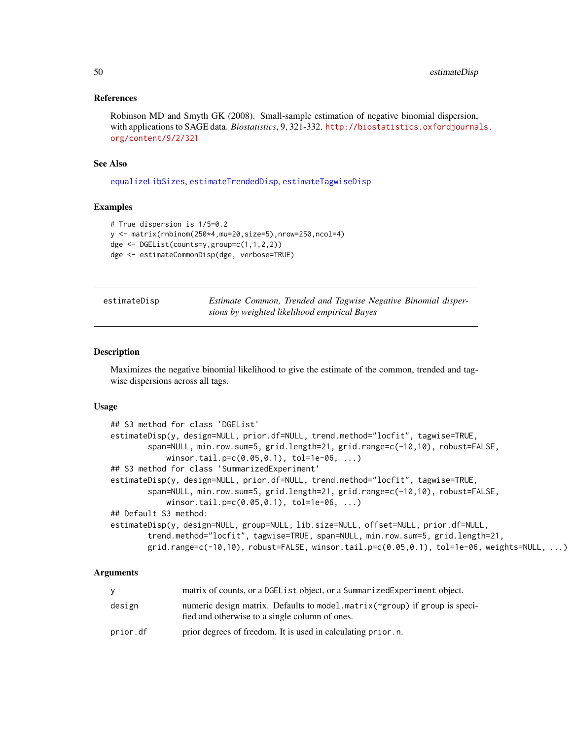## References

Robinson MD and Smyth GK (2008). Small-sample estimation of negative binomial dispersion, with applications to SAGE data. *Biostatistics*, 9, 321-332. [http://biostatistics.oxfordjournal](http://biostatistics.oxfordjournals.org/content/9/2/321)s. [org/content/9/2/321](http://biostatistics.oxfordjournals.org/content/9/2/321)

# See Also

[equalizeLibSizes](#page-46-0), [estimateTrendedDisp](#page-62-0), [estimateTagwiseDisp](#page-59-0)

## Examples

```
# True dispersion is 1/5=0.2
y <- matrix(rnbinom(250*4,mu=20,size=5),nrow=250,ncol=4)
dge <- DGEList(counts=y,group=c(1,1,2,2))
dge <- estimateCommonDisp(dge, verbose=TRUE)
```

| estimateDisp | Estimate Common, Trended and Tagwise Negative Binomial disper- |  |  |  |
|--------------|----------------------------------------------------------------|--|--|--|
|              | sions by weighted likelihood empirical Bayes                   |  |  |  |

## Description

Maximizes the negative binomial likelihood to give the estimate of the common, trended and tagwise dispersions across all tags.

## Usage

```
## S3 method for class 'DGEList'
estimateDisp(y, design=NULL, prior.df=NULL, trend.method="locfit", tagwise=TRUE,
        span=NULL, min.row.sum=5, grid.length=21, grid.range=c(-10,10), robust=FALSE,
            winsor.tail.p=c(0.05,0.1), tol=1e-06, ...)
## S3 method for class 'SummarizedExperiment'
estimateDisp(y, design=NULL, prior.df=NULL, trend.method="locfit", tagwise=TRUE,
        span=NULL, min.row.sum=5, grid.length=21, grid.range=c(-10,10), robust=FALSE,
            winsor.tail.p=c(0.05,0.1), tol=1e-06, ...)
## Default S3 method:
estimateDisp(y, design=NULL, group=NULL, lib.size=NULL, offset=NULL, prior.df=NULL,
        trend.method="locfit", tagwise=TRUE, span=NULL, min.row.sum=5, grid.length=21,
        grid.random(–10,10), robust=FALSE, winsor.tail.p=c(0.05,0.1), tol=1e-06, weights=NULL, ...)
```
## **Arguments**

|          | matrix of counts, or a DGEL is t object, or a Summarized Experiment object.                                                  |
|----------|------------------------------------------------------------------------------------------------------------------------------|
| design   | numeric design matrix. Defaults to model.matrix(~group) if group is speci-<br>fied and otherwise to a single column of ones. |
| prior.df | prior degrees of freedom. It is used in calculating prior, n.                                                                |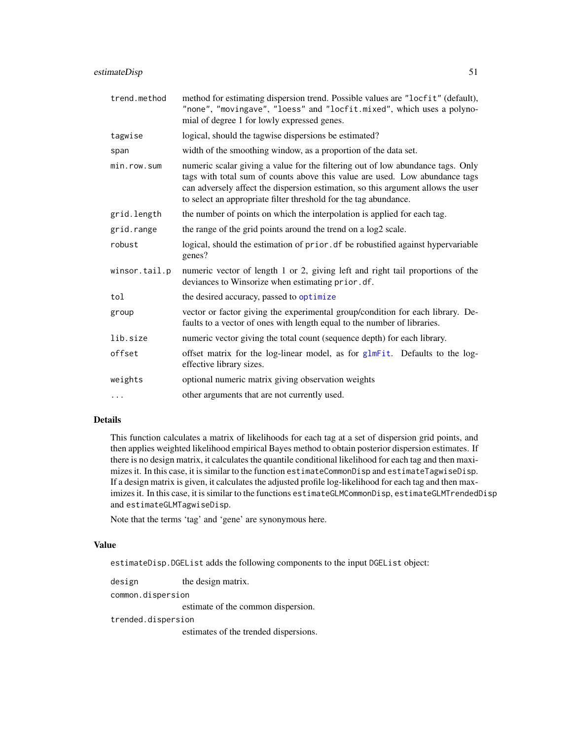| trend.method  | method for estimating dispersion trend. Possible values are "locfit" (default),<br>"none", "movingave", "loess" and "locfit.mixed", which uses a polyno-<br>mial of degree 1 for lowly expressed genes.                                                                                                                |
|---------------|------------------------------------------------------------------------------------------------------------------------------------------------------------------------------------------------------------------------------------------------------------------------------------------------------------------------|
| tagwise       | logical, should the tagwise dispersions be estimated?                                                                                                                                                                                                                                                                  |
| span          | width of the smoothing window, as a proportion of the data set.                                                                                                                                                                                                                                                        |
| minrow.sum    | numeric scalar giving a value for the filtering out of low abundance tags. Only<br>tags with total sum of counts above this value are used. Low abundance tags<br>can adversely affect the dispersion estimation, so this argument allows the user<br>to select an appropriate filter threshold for the tag abundance. |
| grid.length   | the number of points on which the interpolation is applied for each tag.                                                                                                                                                                                                                                               |
| grid.range    | the range of the grid points around the trend on a log2 scale.                                                                                                                                                                                                                                                         |
| robust        | logical, should the estimation of prior. df be robustified against hypervariable<br>genes?                                                                                                                                                                                                                             |
| winsor.tail.p | numeric vector of length 1 or 2, giving left and right tail proportions of the<br>deviances to Winsorize when estimating prior.df.                                                                                                                                                                                     |
| tol           | the desired accuracy, passed to optimize                                                                                                                                                                                                                                                                               |
| group         | vector or factor giving the experimental group/condition for each library. De-<br>faults to a vector of ones with length equal to the number of libraries.                                                                                                                                                             |
| lib.size      | numeric vector giving the total count (sequence depth) for each library.                                                                                                                                                                                                                                               |
| offset        | offset matrix for the log-linear model, as for glmFit. Defaults to the log-<br>effective library sizes.                                                                                                                                                                                                                |
| weights       | optional numeric matrix giving observation weights                                                                                                                                                                                                                                                                     |
| $\cdots$      | other arguments that are not currently used.                                                                                                                                                                                                                                                                           |

# Details

This function calculates a matrix of likelihoods for each tag at a set of dispersion grid points, and then applies weighted likelihood empirical Bayes method to obtain posterior dispersion estimates. If there is no design matrix, it calculates the quantile conditional likelihood for each tag and then maximizes it. In this case, it is similar to the function estimateCommonDisp and estimateTagwiseDisp. If a design matrix is given, it calculates the adjusted profile log-likelihood for each tag and then maximizes it. In this case, it is similar to the functions estimateGLMCommonDisp, estimateGLMTrendedDisp and estimateGLMTagwiseDisp.

Note that the terms 'tag' and 'gene' are synonymous here.

## Value

estimateDisp.DGEList adds the following components to the input DGEList object:

design the design matrix.

common.dispersion

estimate of the common dispersion.

trended.dispersion

estimates of the trended dispersions.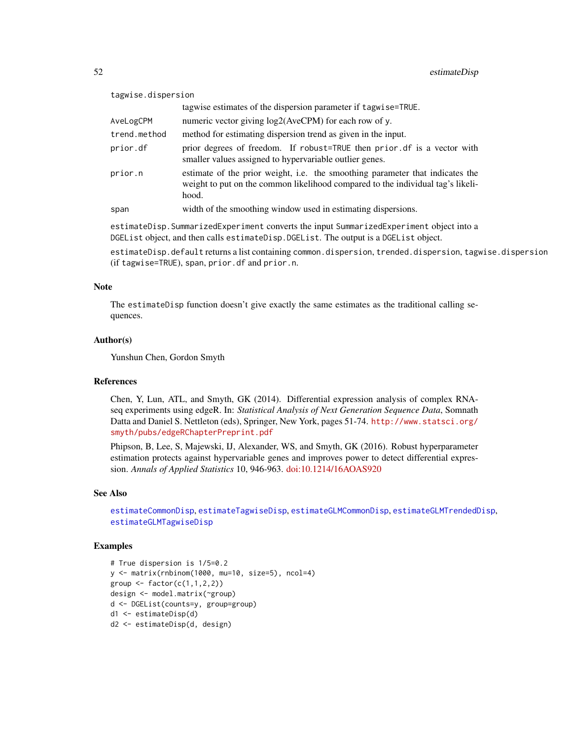| tagwise.dispersion |                                                                                                                                                                           |  |
|--------------------|---------------------------------------------------------------------------------------------------------------------------------------------------------------------------|--|
|                    | tagwise estimates of the dispersion parameter if tagwise=TRUE.                                                                                                            |  |
| AveLogCPM          | numeric vector giving $log2(AveCPM)$ for each row of y.                                                                                                                   |  |
| trend.method       | method for estimating dispersion trend as given in the input.                                                                                                             |  |
| prior.df           | prior degrees of freedom. If robust=TRUE then prior of is a vector with<br>smaller values assigned to hypervariable outlier genes.                                        |  |
| prior.n            | estimate of the prior weight, i.e. the smoothing parameter that indicates the<br>weight to put on the common likelihood compared to the individual tag's likeli-<br>hood. |  |
| span               | width of the smoothing window used in estimating dispersions.                                                                                                             |  |

estimateDisp.SummarizedExperiment converts the input SummarizedExperiment object into a DGEList object, and then calls estimateDisp.DGEList. The output is a DGEList object.

estimateDisp.default returns a list containing common.dispersion, trended.dispersion, tagwise.dispersion (if tagwise=TRUE), span, prior.df and prior.n.

## Note

The estimateDisp function doesn't give exactly the same estimates as the traditional calling sequences.

## Author(s)

Yunshun Chen, Gordon Smyth

## References

Chen, Y, Lun, ATL, and Smyth, GK (2014). Differential expression analysis of complex RNAseq experiments using edgeR. In: *Statistical Analysis of Next Generation Sequence Data*, Somnath Datta and Daniel S. Nettleton (eds), Springer, New York, pages 51-74. [http://www.statsci.org/](http://www.statsci.org/smyth/pubs/edgeRChapterPreprint.pdf) [smyth/pubs/edgeRChapterPreprint.pdf](http://www.statsci.org/smyth/pubs/edgeRChapterPreprint.pdf)

Phipson, B, Lee, S, Majewski, IJ, Alexander, WS, and Smyth, GK (2016). Robust hyperparameter estimation protects against hypervariable genes and improves power to detect differential expression. *Annals of Applied Statistics* 10, 946-963. [doi:10.1214/16AOAS920](https://doi.org/10.1214/16-AOAS920)

## See Also

[estimateCommonDisp](#page-47-0), [estimateTagwiseDisp](#page-59-0), [estimateGLMCommonDisp](#page-53-0), [estimateGLMTrendedDisp](#page-58-0), [estimateGLMTagwiseDisp](#page-56-0)

## Examples

```
# True dispersion is 1/5=0.2
y <- matrix(rnbinom(1000, mu=10, size=5), ncol=4)
group \leq factor(c(1,1,2,2))
design <- model.matrix(~group)
d <- DGEList(counts=y, group=group)
d1 <- estimateDisp(d)
d2 <- estimateDisp(d, design)
```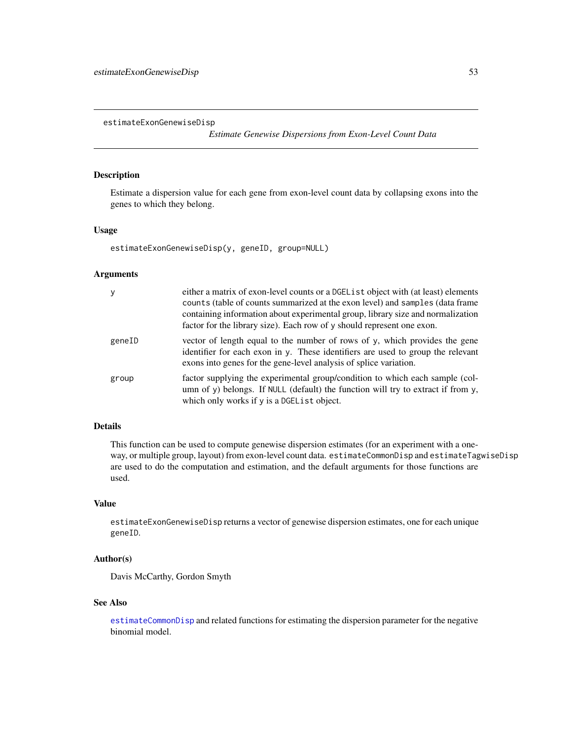estimateExonGenewiseDisp

*Estimate Genewise Dispersions from Exon-Level Count Data*

# Description

Estimate a dispersion value for each gene from exon-level count data by collapsing exons into the genes to which they belong.

# Usage

estimateExonGenewiseDisp(y, geneID, group=NULL)

## Arguments

| У      | either a matrix of exon-level counts or a DGEL is t object with (at least) elements<br>counts (table of counts summarized at the exon level) and samples (data frame<br>containing information about experimental group, library size and normalization<br>factor for the library size). Each row of y should represent one exon. |
|--------|-----------------------------------------------------------------------------------------------------------------------------------------------------------------------------------------------------------------------------------------------------------------------------------------------------------------------------------|
| geneID | vector of length equal to the number of rows of $y$ , which provides the gene<br>identifier for each exon in y. These identifiers are used to group the relevant<br>exons into genes for the gene-level analysis of splice variation.                                                                                             |
| group  | factor supplying the experimental group/condition to which each sample (col-<br>umn of y) belongs. If NULL (default) the function will try to extract if from y,<br>which only works if y is a DGEList object.                                                                                                                    |

# Details

This function can be used to compute genewise dispersion estimates (for an experiment with a oneway, or multiple group, layout) from exon-level count data. estimateCommonDisp and estimateTagwiseDisp are used to do the computation and estimation, and the default arguments for those functions are used.

# Value

estimateExonGenewiseDisp returns a vector of genewise dispersion estimates, one for each unique geneID.

# Author(s)

Davis McCarthy, Gordon Smyth

#### See Also

[estimateCommonDisp](#page-47-0) and related functions for estimating the dispersion parameter for the negative binomial model.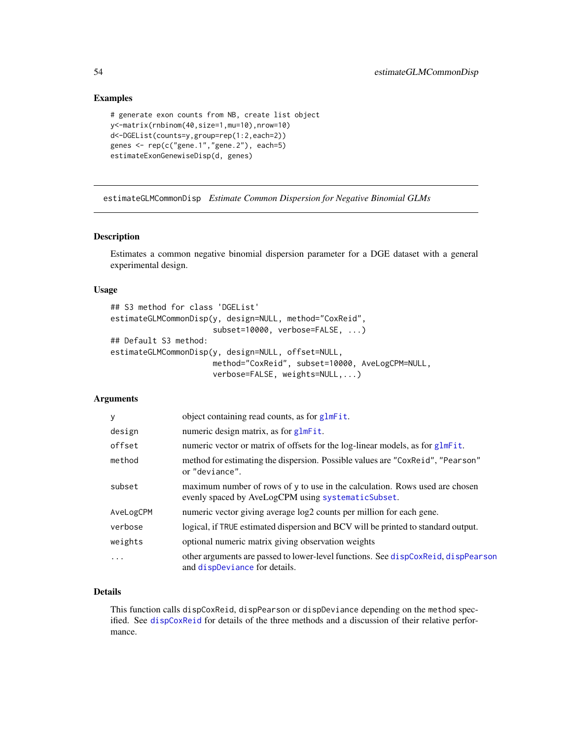# Examples

```
# generate exon counts from NB, create list object
y<-matrix(rnbinom(40,size=1,mu=10),nrow=10)
d<-DGEList(counts=y,group=rep(1:2,each=2))
genes <- rep(c("gene.1","gene.2"), each=5)
estimateExonGenewiseDisp(d, genes)
```
<span id="page-53-0"></span>estimateGLMCommonDisp *Estimate Common Dispersion for Negative Binomial GLMs*

#### Description

Estimates a common negative binomial dispersion parameter for a DGE dataset with a general experimental design.

## Usage

```
## S3 method for class 'DGEList'
estimateGLMCommonDisp(y, design=NULL, method="CoxReid",
                      subset=10000, verbose=FALSE, ...)
## Default S3 method:
estimateGLMCommonDisp(y, design=NULL, offset=NULL,
                      method="CoxReid", subset=10000, AveLogCPM=NULL,
                      verbose=FALSE, weights=NULL,...)
```
# Arguments

| y         | object containing read counts, as for glmFit.                                                                                     |
|-----------|-----------------------------------------------------------------------------------------------------------------------------------|
| design    | numeric design matrix, as for glmFit.                                                                                             |
| offset    | numeric vector or matrix of offsets for the log-linear models, as for glmFit.                                                     |
| method    | method for estimating the dispersion. Possible values are "CoxReid", "Pearson"<br>or "deviance".                                  |
| subset    | maximum number of rows of y to use in the calculation. Rows used are chosen<br>evenly spaced by AveLogCPM using systematicSubset. |
| AveLogCPM | numeric vector giving average $log2$ counts per million for each gene.                                                            |
| verbose   | logical, if TRUE estimated dispersion and BCV will be printed to standard output.                                                 |
| weights   | optional numeric matrix giving observation weights                                                                                |
| .         | other arguments are passed to lower-level functions. See dispCoxReid, dispPearson<br>and dispDeviance for details.                |

# Details

This function calls dispCoxReid, dispPearson or dispDeviance depending on the method specified. See [dispCoxReid](#page-38-0) for details of the three methods and a discussion of their relative performance.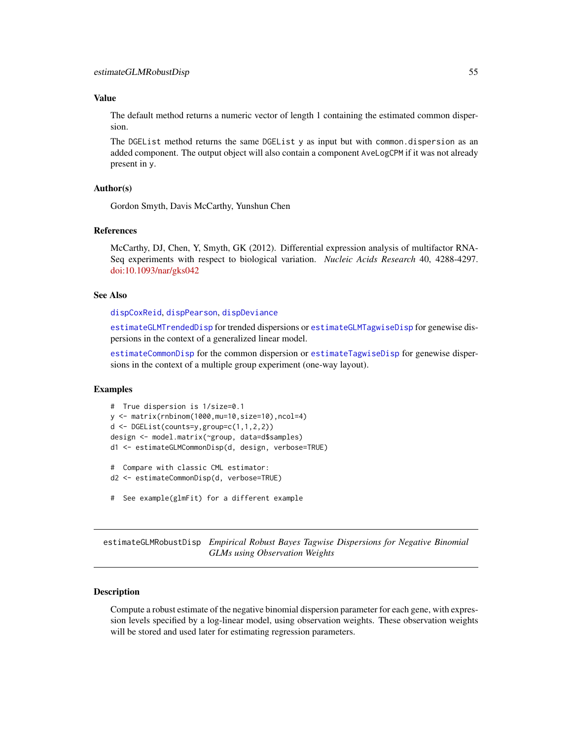#### Value

The default method returns a numeric vector of length 1 containing the estimated common dispersion.

The DGEList method returns the same DGEList y as input but with common.dispersion as an added component. The output object will also contain a component AveLogCPM if it was not already present in y.

## Author(s)

Gordon Smyth, Davis McCarthy, Yunshun Chen

## References

McCarthy, DJ, Chen, Y, Smyth, GK (2012). Differential expression analysis of multifactor RNA-Seq experiments with respect to biological variation. *Nucleic Acids Research* 40, 4288-4297. [doi:10.1093/nar/gks042](https://doi.org/10.1093/nar/gks042)

#### See Also

[dispCoxReid](#page-38-0), [dispPearson](#page-38-1), [dispDeviance](#page-38-1)

[estimateGLMTrendedDisp](#page-58-0) for trended dispersions or [estimateGLMTagwiseDisp](#page-56-0) for genewise dispersions in the context of a generalized linear model.

[estimateCommonDisp](#page-47-0) for the common dispersion or [estimateTagwiseDisp](#page-59-0) for genewise dispersions in the context of a multiple group experiment (one-way layout).

## Examples

```
# True dispersion is 1/size=0.1
y <- matrix(rnbinom(1000,mu=10,size=10),ncol=4)
d <- DGEList(counts=y,group=c(1,1,2,2))
design <- model.matrix(~group, data=d$samples)
d1 <- estimateGLMCommonDisp(d, design, verbose=TRUE)
# Compare with classic CML estimator:
d2 <- estimateCommonDisp(d, verbose=TRUE)
# See example(glmFit) for a different example
```
estimateGLMRobustDisp *Empirical Robust Bayes Tagwise Dispersions for Negative Binomial GLMs using Observation Weights*

## Description

Compute a robust estimate of the negative binomial dispersion parameter for each gene, with expression levels specified by a log-linear model, using observation weights. These observation weights will be stored and used later for estimating regression parameters.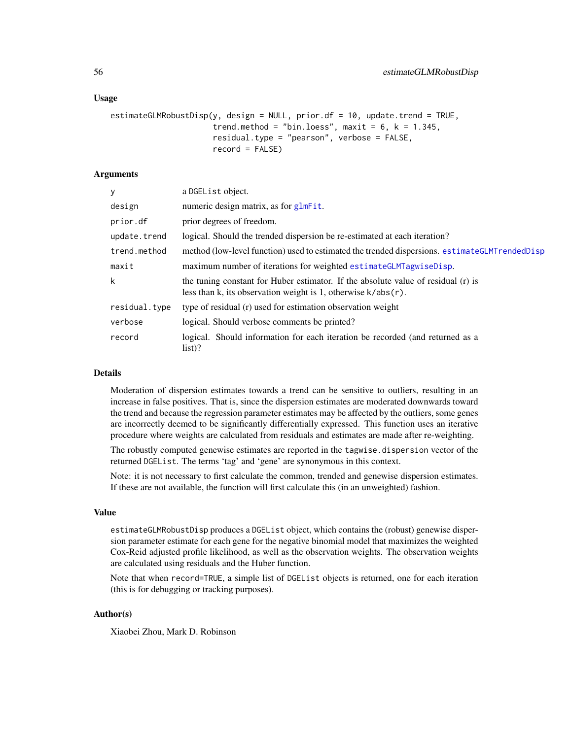## Usage

```
estimateGLMRobustDisp(y, design = NULL, prior.df = 10, update.trend = TRUE,
                      trend.method = "bin.loess", maxit = 6, k = 1.345,
                      residual.type = "pearson", verbose = FALSE,
                      record = FALSE)
```
# Arguments

| V             | a DGEList object.                                                                                                                                     |
|---------------|-------------------------------------------------------------------------------------------------------------------------------------------------------|
| design        | numeric design matrix, as for glmFit.                                                                                                                 |
| prior.df      | prior degrees of freedom.                                                                                                                             |
| update.trend  | logical. Should the trended dispersion be re-estimated at each iteration?                                                                             |
| trend.method  | method (low-level function) used to estimated the trended dispersions. estimateGLMTrendedDisp                                                         |
| maxit         | maximum number of iterations for weighted estimateGLMTagwiseDisp.                                                                                     |
| k             | the tuning constant for Huber estimator. If the absolute value of residual (r) is<br>less than k, its observation weight is 1, otherwise $k/abs(r)$ . |
| residual.type | type of residual (r) used for estimation observation weight                                                                                           |
| verbose       | logical. Should verbose comments be printed?                                                                                                          |
| record        | logical. Should information for each iteration be recorded (and returned as a<br>$list)$ ?                                                            |

# Details

Moderation of dispersion estimates towards a trend can be sensitive to outliers, resulting in an increase in false positives. That is, since the dispersion estimates are moderated downwards toward the trend and because the regression parameter estimates may be affected by the outliers, some genes are incorrectly deemed to be significantly differentially expressed. This function uses an iterative procedure where weights are calculated from residuals and estimates are made after re-weighting.

The robustly computed genewise estimates are reported in the tagwise.dispersion vector of the returned DGEList. The terms 'tag' and 'gene' are synonymous in this context.

Note: it is not necessary to first calculate the common, trended and genewise dispersion estimates. If these are not available, the function will first calculate this (in an unweighted) fashion.

## Value

estimateGLMRobustDisp produces a DGEList object, which contains the (robust) genewise dispersion parameter estimate for each gene for the negative binomial model that maximizes the weighted Cox-Reid adjusted profile likelihood, as well as the observation weights. The observation weights are calculated using residuals and the Huber function.

Note that when record=TRUE, a simple list of DGEList objects is returned, one for each iteration (this is for debugging or tracking purposes).

## Author(s)

Xiaobei Zhou, Mark D. Robinson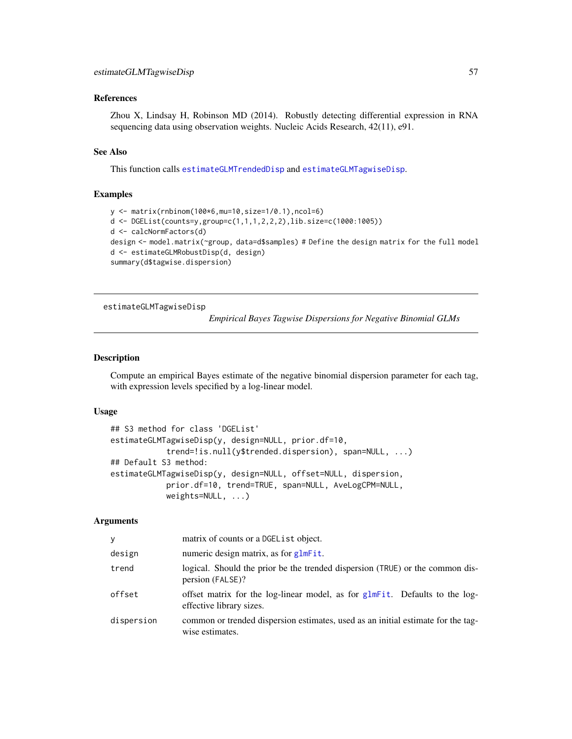## References

Zhou X, Lindsay H, Robinson MD (2014). Robustly detecting differential expression in RNA sequencing data using observation weights. Nucleic Acids Research, 42(11), e91.

## See Also

This function calls [estimateGLMTrendedDisp](#page-58-0) and [estimateGLMTagwiseDisp](#page-56-0).

## Examples

```
y <- matrix(rnbinom(100*6,mu=10,size=1/0.1),ncol=6)
d <- DGEList(counts=y,group=c(1,1,1,2,2,2),lib.size=c(1000:1005))
d <- calcNormFactors(d)
design <- model.matrix(~group, data=d$samples) # Define the design matrix for the full model
d <- estimateGLMRobustDisp(d, design)
summary(d$tagwise.dispersion)
```
<span id="page-56-0"></span>estimateGLMTagwiseDisp

*Empirical Bayes Tagwise Dispersions for Negative Binomial GLMs*

## Description

Compute an empirical Bayes estimate of the negative binomial dispersion parameter for each tag, with expression levels specified by a log-linear model.

#### Usage

```
## S3 method for class 'DGEList'
estimateGLMTagwiseDisp(y, design=NULL, prior.df=10,
            trend=!is.null(y$trended.dispersion), span=NULL, ...)
## Default S3 method:
estimateGLMTagwiseDisp(y, design=NULL, offset=NULL, dispersion,
            prior.df=10, trend=TRUE, span=NULL, AveLogCPM=NULL,
            weights=NULL, ...)
```
#### Arguments

| V          | matrix of counts or a DGEList object.                                                                   |
|------------|---------------------------------------------------------------------------------------------------------|
| design     | numeric design matrix, as for glmFit.                                                                   |
| trend      | logical. Should the prior be the trended dispersion (TRUE) or the common dis-<br>persion (FALSE)?       |
| offset     | offset matrix for the log-linear model, as for glmFit. Defaults to the log-<br>effective library sizes. |
| dispersion | common or trended dispersion estimates, used as an initial estimate for the tag-<br>wise estimates.     |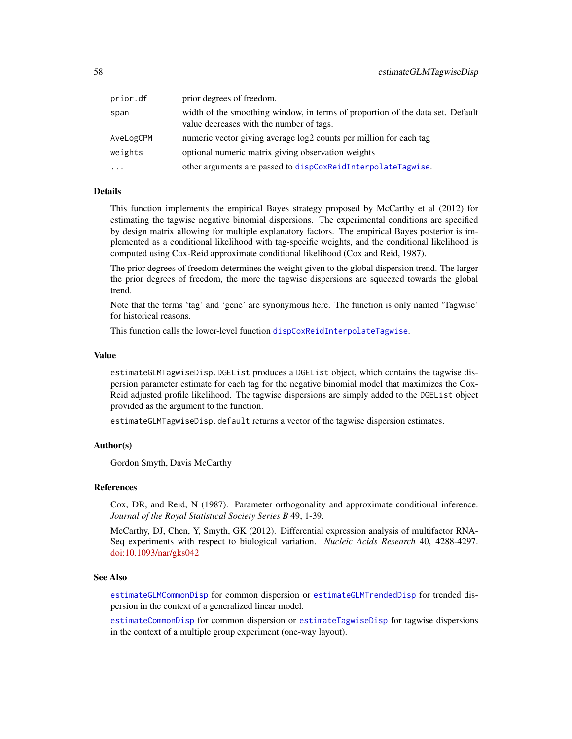| prior.df  | prior degrees of freedom.                                                                                                  |
|-----------|----------------------------------------------------------------------------------------------------------------------------|
| span      | width of the smoothing window, in terms of proportion of the data set. Default<br>value decreases with the number of tags. |
| AveLogCPM | numeric vector giving average log2 counts per million for each tag                                                         |
| weights   | optional numeric matrix giving observation weights                                                                         |
| $\cdots$  | other arguments are passed to dispCoxReidInterpolateTagwise.                                                               |

## Details

This function implements the empirical Bayes strategy proposed by McCarthy et al (2012) for estimating the tagwise negative binomial dispersions. The experimental conditions are specified by design matrix allowing for multiple explanatory factors. The empirical Bayes posterior is implemented as a conditional likelihood with tag-specific weights, and the conditional likelihood is computed using Cox-Reid approximate conditional likelihood (Cox and Reid, 1987).

The prior degrees of freedom determines the weight given to the global dispersion trend. The larger the prior degrees of freedom, the more the tagwise dispersions are squeezed towards the global trend.

Note that the terms 'tag' and 'gene' are synonymous here. The function is only named 'Tagwise' for historical reasons.

This function calls the lower-level function [dispCoxReidInterpolateTagwise](#page-40-0).

## Value

estimateGLMTagwiseDisp.DGEList produces a DGEList object, which contains the tagwise dispersion parameter estimate for each tag for the negative binomial model that maximizes the Cox-Reid adjusted profile likelihood. The tagwise dispersions are simply added to the DGEList object provided as the argument to the function.

estimateGLMTagwiseDisp.default returns a vector of the tagwise dispersion estimates.

## Author(s)

Gordon Smyth, Davis McCarthy

#### References

Cox, DR, and Reid, N (1987). Parameter orthogonality and approximate conditional inference. *Journal of the Royal Statistical Society Series B* 49, 1-39.

McCarthy, DJ, Chen, Y, Smyth, GK (2012). Differential expression analysis of multifactor RNA-Seq experiments with respect to biological variation. *Nucleic Acids Research* 40, 4288-4297. [doi:10.1093/nar/gks042](https://doi.org/10.1093/nar/gks042)

## See Also

[estimateGLMCommonDisp](#page-53-0) for common dispersion or [estimateGLMTrendedDisp](#page-58-0) for trended dispersion in the context of a generalized linear model.

[estimateCommonDisp](#page-47-0) for common dispersion or [estimateTagwiseDisp](#page-59-0) for tagwise dispersions in the context of a multiple group experiment (one-way layout).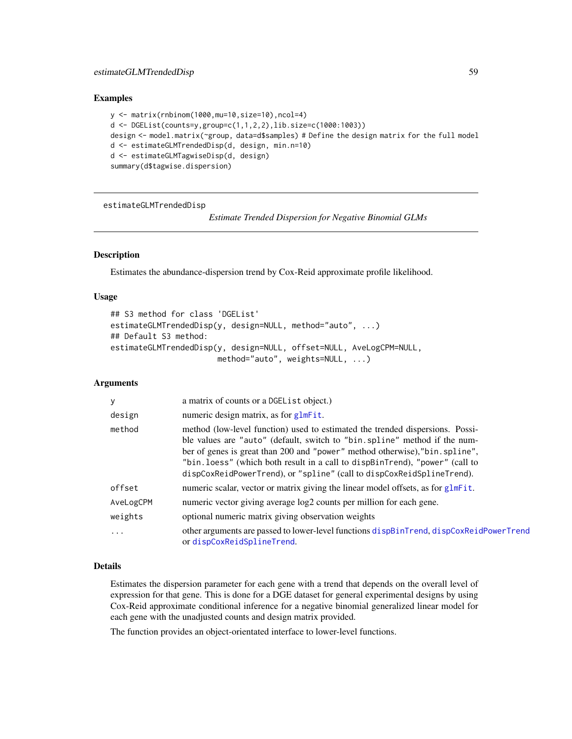## Examples

```
y <- matrix(rnbinom(1000,mu=10,size=10),ncol=4)
d <- DGEList(counts=y,group=c(1,1,2,2),lib.size=c(1000:1003))
design <- model.matrix(~group, data=d$samples) # Define the design matrix for the full model
d <- estimateGLMTrendedDisp(d, design, min.n=10)
d <- estimateGLMTagwiseDisp(d, design)
summary(d$tagwise.dispersion)
```
<span id="page-58-0"></span>estimateGLMTrendedDisp

*Estimate Trended Dispersion for Negative Binomial GLMs*

# Description

Estimates the abundance-dispersion trend by Cox-Reid approximate profile likelihood.

## Usage

```
## S3 method for class 'DGEList'
estimateGLMTrendedDisp(y, design=NULL, method="auto", ...)
## Default S3 method:
estimateGLMTrendedDisp(y, design=NULL, offset=NULL, AveLogCPM=NULL,
                       method="auto", weights=NULL, ...)
```
## Arguments

| У         | a matrix of counts or a DGEList object.)                                                                                                                                                                                                                                                                                                                                                            |
|-----------|-----------------------------------------------------------------------------------------------------------------------------------------------------------------------------------------------------------------------------------------------------------------------------------------------------------------------------------------------------------------------------------------------------|
| design    | numeric design matrix, as for glmFit.                                                                                                                                                                                                                                                                                                                                                               |
| method    | method (low-level function) used to estimated the trended dispersions. Possi-<br>ble values are "auto" (default, switch to "bin.spline" method if the num-<br>ber of genes is great than 200 and "power" method otherwise), "bin. spline",<br>"bin. loess" (which both result in a call to dispBinTrend), "power" (call to<br>dispCoxReidPowerTrend), or "spline" (call to dispCoxReidSplineTrend). |
| offset    | numeric scalar, vector or matrix giving the linear model offsets, as for glmFit.                                                                                                                                                                                                                                                                                                                    |
| AveLogCPM | numeric vector giving average $log2$ counts per million for each gene.                                                                                                                                                                                                                                                                                                                              |
| weights   | optional numeric matrix giving observation weights                                                                                                                                                                                                                                                                                                                                                  |
| $\ddots$  | other arguments are passed to lower-level functions dispBinTrend, dispCoxReidPowerTrend<br>ordispCoxReidSplineTrend.                                                                                                                                                                                                                                                                                |

## Details

Estimates the dispersion parameter for each gene with a trend that depends on the overall level of expression for that gene. This is done for a DGE dataset for general experimental designs by using Cox-Reid approximate conditional inference for a negative binomial generalized linear model for each gene with the unadjusted counts and design matrix provided.

The function provides an object-orientated interface to lower-level functions.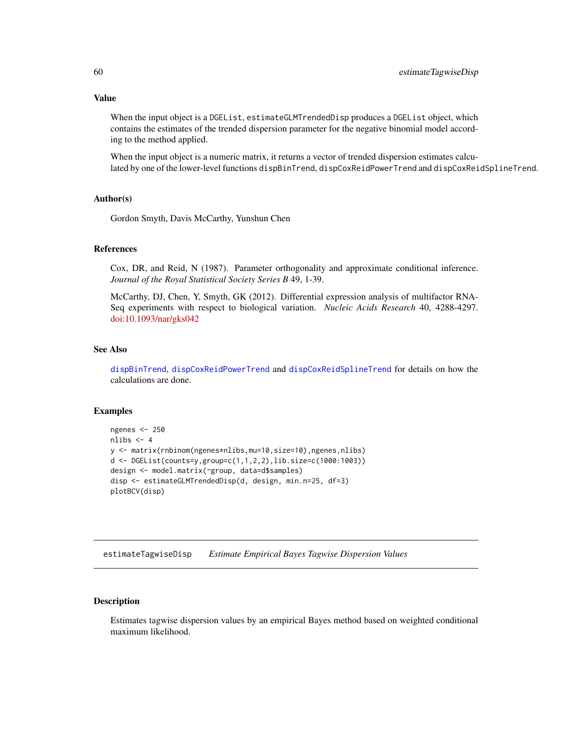## Value

When the input object is a DGEList, estimateGLMTrendedDisp produces a DGEList object, which contains the estimates of the trended dispersion parameter for the negative binomial model according to the method applied.

When the input object is a numeric matrix, it returns a vector of trended dispersion estimates calculated by one of the lower-level functions dispBinTrend, dispCoxReidPowerTrend and dispCoxReidSplineTrend.

## Author(s)

Gordon Smyth, Davis McCarthy, Yunshun Chen

## References

Cox, DR, and Reid, N (1987). Parameter orthogonality and approximate conditional inference. *Journal of the Royal Statistical Society Series B* 49, 1-39.

McCarthy, DJ, Chen, Y, Smyth, GK (2012). Differential expression analysis of multifactor RNA-Seq experiments with respect to biological variation. *Nucleic Acids Research* 40, 4288-4297. [doi:10.1093/nar/gks042](https://doi.org/10.1093/nar/gks042)

## See Also

[dispBinTrend](#page-36-0), [dispCoxReidPowerTrend](#page-42-0) and [dispCoxReidSplineTrend](#page-42-1) for details on how the calculations are done.

#### Examples

```
ngenes <- 250
nlibs <-4y <- matrix(rnbinom(ngenes*nlibs,mu=10,size=10),ngenes,nlibs)
d <- DGEList(counts=y,group=c(1,1,2,2),lib.size=c(1000:1003))
design <- model.matrix(~group, data=d$samples)
disp <- estimateGLMTrendedDisp(d, design, min.n=25, df=3)
plotBCV(disp)
```
<span id="page-59-0"></span>estimateTagwiseDisp *Estimate Empirical Bayes Tagwise Dispersion Values*

## Description

Estimates tagwise dispersion values by an empirical Bayes method based on weighted conditional maximum likelihood.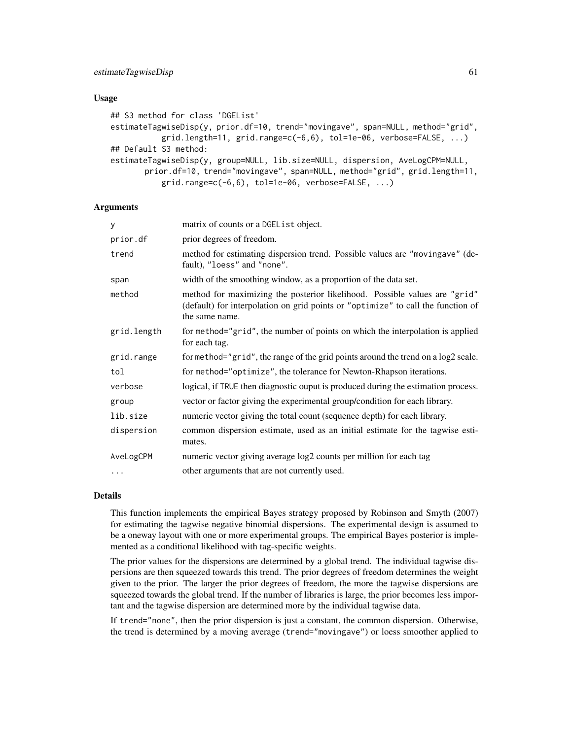## Usage

```
## S3 method for class 'DGEList'
estimateTagwiseDisp(y, prior.df=10, trend="movingave", span=NULL, method="grid",
           grid.length=11, grid.range=c(-6,6), tol=1e-06, verbose=FALSE, ...)
## Default S3 method:
estimateTagwiseDisp(y, group=NULL, lib.size=NULL, dispersion, AveLogCPM=NULL,
       prior.df=10, trend="movingave", span=NULL, method="grid", grid.length=11,
           grid.random = c(-6, 6), tol = 1e-06, verbose = FALSE, ...)
```
## Arguments

| У           | matrix of counts or a DGEL is t object.                                                                                                                                          |
|-------------|----------------------------------------------------------------------------------------------------------------------------------------------------------------------------------|
| prior.df    | prior degrees of freedom.                                                                                                                                                        |
| trend       | method for estimating dispersion trend. Possible values are "moving ave" (de-<br>fault), "loess" and "none".                                                                     |
| span        | width of the smoothing window, as a proportion of the data set.                                                                                                                  |
| method      | method for maximizing the posterior likelihood. Possible values are "grid"<br>(default) for interpolation on grid points or "optimize" to call the function of<br>the same name. |
| grid.length | for method="grid", the number of points on which the interpolation is applied<br>for each tag.                                                                                   |
| grid.range  | for method="grid", the range of the grid points around the trend on a log2 scale.                                                                                                |
| tol         | for method="optimize", the tolerance for Newton-Rhapson iterations.                                                                                                              |
| verbose     | logical, if TRUE then diagnostic ouput is produced during the estimation process.                                                                                                |
| group       | vector or factor giving the experimental group/condition for each library.                                                                                                       |
| lib.size    | numeric vector giving the total count (sequence depth) for each library.                                                                                                         |
| dispersion  | common dispersion estimate, used as an initial estimate for the tagwise esti-<br>mates.                                                                                          |
| AveLogCPM   | numeric vector giving average log2 counts per million for each tag                                                                                                               |
| $\cdots$    | other arguments that are not currently used.                                                                                                                                     |

## Details

This function implements the empirical Bayes strategy proposed by Robinson and Smyth (2007) for estimating the tagwise negative binomial dispersions. The experimental design is assumed to be a oneway layout with one or more experimental groups. The empirical Bayes posterior is implemented as a conditional likelihood with tag-specific weights.

The prior values for the dispersions are determined by a global trend. The individual tagwise dispersions are then squeezed towards this trend. The prior degrees of freedom determines the weight given to the prior. The larger the prior degrees of freedom, the more the tagwise dispersions are squeezed towards the global trend. If the number of libraries is large, the prior becomes less important and the tagwise dispersion are determined more by the individual tagwise data.

If trend="none", then the prior dispersion is just a constant, the common dispersion. Otherwise, the trend is determined by a moving average (trend="movingave") or loess smoother applied to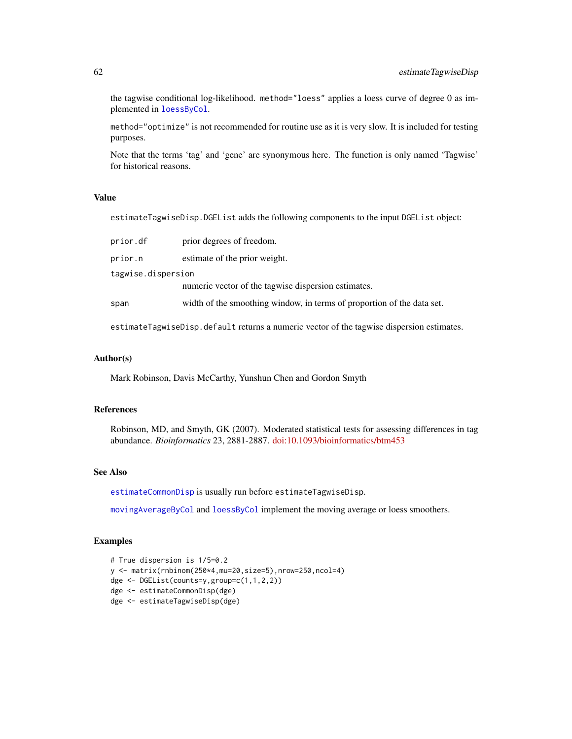the tagwise conditional log-likelihood. method="loess" applies a loess curve of degree 0 as implemented in [loessByCol](#page-88-0).

method="optimize" is not recommended for routine use as it is very slow. It is included for testing purposes.

Note that the terms 'tag' and 'gene' are synonymous here. The function is only named 'Tagwise' for historical reasons.

## Value

estimateTagwiseDisp.DGEList adds the following components to the input DGEList object:

| prior.df           | prior degrees of freedom.                                              |  |
|--------------------|------------------------------------------------------------------------|--|
| prior.n            | estimate of the prior weight.                                          |  |
| tagwise.dispersion |                                                                        |  |
|                    | numeric vector of the tagwise dispersion estimates.                    |  |
| span               | width of the smoothing window, in terms of proportion of the data set. |  |
|                    |                                                                        |  |

estimateTagwiseDisp.default returns a numeric vector of the tagwise dispersion estimates.

#### Author(s)

Mark Robinson, Davis McCarthy, Yunshun Chen and Gordon Smyth

## References

Robinson, MD, and Smyth, GK (2007). Moderated statistical tests for assessing differences in tag abundance. *Bioinformatics* 23, 2881-2887. [doi:10.1093/bioinformatics/btm453](https://doi.org/10.1093/bioinformatics/btm453)

## See Also

[estimateCommonDisp](#page-47-0) is usually run before estimateTagwiseDisp.

[movingAverageByCol](#page-102-0) and [loessByCol](#page-88-0) implement the moving average or loess smoothers.

## Examples

```
# True dispersion is 1/5=0.2
y <- matrix(rnbinom(250*4,mu=20,size=5),nrow=250,ncol=4)
dge <- DGEList(counts=y,group=c(1,1,2,2))
dge <- estimateCommonDisp(dge)
dge <- estimateTagwiseDisp(dge)
```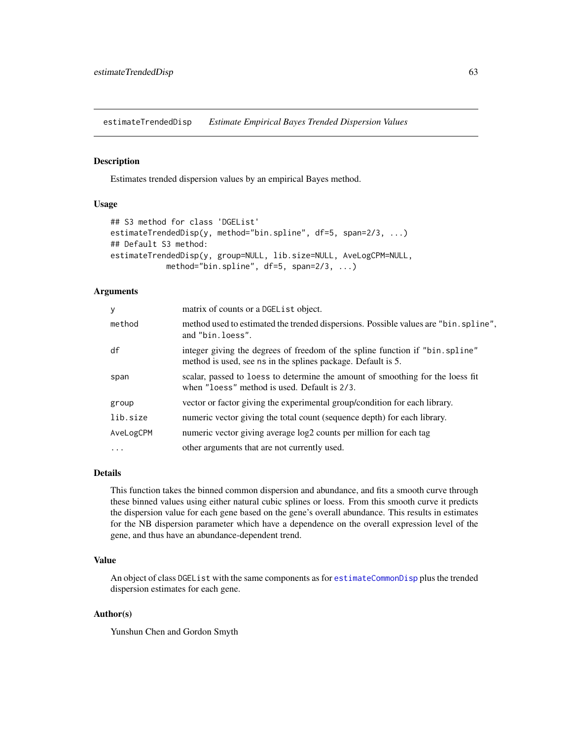<span id="page-62-0"></span>estimateTrendedDisp *Estimate Empirical Bayes Trended Dispersion Values*

## Description

Estimates trended dispersion values by an empirical Bayes method.

## Usage

```
## S3 method for class 'DGEList'
estimateTrendedDisp(y, method="bin.spline", df=5, span=2/3, ...)
## Default S3 method:
estimateTrendedDisp(y, group=NULL, lib.size=NULL, AveLogCPM=NULL,
            method="bin.spline", df=5, span=2/3, ...)
```
# Arguments

| y         | matrix of counts or a DGEL is t object.                                                                                                       |
|-----------|-----------------------------------------------------------------------------------------------------------------------------------------------|
| method    | method used to estimated the trended dispersions. Possible values are "bin. spline",<br>and "bin.loess".                                      |
| df        | integer giving the degrees of freedom of the spline function if "bin. spline"<br>method is used, see ns in the splines package. Default is 5. |
| span      | scalar, passed to loess to determine the amount of smoothing for the loess fit<br>when "loess" method is used. Default is 2/3.                |
| group     | vector or factor giving the experimental group/condition for each library.                                                                    |
| lib.size  | numeric vector giving the total count (sequence depth) for each library.                                                                      |
| AveLogCPM | numeric vector giving average log2 counts per million for each tag                                                                            |
| $\ddotsc$ | other arguments that are not currently used.                                                                                                  |

# Details

This function takes the binned common dispersion and abundance, and fits a smooth curve through these binned values using either natural cubic splines or loess. From this smooth curve it predicts the dispersion value for each gene based on the gene's overall abundance. This results in estimates for the NB dispersion parameter which have a dependence on the overall expression level of the gene, and thus have an abundance-dependent trend.

# Value

An object of class DGEList with the same components as for [estimateCommonDisp](#page-47-0) plus the trended dispersion estimates for each gene.

## Author(s)

Yunshun Chen and Gordon Smyth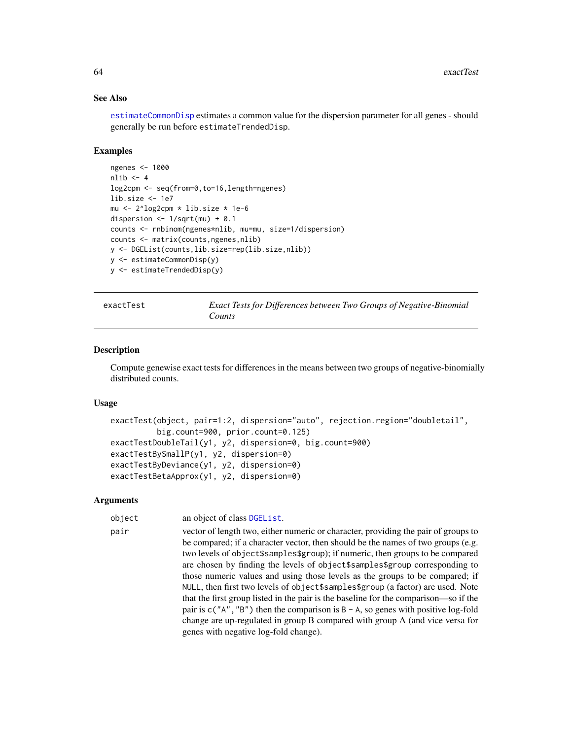## See Also

[estimateCommonDisp](#page-47-0) estimates a common value for the dispersion parameter for all genes - should generally be run before estimateTrendedDisp.

## Examples

```
ngenes <- 1000
nlib < -4log2cpm <- seq(from=0,to=16,length=ngenes)
lib.size <- 1e7
mu <- 2^log2cpm * lib.size * 1e-6
dispersion \leq -1/\sqrt{m} + 0.1
counts <- rnbinom(ngenes*nlib, mu=mu, size=1/dispersion)
counts <- matrix(counts,ngenes,nlib)
y <- DGEList(counts,lib.size=rep(lib.size,nlib))
y <- estimateCommonDisp(y)
y <- estimateTrendedDisp(y)
```
exactTest *Exact Tests for Differences between Two Groups of Negative-Binomial Counts*

#### Description

Compute genewise exact tests for differences in the means between two groups of negative-binomially distributed counts.

## Usage

```
exactTest(object, pair=1:2, dispersion="auto", rejection.region="doubletail",
          big.count=900, prior.count=0.125)
exactTestDoubleTail(y1, y2, dispersion=0, big.count=900)
exactTestBySmallP(y1, y2, dispersion=0)
exactTestByDeviance(y1, y2, dispersion=0)
exactTestBetaApprox(y1, y2, dispersion=0)
```
#### Arguments

object an object of class [DGEList](#page-28-0).

pair vector of length two, either numeric or character, providing the pair of groups to be compared; if a character vector, then should be the names of two groups (e.g. two levels of object\$samples\$group); if numeric, then groups to be compared are chosen by finding the levels of object\$samples\$group corresponding to those numeric values and using those levels as the groups to be compared; if NULL, then first two levels of object\$samples\$group (a factor) are used. Note that the first group listed in the pair is the baseline for the comparison—so if the pair is  $c("A", "B")$  then the comparison is  $B - A$ , so genes with positive log-fold change are up-regulated in group B compared with group A (and vice versa for genes with negative log-fold change).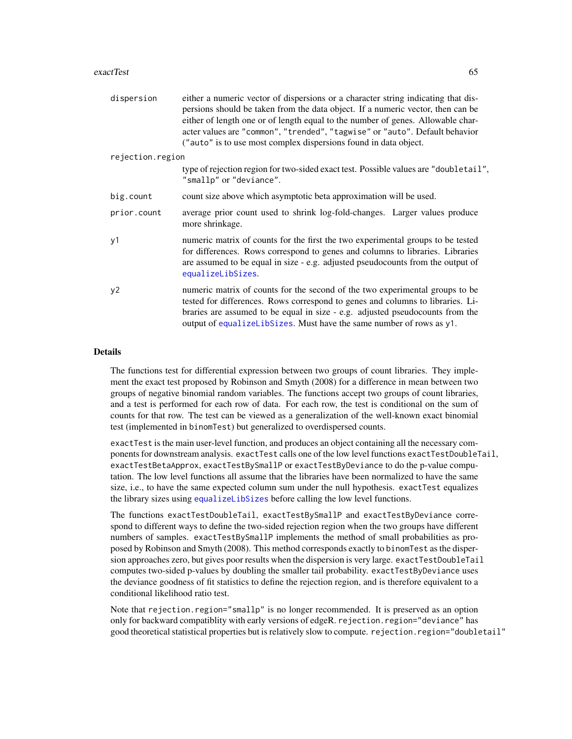#### exactTest 65

| dispersion       | either a numeric vector of dispersions or a character string indicating that dis-<br>persions should be taken from the data object. If a numeric vector, then can be<br>either of length one or of length equal to the number of genes. Allowable char-<br>acter values are "common", "trended", "tagwise" or "auto". Default behavior<br>("auto" is to use most complex dispersions found in data object. |
|------------------|------------------------------------------------------------------------------------------------------------------------------------------------------------------------------------------------------------------------------------------------------------------------------------------------------------------------------------------------------------------------------------------------------------|
| rejection.region |                                                                                                                                                                                                                                                                                                                                                                                                            |
|                  | type of rejection region for two-sided exact test. Possible values are "doubletail",<br>"smallp" or "deviance".                                                                                                                                                                                                                                                                                            |
| big.count        | count size above which asymptotic beta approximation will be used.                                                                                                                                                                                                                                                                                                                                         |
| prior.count      | average prior count used to shrink log-fold-changes. Larger values produce<br>more shrinkage.                                                                                                                                                                                                                                                                                                              |
| y1               | numeric matrix of counts for the first the two experimental groups to be tested<br>for differences. Rows correspond to genes and columns to libraries. Libraries<br>are assumed to be equal in size - e.g. adjusted pseudocounts from the output of<br>equalizeLibSizes.                                                                                                                                   |
| y2               | numeric matrix of counts for the second of the two experimental groups to be<br>tested for differences. Rows correspond to genes and columns to libraries. Li-<br>braries are assumed to be equal in size - e.g. adjusted pseudocounts from the<br>output of equalizeLibSizes. Must have the same number of rows as y1.                                                                                    |

## Details

The functions test for differential expression between two groups of count libraries. They implement the exact test proposed by Robinson and Smyth (2008) for a difference in mean between two groups of negative binomial random variables. The functions accept two groups of count libraries, and a test is performed for each row of data. For each row, the test is conditional on the sum of counts for that row. The test can be viewed as a generalization of the well-known exact binomial test (implemented in binomTest) but generalized to overdispersed counts.

exactTest is the main user-level function, and produces an object containing all the necessary components for downstream analysis. exactTest calls one of the low level functions exactTestDoubleTail, exactTestBetaApprox, exactTestBySmallP or exactTestByDeviance to do the p-value computation. The low level functions all assume that the libraries have been normalized to have the same size, i.e., to have the same expected column sum under the null hypothesis. exactTest equalizes the library sizes using [equalizeLibSizes](#page-46-0) before calling the low level functions.

The functions exactTestDoubleTail, exactTestBySmallP and exactTestByDeviance correspond to different ways to define the two-sided rejection region when the two groups have different numbers of samples. exactTestBySmallP implements the method of small probabilities as proposed by Robinson and Smyth (2008). This method corresponds exactly to binomTest as the dispersion approaches zero, but gives poor results when the dispersion is very large. exactTestDoubleTail computes two-sided p-values by doubling the smaller tail probability. exactTestByDeviance uses the deviance goodness of fit statistics to define the rejection region, and is therefore equivalent to a conditional likelihood ratio test.

Note that rejection.region="smallp" is no longer recommended. It is preserved as an option only for backward compatiblity with early versions of edgeR. rejection.region="deviance" has good theoretical statistical properties but is relatively slow to compute. rejection.region="doubletail"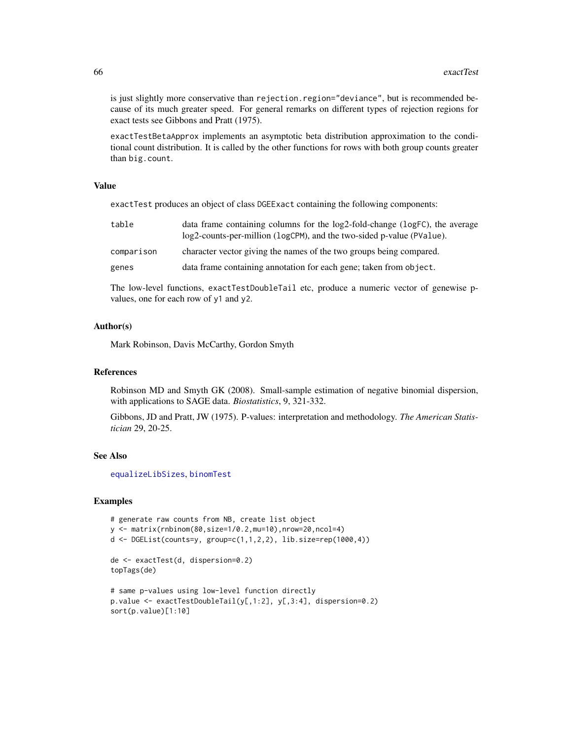is just slightly more conservative than rejection.region="deviance", but is recommended because of its much greater speed. For general remarks on different types of rejection regions for exact tests see Gibbons and Pratt (1975).

exactTestBetaApprox implements an asymptotic beta distribution approximation to the conditional count distribution. It is called by the other functions for rows with both group counts greater than big.count.

## Value

exactTest produces an object of class DGEExact containing the following components:

| table      | data frame containing columns for the log2-fold-change (logFC), the average<br>log2-counts-per-million (logCPM), and the two-sided p-value (PValue). |
|------------|------------------------------------------------------------------------------------------------------------------------------------------------------|
| comparison | character vector giving the names of the two groups being compared.                                                                                  |
| genes      | data frame containing annotation for each gene; taken from object.                                                                                   |
|            |                                                                                                                                                      |

The low-level functions, exactTestDoubleTail etc, produce a numeric vector of genewise pvalues, one for each row of y1 and y2.

#### Author(s)

Mark Robinson, Davis McCarthy, Gordon Smyth

#### References

Robinson MD and Smyth GK (2008). Small-sample estimation of negative binomial dispersion, with applications to SAGE data. *Biostatistics*, 9, 321-332.

Gibbons, JD and Pratt, JW (1975). P-values: interpretation and methodology. *The American Statistician* 29, 20-25.

## See Also

[equalizeLibSizes](#page-46-0), [binomTest](#page-11-0)

## Examples

```
# generate raw counts from NB, create list object
y <- matrix(rnbinom(80,size=1/0.2,mu=10),nrow=20,ncol=4)
d <- DGEList(counts=y, group=c(1,1,2,2), lib.size=rep(1000,4))
de <- exactTest(d, dispersion=0.2)
topTags(de)
# same p-values using low-level function directly
p.value <- exactTestDoubleTail(y[,1:2], y[,3:4], dispersion=0.2)
sort(p.value)[1:10]
```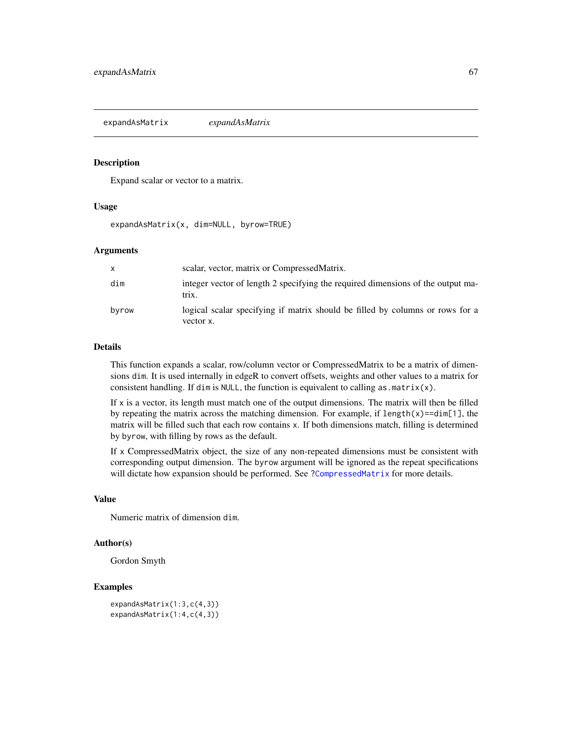expandAsMatrix *expandAsMatrix*

#### Description

Expand scalar or vector to a matrix.

#### Usage

expandAsMatrix(x, dim=NULL, byrow=TRUE)

## Arguments

| $\mathsf{x}$ | scalar, vector, matrix or Compressed Matrix.                                               |
|--------------|--------------------------------------------------------------------------------------------|
| dim          | integer vector of length 2 specifying the required dimensions of the output ma-<br>trix.   |
| byrow        | logical scalar specifying if matrix should be filled by columns or rows for a<br>vector x. |

#### Details

This function expands a scalar, row/column vector or CompressedMatrix to be a matrix of dimensions dim. It is used internally in edgeR to convert offsets, weights and other values to a matrix for consistent handling. If dim is NULL, the function is equivalent to calling as  $matrix(x)$ .

If  $x$  is a vector, its length must match one of the output dimensions. The matrix will then be filled by repeating the matrix across the matching dimension. For example, if length(x)==dim[1], the matrix will be filled such that each row contains x. If both dimensions match, filling is determined by byrow, with filling by rows as the default.

If x CompressedMatrix object, the size of any non-repeated dimensions must be consistent with corresponding output dimension. The byrow argument will be ignored as the repeat specifications will dictate how expansion should be performed. See [?CompressedMatrix](#page-89-0) for more details.

## Value

Numeric matrix of dimension dim.

## Author(s)

Gordon Smyth

# Examples

```
expandAsMatrix(1:3,c(4,3))
expandAsMatrix(1:4,c(4,3))
```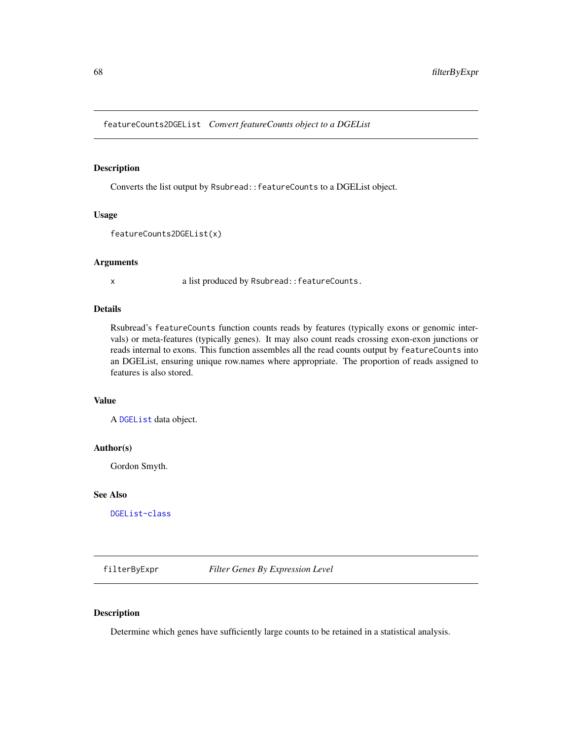featureCounts2DGEList *Convert featureCounts object to a DGEList*

## Description

Converts the list output by Rsubread::featureCounts to a DGEList object.

# Usage

featureCounts2DGEList(x)

#### Arguments

x a list produced by Rsubread::featureCounts.

## Details

Rsubread's featureCounts function counts reads by features (typically exons or genomic intervals) or meta-features (typically genes). It may also count reads crossing exon-exon junctions or reads internal to exons. This function assembles all the read counts output by featureCounts into an DGEList, ensuring unique row.names where appropriate. The proportion of reads assigned to features is also stored.

# Value

A [DGEList](#page-28-0) data object.

## Author(s)

Gordon Smyth.

#### See Also

[DGEList-class](#page-30-0)

filterByExpr *Filter Genes By Expression Level*

#### Description

Determine which genes have sufficiently large counts to be retained in a statistical analysis.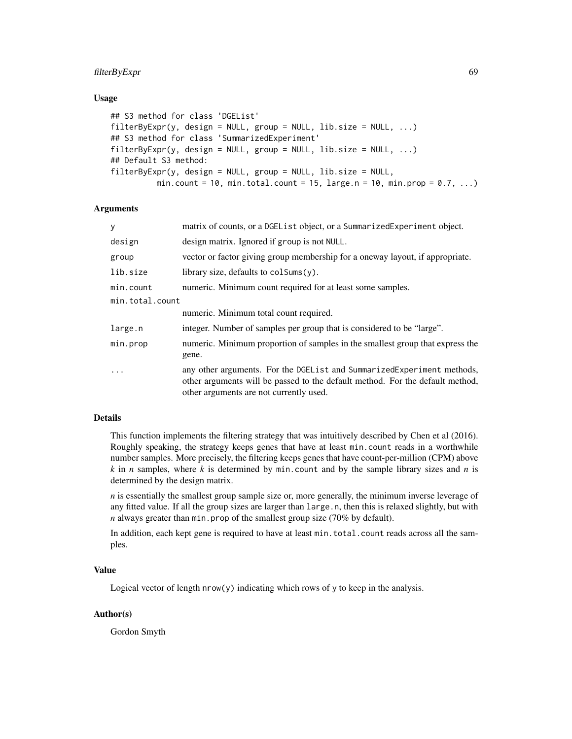# filterByExpr 69

## Usage

```
## S3 method for class 'DGEList'
filterByExpr(y, design = NULL, group = NULL, lib.size = NULL, ...)## S3 method for class 'SummarizedExperiment'
filterByExpr(y, design = NULL, group = NULL, lib.size = NULL, ...)## Default S3 method:
filterByExpr(y, design = NULL, group = NULL, lib.size = NULL,
         min.count = 10, min.total.count = 15, large.n = 10, min.prop = 0.7, ...)
```
# **Arguments**

| У               | matrix of counts, or a DGEL is t object, or a Summarized Experiment object.                                                                                                                          |
|-----------------|------------------------------------------------------------------------------------------------------------------------------------------------------------------------------------------------------|
| design          | design matrix. Ignored if group is not NULL.                                                                                                                                                         |
| group           | vector or factor giving group membership for a oneway layout, if appropriate.                                                                                                                        |
| lib.size        | library size, defaults to $colSums(y)$ .                                                                                                                                                             |
| min.count       | numeric. Minimum count required for at least some samples.                                                                                                                                           |
| min.total.count |                                                                                                                                                                                                      |
|                 | numeric. Minimum total count required.                                                                                                                                                               |
| large.n         | integer. Number of samples per group that is considered to be "large".                                                                                                                               |
| min.prop        | numeric. Minimum proportion of samples in the smallest group that express the<br>gene.                                                                                                               |
| $\ddots$        | any other arguments. For the DGE List and Summarized Experiment methods,<br>other arguments will be passed to the default method. For the default method,<br>other arguments are not currently used. |

## Details

This function implements the filtering strategy that was intuitively described by Chen et al (2016). Roughly speaking, the strategy keeps genes that have at least min.count reads in a worthwhile number samples. More precisely, the filtering keeps genes that have count-per-million (CPM) above *k* in *n* samples, where *k* is determined by min.count and by the sample library sizes and *n* is determined by the design matrix.

*n* is essentially the smallest group sample size or, more generally, the minimum inverse leverage of any fitted value. If all the group sizes are larger than large. n, then this is relaxed slightly, but with *n* always greater than min.prop of the smallest group size (70% by default).

In addition, each kept gene is required to have at least min.total.count reads across all the samples.

# Value

Logical vector of length  $nrow(y)$  indicating which rows of y to keep in the analysis.

## Author(s)

Gordon Smyth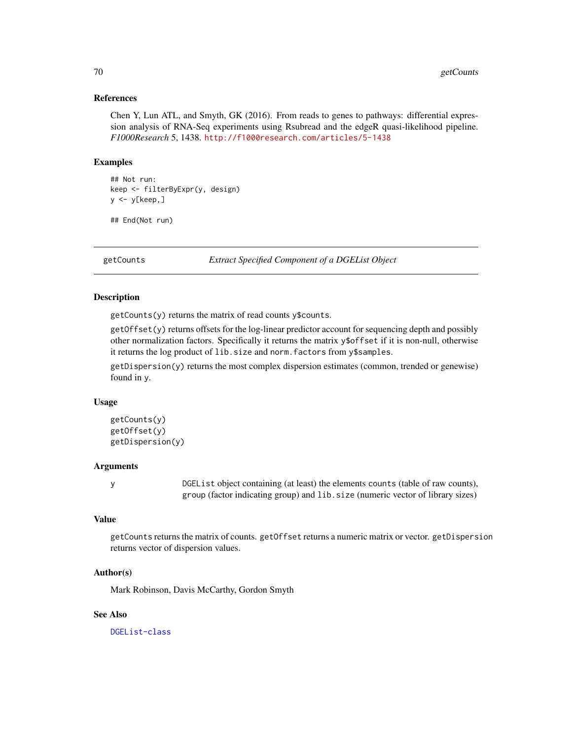## References

Chen Y, Lun ATL, and Smyth, GK (2016). From reads to genes to pathways: differential expression analysis of RNA-Seq experiments using Rsubread and the edgeR quasi-likelihood pipeline. *F1000Research* 5, 1438. <http://f1000research.com/articles/5-1438>

## Examples

```
## Not run:
keep <- filterByExpr(y, design)
y <- y[keep,]
```
## End(Not run)

getCounts *Extract Specified Component of a DGEList Object*

## Description

getCounts(y) returns the matrix of read counts y\$counts.

getOffset(y) returns offsets for the log-linear predictor account for sequencing depth and possibly other normalization factors. Specifically it returns the matrix y\$offset if it is non-null, otherwise it returns the log product of lib.size and norm.factors from y\$samples.

getDispersion(y) returns the most complex dispersion estimates (common, trended or genewise) found in y.

#### Usage

```
getCounts(y)
getOffset(y)
getDispersion(y)
```
## Arguments

y DGEList object containing (at least) the elements counts (table of raw counts), group (factor indicating group) and lib.size (numeric vector of library sizes)

# Value

getCounts returns the matrix of counts. getOffset returns a numeric matrix or vector. getDispersion returns vector of dispersion values.

## Author(s)

Mark Robinson, Davis McCarthy, Gordon Smyth

## See Also

[DGEList-class](#page-30-0)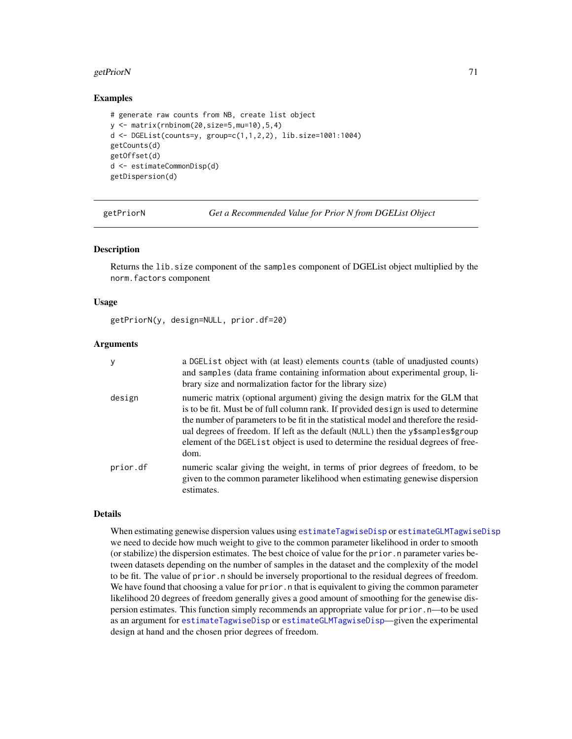## getPriorN 71

## Examples

```
# generate raw counts from NB, create list object
y <- matrix(rnbinom(20,size=5,mu=10),5,4)
d <- DGEList(counts=y, group=c(1,1,2,2), lib.size=1001:1004)
getCounts(d)
getOffset(d)
d <- estimateCommonDisp(d)
getDispersion(d)
```
getPriorN *Get a Recommended Value for Prior N from DGEList Object*

## Description

Returns the lib.size component of the samples component of DGEList object multiplied by the norm.factors component

#### Usage

```
getPriorN(y, design=NULL, prior.df=20)
```
## Arguments

| y        | a DGEList object with (at least) elements counts (table of unadjusted counts)<br>and samples (data frame containing information about experimental group, li-<br>brary size and normalization factor for the library size)                                                                                                                                                                                                                 |
|----------|--------------------------------------------------------------------------------------------------------------------------------------------------------------------------------------------------------------------------------------------------------------------------------------------------------------------------------------------------------------------------------------------------------------------------------------------|
| design   | numeric matrix (optional argument) giving the design matrix for the GLM that<br>is to be fit. Must be of full column rank. If provided design is used to determine<br>the number of parameters to be fit in the statistical model and therefore the resid-<br>ual degrees of freedom. If left as the default (NULL) then the y\$samples\$group<br>element of the DGEList object is used to determine the residual degrees of free-<br>dom. |
| prior.df | numeric scalar giving the weight, in terms of prior degrees of freedom, to be<br>given to the common parameter likelihood when estimating genewise dispersion<br>estimates.                                                                                                                                                                                                                                                                |

## Details

When estimating genewise dispersion values using [estimateTagwiseDisp](#page-59-0) or [estimateGLMTagwiseDisp](#page-56-0) we need to decide how much weight to give to the common parameter likelihood in order to smooth (or stabilize) the dispersion estimates. The best choice of value for the prior.n parameter varies between datasets depending on the number of samples in the dataset and the complexity of the model to be fit. The value of prior, n should be inversely proportional to the residual degrees of freedom. We have found that choosing a value for prior. n that is equivalent to giving the common parameter likelihood 20 degrees of freedom generally gives a good amount of smoothing for the genewise dispersion estimates. This function simply recommends an appropriate value for prior.n—to be used as an argument for [estimateTagwiseDisp](#page-59-0) or [estimateGLMTagwiseDisp](#page-56-0)—given the experimental design at hand and the chosen prior degrees of freedom.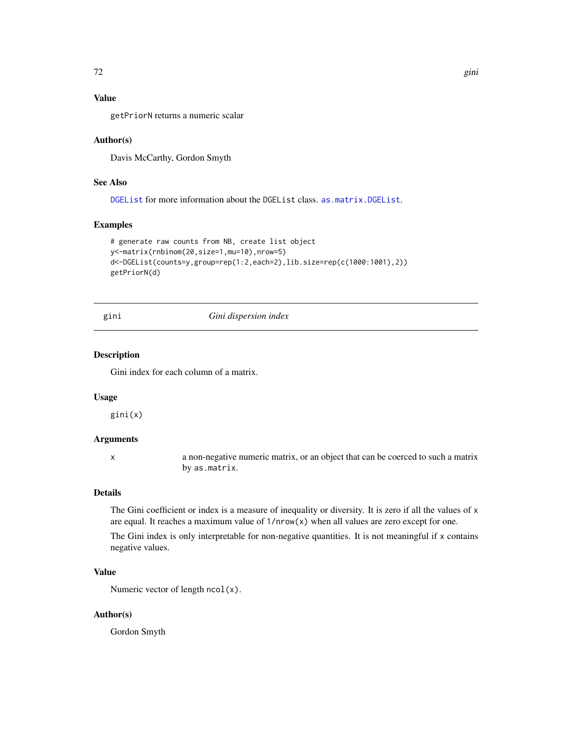# Value

getPriorN returns a numeric scalar

## Author(s)

Davis McCarthy, Gordon Smyth

# See Also

[DGEList](#page-28-0) for more information about the DGEList class. [as.matrix.DGEList](#page-9-0).

## Examples

```
# generate raw counts from NB, create list object
y<-matrix(rnbinom(20,size=1,mu=10),nrow=5)
d<-DGEList(counts=y,group=rep(1:2,each=2),lib.size=rep(c(1000:1001),2))
getPriorN(d)
```
#### gini *Gini dispersion index*

# Description

Gini index for each column of a matrix.

#### Usage

gini(x)

## Arguments

x a non-negative numeric matrix, or an object that can be coerced to such a matrix by as.matrix.

# Details

The Gini coefficient or index is a measure of inequality or diversity. It is zero if all the values of x are equal. It reaches a maximum value of 1/nrow(x) when all values are zero except for one.

The Gini index is only interpretable for non-negative quantities. It is not meaningful if x contains negative values.

# Value

Numeric vector of length ncol(x).

## Author(s)

Gordon Smyth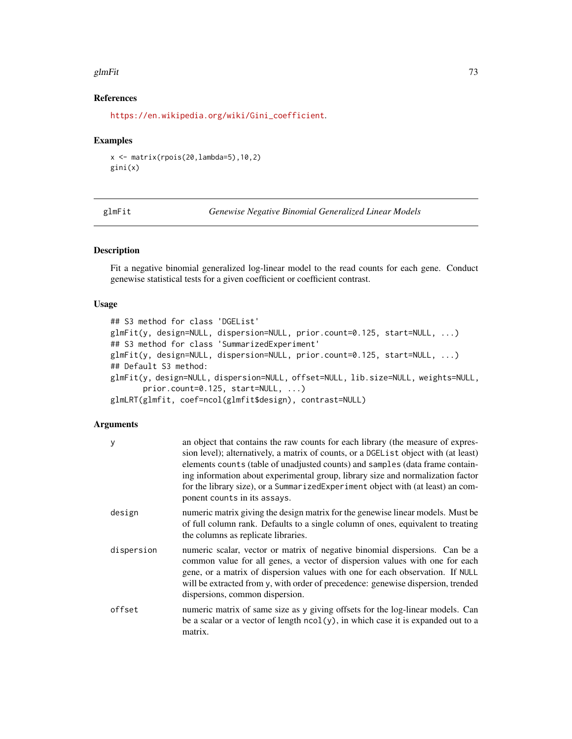### glmFit  $\sim$  73

## References

[https://en.wikipedia.org/wiki/Gini\\_coefficient](https://en.wikipedia.org/wiki/Gini_coefficient).

### Examples

```
x <- matrix(rpois(20,lambda=5),10,2)
gini(x)
```
<span id="page-72-0"></span>glmFit *Genewise Negative Binomial Generalized Linear Models*

## <span id="page-72-1"></span>Description

Fit a negative binomial generalized log-linear model to the read counts for each gene. Conduct genewise statistical tests for a given coefficient or coefficient contrast.

# Usage

```
## S3 method for class 'DGEList'
glmFit(y, design=NULL, dispersion=NULL, prior.count=0.125, start=NULL, ...)
## S3 method for class 'SummarizedExperiment'
glmFit(y, design=NULL, dispersion=NULL, prior.count=0.125, start=NULL, ...)
## Default S3 method:
glmFit(y, design=NULL, dispersion=NULL, offset=NULL, lib.size=NULL, weights=NULL,
       prior.count=0.125, start=NULL, ...)
glmLRT(glmfit, coef=ncol(glmfit$design), contrast=NULL)
```
### Arguments

| у          | an object that contains the raw counts for each library (the measure of expres-<br>sion level); alternatively, a matrix of counts, or a DGEL is t object with (at least)<br>elements counts (table of unadjusted counts) and samples (data frame contain-<br>ing information about experimental group, library size and normalization factor<br>for the library size), or a SummarizedExperiment object with (at least) an com-<br>ponent counts in its assays. |
|------------|-----------------------------------------------------------------------------------------------------------------------------------------------------------------------------------------------------------------------------------------------------------------------------------------------------------------------------------------------------------------------------------------------------------------------------------------------------------------|
| design     | numeric matrix giving the design matrix for the genewise linear models. Must be<br>of full column rank. Defaults to a single column of ones, equivalent to treating<br>the columns as replicate libraries.                                                                                                                                                                                                                                                      |
| dispersion | numeric scalar, vector or matrix of negative binomial dispersions. Can be a<br>common value for all genes, a vector of dispersion values with one for each<br>gene, or a matrix of dispersion values with one for each observation. If NULL<br>will be extracted from y, with order of precedence: genewise dispersion, trended<br>dispersions, common dispersion.                                                                                              |
| offset     | numeric matrix of same size as y giving offsets for the log-linear models. Can<br>be a scalar or a vector of length $ncol(y)$ , in which case it is expanded out to a<br>matrix.                                                                                                                                                                                                                                                                                |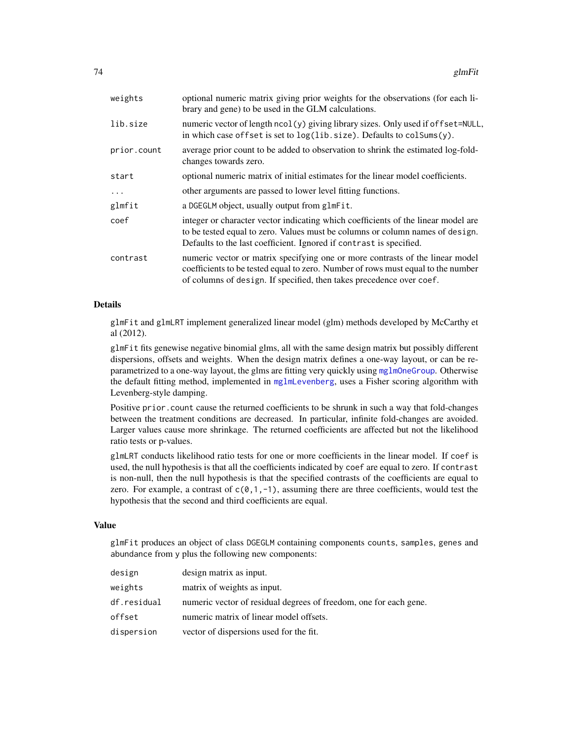| optional numeric matrix giving prior weights for the observations (for each li-<br>brary and gene) to be used in the GLM calculations.                                                                                                    |  |
|-------------------------------------------------------------------------------------------------------------------------------------------------------------------------------------------------------------------------------------------|--|
| numeric vector of length ncol(y) giving library sizes. Only used if offset=NULL,<br>in which case offset is set to log(lib.size). Defaults to colSums(y).                                                                                 |  |
| average prior count to be added to observation to shrink the estimated log-fold-<br>changes towards zero.                                                                                                                                 |  |
| optional numeric matrix of initial estimates for the linear model coefficients.                                                                                                                                                           |  |
| other arguments are passed to lower level fitting functions.                                                                                                                                                                              |  |
| a DGEGLM object, usually output from glmFit.                                                                                                                                                                                              |  |
| integer or character vector indicating which coefficients of the linear model are<br>to be tested equal to zero. Values must be columns or column names of design.<br>Defaults to the last coefficient. Ignored if contrast is specified. |  |
| numeric vector or matrix specifying one or more contrasts of the linear model<br>coefficients to be tested equal to zero. Number of rows must equal to the number<br>of columns of design. If specified, then takes precedence over coef. |  |
|                                                                                                                                                                                                                                           |  |

# Details

glmFit and glmLRT implement generalized linear model (glm) methods developed by McCarthy et al (2012).

glmFit fits genewise negative binomial glms, all with the same design matrix but possibly different dispersions, offsets and weights. When the design matrix defines a one-way layout, or can be reparametrized to a one-way layout, the glms are fitting very quickly using [mglmOneGroup](#page-98-0). Otherwise the default fitting method, implemented in [mglmLevenberg](#page-98-0), uses a Fisher scoring algorithm with Levenberg-style damping.

Positive prior.count cause the returned coefficients to be shrunk in such a way that fold-changes between the treatment conditions are decreased. In particular, infinite fold-changes are avoided. Larger values cause more shrinkage. The returned coefficients are affected but not the likelihood ratio tests or p-values.

glmLRT conducts likelihood ratio tests for one or more coefficients in the linear model. If coef is used, the null hypothesis is that all the coefficients indicated by coef are equal to zero. If contrast is non-null, then the null hypothesis is that the specified contrasts of the coefficients are equal to zero. For example, a contrast of  $c(0,1,-1)$ , assuming there are three coefficients, would test the hypothesis that the second and third coefficients are equal.

### Value

glmFit produces an object of class DGEGLM containing components counts, samples, genes and abundance from y plus the following new components:

| design      | design matrix as input.                                           |
|-------------|-------------------------------------------------------------------|
| weights     | matrix of weights as input.                                       |
| df.residual | numeric vector of residual degrees of freedom, one for each gene. |
| offset      | numeric matrix of linear model offsets.                           |
| dispersion  | vector of dispersions used for the fit.                           |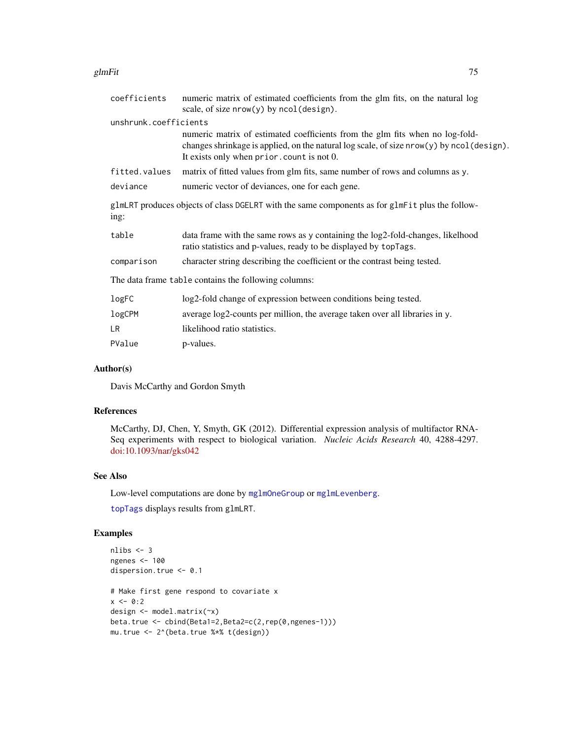### glmFit 500 m states and the states of the states of the states of the states of the states of the states of the

| coefficients          | numeric matrix of estimated coefficients from the glm fits, on the natural log<br>scale, of size $nrow(y)$ by $ncol(design)$ .                                                                                          |  |
|-----------------------|-------------------------------------------------------------------------------------------------------------------------------------------------------------------------------------------------------------------------|--|
| unshrunk.coefficients |                                                                                                                                                                                                                         |  |
|                       | numeric matrix of estimated coefficients from the glm fits when no log-fold-<br>changes shrinkage is applied, on the natural log scale, of size nrow(y) by ncol (design).<br>It exists only when prior. count is not 0. |  |
| fitted.values         | matrix of fitted values from glm fits, same number of rows and columns as y.                                                                                                                                            |  |
| deviance              | numeric vector of deviances, one for each gene.                                                                                                                                                                         |  |
| ing:                  | glmLRT produces objects of class DGELRT with the same components as for glmFit plus the follow-                                                                                                                         |  |
| table                 | data frame with the same rows as y containing the log2-fold-changes, likelhood<br>ratio statistics and p-values, ready to be displayed by topTags.                                                                      |  |
| comparison            | character string describing the coefficient or the contrast being tested.                                                                                                                                               |  |
|                       | The data frame table contains the following columns:                                                                                                                                                                    |  |
| logFC                 | log2-fold change of expression between conditions being tested.                                                                                                                                                         |  |
| logCPM                | average log2-counts per million, the average taken over all libraries in y.                                                                                                                                             |  |
| LR                    | likelihood ratio statistics.                                                                                                                                                                                            |  |
| PValue                | p-values.                                                                                                                                                                                                               |  |
|                       |                                                                                                                                                                                                                         |  |

# Author(s)

Davis McCarthy and Gordon Smyth

# References

McCarthy, DJ, Chen, Y, Smyth, GK (2012). Differential expression analysis of multifactor RNA-Seq experiments with respect to biological variation. *Nucleic Acids Research* 40, 4288-4297. [doi:10.1093/nar/gks042](https://doi.org/10.1093/nar/gks042)

## See Also

Low-level computations are done by [mglmOneGroup](#page-98-0) or [mglmLevenberg](#page-98-0).

[topTags](#page-145-0) displays results from glmLRT.

```
nlibs <- 3
ngenes <- 100
dispersion.true <- 0.1
# Make first gene respond to covariate x
x \le -0:2design <- model.matrix(~x)
beta.true <- cbind(Beta1=2,Beta2=c(2,rep(0,ngenes-1)))
mu.true <- 2^(beta.true %*% t(design))
```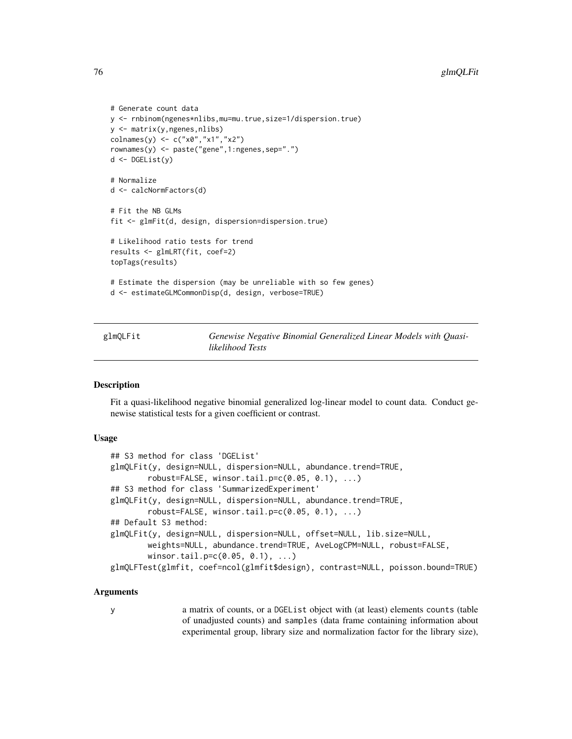```
# Generate count data
y <- rnbinom(ngenes*nlibs,mu=mu.true,size=1/dispersion.true)
y <- matrix(y,ngenes,nlibs)
colnames(y) <- c("x0","x1","x2")
rownames(y) <- paste("gene",1:ngenes,sep=".")
d <- DGEList(y)
# Normalize
d <- calcNormFactors(d)
# Fit the NB GLMs
fit <- glmFit(d, design, dispersion=dispersion.true)
# Likelihood ratio tests for trend
results <- glmLRT(fit, coef=2)
topTags(results)
# Estimate the dispersion (may be unreliable with so few genes)
d <- estimateGLMCommonDisp(d, design, verbose=TRUE)
```
glmQLFit *Genewise Negative Binomial Generalized Linear Models with Quasilikelihood Tests*

# **Description**

Fit a quasi-likelihood negative binomial generalized log-linear model to count data. Conduct genewise statistical tests for a given coefficient or contrast.

### Usage

```
## S3 method for class 'DGEList'
glmQLFit(y, design=NULL, dispersion=NULL, abundance.trend=TRUE,
        robust = FALSE, winsor.tail.p=c(0.05, 0.1), ...## S3 method for class 'SummarizedExperiment'
glmQLFit(y, design=NULL, dispersion=NULL, abundance.trend=TRUE,
        robust = FALSE, winsor.tail.p=c(0.05, 0.1), ...## Default S3 method:
glmQLFit(y, design=NULL, dispersion=NULL, offset=NULL, lib.size=NULL,
       weights=NULL, abundance.trend=TRUE, AveLogCPM=NULL, robust=FALSE,
        winsor.tail.p=c(0.05, 0.1), ...)
glmQLFTest(glmfit, coef=ncol(glmfit$design), contrast=NULL, poisson.bound=TRUE)
```
## Arguments

y a matrix of counts, or a DGEList object with (at least) elements counts (table of unadjusted counts) and samples (data frame containing information about experimental group, library size and normalization factor for the library size),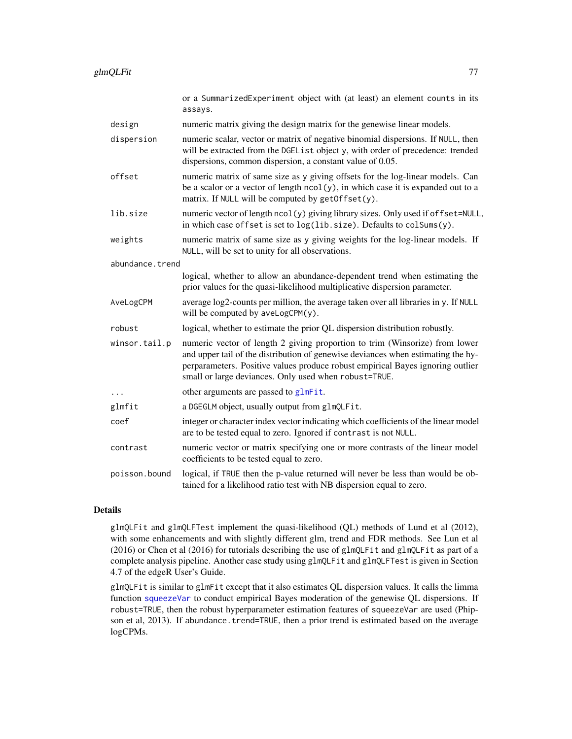|                 | or a SummarizedExperiment object with (at least) an element counts in its<br>assays.                                                                                                                                                                                                                       |  |
|-----------------|------------------------------------------------------------------------------------------------------------------------------------------------------------------------------------------------------------------------------------------------------------------------------------------------------------|--|
| design          | numeric matrix giving the design matrix for the genewise linear models.                                                                                                                                                                                                                                    |  |
| dispersion      | numeric scalar, vector or matrix of negative binomial dispersions. If NULL, then<br>will be extracted from the DGEList object y, with order of precedence: trended<br>dispersions, common dispersion, a constant value of 0.05.                                                                            |  |
| offset          | numeric matrix of same size as y giving offsets for the log-linear models. Can<br>be a scalor or a vector of length $ncol(y)$ , in which case it is expanded out to a<br>matrix. If NULL will be computed by $getOffset(y)$ .                                                                              |  |
| lib.size        | numeric vector of length ncol(y) giving library sizes. Only used if offset=NULL,<br>in which case offset is set to log(lib.size). Defaults to colSums(y).                                                                                                                                                  |  |
| weights         | numeric matrix of same size as y giving weights for the log-linear models. If<br>NULL, will be set to unity for all observations.                                                                                                                                                                          |  |
| abundance.trend |                                                                                                                                                                                                                                                                                                            |  |
|                 | logical, whether to allow an abundance-dependent trend when estimating the<br>prior values for the quasi-likelihood multiplicative dispersion parameter.                                                                                                                                                   |  |
| AveLogCPM       | average log2-counts per million, the average taken over all libraries in y. If NULL<br>will be computed by aveLogCPM(y).                                                                                                                                                                                   |  |
| robust          | logical, whether to estimate the prior QL dispersion distribution robustly.                                                                                                                                                                                                                                |  |
| winsor.tail.p   | numeric vector of length 2 giving proportion to trim (Winsorize) from lower<br>and upper tail of the distribution of genewise deviances when estimating the hy-<br>perparameters. Positive values produce robust empirical Bayes ignoring outlier<br>small or large deviances. Only used when robust=TRUE. |  |
| $\cdots$        | other arguments are passed to glmFit.                                                                                                                                                                                                                                                                      |  |
| glmfit          | a DGEGLM object, usually output from glmQLFit.                                                                                                                                                                                                                                                             |  |
| coef            | integer or character index vector indicating which coefficients of the linear model<br>are to be tested equal to zero. Ignored if contrast is not NULL.                                                                                                                                                    |  |
| contrast        | numeric vector or matrix specifying one or more contrasts of the linear model<br>coefficients to be tested equal to zero.                                                                                                                                                                                  |  |
| poisson.bound   | logical, if TRUE then the p-value returned will never be less than would be ob-<br>tained for a likelihood ratio test with NB dispersion equal to zero.                                                                                                                                                    |  |

# Details

glmQLFit and glmQLFTest implement the quasi-likelihood (QL) methods of Lund et al (2012), with some enhancements and with slightly different glm, trend and FDR methods. See Lun et al (2016) or Chen et al (2016) for tutorials describing the use of glmQLFit and glmQLFit as part of a complete analysis pipeline. Another case study using glmQLFit and glmQLFTest is given in Section 4.7 of the edgeR User's Guide.

glmQLFit is similar to glmFit except that it also estimates QL dispersion values. It calls the limma function [squeezeVar](#page-0-0) to conduct empirical Bayes moderation of the genewise QL dispersions. If robust=TRUE, then the robust hyperparameter estimation features of squeezeVar are used (Phipson et al, 2013). If abundance.trend=TRUE, then a prior trend is estimated based on the average logCPMs.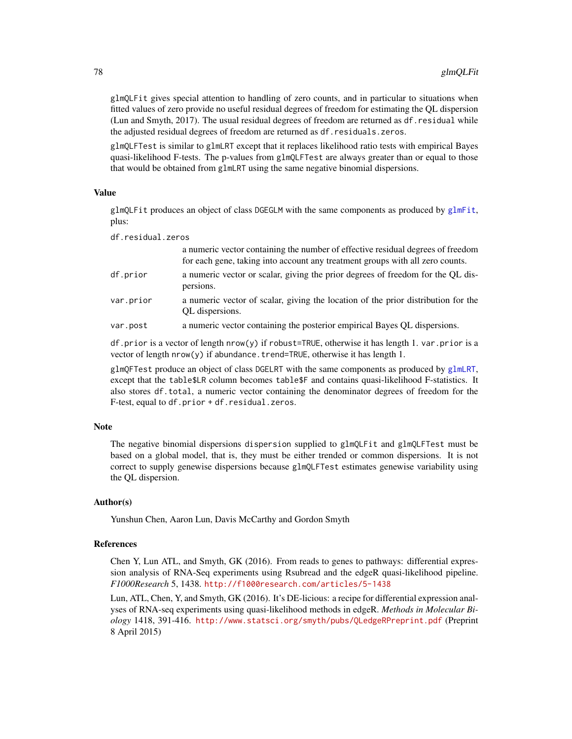glmQLFit gives special attention to handling of zero counts, and in particular to situations when fitted values of zero provide no useful residual degrees of freedom for estimating the QL dispersion (Lun and Smyth, 2017). The usual residual degrees of freedom are returned as df.residual while the adjusted residual degrees of freedom are returned as df.residuals.zeros.

glmQLFTest is similar to glmLRT except that it replaces likelihood ratio tests with empirical Bayes quasi-likelihood F-tests. The p-values from glmQLFTest are always greater than or equal to those that would be obtained from glmLRT using the same negative binomial dispersions.

### Value

glmQLFit produces an object of class DGEGLM with the same components as produced by [glmFit](#page-72-0), plus:

df.residual.zeros

|           | a numeric vector containing the number of effective residual degrees of freedom<br>for each gene, taking into account any treatment groups with all zero counts. |
|-----------|------------------------------------------------------------------------------------------------------------------------------------------------------------------|
| df.prior  | a numeric vector or scalar, giving the prior degrees of freedom for the QL dis-<br>persions.                                                                     |
| var.prior | a numeric vector of scalar, giving the location of the prior distribution for the<br>QL dispersions.                                                             |
| var.post  | a numeric vector containing the posterior empirical Bayes QL dispersions.                                                                                        |

df.prior is a vector of length nrow(y) if robust=TRUE, otherwise it has length 1. var.prior is a vector of length nrow(y) if abundance.trend=TRUE, otherwise it has length 1.

glmQFTest produce an object of class DGELRT with the same components as produced by [glmLRT](#page-72-1), except that the table\$LR column becomes table\$F and contains quasi-likelihood F-statistics. It also stores df.total, a numeric vector containing the denominator degrees of freedom for the F-test, equal to df.prior + df.residual.zeros.

### **Note**

The negative binomial dispersions dispersion supplied to glmQLFit and glmQLFTest must be based on a global model, that is, they must be either trended or common dispersions. It is not correct to supply genewise dispersions because glmQLFTest estimates genewise variability using the QL dispersion.

## Author(s)

Yunshun Chen, Aaron Lun, Davis McCarthy and Gordon Smyth

## References

Chen Y, Lun ATL, and Smyth, GK (2016). From reads to genes to pathways: differential expression analysis of RNA-Seq experiments using Rsubread and the edgeR quasi-likelihood pipeline. *F1000Research* 5, 1438. <http://f1000research.com/articles/5-1438>

Lun, ATL, Chen, Y, and Smyth, GK (2016). It's DE-licious: a recipe for differential expression analyses of RNA-seq experiments using quasi-likelihood methods in edgeR. *Methods in Molecular Biology* 1418, 391-416. <http://www.statsci.org/smyth/pubs/QLedgeRPreprint.pdf> (Preprint 8 April 2015)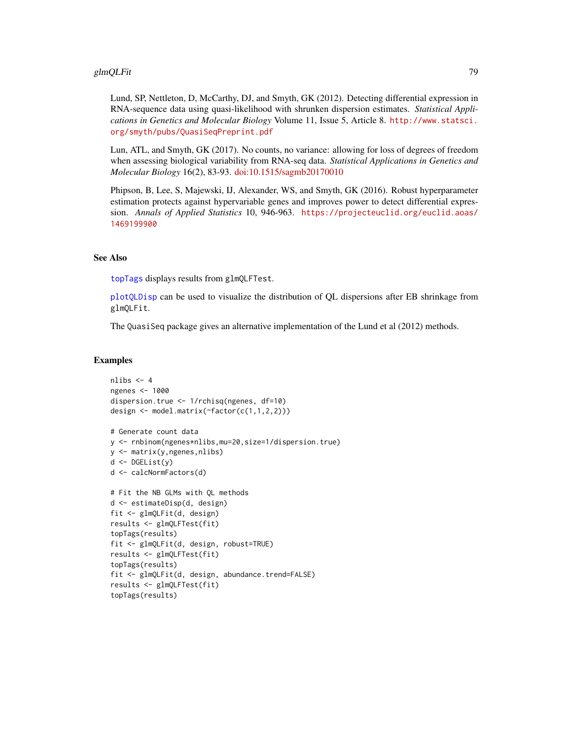### glmQLFit 79

Lund, SP, Nettleton, D, McCarthy, DJ, and Smyth, GK (2012). Detecting differential expression in RNA-sequence data using quasi-likelihood with shrunken dispersion estimates. *Statistical Applications in Genetics and Molecular Biology* Volume 11, Issue 5, Article 8. [http://www.statsci.](http://www.statsci.org/smyth/pubs/QuasiSeqPreprint.pdf) [org/smyth/pubs/QuasiSeqPreprint.pdf](http://www.statsci.org/smyth/pubs/QuasiSeqPreprint.pdf)

Lun, ATL, and Smyth, GK (2017). No counts, no variance: allowing for loss of degrees of freedom when assessing biological variability from RNA-seq data. *Statistical Applications in Genetics and Molecular Biology* 16(2), 83-93. [doi:10.1515/sagmb20170010](https://doi.org/10.1515/sagmb-2017-0010)

Phipson, B, Lee, S, Majewski, IJ, Alexander, WS, and Smyth, GK (2016). Robust hyperparameter estimation protects against hypervariable genes and improves power to detect differential expression. *Annals of Applied Statistics* 10, 946-963. [https://projecteuclid.org/euclid.aoas/](https://projecteuclid.org/euclid.aoas/1469199900) [1469199900](https://projecteuclid.org/euclid.aoas/1469199900)

## See Also

[topTags](#page-145-0) displays results from glmQLFTest.

[plotQLDisp](#page-117-0) can be used to visualize the distribution of QL dispersions after EB shrinkage from glmQLFit.

The QuasiSeq package gives an alternative implementation of the Lund et al (2012) methods.

```
nlibs <-4ngenes <- 1000
dispersion.true <- 1/rchisq(ngenes, df=10)
design <- model.matrix(~factor(c(1,1,2,2)))
# Generate count data
y <- rnbinom(ngenes*nlibs,mu=20,size=1/dispersion.true)
y <- matrix(y,ngenes,nlibs)
d <- DGEList(y)
d <- calcNormFactors(d)
# Fit the NB GLMs with QL methods
```

```
d <- estimateDisp(d, design)
fit <- glmQLFit(d, design)
results <- glmQLFTest(fit)
topTags(results)
fit <- glmQLFit(d, design, robust=TRUE)
results <- glmQLFTest(fit)
topTags(results)
fit <- glmQLFit(d, design, abundance.trend=FALSE)
results <- glmQLFTest(fit)
topTags(results)
```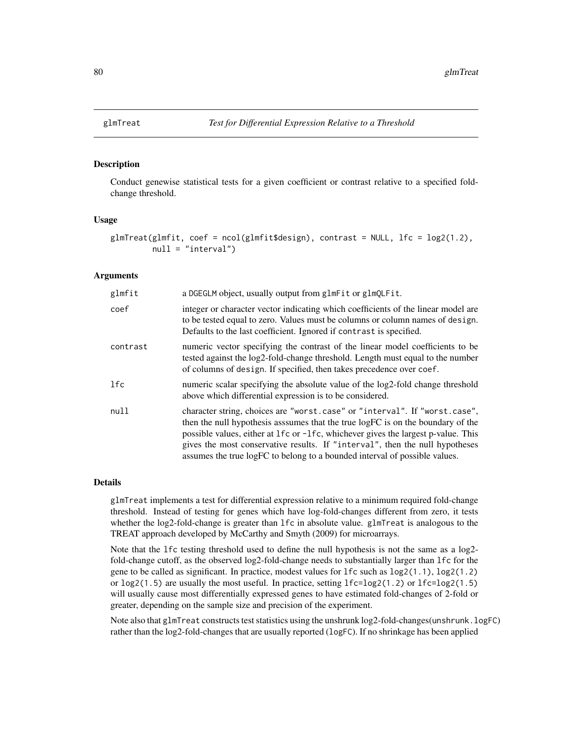### Description

Conduct genewise statistical tests for a given coefficient or contrast relative to a specified foldchange threshold.

### Usage

```
glmTreat(glmfit, coef = ncol(glmfit$design), contrast = NULL, lf = log2(1.2),null = "interval")
```
## Arguments

| glmfit     | a DGEGLM object, usually output from glmFit or glmQLFit.                                                                                                                                                                                                                                                                                                                                                         |
|------------|------------------------------------------------------------------------------------------------------------------------------------------------------------------------------------------------------------------------------------------------------------------------------------------------------------------------------------------------------------------------------------------------------------------|
| coef       | integer or character vector indicating which coefficients of the linear model are<br>to be tested equal to zero. Values must be columns or column names of design.<br>Defaults to the last coefficient. Ignored if contrast is specified.                                                                                                                                                                        |
| contrast   | numeric vector specifying the contrast of the linear model coefficients to be<br>tested against the log2-fold-change threshold. Length must equal to the number<br>of columns of design. If specified, then takes precedence over coef.                                                                                                                                                                          |
| <b>lfc</b> | numeric scalar specifying the absolute value of the log2-fold change threshold<br>above which differential expression is to be considered.                                                                                                                                                                                                                                                                       |
| null       | character string, choices are "worst.case" or "interval". If "worst.case",<br>then the null hypothesis asssumes that the true logFC is on the boundary of the<br>possible values, either at 1fc or -1fc, whichever gives the largest p-value. This<br>gives the most conservative results. If "interval", then the null hypotheses<br>assumes the true logFC to belong to a bounded interval of possible values. |

### Details

glmTreat implements a test for differential expression relative to a minimum required fold-change threshold. Instead of testing for genes which have log-fold-changes different from zero, it tests whether the log2-fold-change is greater than lfc in absolute value. glmTreat is analogous to the TREAT approach developed by McCarthy and Smyth (2009) for microarrays.

Note that the lfc testing threshold used to define the null hypothesis is not the same as a log2 fold-change cutoff, as the observed log2-fold-change needs to substantially larger than lfc for the gene to be called as significant. In practice, modest values for lfc such as log2(1.1), log2(1.2) or  $log2(1.5)$  are usually the most useful. In practice, setting  $1fc = log2(1.2)$  or  $1fc = log2(1.5)$ will usually cause most differentially expressed genes to have estimated fold-changes of 2-fold or greater, depending on the sample size and precision of the experiment.

Note also that glmTreat constructs test statistics using the unshrunk log2-fold-changes(unshrunk.logFC) rather than the log2-fold-changes that are usually reported (logFC). If no shrinkage has been applied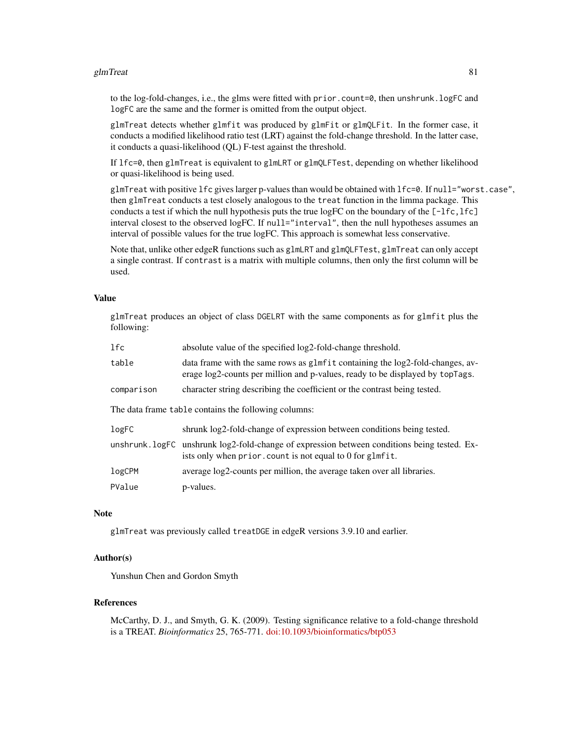### glmTreat  $81$

to the log-fold-changes, i.e., the glms were fitted with prior.count=0, then unshrunk.logFC and logFC are the same and the former is omitted from the output object.

glmTreat detects whether glmfit was produced by glmFit or glmQLFit. In the former case, it conducts a modified likelihood ratio test (LRT) against the fold-change threshold. In the latter case, it conducts a quasi-likelihood (QL) F-test against the threshold.

If lfc=0, then glmTreat is equivalent to glmLRT or glmQLFTest, depending on whether likelihood or quasi-likelihood is being used.

glmTreat with positive lfc gives larger p-values than would be obtained with lfc=0. If null="worst.case", then glmTreat conducts a test closely analogous to the treat function in the limma package. This conducts a test if which the null hypothesis puts the true logFC on the boundary of the  $[-1f \circ, 1f \circ]$ interval closest to the observed logFC. If null="interval", then the null hypotheses assumes an interval of possible values for the true logFC. This approach is somewhat less conservative.

Note that, unlike other edgeR functions such as glmLRT and glmQLFTest, glmTreat can only accept a single contrast. If contrast is a matrix with multiple columns, then only the first column will be used.

### Value

glmTreat produces an object of class DGELRT with the same components as for glmfit plus the following:

| 1fc        | absolute value of the specified log2-fold-change threshold.                                                                                                    |  |
|------------|----------------------------------------------------------------------------------------------------------------------------------------------------------------|--|
| table      | data frame with the same rows as glmfit containing the log2-fold-changes, av-<br>erage log2-counts per million and p-values, ready to be displayed by topTags. |  |
| comparison | character string describing the coefficient or the contrast being tested.                                                                                      |  |
|            | The data frame table contains the following columns:                                                                                                           |  |
| logFC      | shrunk log2-fold-change of expression between conditions being tested.                                                                                         |  |
|            | unshrunk. logFC unshrunk log2-fold-change of expression between conditions being tested. Ex-<br>ists only when prior. count is not equal to 0 for glmfit.      |  |
| logCPM     | average log2-counts per million, the average taken over all libraries.                                                                                         |  |
|            |                                                                                                                                                                |  |

### **Note**

glmTreat was previously called treatDGE in edgeR versions 3.9.10 and earlier.

## Author(s)

Yunshun Chen and Gordon Smyth

## References

McCarthy, D. J., and Smyth, G. K. (2009). Testing significance relative to a fold-change threshold is a TREAT. *Bioinformatics* 25, 765-771. [doi:10.1093/bioinformatics/btp053](https://doi.org/10.1093/bioinformatics/btp053)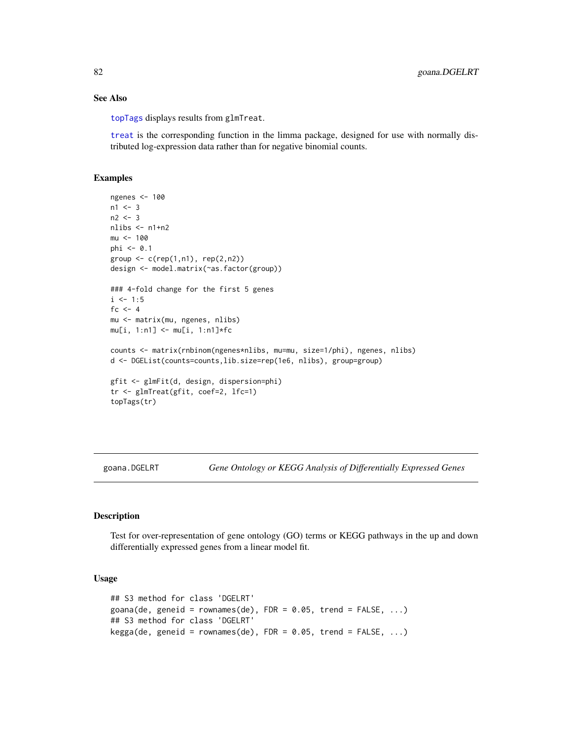## See Also

[topTags](#page-145-0) displays results from glmTreat.

[treat](#page-0-0) is the corresponding function in the limma package, designed for use with normally distributed log-expression data rather than for negative binomial counts.

### Examples

```
ngenes <- 100
n1 < -3n2 < -3nlibs < - n1+n2mu < - 100phi \leq -0.1group \leq c (rep(1,n1), rep(2,n2))
design <- model.matrix(~as.factor(group))
### 4-fold change for the first 5 genes
i \le -1:5fc <-4mu <- matrix(mu, ngenes, nlibs)
mu[i, 1:n1] <- mu[i, 1:n1]*fc
counts <- matrix(rnbinom(ngenes*nlibs, mu=mu, size=1/phi), ngenes, nlibs)
d <- DGEList(counts=counts,lib.size=rep(1e6, nlibs), group=group)
gfit <- glmFit(d, design, dispersion=phi)
tr <- glmTreat(gfit, coef=2, lfc=1)
topTags(tr)
```
goana.DGELRT *Gene Ontology or KEGG Analysis of Differentially Expressed Genes*

### Description

Test for over-representation of gene ontology (GO) terms or KEGG pathways in the up and down differentially expressed genes from a linear model fit.

### Usage

```
## S3 method for class 'DGELRT'
goana(de, geneid = rownames(de), FDR = 0.05, trend = FALSE, ...)
## S3 method for class 'DGELRT'
kegga(de, geneid = rownames(de), FDR = 0.05, trend = FALSE, ...)
```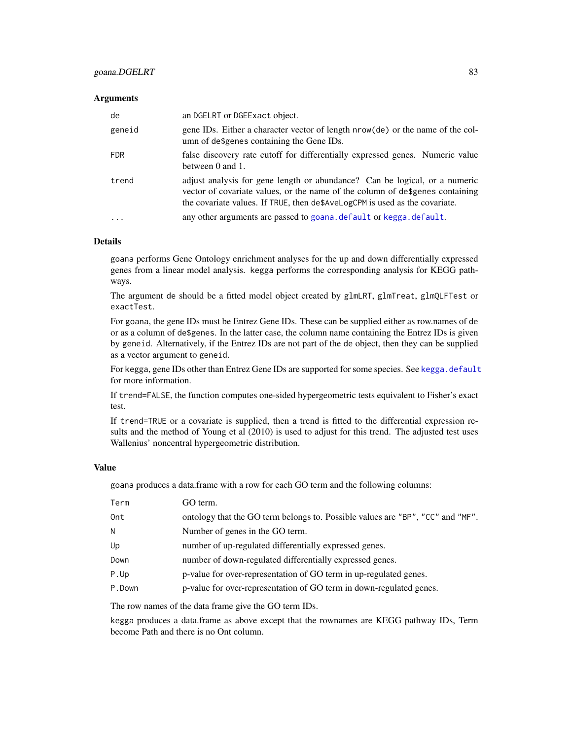# goana.DGELRT 83

### **Arguments**

| de         | an DGELRT or DGEExact object.                                                                                                                                                                                                              |
|------------|--------------------------------------------------------------------------------------------------------------------------------------------------------------------------------------------------------------------------------------------|
| geneid     | gene IDs. Either a character vector of length nrow(de) or the name of the col-<br>umn of de\$genes containing the Gene IDs.                                                                                                                |
| FDR.       | false discovery rate cutoff for differentially expressed genes. Numeric value<br>between 0 and 1.                                                                                                                                          |
| trend      | adjust analysis for gene length or abundance? Can be logical, or a numeric<br>vector of covariate values, or the name of the column of de\$genes containing<br>the covariate values. If TRUE, then de\$AveLogCPM is used as the covariate. |
| $\ddots$ . | any other arguments are passed to goana. default or kegga. default.                                                                                                                                                                        |

### Details

goana performs Gene Ontology enrichment analyses for the up and down differentially expressed genes from a linear model analysis. kegga performs the corresponding analysis for KEGG pathways.

The argument de should be a fitted model object created by glmLRT, glmTreat, glmQLFTest or exactTest.

For goana, the gene IDs must be Entrez Gene IDs. These can be supplied either as row.names of de or as a column of de\$genes. In the latter case, the column name containing the Entrez IDs is given by geneid. Alternatively, if the Entrez IDs are not part of the de object, then they can be supplied as a vector argument to geneid.

For kegga, gene IDs other than Entrez Gene IDs are supported for some species. See [kegga.default](#page-0-0) for more information.

If trend=FALSE, the function computes one-sided hypergeometric tests equivalent to Fisher's exact test.

If trend=TRUE or a covariate is supplied, then a trend is fitted to the differential expression results and the method of Young et al (2010) is used to adjust for this trend. The adjusted test uses Wallenius' noncentral hypergeometric distribution.

### Value

goana produces a data.frame with a row for each GO term and the following columns:

| GO term.                                                                       |  |
|--------------------------------------------------------------------------------|--|
| ontology that the GO term belongs to. Possible values are "BP", "CC" and "MF". |  |
| Number of genes in the GO term.                                                |  |
| number of up-regulated differentially expressed genes.                         |  |
| number of down-regulated differentially expressed genes.                       |  |
| p-value for over-representation of GO term in up-regulated genes.              |  |
| p-value for over-representation of GO term in down-regulated genes.            |  |
|                                                                                |  |

The row names of the data frame give the GO term IDs.

kegga produces a data.frame as above except that the rownames are KEGG pathway IDs, Term become Path and there is no Ont column.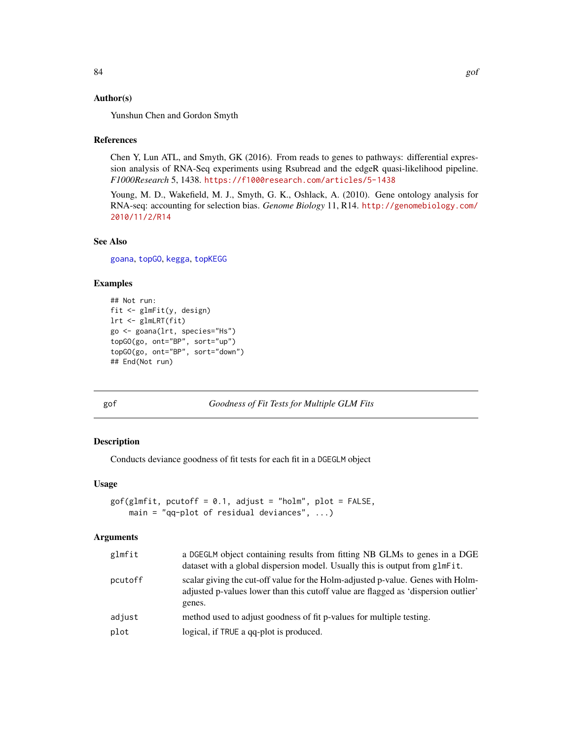# Author(s)

Yunshun Chen and Gordon Smyth

### References

Chen Y, Lun ATL, and Smyth, GK (2016). From reads to genes to pathways: differential expression analysis of RNA-Seq experiments using Rsubread and the edgeR quasi-likelihood pipeline. *F1000Research* 5, 1438. <https://f1000research.com/articles/5-1438>

Young, M. D., Wakefield, M. J., Smyth, G. K., Oshlack, A. (2010). Gene ontology analysis for RNA-seq: accounting for selection bias. *Genome Biology* 11, R14. [http://genomebiology.com/](http://genomebiology.com/2010/11/2/R14) [2010/11/2/R14](http://genomebiology.com/2010/11/2/R14)

# See Also

[goana](#page-0-0), [topGO](#page-0-0), [kegga](#page-0-0), [topKEGG](#page-0-0)

# Examples

```
## Not run:
fit <- glmFit(y, design)
lrt <- glmLRT(fit)
go <- goana(lrt, species="Hs")
topGO(go, ont="BP", sort="up")
topGO(go, ont="BP", sort="down")
## End(Not run)
```
gof *Goodness of Fit Tests for Multiple GLM Fits*

# Description

Conducts deviance goodness of fit tests for each fit in a DGEGLM object

### Usage

```
gof(glmfit, pcutoff = 0.1, adjust = "holm", plot = FALSE,
   main = "qq-plot of residual deviances", ...)
```
## Arguments

| glmfit  | a DGEGLM object containing results from fitting NB GLMs to genes in a DGE<br>dataset with a global dispersion model. Usually this is output from glmFit.                        |  |
|---------|---------------------------------------------------------------------------------------------------------------------------------------------------------------------------------|--|
| pcutoff | scalar giving the cut-off value for the Holm-adjusted p-value. Genes with Holm-<br>adjusted p-values lower than this cutoff value are flagged as 'dispersion outlier'<br>genes. |  |
| adjust  | method used to adjust goodness of fit p-values for multiple testing.                                                                                                            |  |
| plot    | logical, if TRUE a qq-plot is produced.                                                                                                                                         |  |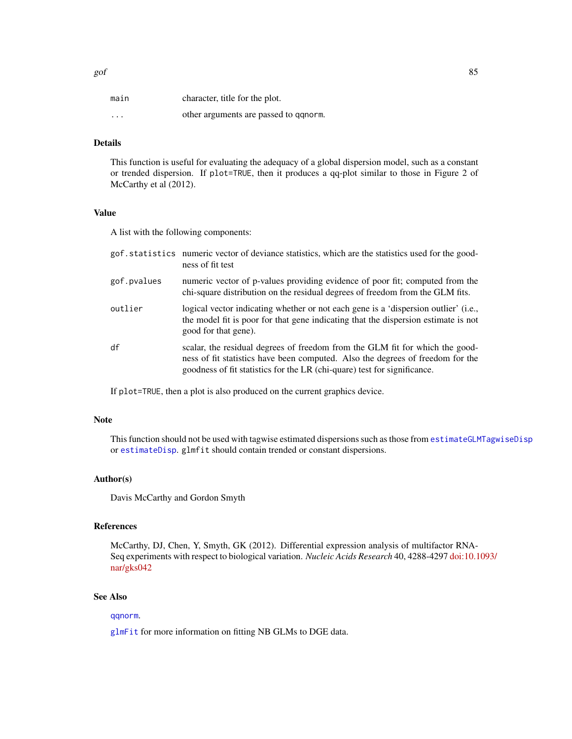| main     | character, title for the plot.        |
|----------|---------------------------------------|
| $\cdots$ | other arguments are passed to ganorm. |

# Details

This function is useful for evaluating the adequacy of a global dispersion model, such as a constant or trended dispersion. If plot=TRUE, then it produces a qq-plot similar to those in Figure 2 of McCarthy et al (2012).

# Value

A list with the following components:

|             | gof. statistics numeric vector of deviance statistics, which are the statistics used for the good-<br>ness of fit test                                                                                                                     |
|-------------|--------------------------------------------------------------------------------------------------------------------------------------------------------------------------------------------------------------------------------------------|
| gof.pvalues | numeric vector of p-values providing evidence of poor fit; computed from the<br>chi-square distribution on the residual degrees of freedom from the GLM fits.                                                                              |
| outlier     | logical vector indicating whether or not each gene is a 'dispersion outlier' (i.e.,<br>the model fit is poor for that gene indicating that the dispersion estimate is not<br>good for that gene).                                          |
| df          | scalar, the residual degrees of freedom from the GLM fit for which the good-<br>ness of fit statistics have been computed. Also the degrees of freedom for the<br>goodness of fit statistics for the LR (chi-quare) test for significance. |

If plot=TRUE, then a plot is also produced on the current graphics device.

## Note

This function should not be used with tagwise estimated dispersions such as those from [estimateGLMTagwiseDisp](#page-56-0) or [estimateDisp](#page-49-0). glmfit should contain trended or constant dispersions.

## Author(s)

Davis McCarthy and Gordon Smyth

## References

McCarthy, DJ, Chen, Y, Smyth, GK (2012). Differential expression analysis of multifactor RNA-Seq experiments with respect to biological variation. *Nucleic Acids Research* 40, 4288-4297 [doi:10.1](https://doi.org/10.1093/nar/gks042)093/ [nar/gks042](https://doi.org/10.1093/nar/gks042)

# See Also

[qqnorm](#page-0-0).

[glmFit](#page-72-0) for more information on fitting NB GLMs to DGE data.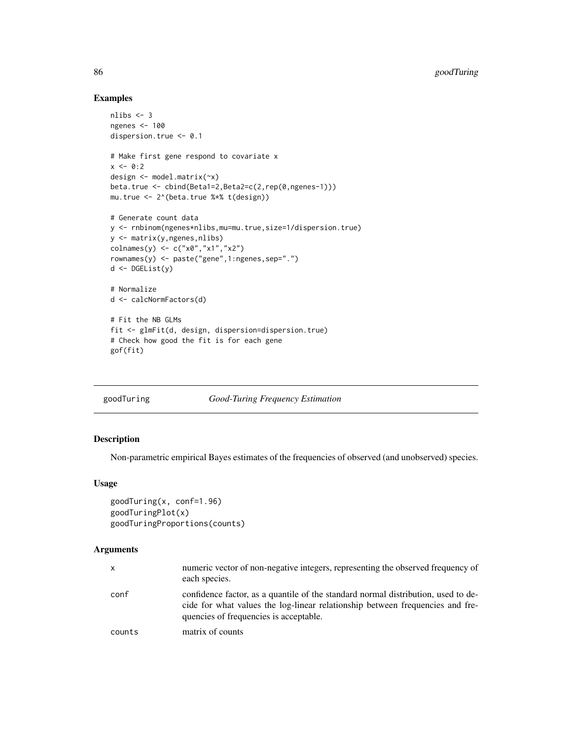## Examples

```
nlibs <-3ngenes <- 100
dispersion.true <- 0.1
# Make first gene respond to covariate x
x < -0:2design <- model.matrix(~x)
beta.true <- cbind(Beta1=2,Beta2=c(2,rep(0,ngenes-1)))
mu.true <- 2^(beta.true %*% t(design))
# Generate count data
y <- rnbinom(ngenes*nlibs,mu=mu.true,size=1/dispersion.true)
y <- matrix(y,ngenes,nlibs)
colnames(y) <- c("x0","x1","x2")
rownames(y) <- paste("gene",1:ngenes,sep=".")
d <- DGEList(y)
# Normalize
d <- calcNormFactors(d)
# Fit the NB GLMs
fit <- glmFit(d, design, dispersion=dispersion.true)
# Check how good the fit is for each gene
gof(fit)
```
goodTuring *Good-Turing Frequency Estimation*

# Description

Non-parametric empirical Bayes estimates of the frequencies of observed (and unobserved) species.

# Usage

```
goodTuring(x, conf=1.96)
goodTuringPlot(x)
goodTuringProportions(counts)
```
## Arguments

| x      | numeric vector of non-negative integers, representing the observed frequency of<br>each species.                                                                                                             |
|--------|--------------------------------------------------------------------------------------------------------------------------------------------------------------------------------------------------------------|
| conf   | confidence factor, as a quantile of the standard normal distribution, used to de-<br>cide for what values the log-linear relationship between frequencies and fre-<br>quencies of frequencies is acceptable. |
| counts | matrix of counts                                                                                                                                                                                             |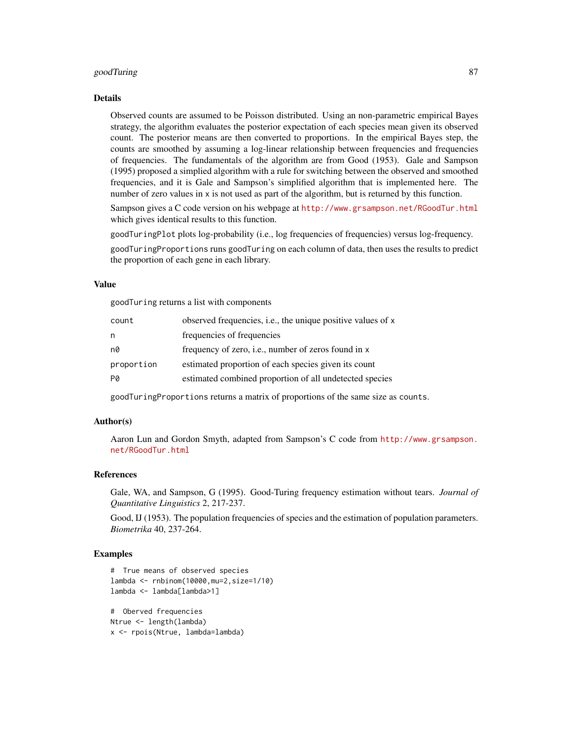### goodTuring 87

### Details

Observed counts are assumed to be Poisson distributed. Using an non-parametric empirical Bayes strategy, the algorithm evaluates the posterior expectation of each species mean given its observed count. The posterior means are then converted to proportions. In the empirical Bayes step, the counts are smoothed by assuming a log-linear relationship between frequencies and frequencies of frequencies. The fundamentals of the algorithm are from Good (1953). Gale and Sampson (1995) proposed a simplied algorithm with a rule for switching between the observed and smoothed frequencies, and it is Gale and Sampson's simplified algorithm that is implemented here. The number of zero values in x is not used as part of the algorithm, but is returned by this function.

Sampson gives a C code version on his webpage at <http://www.grsampson.net/RGoodTur.html> which gives identical results to this function.

goodTuringPlot plots log-probability (i.e., log frequencies of frequencies) versus log-frequency.

goodTuringProportions runs goodTuring on each column of data, then uses the results to predict the proportion of each gene in each library.

# Value

goodTuring returns a list with components

| count      | observed frequencies, i.e., the unique positive values of x |
|------------|-------------------------------------------------------------|
| n          | frequencies of frequencies                                  |
| n0         | frequency of zero, i.e., number of zeros found in x         |
| proportion | estimated proportion of each species given its count        |
| PØ         | estimated combined proportion of all undetected species     |

goodTuringProportions returns a matrix of proportions of the same size as counts.

# Author(s)

Aaron Lun and Gordon Smyth, adapted from Sampson's C code from [http://www.grsampson.](http://www.grsampson.net/RGoodTur.html) [net/RGoodTur.html](http://www.grsampson.net/RGoodTur.html)

### References

Gale, WA, and Sampson, G (1995). Good-Turing frequency estimation without tears. *Journal of Quantitative Linguistics* 2, 217-237.

Good, IJ (1953). The population frequencies of species and the estimation of population parameters. *Biometrika* 40, 237-264.

```
# True means of observed species
lambda <- rnbinom(10000,mu=2,size=1/10)
lambda <- lambda[lambda>1]
```

```
# Oberved frequencies
Ntrue <- length(lambda)
x <- rpois(Ntrue, lambda=lambda)
```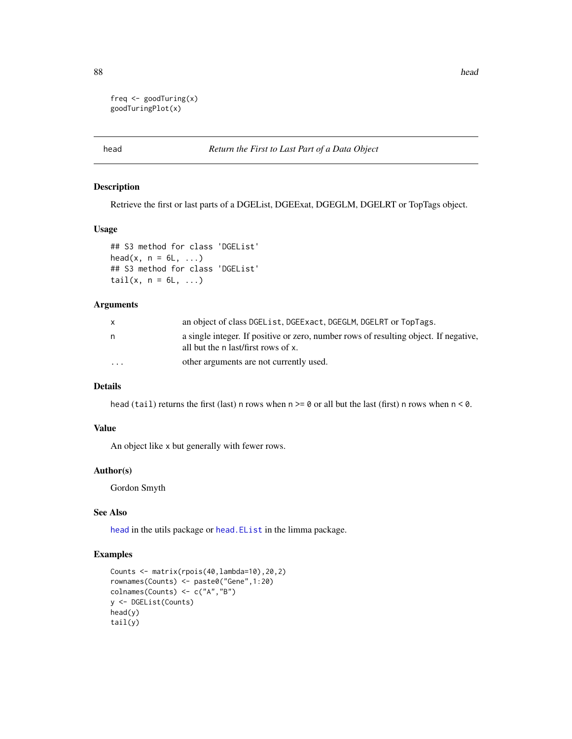88 head and the contract of the contract of the contract of the contract of the contract of the contract of the contract of the contract of the contract of the contract of the contract of the contract of the contract of th

```
freq \leq goodTuring(x)
goodTuringPlot(x)
```
# <span id="page-87-0"></span>head *Return the First to Last Part of a Data Object*

## Description

Retrieve the first or last parts of a DGEList, DGEExat, DGEGLM, DGELRT or TopTags object.

## Usage

```
## S3 method for class 'DGEList'
head(x, n = 6L, ...)
## S3 method for class 'DGEList'
tail(x, n = 6L, ...)
```
## Arguments

|                         | an object of class DGEList, DGEExact, DGEGLM, DGELRT or TopTags.                                                            |
|-------------------------|-----------------------------------------------------------------------------------------------------------------------------|
| n                       | a single integer. If positive or zero, number rows of resulting object. If negative,<br>all but the n last/first rows of x. |
| $\cdot$ $\cdot$ $\cdot$ | other arguments are not currently used.                                                                                     |

## Details

head (tail) returns the first (last) n rows when  $n \ge 0$  or all but the last (first) n rows when  $n \le 0$ .

### Value

An object like x but generally with fewer rows.

## Author(s)

Gordon Smyth

# See Also

[head](#page-87-0) in the utils package or [head.EList](#page-0-0) in the limma package.

```
Counts <- matrix(rpois(40,lambda=10),20,2)
rownames(Counts) <- paste0("Gene",1:20)
colnames(Counts) <- c("A","B")
y <- DGEList(Counts)
head(y)
tail(y)
```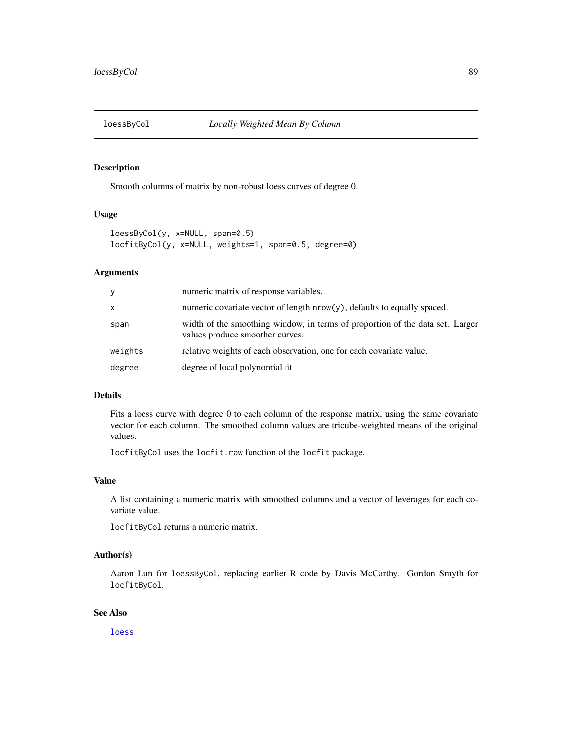## Description

Smooth columns of matrix by non-robust loess curves of degree 0.

# Usage

loessByCol(y, x=NULL, span=0.5) locfitByCol(y, x=NULL, weights=1, span=0.5, degree=0)

# Arguments

| y       | numeric matrix of response variables.                                                                            |
|---------|------------------------------------------------------------------------------------------------------------------|
| X       | numeric covariate vector of length $nrow(y)$ , defaults to equally spaced.                                       |
| span    | width of the smoothing window, in terms of proportion of the data set. Larger<br>values produce smoother curves. |
| weights | relative weights of each observation, one for each covariate value.                                              |
| degree  | degree of local polynomial fit                                                                                   |

# Details

Fits a loess curve with degree 0 to each column of the response matrix, using the same covariate vector for each column. The smoothed column values are tricube-weighted means of the original values.

locfitByCol uses the locfit.raw function of the locfit package.

# Value

A list containing a numeric matrix with smoothed columns and a vector of leverages for each covariate value.

locfitByCol returns a numeric matrix.

# Author(s)

Aaron Lun for loessByCol, replacing earlier R code by Davis McCarthy. Gordon Smyth for locfitByCol.

# See Also

[loess](#page-0-0)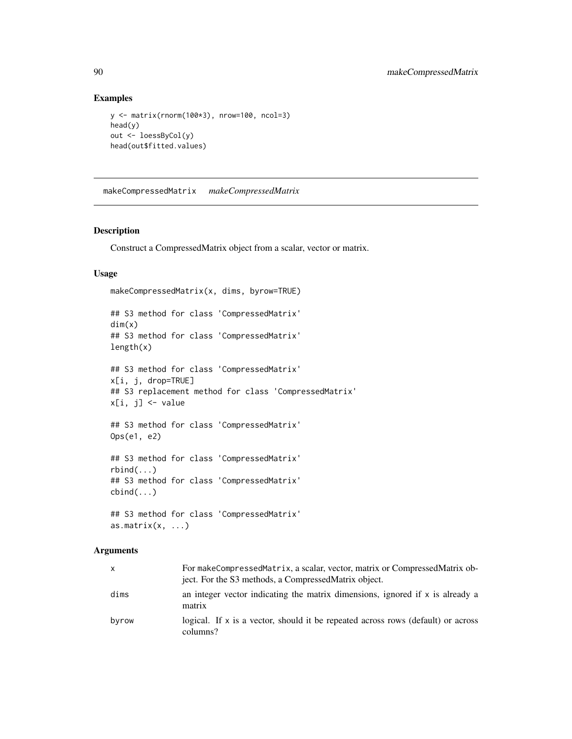## Examples

```
y <- matrix(rnorm(100*3), nrow=100, ncol=3)
head(y)
out <- loessByCol(y)
head(out$fitted.values)
```
makeCompressedMatrix *makeCompressedMatrix*

# Description

Construct a CompressedMatrix object from a scalar, vector or matrix.

## Usage

```
makeCompressedMatrix(x, dims, byrow=TRUE)
## S3 method for class 'CompressedMatrix'
dim(x)
## S3 method for class 'CompressedMatrix'
length(x)
## S3 method for class 'CompressedMatrix'
x[i, j, drop=TRUE]
## S3 replacement method for class 'CompressedMatrix'
x[i, j] <- value
## S3 method for class 'CompressedMatrix'
Ops(e1, e2)
## S3 method for class 'CompressedMatrix'
rbind(...)
## S3 method for class 'CompressedMatrix'
cbind(...)
## S3 method for class 'CompressedMatrix'
```
# as.matrix $(x, \ldots)$

# Arguments

| x     | For makeCompressedMatrix, a scalar, vector, matrix or CompressedMatrix ob-<br>ject. For the S3 methods, a Compressed Matrix object. |
|-------|-------------------------------------------------------------------------------------------------------------------------------------|
| dims  | an integer vector indicating the matrix dimensions, ignored if x is already a<br>matrix                                             |
| byrow | logical. If x is a vector, should it be repeated across rows (default) or across<br>columns?                                        |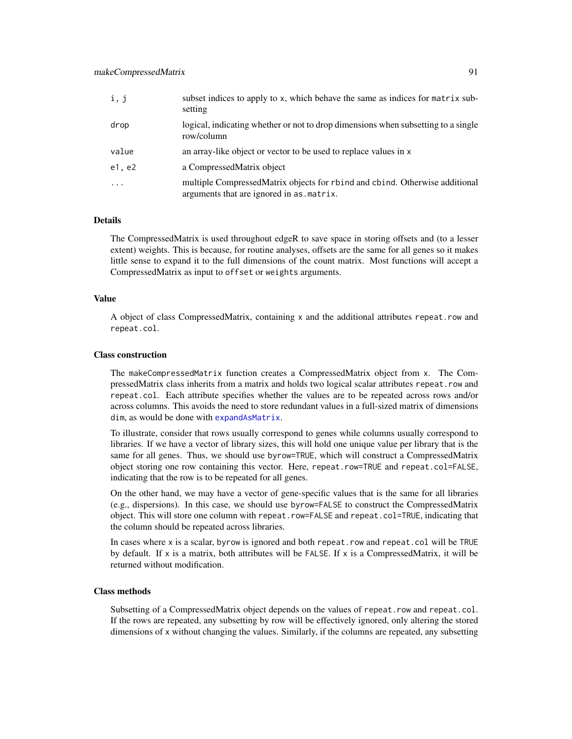| i, j    | subset indices to apply to x, which behave the same as indices for matrix sub-<br>setting                                 |
|---------|---------------------------------------------------------------------------------------------------------------------------|
| drop    | logical, indicating whether or not to drop dimensions when subsetting to a single<br>row/column                           |
| value   | an array-like object or vector to be used to replace values in x                                                          |
| e1, e2  | a CompressedMatrix object                                                                                                 |
| $\cdot$ | multiple CompressedMatrix objects for rbind and cbind. Otherwise additional<br>arguments that are ignored in as . matrix. |

# Details

The CompressedMatrix is used throughout edgeR to save space in storing offsets and (to a lesser extent) weights. This is because, for routine analyses, offsets are the same for all genes so it makes little sense to expand it to the full dimensions of the count matrix. Most functions will accept a CompressedMatrix as input to offset or weights arguments.

# Value

A object of class CompressedMatrix, containing x and the additional attributes repeat.row and repeat.col.

### Class construction

The makeCompressedMatrix function creates a CompressedMatrix object from x. The CompressedMatrix class inherits from a matrix and holds two logical scalar attributes repeat.row and repeat.col. Each attribute specifies whether the values are to be repeated across rows and/or across columns. This avoids the need to store redundant values in a full-sized matrix of dimensions dim, as would be done with [expandAsMatrix](#page-66-0).

To illustrate, consider that rows usually correspond to genes while columns usually correspond to libraries. If we have a vector of library sizes, this will hold one unique value per library that is the same for all genes. Thus, we should use byrow=TRUE, which will construct a CompressedMatrix object storing one row containing this vector. Here, repeat.row=TRUE and repeat.col=FALSE, indicating that the row is to be repeated for all genes.

On the other hand, we may have a vector of gene-specific values that is the same for all libraries (e.g., dispersions). In this case, we should use byrow=FALSE to construct the CompressedMatrix object. This will store one column with repeat.row=FALSE and repeat.col=TRUE, indicating that the column should be repeated across libraries.

In cases where x is a scalar, byrow is ignored and both repeat.row and repeat.col will be TRUE by default. If x is a matrix, both attributes will be FALSE. If x is a CompressedMatrix, it will be returned without modification.

### Class methods

Subsetting of a CompressedMatrix object depends on the values of repeat.row and repeat.col. If the rows are repeated, any subsetting by row will be effectively ignored, only altering the stored dimensions of x without changing the values. Similarly, if the columns are repeated, any subsetting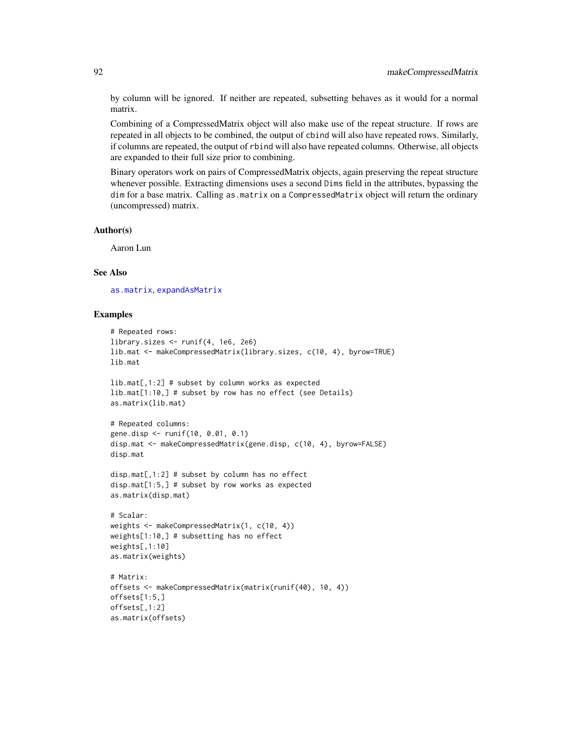by column will be ignored. If neither are repeated, subsetting behaves as it would for a normal matrix.

Combining of a CompressedMatrix object will also make use of the repeat structure. If rows are repeated in all objects to be combined, the output of cbind will also have repeated rows. Similarly, if columns are repeated, the output of rbind will also have repeated columns. Otherwise, all objects are expanded to their full size prior to combining.

Binary operators work on pairs of CompressedMatrix objects, again preserving the repeat structure whenever possible. Extracting dimensions uses a second Dims field in the attributes, bypassing the dim for a base matrix. Calling as.matrix on a CompressedMatrix object will return the ordinary (uncompressed) matrix.

### Author(s)

Aaron Lun

# See Also

[as.matrix](#page-9-0), [expandAsMatrix](#page-66-0)

```
# Repeated rows:
library.sizes <- runif(4, 1e6, 2e6)
lib.mat <- makeCompressedMatrix(library.sizes, c(10, 4), byrow=TRUE)
lib.mat
lib.mat[,1:2] # subset by column works as expected
lib.mat[1:10,] # subset by row has no effect (see Details)
as.matrix(lib.mat)
# Repeated columns:
gene.disp <- runif(10, 0.01, 0.1)
disp.mat <- makeCompressedMatrix(gene.disp, c(10, 4), byrow=FALSE)
disp.mat
disp.mat[,1:2] # subset by column has no effect
disp.mat[1:5,] # subset by row works as expected
as.matrix(disp.mat)
# Scalar:
weights <- makeCompressedMatrix(1, c(10, 4))
weights[1:10,] # subsetting has no effect
weights[,1:10]
as.matrix(weights)
# Matrix:
offsets <- makeCompressedMatrix(matrix(runif(40), 10, 4))
offsets[1:5,]
offsets[,1:2]
as.matrix(offsets)
```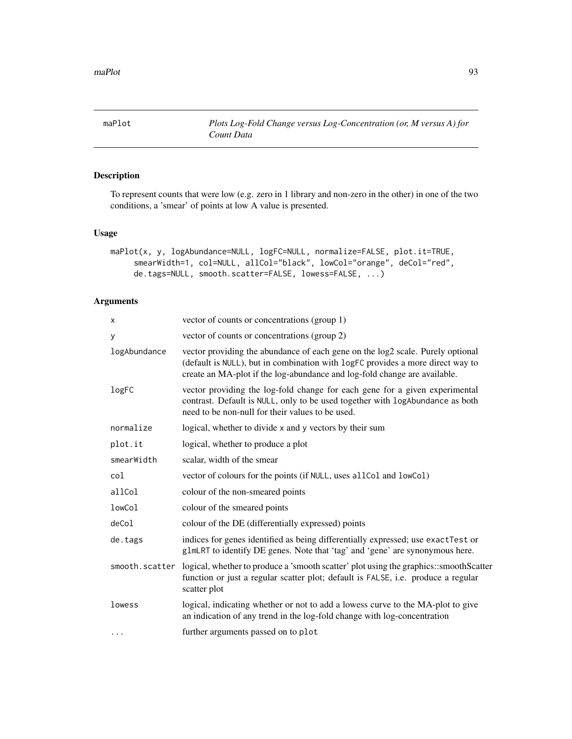<span id="page-92-0"></span>maPlot *Plots Log-Fold Change versus Log-Concentration (or, M versus A) for Count Data*

# Description

To represent counts that were low (e.g. zero in 1 library and non-zero in the other) in one of the two conditions, a 'smear' of points at low A value is presented.

## Usage

```
maPlot(x, y, logAbundance=NULL, logFC=NULL, normalize=FALSE, plot.it=TRUE,
     smearWidth=1, col=NULL, allCol="black", lowCol="orange", deCol="red",
     de.tags=NULL, smooth.scatter=FALSE, lowess=FALSE, ...)
```
# Arguments

| x              | vector of counts or concentrations (group 1)                                                                                                                                                                                                  |
|----------------|-----------------------------------------------------------------------------------------------------------------------------------------------------------------------------------------------------------------------------------------------|
| у              | vector of counts or concentrations (group 2)                                                                                                                                                                                                  |
| logAbundance   | vector providing the abundance of each gene on the log2 scale. Purely optional<br>(default is NULL), but in combination with logFC provides a more direct way to<br>create an MA-plot if the log-abundance and log-fold change are available. |
| logFC          | vector providing the log-fold change for each gene for a given experimental<br>contrast. Default is NULL, only to be used together with logAbundance as both<br>need to be non-null for their values to be used.                              |
| normalize      | logical, whether to divide x and y vectors by their sum                                                                                                                                                                                       |
| plot.it        | logical, whether to produce a plot                                                                                                                                                                                                            |
| smearWidth     | scalar, width of the smear                                                                                                                                                                                                                    |
| col            | vector of colours for the points (if NULL, uses allCol and lowCol)                                                                                                                                                                            |
| allCol         | colour of the non-smeared points                                                                                                                                                                                                              |
| lowCol         | colour of the smeared points                                                                                                                                                                                                                  |
| deCol          | colour of the DE (differentially expressed) points                                                                                                                                                                                            |
| de.tags        | indices for genes identified as being differentially expressed; use exactTest or<br>g1mLRT to identify DE genes. Note that 'tag' and 'gene' are synonymous here.                                                                              |
| smooth.scatter | logical, whether to produce a 'smooth scatter' plot using the graphics::smoothScatter<br>function or just a regular scatter plot; default is FALSE, i.e. produce a regular<br>scatter plot                                                    |
| lowess         | logical, indicating whether or not to add a lowess curve to the MA-plot to give<br>an indication of any trend in the log-fold change with log-concentration                                                                                   |
| .              | further arguments passed on to plot                                                                                                                                                                                                           |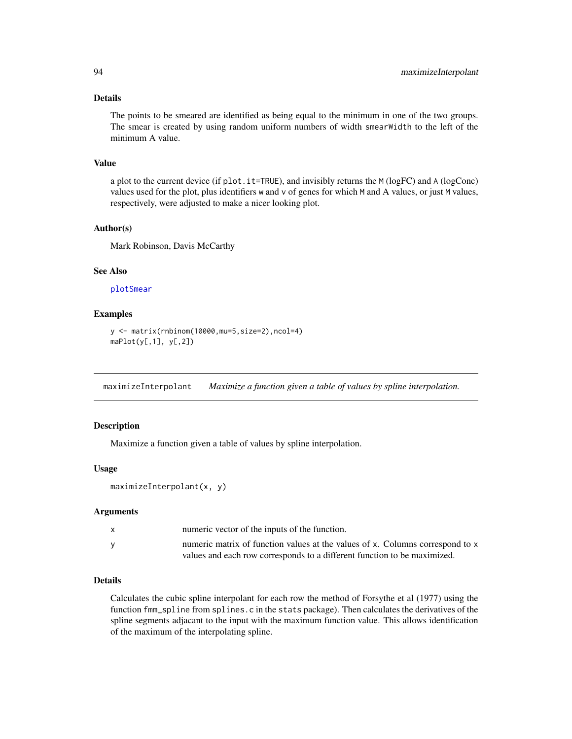## Details

The points to be smeared are identified as being equal to the minimum in one of the two groups. The smear is created by using random uniform numbers of width smearWidth to the left of the minimum A value.

# Value

a plot to the current device (if plot.it=TRUE), and invisibly returns the M (logFC) and A (logConc) values used for the plot, plus identifiers w and v of genes for which M and A values, or just M values, respectively, were adjusted to make a nicer looking plot.

### Author(s)

Mark Robinson, Davis McCarthy

# See Also

[plotSmear](#page-118-0)

## Examples

```
y <- matrix(rnbinom(10000,mu=5,size=2),ncol=4)
maplet(y[,1], y[,2])
```
<span id="page-93-0"></span>maximizeInterpolant *Maximize a function given a table of values by spline interpolation.*

### **Description**

Maximize a function given a table of values by spline interpolation.

## Usage

```
maximizeInterpolant(x, y)
```
### Arguments

| x | numeric vector of the inputs of the function.                                 |
|---|-------------------------------------------------------------------------------|
|   | numeric matrix of function values at the values of x. Columns correspond to x |
|   | values and each row corresponds to a different function to be maximized.      |

## Details

Calculates the cubic spline interpolant for each row the method of Forsythe et al (1977) using the function fmm\_spline from splines.c in the stats package). Then calculates the derivatives of the spline segments adjacant to the input with the maximum function value. This allows identification of the maximum of the interpolating spline.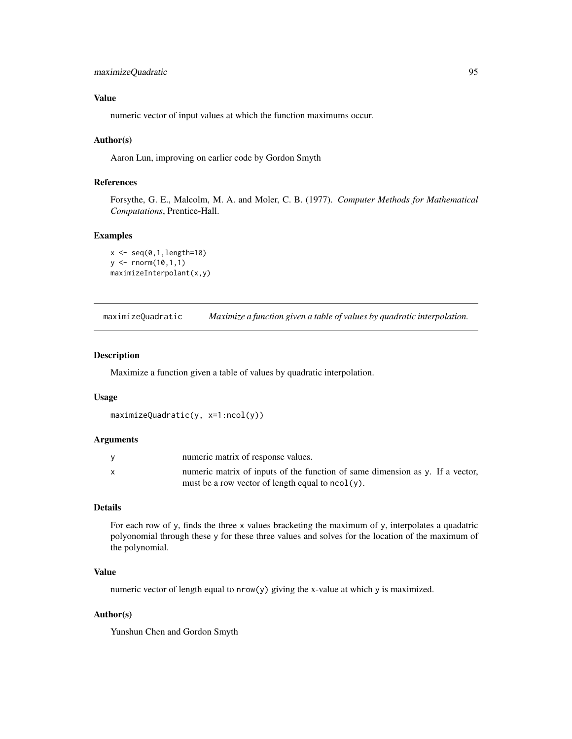```
maximizeQuadratic 95
```
## Value

numeric vector of input values at which the function maximums occur.

## Author(s)

Aaron Lun, improving on earlier code by Gordon Smyth

## References

Forsythe, G. E., Malcolm, M. A. and Moler, C. B. (1977). *Computer Methods for Mathematical Computations*, Prentice-Hall.

# Examples

```
x < - seq(0,1,length=10)
y \le - rnorm(10,1,1)
maximizeInterpolant(x,y)
```
maximizeQuadratic *Maximize a function given a table of values by quadratic interpolation.*

## Description

Maximize a function given a table of values by quadratic interpolation.

## Usage

```
maximizeQuadratic(y, x=1:ncol(y))
```
### Arguments

| numeric matrix of response values.                                            |
|-------------------------------------------------------------------------------|
| numeric matrix of inputs of the function of same dimension as y. If a vector, |
| must be a row vector of length equal to $ncol(y)$ .                           |

# Details

For each row of y, finds the three x values bracketing the maximum of y, interpolates a quadatric polyonomial through these y for these three values and solves for the location of the maximum of the polynomial.

# Value

numeric vector of length equal to  $nrow(y)$  giving the x-value at which y is maximized.

## Author(s)

Yunshun Chen and Gordon Smyth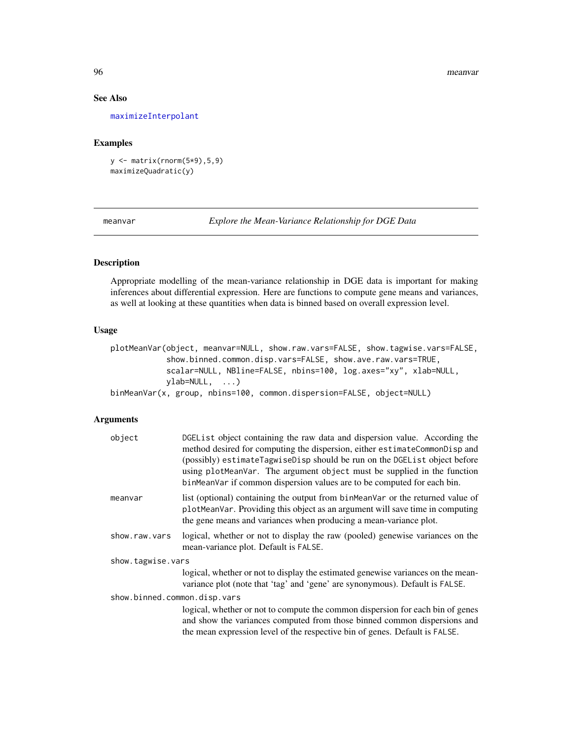96 meanvar and the set of the set of the set of the set of the set of the set of the set of the set of the set of the set of the set of the set of the set of the set of the set of the set of the set of the set of the set o

## See Also

[maximizeInterpolant](#page-93-0)

# Examples

y <- matrix(rnorm(5\*9),5,9) maximizeQuadratic(y)

meanvar *Explore the Mean-Variance Relationship for DGE Data*

# Description

Appropriate modelling of the mean-variance relationship in DGE data is important for making inferences about differential expression. Here are functions to compute gene means and variances, as well at looking at these quantities when data is binned based on overall expression level.

### Usage

```
plotMeanVar(object, meanvar=NULL, show.raw.vars=FALSE, show.tagwise.vars=FALSE,
           show.binned.common.disp.vars=FALSE, show.ave.raw.vars=TRUE,
           scalar=NULL, NBline=FALSE, nbins=100, log.axes="xy", xlab=NULL,
           ylab=NULL, ...)
binMeanVar(x, group, nbins=100, common.dispersion=FALSE, object=NULL)
```
## Arguments

| DGEList object containing the raw data and dispersion value. According the<br>method desired for computing the dispersion, either estimateCommonDisp and<br>(possibly) estimateTagwiseDisp should be run on the DGEList object before<br>using plotMeanVar. The argument object must be supplied in the function<br>binMeanVar if common dispersion values are to be computed for each bin. |  |  |
|---------------------------------------------------------------------------------------------------------------------------------------------------------------------------------------------------------------------------------------------------------------------------------------------------------------------------------------------------------------------------------------------|--|--|
| list (optional) containing the output from binMeanVar or the returned value of<br>plotMeanVar. Providing this object as an argument will save time in computing<br>the gene means and variances when producing a mean-variance plot.                                                                                                                                                        |  |  |
| logical, whether or not to display the raw (pooled) genewise variances on the<br>mean-variance plot. Default is FALSE.                                                                                                                                                                                                                                                                      |  |  |
| show.tagwise.vars                                                                                                                                                                                                                                                                                                                                                                           |  |  |
| logical, whether or not to display the estimated genewise variances on the mean-<br>variance plot (note that 'tag' and 'gene' are synonymous). Default is FALSE.                                                                                                                                                                                                                            |  |  |
| show.binned.common.disp.vars                                                                                                                                                                                                                                                                                                                                                                |  |  |
| logical, whether or not to compute the common dispersion for each bin of genes<br>and show the variances computed from those binned common dispersions and<br>the mean expression level of the respective bin of genes. Default is FALSE.                                                                                                                                                   |  |  |
|                                                                                                                                                                                                                                                                                                                                                                                             |  |  |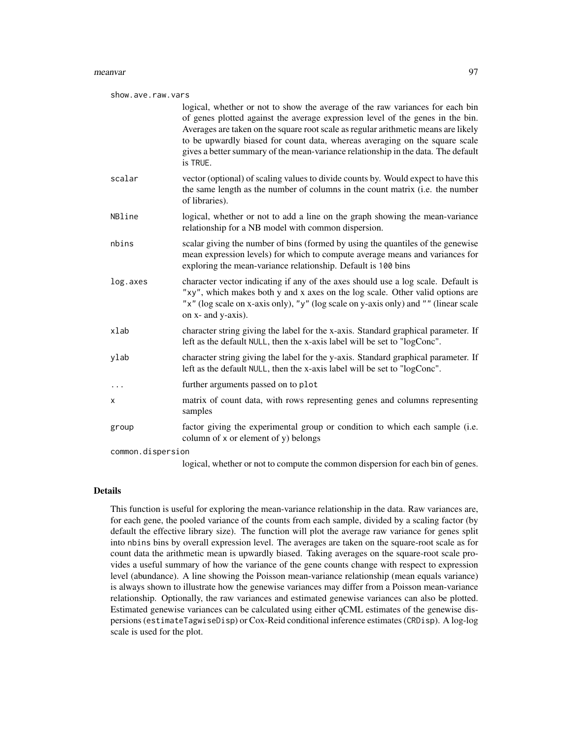### meanvar 97

| show.ave.raw.vars |                                                                                                                                                                                                                                                                                                                                                                                                                                       |  |
|-------------------|---------------------------------------------------------------------------------------------------------------------------------------------------------------------------------------------------------------------------------------------------------------------------------------------------------------------------------------------------------------------------------------------------------------------------------------|--|
|                   | logical, whether or not to show the average of the raw variances for each bin<br>of genes plotted against the average expression level of the genes in the bin.<br>Averages are taken on the square root scale as regular arithmetic means are likely<br>to be upwardly biased for count data, whereas averaging on the square scale<br>gives a better summary of the mean-variance relationship in the data. The default<br>is TRUE. |  |
| scalar            | vector (optional) of scaling values to divide counts by. Would expect to have this<br>the same length as the number of columns in the count matrix (i.e. the number<br>of libraries).                                                                                                                                                                                                                                                 |  |
| NBline            | logical, whether or not to add a line on the graph showing the mean-variance<br>relationship for a NB model with common dispersion.                                                                                                                                                                                                                                                                                                   |  |
| nbins             | scalar giving the number of bins (formed by using the quantiles of the genewise<br>mean expression levels) for which to compute average means and variances for<br>exploring the mean-variance relationship. Default is 100 bins                                                                                                                                                                                                      |  |
| log.axes          | character vector indicating if any of the axes should use a log scale. Default is<br>"xy", which makes both y and x axes on the log scale. Other valid options are<br>"x" (log scale on x-axis only), "y" (log scale on y-axis only) and "" (linear scale<br>on x- and y-axis).                                                                                                                                                       |  |
| xlab              | character string giving the label for the x-axis. Standard graphical parameter. If<br>left as the default NULL, then the x-axis label will be set to "logConc".                                                                                                                                                                                                                                                                       |  |
| ylab              | character string giving the label for the y-axis. Standard graphical parameter. If<br>left as the default NULL, then the x-axis label will be set to "logConc".                                                                                                                                                                                                                                                                       |  |
| .                 | further arguments passed on to plot                                                                                                                                                                                                                                                                                                                                                                                                   |  |
| x                 | matrix of count data, with rows representing genes and columns representing<br>samples                                                                                                                                                                                                                                                                                                                                                |  |
| group             | factor giving the experimental group or condition to which each sample (i.e.<br>column of x or element of y) belongs                                                                                                                                                                                                                                                                                                                  |  |
| common.dispersion |                                                                                                                                                                                                                                                                                                                                                                                                                                       |  |
|                   | logical, whether or not to compute the common dispersion for each bin of genes.                                                                                                                                                                                                                                                                                                                                                       |  |

## Details

This function is useful for exploring the mean-variance relationship in the data. Raw variances are, for each gene, the pooled variance of the counts from each sample, divided by a scaling factor (by default the effective library size). The function will plot the average raw variance for genes split into nbins bins by overall expression level. The averages are taken on the square-root scale as for count data the arithmetic mean is upwardly biased. Taking averages on the square-root scale provides a useful summary of how the variance of the gene counts change with respect to expression level (abundance). A line showing the Poisson mean-variance relationship (mean equals variance) is always shown to illustrate how the genewise variances may differ from a Poisson mean-variance relationship. Optionally, the raw variances and estimated genewise variances can also be plotted. Estimated genewise variances can be calculated using either qCML estimates of the genewise dispersions (estimateTagwiseDisp) or Cox-Reid conditional inference estimates (CRDisp). A log-log scale is used for the plot.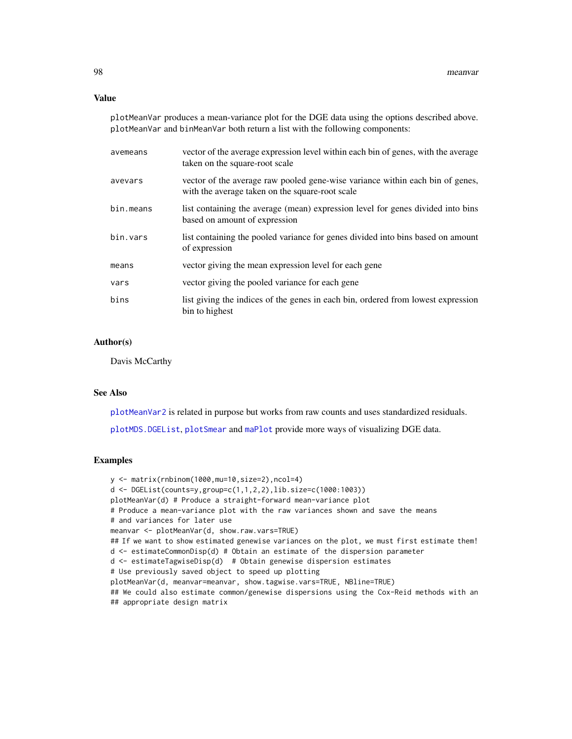## Value

plotMeanVar produces a mean-variance plot for the DGE data using the options described above. plotMeanVar and binMeanVar both return a list with the following components:

| avemeans  | vector of the average expression level within each bin of genes, with the average<br>taken on the square-root scale              |
|-----------|----------------------------------------------------------------------------------------------------------------------------------|
| avevars   | vector of the average raw pooled gene-wise variance within each bin of genes,<br>with the average taken on the square-root scale |
| bin.means | list containing the average (mean) expression level for genes divided into bins<br>based on amount of expression                 |
| bin.vars  | list containing the pooled variance for genes divided into bins based on amount<br>of expression                                 |
| means     | vector giving the mean expression level for each gene                                                                            |
| vars      | vector giving the pooled variance for each gene                                                                                  |
| bins      | list giving the indices of the genes in each bin, ordered from lowest expression<br>bin to highest                               |

## Author(s)

Davis McCarthy

# See Also

[plotMeanVar2](#page-115-0) is related in purpose but works from raw counts and uses standardized residuals.

[plotMDS.DGEList](#page-113-0), [plotSmear](#page-118-0) and [maPlot](#page-92-0) provide more ways of visualizing DGE data.

```
y <- matrix(rnbinom(1000,mu=10,size=2),ncol=4)
d <- DGEList(counts=y,group=c(1,1,2,2),lib.size=c(1000:1003))
plotMeanVar(d) # Produce a straight-forward mean-variance plot
# Produce a mean-variance plot with the raw variances shown and save the means
# and variances for later use
meanvar <- plotMeanVar(d, show.raw.vars=TRUE)
## If we want to show estimated genewise variances on the plot, we must first estimate them!
d <- estimateCommonDisp(d) # Obtain an estimate of the dispersion parameter
d <- estimateTagwiseDisp(d) # Obtain genewise dispersion estimates
# Use previously saved object to speed up plotting
plotMeanVar(d, meanvar=meanvar, show.tagwise.vars=TRUE, NBline=TRUE)
## We could also estimate common/genewise dispersions using the Cox-Reid methods with an
## appropriate design matrix
```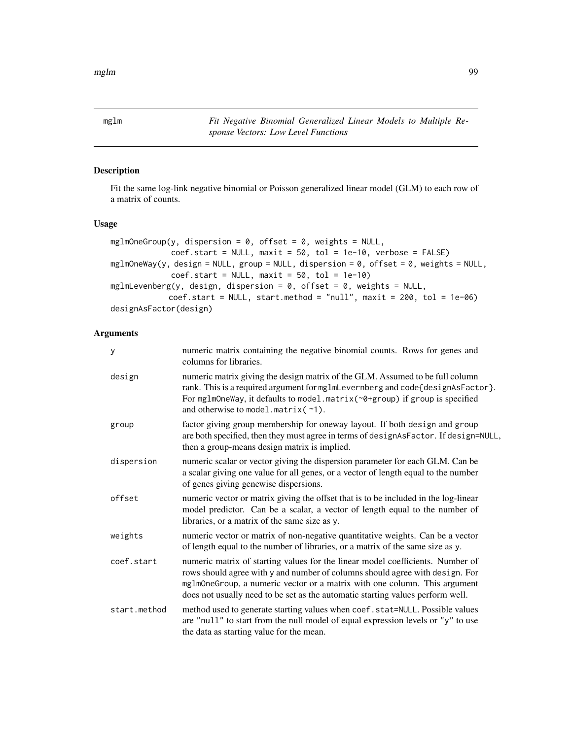mglm *Fit Negative Binomial Generalized Linear Models to Multiple Response Vectors: Low Level Functions*

# <span id="page-98-0"></span>Description

Fit the same log-link negative binomial or Poisson generalized linear model (GLM) to each row of a matrix of counts.

### Usage

```
mglmOneGroup(y, dispersion = 0, offset = 0, weights = NULL,
             coef.start = NULL, maxit = 50, tol = 1e-10, verbose = FALSE)
mglmOneWay(y, design = NULL, group = NULL, dispersion = 0, offset = 0, weights = NULL,
             coef.start = NULL, maxit = 50, tol = 1e-10)mglmLevenberg(y, design, dispersion = 0, offset = 0, weights = NULL,
            coef.start = NULL, start.method = "null", maxit = 200, tol = 1e-06)designAsFactor(design)
```
# Arguments

| y            | numeric matrix containing the negative binomial counts. Rows for genes and<br>columns for libraries.                                                                                                                                                                                                                          |
|--------------|-------------------------------------------------------------------------------------------------------------------------------------------------------------------------------------------------------------------------------------------------------------------------------------------------------------------------------|
| design       | numeric matrix giving the design matrix of the GLM. Assumed to be full column<br>rank. This is a required argument for mglmLevernberg and code{designAsFactor}.<br>For mglmOneWay, it defaults to model.matrix(~0+group) if group is specified<br>and otherwise to model.matrix(~1).                                          |
| group        | factor giving group membership for oneway layout. If both design and group<br>are both specified, then they must agree in terms of designAsFactor. If design=NULL,<br>then a group-means design matrix is implied.                                                                                                            |
| dispersion   | numeric scalar or vector giving the dispersion parameter for each GLM. Can be<br>a scalar giving one value for all genes, or a vector of length equal to the number<br>of genes giving genewise dispersions.                                                                                                                  |
| offset       | numeric vector or matrix giving the offset that is to be included in the log-linear<br>model predictor. Can be a scalar, a vector of length equal to the number of<br>libraries, or a matrix of the same size as y.                                                                                                           |
| weights      | numeric vector or matrix of non-negative quantitative weights. Can be a vector<br>of length equal to the number of libraries, or a matrix of the same size as y.                                                                                                                                                              |
| coef.start   | numeric matrix of starting values for the linear model coefficients. Number of<br>rows should agree with y and number of columns should agree with design. For<br>mg1m0neGroup, a numeric vector or a matrix with one column. This argument<br>does not usually need to be set as the automatic starting values perform well. |
| start.method | method used to generate starting values when coef.stat=NULL. Possible values<br>are "null" to start from the null model of equal expression levels or " $y$ " to use<br>the data as starting value for the mean.                                                                                                              |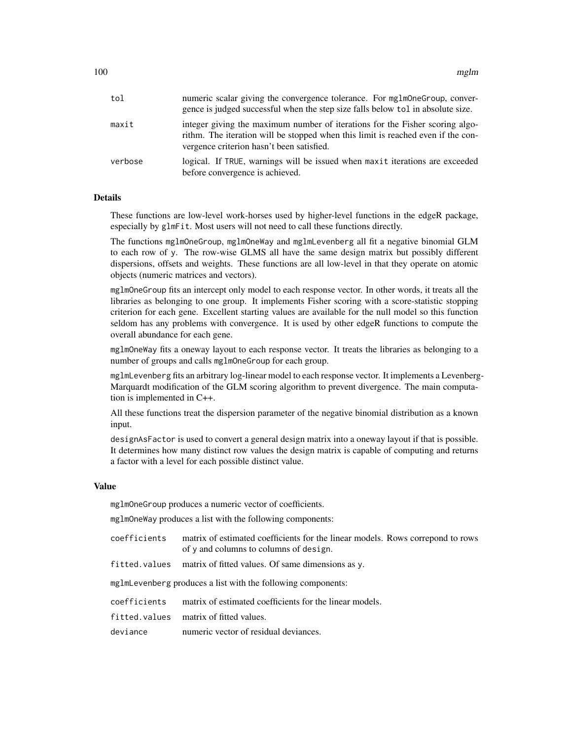| tol     | numeric scalar giving the convergence tolerance. For mg1m0neGroup, conver-<br>gence is judged successful when the step size falls below tol in absolute size.                                                 |
|---------|---------------------------------------------------------------------------------------------------------------------------------------------------------------------------------------------------------------|
| maxit   | integer giving the maximum number of iterations for the Fisher scoring algo-<br>rithm. The iteration will be stopped when this limit is reached even if the con-<br>vergence criterion hasn't been satisfied. |
| verbose | logical. If TRUE, warnings will be issued when maxit iterations are exceeded<br>before convergence is achieved.                                                                                               |

### Details

These functions are low-level work-horses used by higher-level functions in the edgeR package, especially by glmFit. Most users will not need to call these functions directly.

The functions mglmOneGroup, mglmOneWay and mglmLevenberg all fit a negative binomial GLM to each row of y. The row-wise GLMS all have the same design matrix but possibly different dispersions, offsets and weights. These functions are all low-level in that they operate on atomic objects (numeric matrices and vectors).

mglmOneGroup fits an intercept only model to each response vector. In other words, it treats all the libraries as belonging to one group. It implements Fisher scoring with a score-statistic stopping criterion for each gene. Excellent starting values are available for the null model so this function seldom has any problems with convergence. It is used by other edgeR functions to compute the overall abundance for each gene.

mglmOneWay fits a oneway layout to each response vector. It treats the libraries as belonging to a number of groups and calls mglmOneGroup for each group.

mglmLevenberg fits an arbitrary log-linear model to each response vector. It implements a Levenberg-Marquardt modification of the GLM scoring algorithm to prevent divergence. The main computation is implemented in C++.

All these functions treat the dispersion parameter of the negative binomial distribution as a known input.

designAsFactor is used to convert a general design matrix into a oneway layout if that is possible. It determines how many distinct row values the design matrix is capable of computing and returns a factor with a level for each possible distinct value.

### Value

mglmOneGroup produces a numeric vector of coefficients.

mglmOneWay produces a list with the following components:

| coefficients | matrix of estimated coefficients for the linear models. Rows correpond to rows |
|--------------|--------------------------------------------------------------------------------|
|              | of y and columns to columns of design.                                         |

fitted.values matrix of fitted values. Of same dimensions as y.

mglmLevenberg produces a list with the following components:

coefficients matrix of estimated coefficients for the linear models.

fitted.values matrix of fitted values.

deviance numeric vector of residual deviances.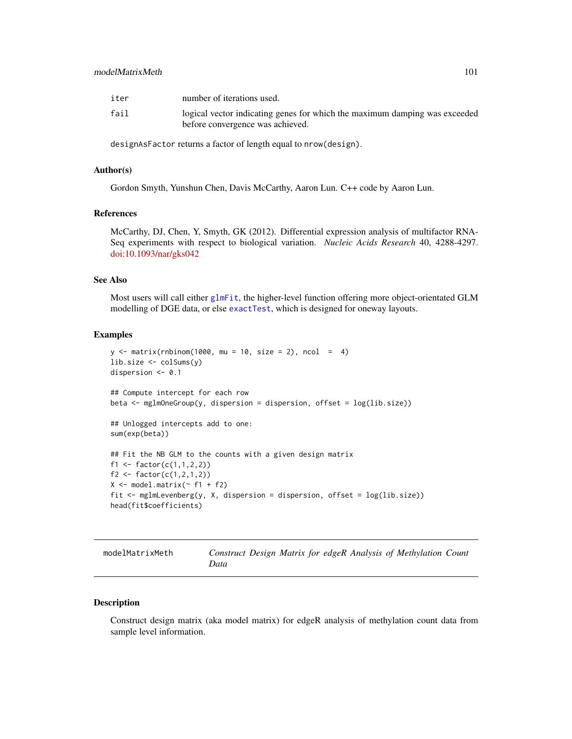# modelMatrixMeth 101

| iter | number of iterations used.                                                                                     |
|------|----------------------------------------------------------------------------------------------------------------|
| fail | logical vector indicating genes for which the maximum damping was exceeded<br>before convergence was achieved. |

designAsFactor returns a factor of length equal to nrow(design).

### Author(s)

Gordon Smyth, Yunshun Chen, Davis McCarthy, Aaron Lun. C++ code by Aaron Lun.

## References

McCarthy, DJ, Chen, Y, Smyth, GK (2012). Differential expression analysis of multifactor RNA-Seq experiments with respect to biological variation. *Nucleic Acids Research* 40, 4288-4297. [doi:10.1093/nar/gks042](https://doi.org/10.1093/nar/gks042)

### See Also

Most users will call either [glmFit](#page-72-0), the higher-level function offering more object-orientated GLM modelling of DGE data, or else [exactTest](#page-63-0), which is designed for oneway layouts.

### Examples

```
y \le - matrix(rnbinom(1000, mu = 10, size = 2), ncol = 4)
lib.size <- colSums(y)
dispersion <- 0.1
## Compute intercept for each row
beta <- mglmOneGroup(y, dispersion = dispersion, offset = log(lib.size))
## Unlogged intercepts add to one:
sum(exp(beta))
## Fit the NB GLM to the counts with a given design matrix
f1 <- factor(c(1,1,2,2))f2 <- factor(c(1, 2, 1, 2))X \leftarrow \text{model_matrix}(\sim f1 + f2)fit <- mglmLevenberg(y, X, dispersion = dispersion, offset = log(lib.size))
head(fit$coefficients)
```

| modelMatrixMeth |      |  |  |  | Construct Design Matrix for edgeR Analysis of Methylation Count |  |
|-----------------|------|--|--|--|-----------------------------------------------------------------|--|
|                 | Data |  |  |  |                                                                 |  |

## Description

Construct design matrix (aka model matrix) for edgeR analysis of methylation count data from sample level information.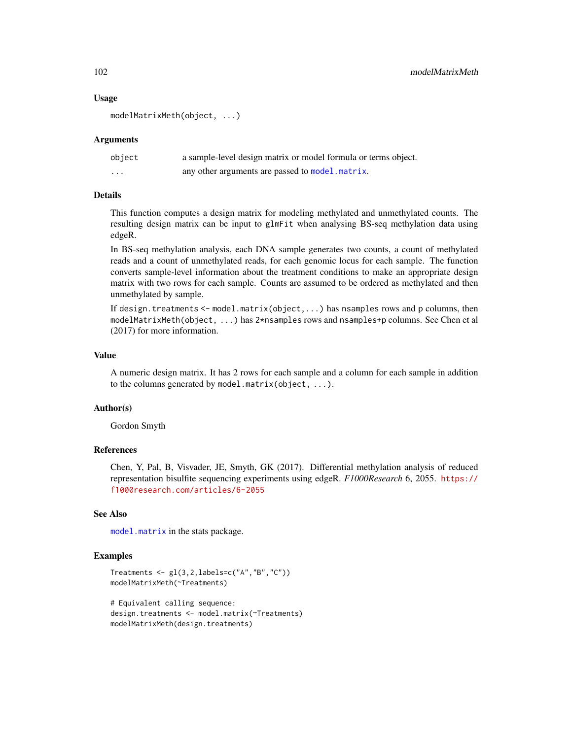## Usage

modelMatrixMeth(object, ...)

## Arguments

| object   | a sample-level design matrix or model formula or terms object. |
|----------|----------------------------------------------------------------|
| $\cdots$ | any other arguments are passed to model. matrix.               |

# Details

This function computes a design matrix for modeling methylated and unmethylated counts. The resulting design matrix can be input to glmFit when analysing BS-seq methylation data using edgeR.

In BS-seq methylation analysis, each DNA sample generates two counts, a count of methylated reads and a count of unmethylated reads, for each genomic locus for each sample. The function converts sample-level information about the treatment conditions to make an appropriate design matrix with two rows for each sample. Counts are assumed to be ordered as methylated and then unmethylated by sample.

If design.treatments  $\leq$  model.matrix(object,...) has nsamples rows and p columns, then modelMatrixMeth(object, ...) has 2\*nsamples rows and nsamples+p columns. See Chen et al (2017) for more information.

# Value

A numeric design matrix. It has 2 rows for each sample and a column for each sample in addition to the columns generated by model.matrix(object, ...).

### Author(s)

Gordon Smyth

## References

Chen, Y, Pal, B, Visvader, JE, Smyth, GK (2017). Differential methylation analysis of reduced representation bisulfite sequencing experiments using edgeR. *F1000Research* 6, 2055. [https://](https://f1000research.com/articles/6-2055) [f1000research.com/articles/6-2055](https://f1000research.com/articles/6-2055)

# See Also

[model.matrix](#page-0-0) in the stats package.

```
Treatments \leq gl(3,2, labels=c("A", "B", "C"))
modelMatrixMeth(~Treatments)
```

```
# Equivalent calling sequence:
design.treatments <- model.matrix(~Treatments)
modelMatrixMeth(design.treatments)
```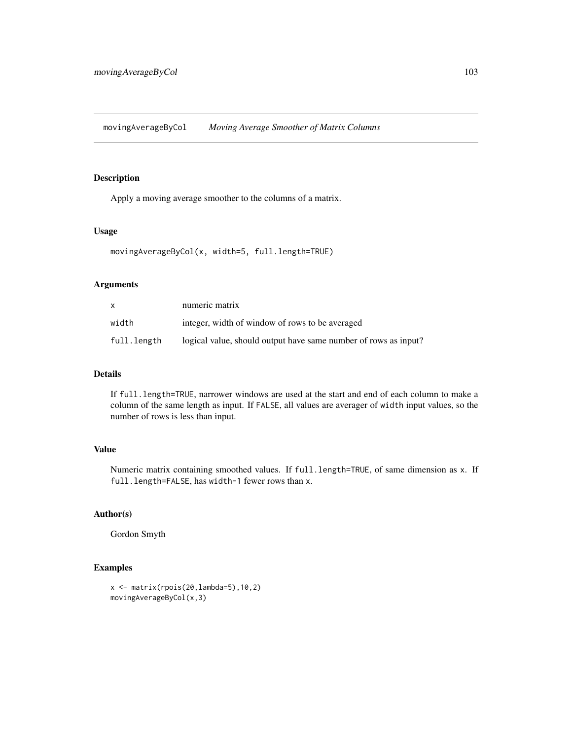movingAverageByCol *Moving Average Smoother of Matrix Columns*

# Description

Apply a moving average smoother to the columns of a matrix.

### Usage

```
movingAverageByCol(x, width=5, full.length=TRUE)
```
# Arguments

| X           | numeric matrix                                                  |
|-------------|-----------------------------------------------------------------|
| width       | integer, width of window of rows to be averaged                 |
| full.length | logical value, should output have same number of rows as input? |

# Details

If full.length=TRUE, narrower windows are used at the start and end of each column to make a column of the same length as input. If FALSE, all values are averager of width input values, so the number of rows is less than input.

# Value

Numeric matrix containing smoothed values. If full.length=TRUE, of same dimension as x. If full.length=FALSE, has width-1 fewer rows than x.

# Author(s)

Gordon Smyth

```
x <- matrix(rpois(20,lambda=5),10,2)
movingAverageByCol(x,3)
```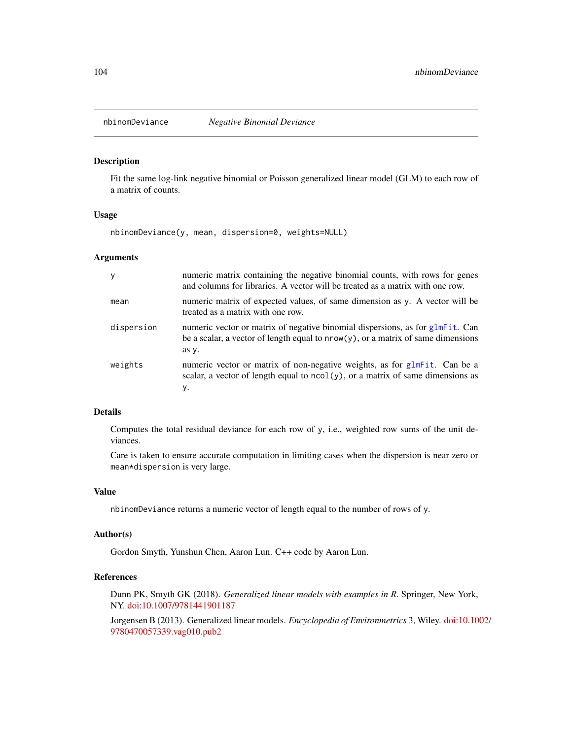### Description

Fit the same log-link negative binomial or Poisson generalized linear model (GLM) to each row of a matrix of counts.

# Usage

nbinomDeviance(y, mean, dispersion=0, weights=NULL)

### Arguments

| y          | numeric matrix containing the negative binomial counts, with rows for genes<br>and columns for libraries. A vector will be treated as a matrix with one row.                  |
|------------|-------------------------------------------------------------------------------------------------------------------------------------------------------------------------------|
| mean       | numeric matrix of expected values, of same dimension as y. A vector will be<br>treated as a matrix with one row.                                                              |
| dispersion | numeric vector or matrix of negative binomial dispersions, as for glmFit. Can<br>be a scalar, a vector of length equal to $nrow(y)$ , or a matrix of same dimensions<br>as y. |
| weights    | numeric vector or matrix of non-negative weights, as for glmFit. Can be a<br>scalar, a vector of length equal to $ncol(y)$ , or a matrix of same dimensions as<br>у.          |

# Details

Computes the total residual deviance for each row of y, i.e., weighted row sums of the unit deviances.

Care is taken to ensure accurate computation in limiting cases when the dispersion is near zero or mean\*dispersion is very large.

# Value

nbinomDeviance returns a numeric vector of length equal to the number of rows of y.

## Author(s)

Gordon Smyth, Yunshun Chen, Aaron Lun. C++ code by Aaron Lun.

# References

Dunn PK, Smyth GK (2018). *Generalized linear models with examples in R*. Springer, New York, NY. [doi:10.1007/9781441901187](https://doi.org/10.1007/978-1-4419-0118-7)

Jorgensen B (2013). Generalized linear models. *Encyclopedia of Environmetrics* 3, Wiley. [doi:10.10](https://doi.org/10.1002/9780470057339.vag010.pub2)02/ [9780470057339.vag010.pub2](https://doi.org/10.1002/9780470057339.vag010.pub2)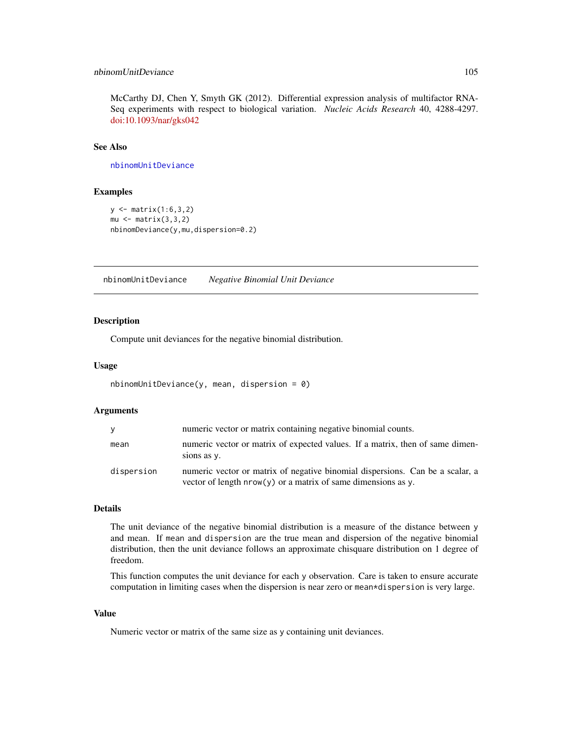# nbinomUnitDeviance 105

McCarthy DJ, Chen Y, Smyth GK (2012). Differential expression analysis of multifactor RNA-Seq experiments with respect to biological variation. *Nucleic Acids Research* 40, 4288-4297. [doi:10.1093/nar/gks042](https://doi.org/10.1093/nar/gks042)

# See Also

[nbinomUnitDeviance](#page-104-0)

### Examples

```
y <- matrix(1:6,3,2)
mu \leftarrow matrix(3,3,2)nbinomDeviance(y,mu,dispersion=0.2)
```
<span id="page-104-0"></span>nbinomUnitDeviance *Negative Binomial Unit Deviance*

# Description

Compute unit deviances for the negative binomial distribution.

### Usage

```
nbinomUnitDeviance(y, mean, dispersion = 0)
```
## Arguments

| <b>V</b>   | numeric vector or matrix containing negative binomial counts.                                                                                    |
|------------|--------------------------------------------------------------------------------------------------------------------------------------------------|
| mean       | numeric vector or matrix of expected values. If a matrix, then of same dimen-<br>sions as y.                                                     |
| dispersion | numeric vector or matrix of negative binomial dispersions. Can be a scalar, a<br>vector of length $nrow(y)$ or a matrix of same dimensions as y. |

## Details

The unit deviance of the negative binomial distribution is a measure of the distance between y and mean. If mean and dispersion are the true mean and dispersion of the negative binomial distribution, then the unit deviance follows an approximate chisquare distribution on 1 degree of freedom.

This function computes the unit deviance for each y observation. Care is taken to ensure accurate computation in limiting cases when the dispersion is near zero or mean\*dispersion is very large.

### Value

Numeric vector or matrix of the same size as y containing unit deviances.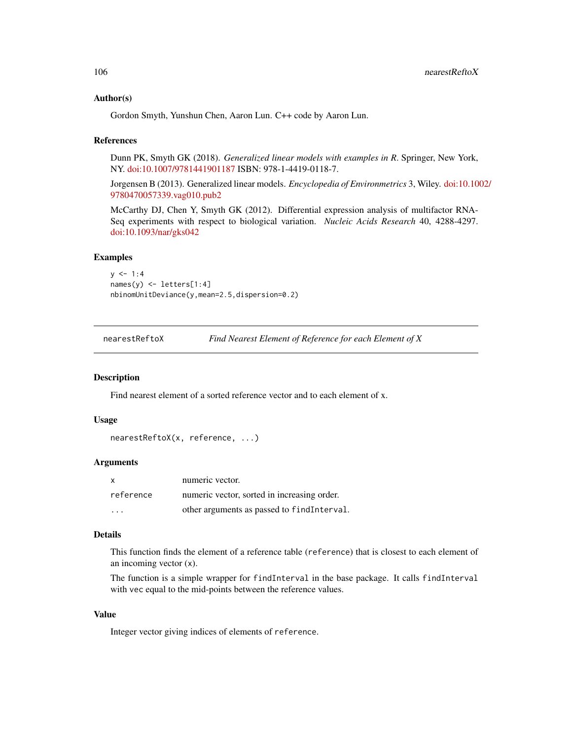## Author(s)

Gordon Smyth, Yunshun Chen, Aaron Lun. C++ code by Aaron Lun.

### References

Dunn PK, Smyth GK (2018). *Generalized linear models with examples in R*. Springer, New York, NY. [doi:10.1007/9781441901187](https://doi.org/10.1007/978-1-4419-0118-7) ISBN: 978-1-4419-0118-7.

Jorgensen B (2013). Generalized linear models. *Encyclopedia of Environmetrics* 3, Wiley. [doi:10.10](https://doi.org/10.1002/9780470057339.vag010.pub2)02/ [9780470057339.vag010.pub2](https://doi.org/10.1002/9780470057339.vag010.pub2)

McCarthy DJ, Chen Y, Smyth GK (2012). Differential expression analysis of multifactor RNA-Seq experiments with respect to biological variation. *Nucleic Acids Research* 40, 4288-4297. [doi:10.1093/nar/gks042](https://doi.org/10.1093/nar/gks042)

### Examples

```
y \le -1:4names(y) <- letters[1:4]
nbinomUnitDeviance(y,mean=2.5,dispersion=0.2)
```
<span id="page-105-0"></span>nearestReftoX *Find Nearest Element of Reference for each Element of X*

## Description

Find nearest element of a sorted reference vector and to each element of x.

### Usage

```
nearestReftoX(x, reference, ...)
```
### Arguments

| <b>X</b>  | numeric vector.                             |
|-----------|---------------------------------------------|
| reference | numeric vector, sorted in increasing order. |
| $\cdot$   | other arguments as passed to findInterval.  |

## Details

This function finds the element of a reference table (reference) that is closest to each element of an incoming vector (x).

The function is a simple wrapper for findInterval in the base package. It calls findInterval with vec equal to the mid-points between the reference values.

## Value

Integer vector giving indices of elements of reference.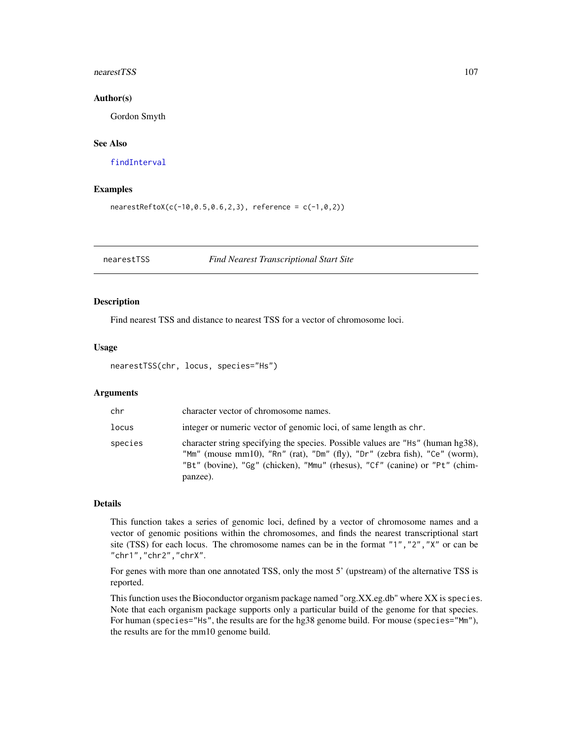### nearestTSS 107

### Author(s)

Gordon Smyth

# See Also

[findInterval](#page-0-0)

# Examples

```
nearestReftoX(c(-10, 0.5, 0.6, 2, 3), reference = c(-1, 0, 2))
```
nearestTSS *Find Nearest Transcriptional Start Site*

### Description

Find nearest TSS and distance to nearest TSS for a vector of chromosome loci.

## Usage

nearestTSS(chr, locus, species="Hs")

## Arguments

| chr     | character vector of chromosome names.                                                                                                                                                                                                                    |
|---------|----------------------------------------------------------------------------------------------------------------------------------------------------------------------------------------------------------------------------------------------------------|
| locus   | integer or numeric vector of genomic loci, of same length as chr.                                                                                                                                                                                        |
| species | character string specifying the species. Possible values are "Hs" (human hg38),<br>"Mm" (mouse mm10), "Rn" (rat), "Dm" (fly), "Dr" (zebra fish), "Ce" (worm),<br>"Bt" (bovine), "Gg" (chicken), "Mmu" (rhesus), "Cf" (canine) or "Pt" (chim-<br>panzee). |

# Details

This function takes a series of genomic loci, defined by a vector of chromosome names and a vector of genomic positions within the chromosomes, and finds the nearest transcriptional start site (TSS) for each locus. The chromosome names can be in the format "1","2","X" or can be "chr1","chr2","chrX".

For genes with more than one annotated TSS, only the most 5' (upstream) of the alternative TSS is reported.

This function uses the Bioconductor organism package named "org.XX.eg.db" where XX is species. Note that each organism package supports only a particular build of the genome for that species. For human (species="Hs", the results are for the hg38 genome build. For mouse (species="Mm"), the results are for the mm10 genome build.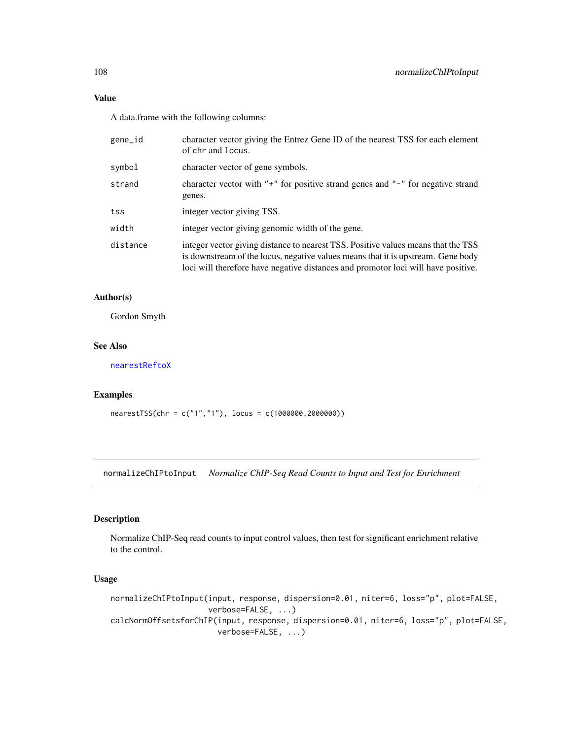## Value

A data.frame with the following columns:

| gene_id  | character vector giving the Entrez Gene ID of the nearest TSS for each element<br>of chr and locus.                                                                                                                                                        |
|----------|------------------------------------------------------------------------------------------------------------------------------------------------------------------------------------------------------------------------------------------------------------|
| symbol   | character vector of gene symbols.                                                                                                                                                                                                                          |
| strand   | character vector with " $+$ " for positive strand genes and " $-$ " for negative strand<br>genes.                                                                                                                                                          |
| tss      | integer vector giving TSS.                                                                                                                                                                                                                                 |
| width    | integer vector giving genomic width of the gene.                                                                                                                                                                                                           |
| distance | integer vector giving distance to nearest TSS. Positive values means that the TSS<br>is downstream of the locus, negative values means that it is upstream. Gene body<br>loci will therefore have negative distances and promotor loci will have positive. |
|          |                                                                                                                                                                                                                                                            |

# Author(s)

Gordon Smyth

## See Also

[nearestReftoX](#page-105-0)

# Examples

```
nearestTSS(chr = c("1","1"), locus = c(1000000,2000000))
```
normalizeChIPtoInput *Normalize ChIP-Seq Read Counts to Input and Test for Enrichment*

# Description

Normalize ChIP-Seq read counts to input control values, then test for significant enrichment relative to the control.

# Usage

```
normalizeChIPtoInput(input, response, dispersion=0.01, niter=6, loss="p", plot=FALSE,
                     verbose=FALSE, ...)
calcNormOffsetsforChIP(input, response, dispersion=0.01, niter=6, loss="p", plot=FALSE,
                       verbose=FALSE, ...)
```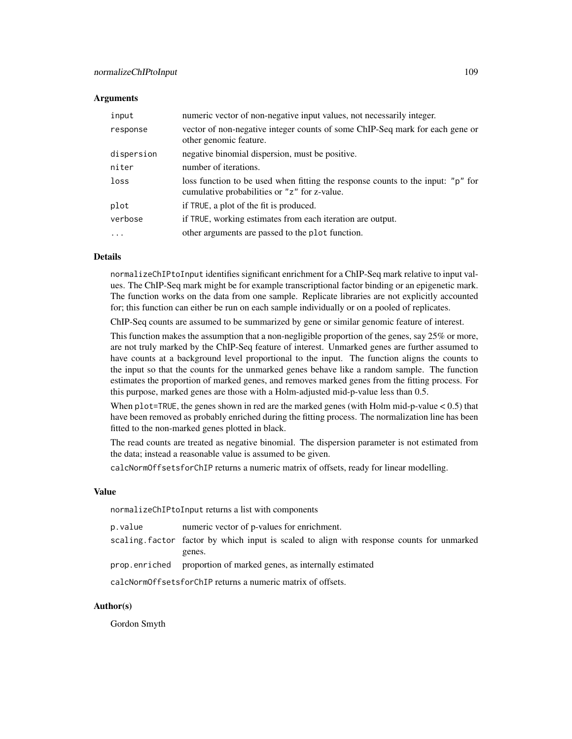### **Arguments**

| input      | numeric vector of non-negative input values, not necessarily integer.                                                           |
|------------|---------------------------------------------------------------------------------------------------------------------------------|
| response   | vector of non-negative integer counts of some ChIP-Seq mark for each gene or<br>other genomic feature.                          |
| dispersion | negative binomial dispersion, must be positive.                                                                                 |
| niter      | number of iterations.                                                                                                           |
| loss       | loss function to be used when fitting the response counts to the input: "p" for<br>cumulative probabilities or "z" for z-value. |
| plot       | if TRUE, a plot of the fit is produced.                                                                                         |
| verbose    | if TRUE, working estimates from each iteration are output.                                                                      |
| $\cdots$   | other arguments are passed to the plot function.                                                                                |

# Details

normalizeChIPtoInput identifies significant enrichment for a ChIP-Seq mark relative to input values. The ChIP-Seq mark might be for example transcriptional factor binding or an epigenetic mark. The function works on the data from one sample. Replicate libraries are not explicitly accounted for; this function can either be run on each sample individually or on a pooled of replicates.

ChIP-Seq counts are assumed to be summarized by gene or similar genomic feature of interest.

This function makes the assumption that a non-negligible proportion of the genes, say 25% or more, are not truly marked by the ChIP-Seq feature of interest. Unmarked genes are further assumed to have counts at a background level proportional to the input. The function aligns the counts to the input so that the counts for the unmarked genes behave like a random sample. The function estimates the proportion of marked genes, and removes marked genes from the fitting process. For this purpose, marked genes are those with a Holm-adjusted mid-p-value less than 0.5.

When  $plot=TRUE$ , the genes shown in red are the marked genes (with Holm mid-p-value  $< 0.5$ ) that have been removed as probably enriched during the fitting process. The normalization line has been fitted to the non-marked genes plotted in black.

The read counts are treated as negative binomial. The dispersion parameter is not estimated from the data; instead a reasonable value is assumed to be given.

calcNormOffsetsforChIP returns a numeric matrix of offsets, ready for linear modelling.

## Value

normalizeChIPtoInput returns a list with components

| p.value                                                     | numeric vector of p-values for enrichment.                                                |
|-------------------------------------------------------------|-------------------------------------------------------------------------------------------|
|                                                             | scaling factor factor by which input is scaled to align with response counts for unmarked |
|                                                             | genes.                                                                                    |
|                                                             | prop.enriched proportion of marked genes, as internally estimated                         |
| calcNormOffsetsforChIP returns a numeric matrix of offsets. |                                                                                           |

## Author(s)

Gordon Smyth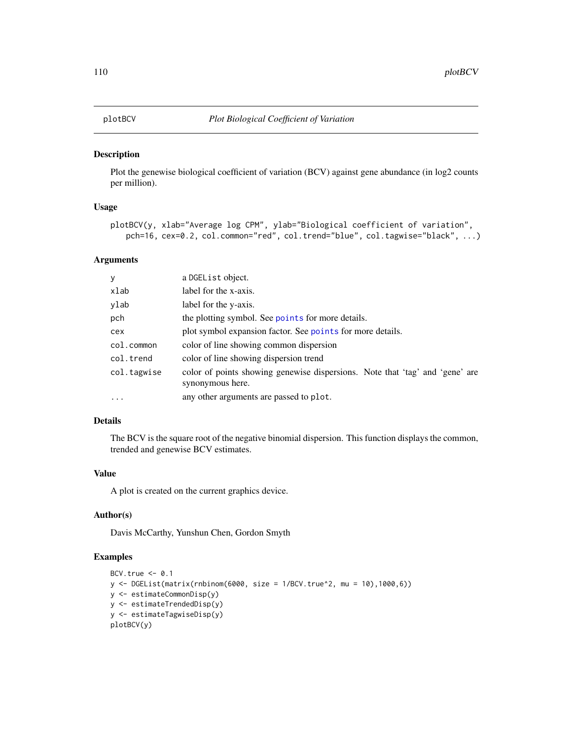<span id="page-109-0"></span>Plot the genewise biological coefficient of variation (BCV) against gene abundance (in log2 counts per million).

## Usage

```
plotBCV(y, xlab="Average log CPM", ylab="Biological coefficient of variation",
   pch=16, cex=0.2, col.common="red", col.trend="blue", col.tagwise="black", ...)
```
## Arguments

| y           | a DGEList object.                                                                                |
|-------------|--------------------------------------------------------------------------------------------------|
| xlab        | label for the x-axis.                                                                            |
| ylab        | label for the y-axis.                                                                            |
| pch         | the plotting symbol. See points for more details.                                                |
| cex         | plot symbol expansion factor. See points for more details.                                       |
| col.common  | color of line showing common dispersion                                                          |
| col.trend   | color of line showing dispersion trend                                                           |
| col.tagwise | color of points showing genewise dispersions. Note that 'tag' and 'gene' are<br>synonymous here. |
| $\cdot$     | any other arguments are passed to plot.                                                          |

# Details

The BCV is the square root of the negative binomial dispersion. This function displays the common, trended and genewise BCV estimates.

# Value

A plot is created on the current graphics device.

# Author(s)

Davis McCarthy, Yunshun Chen, Gordon Smyth

## Examples

```
BCV.true <-0.1y <- DGEList(matrix(rnbinom(6000, size = 1/BCV.true^2, mu = 10),1000,6))
y <- estimateCommonDisp(y)
y <- estimateTrendedDisp(y)
y <- estimateTagwiseDisp(y)
plotBCV(y)
```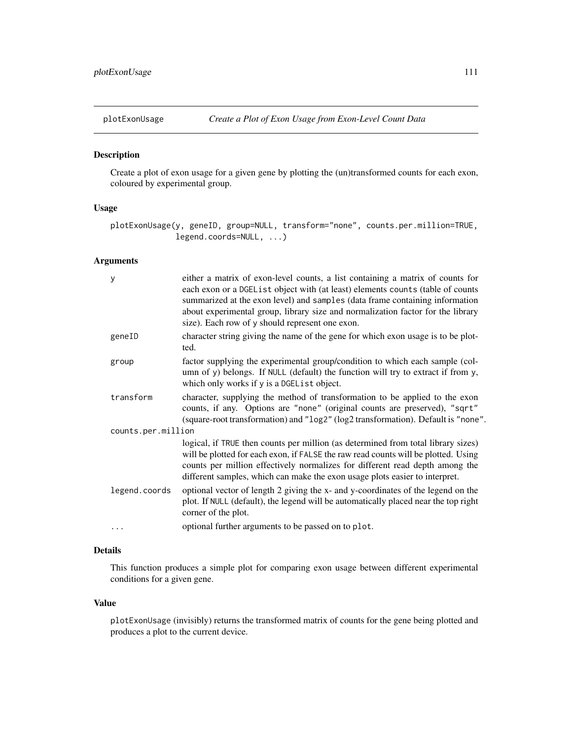Create a plot of exon usage for a given gene by plotting the (un)transformed counts for each exon, coloured by experimental group.

# Usage

```
plotExonUsage(y, geneID, group=NULL, transform="none", counts.per.million=TRUE,
              legend.coords=NULL, ...)
```
# Arguments

| У                  | either a matrix of exon-level counts, a list containing a matrix of counts for<br>each exon or a DGEList object with (at least) elements counts (table of counts<br>summarized at the exon level) and samples (data frame containing information<br>about experimental group, library size and normalization factor for the library<br>size). Each row of y should represent one exon. |
|--------------------|----------------------------------------------------------------------------------------------------------------------------------------------------------------------------------------------------------------------------------------------------------------------------------------------------------------------------------------------------------------------------------------|
| geneID             | character string giving the name of the gene for which exon usage is to be plot-<br>ted.                                                                                                                                                                                                                                                                                               |
| group              | factor supplying the experimental group/condition to which each sample (col-<br>umn of y) belongs. If NULL (default) the function will try to extract if from y,<br>which only works if y is a DGEL ist object.                                                                                                                                                                        |
| transform          | character, supplying the method of transformation to be applied to the exon<br>counts, if any. Options are "none" (original counts are preserved), "sqrt"<br>(square-root transformation) and "log2" (log2 transformation). Default is "none".                                                                                                                                         |
| counts.per.million |                                                                                                                                                                                                                                                                                                                                                                                        |
|                    | logical, if TRUE then counts per million (as determined from total library sizes)<br>will be plotted for each exon, if FALSE the raw read counts will be plotted. Using<br>counts per million effectively normalizes for different read depth among the<br>different samples, which can make the exon usage plots easier to interpret.                                                 |
| legend.coords      | optional vector of length 2 giving the x- and y-coordinates of the legend on the<br>plot. If NULL (default), the legend will be automatically placed near the top right<br>corner of the plot.                                                                                                                                                                                         |
| .                  | optional further arguments to be passed on to plot.                                                                                                                                                                                                                                                                                                                                    |
|                    |                                                                                                                                                                                                                                                                                                                                                                                        |

# Details

This function produces a simple plot for comparing exon usage between different experimental conditions for a given gene.

#### Value

plotExonUsage (invisibly) returns the transformed matrix of counts for the gene being plotted and produces a plot to the current device.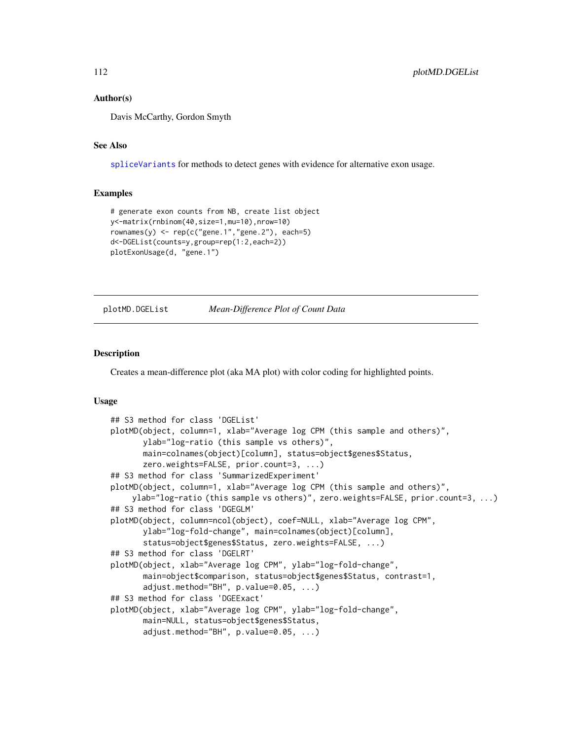## Author(s)

Davis McCarthy, Gordon Smyth

## See Also

[spliceVariants](#page-137-0) for methods to detect genes with evidence for alternative exon usage.

## Examples

```
# generate exon counts from NB, create list object
y<-matrix(rnbinom(40,size=1,mu=10),nrow=10)
rownames(y) <- rep(c("gene.1", "gene.2")), each=5)
d<-DGEList(counts=y,group=rep(1:2,each=2))
plotExonUsage(d, "gene.1")
```

```
plotMD.DGEList Mean-Difference Plot of Count Data
```
# Description

Creates a mean-difference plot (aka MA plot) with color coding for highlighted points.

## Usage

```
## S3 method for class 'DGEList'
plotMD(object, column=1, xlab="Average log CPM (this sample and others)",
       ylab="log-ratio (this sample vs others)",
       main=colnames(object)[column], status=object$genes$Status,
       zero.weights=FALSE, prior.count=3, ...)
## S3 method for class 'SummarizedExperiment'
plotMD(object, column=1, xlab="Average log CPM (this sample and others)",
    ylab="log-ratio (this sample vs others)", zero.weights=FALSE, prior.count=3, ...)
## S3 method for class 'DGEGLM'
plotMD(object, column=ncol(object), coef=NULL, xlab="Average log CPM",
       ylab="log-fold-change", main=colnames(object)[column],
       status=object$genes$Status, zero.weights=FALSE, ...)
## S3 method for class 'DGELRT'
plotMD(object, xlab="Average log CPM", ylab="log-fold-change",
       main=object$comparison, status=object$genes$Status, contrast=1,
       adjust.method="BH", p.value=0.05, ...)
## S3 method for class 'DGEExact'
plotMD(object, xlab="Average log CPM", ylab="log-fold-change",
       main=NULL, status=object$genes$Status,
       adjust.method="BH", p.value=0.05, ...)
```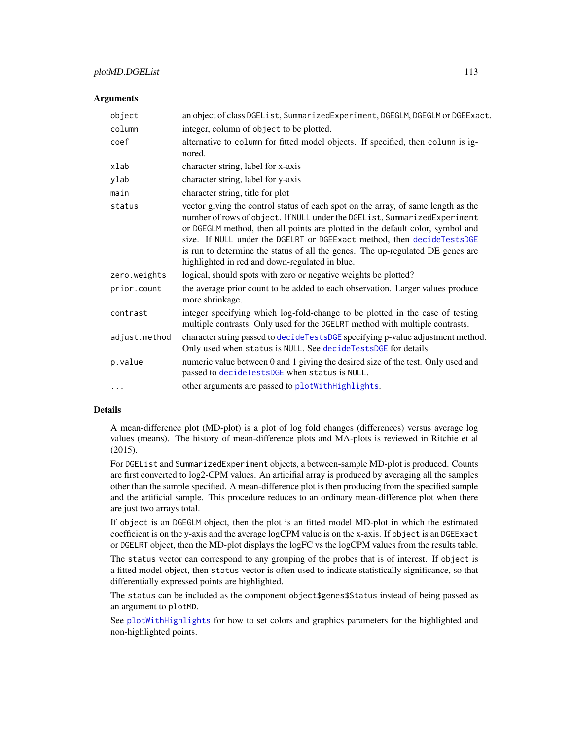# plotMD.DGEList 113

#### **Arguments**

| object        | an object of class DGEList, SummarizedExperiment, DGEGLM, DGEGLM or DGEExact.                                                                                                                                                                                                                                                                                                                                                                                  |
|---------------|----------------------------------------------------------------------------------------------------------------------------------------------------------------------------------------------------------------------------------------------------------------------------------------------------------------------------------------------------------------------------------------------------------------------------------------------------------------|
| column        | integer, column of object to be plotted.                                                                                                                                                                                                                                                                                                                                                                                                                       |
| coef          | alternative to column for fitted model objects. If specified, then column is ig-<br>nored.                                                                                                                                                                                                                                                                                                                                                                     |
| xlab          | character string, label for x-axis                                                                                                                                                                                                                                                                                                                                                                                                                             |
| ylab          | character string, label for y-axis                                                                                                                                                                                                                                                                                                                                                                                                                             |
| main          | character string, title for plot                                                                                                                                                                                                                                                                                                                                                                                                                               |
| status        | vector giving the control status of each spot on the array, of same length as the<br>number of rows of object. If NULL under the DGEList, SummarizedExperiment<br>or DGEGLM method, then all points are plotted in the default color, symbol and<br>size. If NULL under the DGELRT or DGEExact method, then decideTestsDGE<br>is run to determine the status of all the genes. The up-regulated DE genes are<br>highlighted in red and down-regulated in blue. |
| zero.weights  | logical, should spots with zero or negative weights be plotted?                                                                                                                                                                                                                                                                                                                                                                                                |
| prior.count   | the average prior count to be added to each observation. Larger values produce<br>more shrinkage.                                                                                                                                                                                                                                                                                                                                                              |
| contrast      | integer specifying which log-fold-change to be plotted in the case of testing<br>multiple contrasts. Only used for the DGELRT method with multiple contrasts.                                                                                                                                                                                                                                                                                                  |
| adjust.method | character string passed to decideTestsDGE specifying p-value adjustment method.<br>Only used when status is NULL. See decideTestsDGE for details.                                                                                                                                                                                                                                                                                                              |
| p.value       | numeric value between 0 and 1 giving the desired size of the test. Only used and<br>passed to decideTestsDGE when status is NULL.                                                                                                                                                                                                                                                                                                                              |
| $\cdots$      | other arguments are passed to plotWithHighlights.                                                                                                                                                                                                                                                                                                                                                                                                              |
|               |                                                                                                                                                                                                                                                                                                                                                                                                                                                                |

## Details

A mean-difference plot (MD-plot) is a plot of log fold changes (differences) versus average log values (means). The history of mean-difference plots and MA-plots is reviewed in Ritchie et al (2015).

For DGEList and SummarizedExperiment objects, a between-sample MD-plot is produced. Counts are first converted to log2-CPM values. An articifial array is produced by averaging all the samples other than the sample specified. A mean-difference plot is then producing from the specified sample and the artificial sample. This procedure reduces to an ordinary mean-difference plot when there are just two arrays total.

If object is an DGEGLM object, then the plot is an fitted model MD-plot in which the estimated coefficient is on the y-axis and the average logCPM value is on the x-axis. If object is an DGEExact or DGELRT object, then the MD-plot displays the logFC vs the logCPM values from the results table.

The status vector can correspond to any grouping of the probes that is of interest. If object is a fitted model object, then status vector is often used to indicate statistically significance, so that differentially expressed points are highlighted.

The status can be included as the component object\$genes\$Status instead of being passed as an argument to plotMD.

See [plotWithHighlights](#page-0-0) for how to set colors and graphics parameters for the highlighted and non-highlighted points.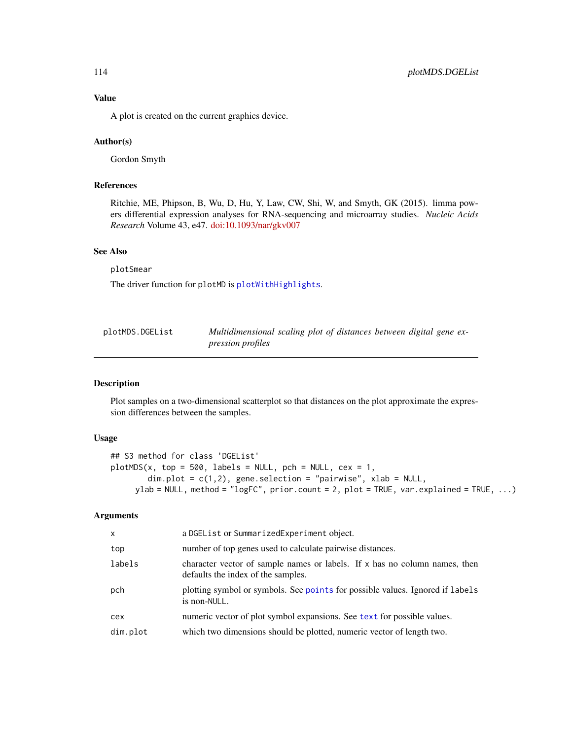A plot is created on the current graphics device.

## Author(s)

Gordon Smyth

# References

Ritchie, ME, Phipson, B, Wu, D, Hu, Y, Law, CW, Shi, W, and Smyth, GK (2015). limma powers differential expression analyses for RNA-sequencing and microarray studies. *Nucleic Acids Research* Volume 43, e47. [doi:10.1093/nar/gkv007](https://doi.org/10.1093/nar/gkv007)

## See Also

plotSmear

The driver function for plotMD is [plotWithHighlights](#page-0-0).

<span id="page-113-0"></span>

| plotMDS.DGEList | Multidimensional scaling plot of distances between digital gene ex- |  |
|-----------------|---------------------------------------------------------------------|--|
|                 | <i>pression profiles</i>                                            |  |

## Description

Plot samples on a two-dimensional scatterplot so that distances on the plot approximate the expression differences between the samples.

## Usage

```
## S3 method for class 'DGEList'
plotMDS(x, top = 500, labels = NULL, pch = NULL, cex = 1,dim.plot = c(1,2), gene.selection = "pairwise", xlab = NULL,
     ylab = NULL, method = "logFC", prior.count = 2, plot = TRUE, var.explained = TRUE, ...)
```
## Arguments

| $\mathsf{x}$ | a DGEList or SummarizedExperiment object.                                                                        |
|--------------|------------------------------------------------------------------------------------------------------------------|
| top          | number of top genes used to calculate pairwise distances.                                                        |
| labels       | character vector of sample names or labels. If x has no column names, then<br>defaults the index of the samples. |
| pch          | plotting symbol or symbols. See points for possible values. Ignored if labels<br>is non-NULL.                    |
| cex          | numeric vector of plot symbol expansions. See text for possible values.                                          |
| dim.plot     | which two dimensions should be plotted, numeric vector of length two.                                            |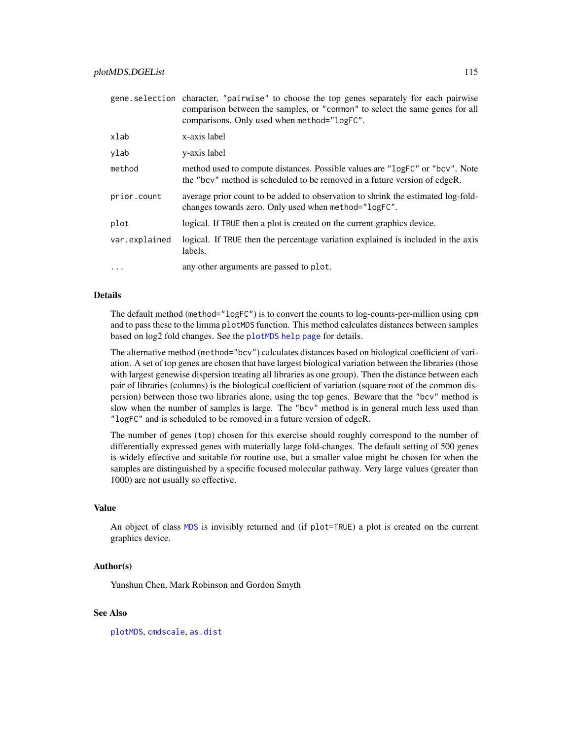|               | gene selection character, "pairwise" to choose the top genes separately for each pairwise<br>comparison between the samples, or "common" to select the same genes for all<br>comparisons. Only used when method="logFC". |
|---------------|--------------------------------------------------------------------------------------------------------------------------------------------------------------------------------------------------------------------------|
| xlab          | x-axis label                                                                                                                                                                                                             |
| ylab          | y-axis label                                                                                                                                                                                                             |
| method        | method used to compute distances. Possible values are "logFC" or "bcv". Note<br>the "bcv" method is scheduled to be removed in a future version of edgeR.                                                                |
| prior.count   | average prior count to be added to observation to shrink the estimated log-fold-<br>changes towards zero. Only used when method="logFC".                                                                                 |
| plot          | logical. If TRUE then a plot is created on the current graphics device.                                                                                                                                                  |
| var.explained | logical. If TRUE then the percentage variation explained is included in the axis<br>labels.                                                                                                                              |
| .             | any other arguments are passed to plot.                                                                                                                                                                                  |

#### Details

The default method (method="logFC") is to convert the counts to log-counts-per-million using cpm and to pass these to the limma plotMDS function. This method calculates distances between samples based on log2 fold changes. See the [plotMDS help page](#page-0-0) for details.

The alternative method (method="bcv") calculates distances based on biological coefficient of variation. A set of top genes are chosen that have largest biological variation between the libraries (those with largest genewise dispersion treating all libraries as one group). Then the distance between each pair of libraries (columns) is the biological coefficient of variation (square root of the common dispersion) between those two libraries alone, using the top genes. Beware that the "bcv" method is slow when the number of samples is large. The "bcv" method is in general much less used than "logFC" and is scheduled to be removed in a future version of edgeR.

The number of genes (top) chosen for this exercise should roughly correspond to the number of differentially expressed genes with materially large fold-changes. The default setting of 500 genes is widely effective and suitable for routine use, but a smaller value might be chosen for when the samples are distinguished by a specific focused molecular pathway. Very large values (greater than 1000) are not usually so effective.

# Value

An object of class [MDS](#page-0-0) is invisibly returned and (if plot=TRUE) a plot is created on the current graphics device.

#### Author(s)

Yunshun Chen, Mark Robinson and Gordon Smyth

## See Also

[plotMDS](#page-0-0), [cmdscale](#page-0-0), [as.dist](#page-0-0)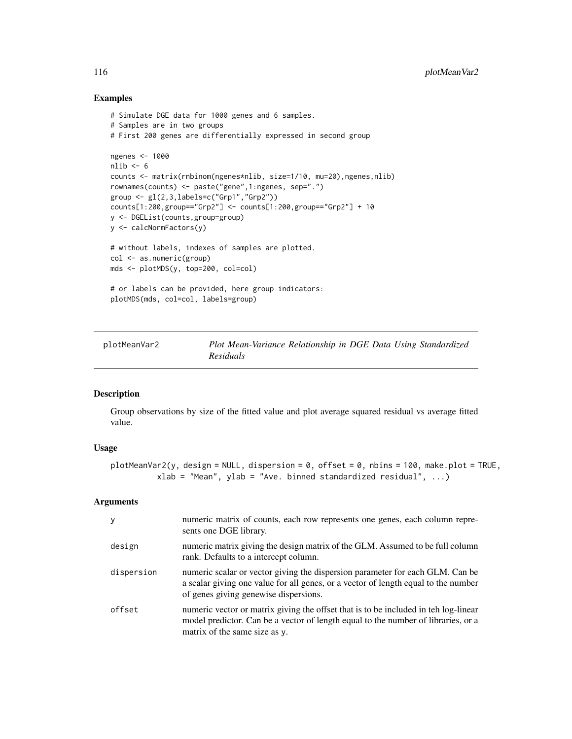## Examples

```
# Simulate DGE data for 1000 genes and 6 samples.
# Samples are in two groups
# First 200 genes are differentially expressed in second group
ngenes <- 1000
nlib < -6counts <- matrix(rnbinom(ngenes*nlib, size=1/10, mu=20),ngenes,nlib)
rownames(counts) <- paste("gene",1:ngenes, sep=".")
group <- gl(2,3,labels=c("Grp1","Grp2"))
counts[1:200,group=="Grp2"] <- counts[1:200,group=="Grp2"] + 10
y <- DGEList(counts,group=group)
y <- calcNormFactors(y)
# without labels, indexes of samples are plotted.
col <- as.numeric(group)
mds <- plotMDS(y, top=200, col=col)
# or labels can be provided, here group indicators:
plotMDS(mds, col=col, labels=group)
```
plotMeanVar2 *Plot Mean-Variance Relationship in DGE Data Using Standardized Residuals*

## Description

Group observations by size of the fitted value and plot average squared residual vs average fitted value.

## Usage

```
plotMeanVar2(y, design = NULL, dispersion = 0, offset = 0, nbins = 100, make.plot = TRUE,
          xlab = "Mean", ylab = "Ave. binned standardized residual", ...)
```
#### Arguments

| y          | numeric matrix of counts, each row represents one genes, each column repre-<br>sents one DGE library.                                                                                                        |
|------------|--------------------------------------------------------------------------------------------------------------------------------------------------------------------------------------------------------------|
| design     | numeric matrix giving the design matrix of the GLM. Assumed to be full column<br>rank. Defaults to a intercept column.                                                                                       |
| dispersion | numeric scalar or vector giving the dispersion parameter for each GLM. Can be<br>a scalar giving one value for all genes, or a vector of length equal to the number<br>of genes giving genewise dispersions. |
| offset     | numeric vector or matrix giving the offset that is to be included in teh log-linear<br>model predictor. Can be a vector of length equal to the number of libraries, or a<br>matrix of the same size as y.    |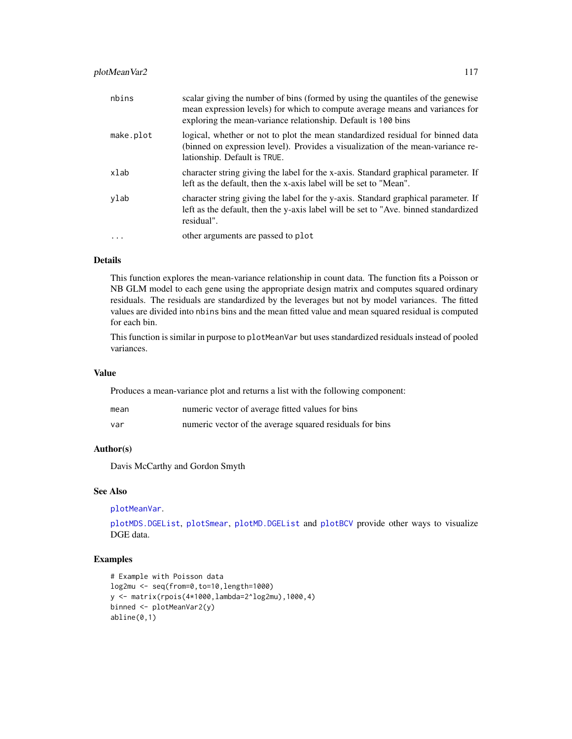# plotMeanVar2 117

| nbins     | scalar giving the number of bins (formed by using the quantiles of the genewise<br>mean expression levels) for which to compute average means and variances for<br>exploring the mean-variance relationship. Default is 100 bins |
|-----------|----------------------------------------------------------------------------------------------------------------------------------------------------------------------------------------------------------------------------------|
| make.plot | logical, whether or not to plot the mean standardized residual for binned data<br>(binned on expression level). Provides a visualization of the mean-variance re-<br>lationship. Default is TRUE.                                |
| xlab      | character string giving the label for the x-axis. Standard graphical parameter. If<br>left as the default, then the x-axis label will be set to "Mean".                                                                          |
| ylab      | character string giving the label for the y-axis. Standard graphical parameter. If<br>left as the default, then the y-axis label will be set to "Ave. binned standardized"<br>residual".                                         |
|           | other arguments are passed to plot                                                                                                                                                                                               |

## Details

This function explores the mean-variance relationship in count data. The function fits a Poisson or NB GLM model to each gene using the appropriate design matrix and computes squared ordinary residuals. The residuals are standardized by the leverages but not by model variances. The fitted values are divided into nbins bins and the mean fitted value and mean squared residual is computed for each bin.

This function is similar in purpose to plotMeanVar but uses standardized residuals instead of pooled variances.

## Value

Produces a mean-variance plot and returns a list with the following component:

| mean | numeric vector of average fitted values for bins         |
|------|----------------------------------------------------------|
| var  | numeric vector of the average squared residuals for bins |

## Author(s)

Davis McCarthy and Gordon Smyth

# See Also

```
plotMeanVar.
```
[plotMDS.DGEList](#page-113-0), [plotSmear](#page-118-0), [plotMD.DGEList](#page-111-0) and [plotBCV](#page-109-0) provide other ways to visualize DGE data.

# Examples

```
# Example with Poisson data
log2mu <- seq(from=0,to=10,length=1000)
y <- matrix(rpois(4*1000,lambda=2^log2mu),1000,4)
binned <- plotMeanVar2(y)
abline(0,1)
```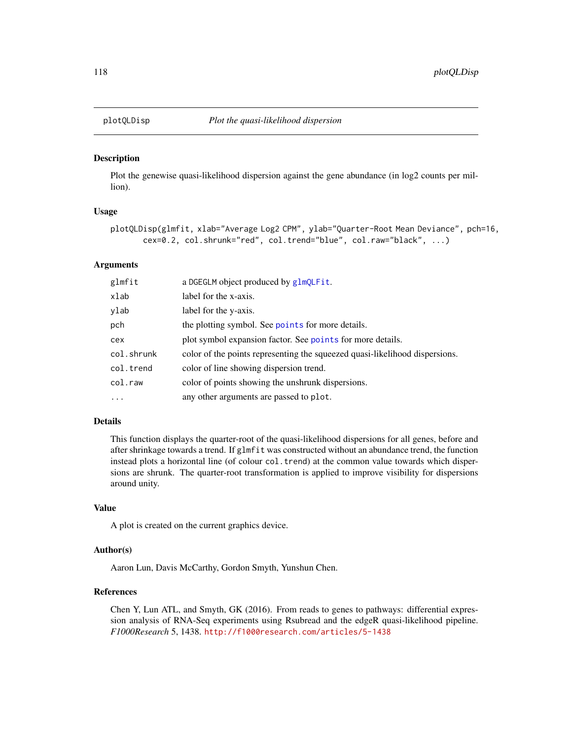Plot the genewise quasi-likelihood dispersion against the gene abundance (in log2 counts per million).

## Usage

```
plotQLDisp(glmfit, xlab="Average Log2 CPM", ylab="Quarter-Root Mean Deviance", pch=16,
       cex=0.2, col.shrunk="red", col.trend="blue", col.raw="black", ...)
```
## **Arguments**

| glmfit     | a DGEGLM object produced by glmQLFit.                                       |
|------------|-----------------------------------------------------------------------------|
| xlab       | label for the x-axis.                                                       |
| ylab       | label for the y-axis.                                                       |
| pch        | the plotting symbol. See points for more details.                           |
| cex        | plot symbol expansion factor. See points for more details.                  |
| col.shrunk | color of the points representing the squeezed quasi-likelihood dispersions. |
| col.trend  | color of line showing dispersion trend.                                     |
| col.raw    | color of points showing the unshrunk dispersions.                           |
| $\ddots$ . | any other arguments are passed to plot.                                     |

## Details

This function displays the quarter-root of the quasi-likelihood dispersions for all genes, before and after shrinkage towards a trend. If glmfit was constructed without an abundance trend, the function instead plots a horizontal line (of colour col.trend) at the common value towards which dispersions are shrunk. The quarter-root transformation is applied to improve visibility for dispersions around unity.

# Value

A plot is created on the current graphics device.

## Author(s)

Aaron Lun, Davis McCarthy, Gordon Smyth, Yunshun Chen.

## References

Chen Y, Lun ATL, and Smyth, GK (2016). From reads to genes to pathways: differential expression analysis of RNA-Seq experiments using Rsubread and the edgeR quasi-likelihood pipeline. *F1000Research* 5, 1438. <http://f1000research.com/articles/5-1438>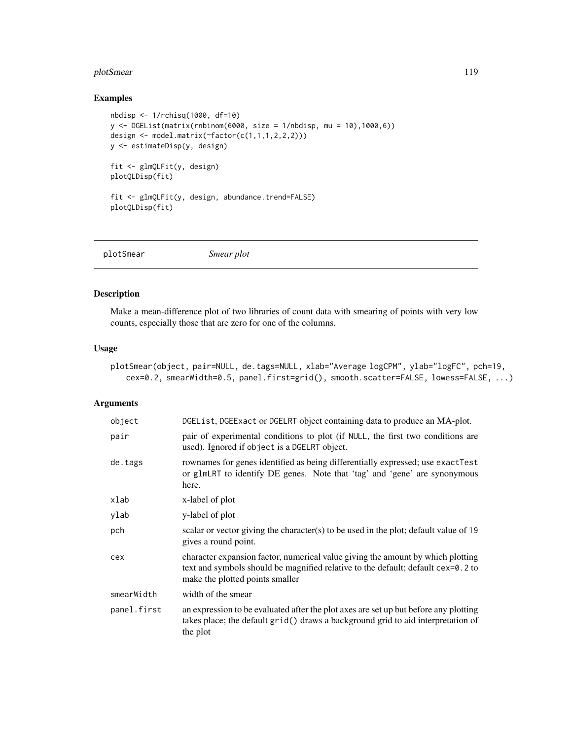# plotSmear 119

# Examples

```
nbdisp <- 1/rchisq(1000, df=10)
y <- DGEList(matrix(rnbinom(6000, size = 1/nbdisp, mu = 10),1000,6))
design <- model.matrix(~factor(c(1,1,1,2,2,2)))
y <- estimateDisp(y, design)
fit <- glmQLFit(y, design)
plotQLDisp(fit)
fit <- glmQLFit(y, design, abundance.trend=FALSE)
plotQLDisp(fit)
```
<span id="page-118-0"></span>

|--|

# Description

Make a mean-difference plot of two libraries of count data with smearing of points with very low counts, especially those that are zero for one of the columns.

## Usage

```
plotSmear(object, pair=NULL, de.tags=NULL, xlab="Average logCPM", ylab="logFC", pch=19,
   cex=0.2, smearWidth=0.5, panel.first=grid(), smooth.scatter=FALSE, lowess=FALSE, ...)
```
# Arguments

| object      | DGEList, DGEExact or DGELRT object containing data to produce an MA-plot.                                                                                                                              |
|-------------|--------------------------------------------------------------------------------------------------------------------------------------------------------------------------------------------------------|
| pair        | pair of experimental conditions to plot (if NULL, the first two conditions are<br>used). Ignored if object is a DGELRT object.                                                                         |
| de.tags     | rownames for genes identified as being differentially expressed; use exactTest<br>or glmLRT to identify DE genes. Note that 'tag' and 'gene' are synonymous<br>here.                                   |
| xlab        | x-label of plot                                                                                                                                                                                        |
| ylab        | y-label of plot                                                                                                                                                                                        |
| pch         | scalar or vector giving the character(s) to be used in the plot; default value of 19<br>gives a round point.                                                                                           |
| cex         | character expansion factor, numerical value giving the amount by which plotting<br>text and symbols should be magnified relative to the default; default cex=0.2 to<br>make the plotted points smaller |
| smearWidth  | width of the smear                                                                                                                                                                                     |
| panel.first | an expression to be evaluated after the plot axes are set up but before any plotting<br>takes place; the default grid() draws a background grid to aid interpretation of<br>the plot                   |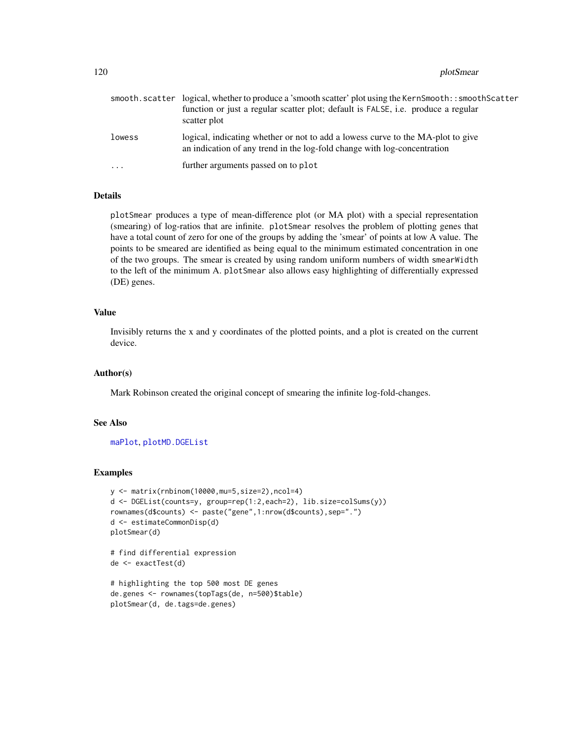120 plotSmear and the set of the set of the set of the set of the set of the set of the set of the set of the set of the set of the set of the set of the set of the set of the set of the set of the set of the set of the se

|           | smooth.scatter logical, whether to produce a 'smooth scatter' plot using the KernSmooth::smoothScatter<br>function or just a regular scatter plot; default is FALSE, i.e. produce a regular<br>scatter plot |
|-----------|-------------------------------------------------------------------------------------------------------------------------------------------------------------------------------------------------------------|
| lowess    | logical, indicating whether or not to add a lowess curve to the MA-plot to give<br>an indication of any trend in the log-fold change with log-concentration                                                 |
| $\ddotsc$ | further arguments passed on to plot                                                                                                                                                                         |

# Details

plotSmear produces a type of mean-difference plot (or MA plot) with a special representation (smearing) of log-ratios that are infinite. plotSmear resolves the problem of plotting genes that have a total count of zero for one of the groups by adding the 'smear' of points at low A value. The points to be smeared are identified as being equal to the minimum estimated concentration in one of the two groups. The smear is created by using random uniform numbers of width smearWidth to the left of the minimum A. plotSmear also allows easy highlighting of differentially expressed (DE) genes.

#### Value

Invisibly returns the x and y coordinates of the plotted points, and a plot is created on the current device.

## Author(s)

Mark Robinson created the original concept of smearing the infinite log-fold-changes.

#### See Also

[maPlot](#page-92-0), [plotMD.DGEList](#page-111-0)

### Examples

```
y <- matrix(rnbinom(10000,mu=5,size=2),ncol=4)
d <- DGEList(counts=y, group=rep(1:2,each=2), lib.size=colSums(y))
rownames(d$counts) <- paste("gene",1:nrow(d$counts),sep=".")
d <- estimateCommonDisp(d)
plotSmear(d)
# find differential expression
de <- exactTest(d)
```

```
# highlighting the top 500 most DE genes
de.genes <- rownames(topTags(de, n=500)$table)
plotSmear(d, de.tags=de.genes)
```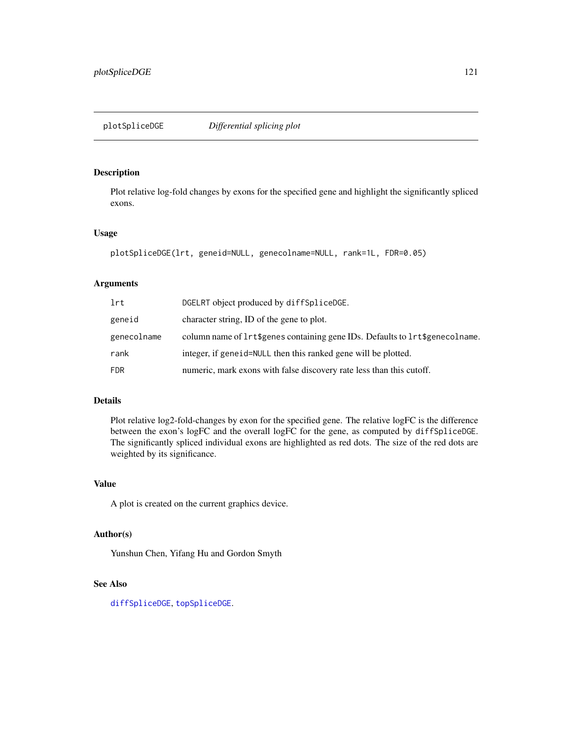Plot relative log-fold changes by exons for the specified gene and highlight the significantly spliced exons.

#### Usage

```
plotSpliceDGE(lrt, geneid=NULL, genecolname=NULL, rank=1L, FDR=0.05)
```
# Arguments

| lrt         | DGELRT object produced by diffSpliceDGE.                                         |
|-------------|----------------------------------------------------------------------------------|
| geneid      | character string. ID of the gene to plot.                                        |
| genecolname | column name of $lrt\$ genes containing gene IDs. Defaults to $lrt\$ genecolname. |
| rank        | integer, if generid=NULL then this ranked gene will be plotted.                  |
| <b>FDR</b>  | numeric, mark exons with false discovery rate less than this cutoff.             |

# Details

Plot relative log2-fold-changes by exon for the specified gene. The relative logFC is the difference between the exon's logFC and the overall logFC for the gene, as computed by diffSpliceDGE. The significantly spliced individual exons are highlighted as red dots. The size of the red dots are weighted by its significance.

# Value

A plot is created on the current graphics device.

# Author(s)

Yunshun Chen, Yifang Hu and Gordon Smyth

## See Also

[diffSpliceDGE](#page-32-0), [topSpliceDGE](#page-143-0).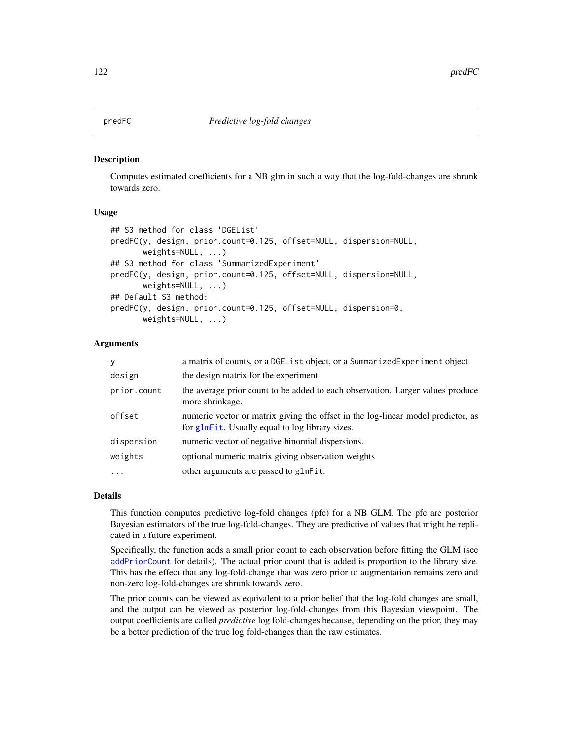Computes estimated coefficients for a NB glm in such a way that the log-fold-changes are shrunk towards zero.

#### Usage

```
## S3 method for class 'DGEList'
predFC(y, design, prior.count=0.125, offset=NULL, dispersion=NULL,
       weights=NULL, ...)
## S3 method for class 'SummarizedExperiment'
predFC(y, design, prior.count=0.125, offset=NULL, dispersion=NULL,
       weights=NULL, ...)
## Default S3 method:
predFC(y, design, prior.count=0.125, offset=NULL, dispersion=0,
       weights=NULL, ...)
```
## **Arguments**

| y           | a matrix of counts, or a DGE List object, or a Summarized Experiment object                                                         |
|-------------|-------------------------------------------------------------------------------------------------------------------------------------|
| design      | the design matrix for the experiment                                                                                                |
| prior.count | the average prior count to be added to each observation. Larger values produce<br>more shrinkage.                                   |
| offset      | numeric vector or matrix giving the offset in the log-linear model predictor, as<br>for glmFit. Usually equal to log library sizes. |
| dispersion  | numeric vector of negative binomial dispersions.                                                                                    |
| weights     | optional numeric matrix giving observation weights                                                                                  |
| $\ddotsc$   | other arguments are passed to glmFit.                                                                                               |

## Details

This function computes predictive log-fold changes (pfc) for a NB GLM. The pfc are posterior Bayesian estimators of the true log-fold-changes. They are predictive of values that might be replicated in a future experiment.

Specifically, the function adds a small prior count to each observation before fitting the GLM (see [addPriorCount](#page-4-0) for details). The actual prior count that is added is proportion to the library size. This has the effect that any log-fold-change that was zero prior to augmentation remains zero and non-zero log-fold-changes are shrunk towards zero.

The prior counts can be viewed as equivalent to a prior belief that the log-fold changes are small, and the output can be viewed as posterior log-fold-changes from this Bayesian viewpoint. The output coefficients are called *predictive* log fold-changes because, depending on the prior, they may be a better prediction of the true log fold-changes than the raw estimates.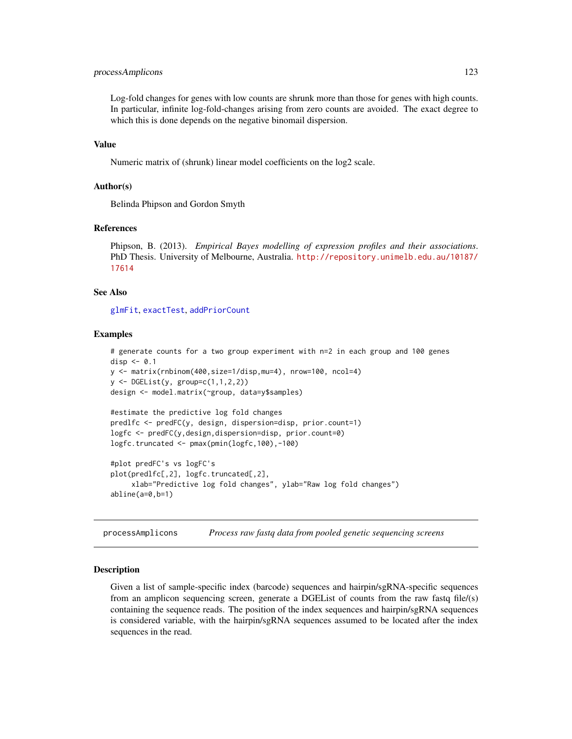## processAmplicons 123

Log-fold changes for genes with low counts are shrunk more than those for genes with high counts. In particular, infinite log-fold-changes arising from zero counts are avoided. The exact degree to which this is done depends on the negative binomail dispersion.

### Value

Numeric matrix of (shrunk) linear model coefficients on the log2 scale.

#### Author(s)

Belinda Phipson and Gordon Smyth

#### References

```
Phipson, B. (2013). Empirical Bayes modelling of expression profiles and their associations.
PhD Thesis. University of Melbourne, Australia. http://repository.unimelb.edu.au/10187/
17614
```
# See Also

[glmFit](#page-72-0), [exactTest](#page-63-0), [addPriorCount](#page-4-0)

## Examples

```
# generate counts for a two group experiment with n=2 in each group and 100 genes
disp \leq -0.1y <- matrix(rnbinom(400,size=1/disp,mu=4), nrow=100, ncol=4)
y \leftarrow DGEList(y, group=c(1,1,2,2))
design <- model.matrix(~group, data=y$samples)
```

```
#estimate the predictive log fold changes
predlfc <- predFC(y, design, dispersion=disp, prior.count=1)
logfc <- predFC(y,design,dispersion=disp, prior.count=0)
logfc.truncated <- pmax(pmin(logfc,100),-100)
```

```
#plot predFC's vs logFC's
plot(predlfc[,2], logfc.truncated[,2],
    xlab="Predictive log fold changes", ylab="Raw log fold changes")
abline(a=0,b=1)
```
processAmplicons *Process raw fastq data from pooled genetic sequencing screens*

#### Description

Given a list of sample-specific index (barcode) sequences and hairpin/sgRNA-specific sequences from an amplicon sequencing screen, generate a DGEL is of counts from the raw fastq file/(s) containing the sequence reads. The position of the index sequences and hairpin/sgRNA sequences is considered variable, with the hairpin/sgRNA sequences assumed to be located after the index sequences in the read.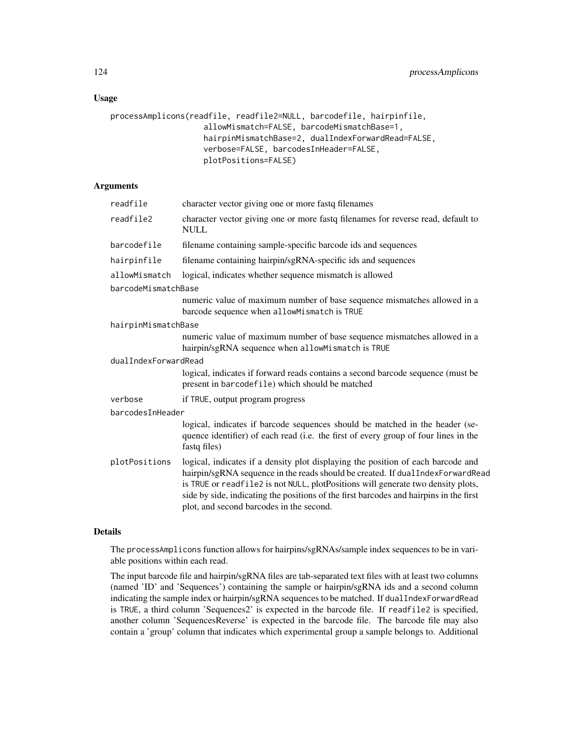# Usage

```
processAmplicons(readfile, readfile2=NULL, barcodefile, hairpinfile,
                    allowMismatch=FALSE, barcodeMismatchBase=1,
                    hairpinMismatchBase=2, dualIndexForwardRead=FALSE,
                    verbose=FALSE, barcodesInHeader=FALSE,
                    plotPositions=FALSE)
```
# Arguments

| readfile             | character vector giving one or more fastq filenames                                                                                                                                                                                                                                                                                                                                          |  |  |
|----------------------|----------------------------------------------------------------------------------------------------------------------------------------------------------------------------------------------------------------------------------------------------------------------------------------------------------------------------------------------------------------------------------------------|--|--|
| readfile2            | character vector giving one or more fastq filenames for reverse read, default to<br><b>NULL</b>                                                                                                                                                                                                                                                                                              |  |  |
| barcodefile          | filename containing sample-specific barcode ids and sequences                                                                                                                                                                                                                                                                                                                                |  |  |
| hairpinfile          | filename containing hairpin/sgRNA-specific ids and sequences                                                                                                                                                                                                                                                                                                                                 |  |  |
| allowMismatch        | logical, indicates whether sequence mismatch is allowed                                                                                                                                                                                                                                                                                                                                      |  |  |
| barcodeMismatchBase  |                                                                                                                                                                                                                                                                                                                                                                                              |  |  |
|                      | numeric value of maximum number of base sequence mismatches allowed in a<br>barcode sequence when allowMismatch is TRUE                                                                                                                                                                                                                                                                      |  |  |
| hairpinMismatchBase  |                                                                                                                                                                                                                                                                                                                                                                                              |  |  |
|                      | numeric value of maximum number of base sequence mismatches allowed in a<br>hairpin/sgRNA sequence when allowMismatch is TRUE                                                                                                                                                                                                                                                                |  |  |
| dualIndexForwardRead |                                                                                                                                                                                                                                                                                                                                                                                              |  |  |
|                      | logical, indicates if forward reads contains a second barcode sequence (must be<br>present in barcodefile) which should be matched                                                                                                                                                                                                                                                           |  |  |
| verbose              | if TRUE, output program progress                                                                                                                                                                                                                                                                                                                                                             |  |  |
| barcodesInHeader     |                                                                                                                                                                                                                                                                                                                                                                                              |  |  |
|                      | logical, indicates if barcode sequences should be matched in the header (se-<br>quence identifier) of each read (i.e. the first of every group of four lines in the<br>fastq files)                                                                                                                                                                                                          |  |  |
| plotPositions        | logical, indicates if a density plot displaying the position of each barcode and<br>hairpin/sgRNA sequence in the reads should be created. If dualIndexForwardRead<br>is TRUE or readfile2 is not NULL, plotPositions will generate two density plots,<br>side by side, indicating the positions of the first barcodes and hairpins in the first<br>plot, and second barcodes in the second. |  |  |

#### Details

The processAmplicons function allows for hairpins/sgRNAs/sample index sequences to be in variable positions within each read.

The input barcode file and hairpin/sgRNA files are tab-separated text files with at least two columns (named 'ID' and 'Sequences') containing the sample or hairpin/sgRNA ids and a second column indicating the sample index or hairpin/sgRNA sequences to be matched. If dualIndexForwardRead is TRUE, a third column 'Sequences2' is expected in the barcode file. If readfile2 is specified, another column 'SequencesReverse' is expected in the barcode file. The barcode file may also contain a 'group' column that indicates which experimental group a sample belongs to. Additional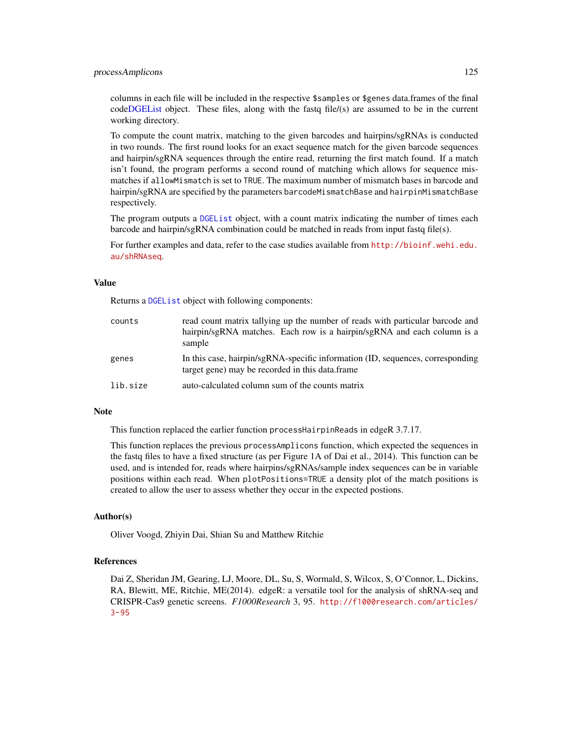#### processAmplicons 125

columns in each file will be included in the respective \$samples or \$genes data.frames of the final cod[eDGEList](#page-28-0) object. These files, along with the fastq file/(s) are assumed to be in the current working directory.

To compute the count matrix, matching to the given barcodes and hairpins/sgRNAs is conducted in two rounds. The first round looks for an exact sequence match for the given barcode sequences and hairpin/sgRNA sequences through the entire read, returning the first match found. If a match isn't found, the program performs a second round of matching which allows for sequence mismatches if allowMismatch is set to TRUE. The maximum number of mismatch bases in barcode and hairpin/sgRNA are specified by the parameters barcodeMismatchBase and hairpinMismatchBase respectively.

The program outputs a [DGEList](#page-28-0) object, with a count matrix indicating the number of times each barcode and hairpin/sgRNA combination could be matched in reads from input fastq file(s).

For further examples and data, refer to the case studies available from [http://bioinf.wehi.edu.](http://bioinf.wehi.edu.au/shRNAseq) [au/shRNAseq](http://bioinf.wehi.edu.au/shRNAseq).

## Value

Returns a [DGEList](#page-28-0) object with following components:

| counts   | read count matrix tallying up the number of reads with particular barcode and<br>hairpin/sgRNA matches. Each row is a hairpin/sgRNA and each column is a<br>sample |
|----------|--------------------------------------------------------------------------------------------------------------------------------------------------------------------|
| genes    | In this case, hairpin/sgRNA-specific information (ID, sequences, corresponding<br>target gene) may be recorded in this data.frame                                  |
| lib.size | auto-calculated column sum of the counts matrix                                                                                                                    |

# **Note**

This function replaced the earlier function processHairpinReads in edgeR 3.7.17.

This function replaces the previous processAmplicons function, which expected the sequences in the fastq files to have a fixed structure (as per Figure 1A of Dai et al., 2014). This function can be used, and is intended for, reads where hairpins/sgRNAs/sample index sequences can be in variable positions within each read. When plotPositions=TRUE a density plot of the match positions is created to allow the user to assess whether they occur in the expected postions.

## Author(s)

Oliver Voogd, Zhiyin Dai, Shian Su and Matthew Ritchie

#### References

Dai Z, Sheridan JM, Gearing, LJ, Moore, DL, Su, S, Wormald, S, Wilcox, S, O'Connor, L, Dickins, RA, Blewitt, ME, Ritchie, ME(2014). edgeR: a versatile tool for the analysis of shRNA-seq and CRISPR-Cas9 genetic screens. *F1000Research* 3, 95. [http://f1000research.com/articles/](http://f1000research.com/articles/3-95)  $3 - 95$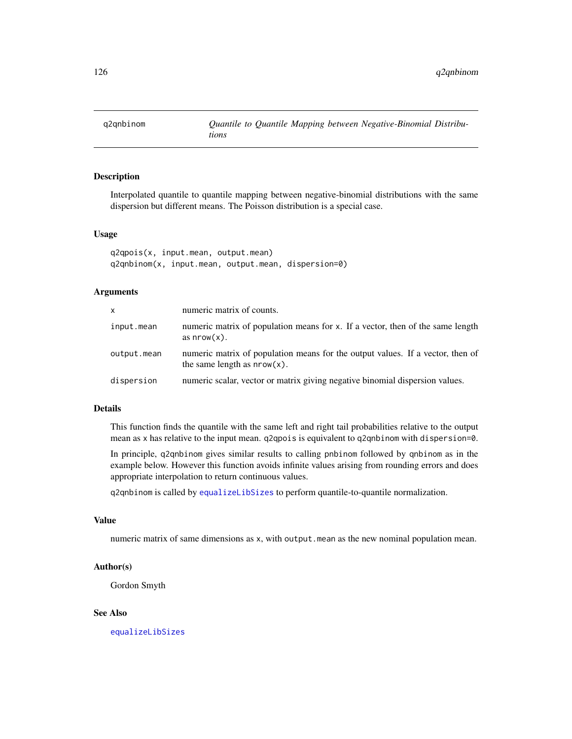Interpolated quantile to quantile mapping between negative-binomial distributions with the same dispersion but different means. The Poisson distribution is a special case.

#### Usage

```
q2qpois(x, input.mean, output.mean)
q2qnbinom(x, input.mean, output.mean, dispersion=0)
```
# Arguments

| X           | numeric matrix of counts.                                                                                        |
|-------------|------------------------------------------------------------------------------------------------------------------|
| input.mean  | numeric matrix of population means for x. If a vector, then of the same length<br>as $nrow(x)$ .                 |
| output.mean | numeric matrix of population means for the output values. If a vector, then of<br>the same length as $nrow(x)$ . |
| dispersion  | numeric scalar, vector or matrix giving negative binomial dispersion values.                                     |

#### Details

This function finds the quantile with the same left and right tail probabilities relative to the output mean as x has relative to the input mean. q2qpois is equivalent to q2qnbinom with dispersion=0.

In principle, q2qnbinom gives similar results to calling pnbinom followed by qnbinom as in the example below. However this function avoids infinite values arising from rounding errors and does appropriate interpolation to return continuous values.

q2qnbinom is called by [equalizeLibSizes](#page-46-0) to perform quantile-to-quantile normalization.

### Value

numeric matrix of same dimensions as x, with output.mean as the new nominal population mean.

### Author(s)

Gordon Smyth

#### See Also

[equalizeLibSizes](#page-46-0)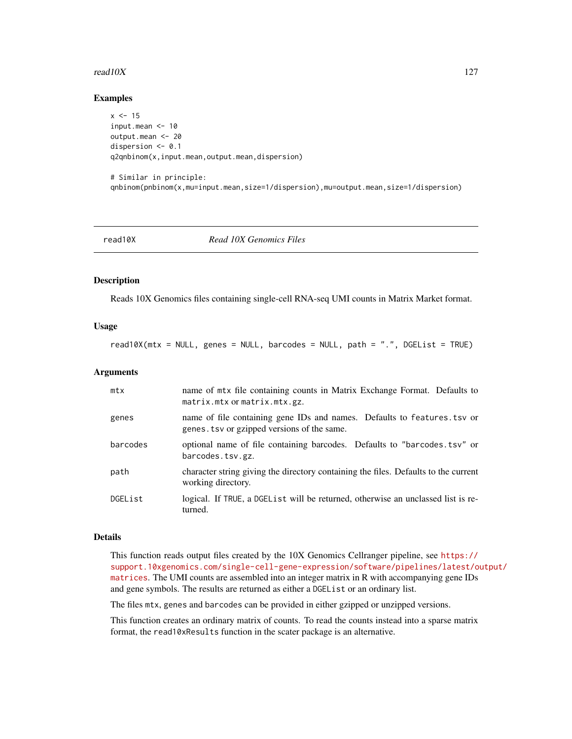#### read10X  $127$

### Examples

```
x < -15input.mean <- 10
output.mean <- 20
dispersion <- 0.1
q2qnbinom(x,input.mean,output.mean,dispersion)
# Similar in principle:
```
qnbinom(pnbinom(x,mu=input.mean,size=1/dispersion),mu=output.mean,size=1/dispersion)

| read10X |  |  |
|---------|--|--|
|         |  |  |

read10X *Read 10X Genomics Files*

#### Description

Reads 10X Genomics files containing single-cell RNA-seq UMI counts in Matrix Market format.

## Usage

read10X(mtx = NULL, genes = NULL, barcodes = NULL, path = ".", DGEList = TRUE)

#### Arguments

| mtx      | name of mtx file containing counts in Matrix Exchange Format. Defaults to<br>matrix.mtx or matrix.mtx.gz.               |
|----------|-------------------------------------------------------------------------------------------------------------------------|
| genes    | name of file containing gene IDs and names. Defaults to features. tsv or<br>genes. tsv or gzipped versions of the same. |
| barcodes | optional name of file containing barcodes. Defaults to "barcodes. tsv" or<br>barcodes.tsv.gz.                           |
| path     | character string giving the directory containing the files. Defaults to the current<br>working directory.               |
| DGEList  | logical. If TRUE, a DGEL ist will be returned, otherwise an unclassed list is re-<br>turned.                            |

#### Details

This function reads output files created by the 10X Genomics Cellranger pipeline, see [https://](https://support.10xgenomics.com/single-cell-gene-expression/software/pipelines/latest/output/matrices) [support.10xgenomics.com/single-cell-gene-expression/software/pipelines/latest/o](https://support.10xgenomics.com/single-cell-gene-expression/software/pipelines/latest/output/matrices)utput/ [matrices](https://support.10xgenomics.com/single-cell-gene-expression/software/pipelines/latest/output/matrices). The UMI counts are assembled into an integer matrix in R with accompanying gene IDs and gene symbols. The results are returned as either a DGEList or an ordinary list.

The files mtx, genes and barcodes can be provided in either gzipped or unzipped versions.

This function creates an ordinary matrix of counts. To read the counts instead into a sparse matrix format, the read10xResults function in the scater package is an alternative.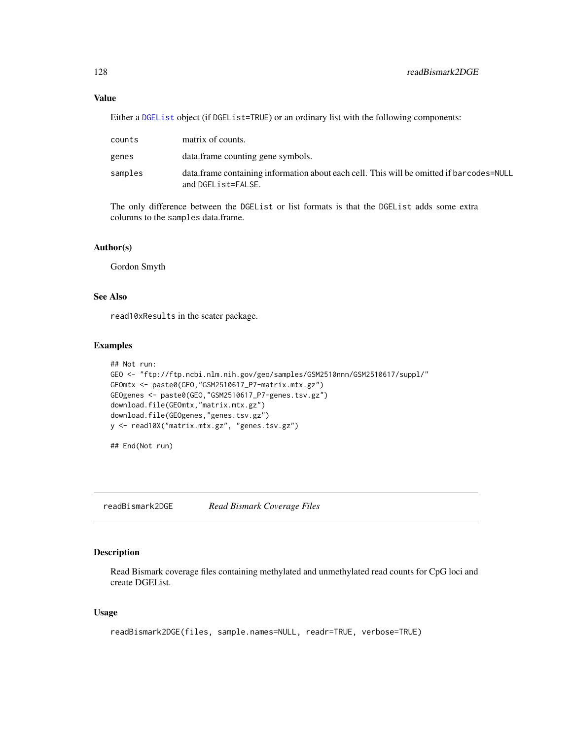## Value

Either a [DGEList](#page-28-0) object (if DGEList=TRUE) or an ordinary list with the following components:

| counts  | matrix of counts.                                                                                               |
|---------|-----------------------------------------------------------------------------------------------------------------|
| genes   | data.frame counting gene symbols.                                                                               |
| samples | data. frame containing information about each cell. This will be omitted if barcodes=NULL<br>and DGEList=FALSE. |

The only difference between the DGEList or list formats is that the DGEList adds some extra columns to the samples data.frame.

# Author(s)

Gordon Smyth

## See Also

read10xResults in the scater package.

## Examples

```
## Not run:
GEO <- "ftp://ftp.ncbi.nlm.nih.gov/geo/samples/GSM2510nnn/GSM2510617/suppl/"
GEOmtx <- paste0(GEO,"GSM2510617_P7-matrix.mtx.gz")
GEOgenes <- paste0(GEO,"GSM2510617_P7-genes.tsv.gz")
download.file(GEOmtx,"matrix.mtx.gz")
download.file(GEOgenes,"genes.tsv.gz")
y <- read10X("matrix.mtx.gz", "genes.tsv.gz")
```
## End(Not run)

readBismark2DGE *Read Bismark Coverage Files*

# Description

Read Bismark coverage files containing methylated and unmethylated read counts for CpG loci and create DGEList.

### Usage

```
readBismark2DGE(files, sample.names=NULL, readr=TRUE, verbose=TRUE)
```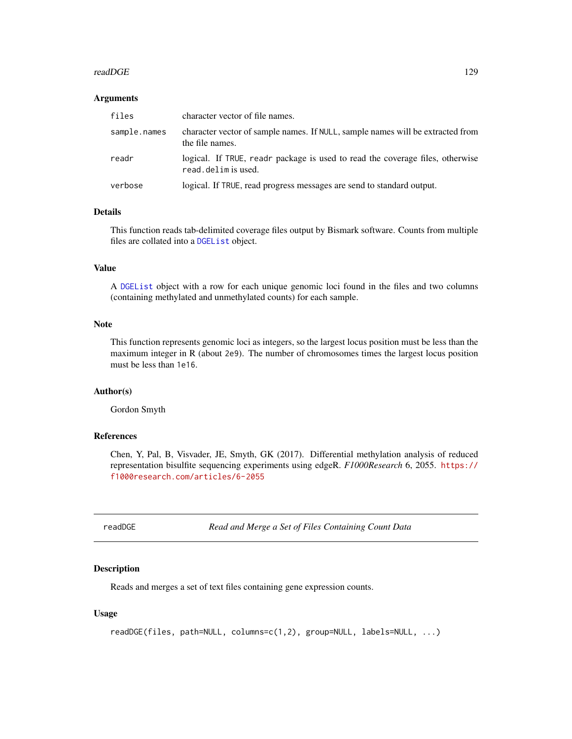#### readDGE 129

#### **Arguments**

| files        | character vector of file names.                                                                     |
|--------------|-----------------------------------------------------------------------------------------------------|
| sample.names | character vector of sample names. If NULL, sample names will be extracted from<br>the file names.   |
| readr        | logical. If TRUE, readr package is used to read the coverage files, otherwise<br>read.delimis used. |
| verbose      | logical. If TRUE, read progress messages are send to standard output.                               |

## Details

This function reads tab-delimited coverage files output by Bismark software. Counts from multiple files are collated into a [DGEList](#page-28-0) object.

# Value

A [DGEList](#page-28-0) object with a row for each unique genomic loci found in the files and two columns (containing methylated and unmethylated counts) for each sample.

# Note

This function represents genomic loci as integers, so the largest locus position must be less than the maximum integer in R (about 2e9). The number of chromosomes times the largest locus position must be less than 1e16.

## Author(s)

Gordon Smyth

# References

Chen, Y, Pal, B, Visvader, JE, Smyth, GK (2017). Differential methylation analysis of reduced representation bisulfite sequencing experiments using edgeR. *F1000Research* 6, 2055. [https://](https://f1000research.com/articles/6-2055) [f1000research.com/articles/6-2055](https://f1000research.com/articles/6-2055)

readDGE *Read and Merge a Set of Files Containing Count Data*

## **Description**

Reads and merges a set of text files containing gene expression counts.

## Usage

```
readDGE(files, path=NULL, columns=c(1,2), group=NULL, labels=NULL, ...)
```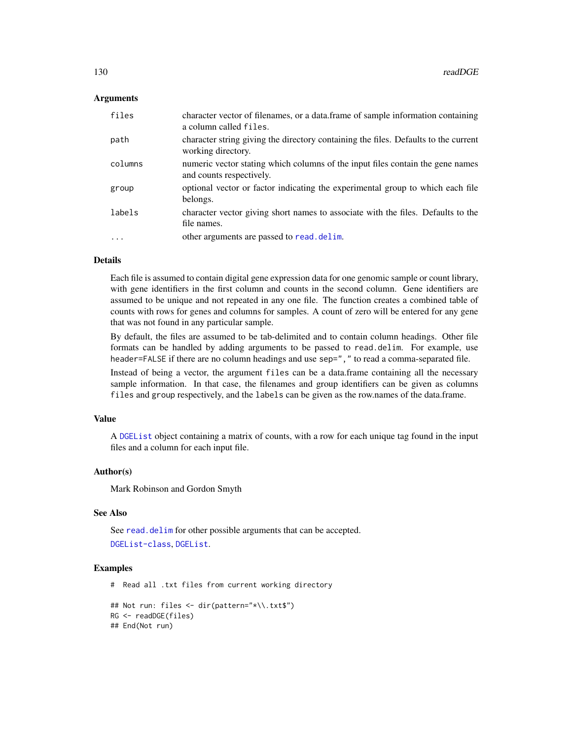### Arguments

| files   | character vector of filenames, or a data.frame of sample information containing<br>a column called files.  |
|---------|------------------------------------------------------------------------------------------------------------|
| path    | character string giving the directory containing the files. Defaults to the current<br>working directory.  |
| columns | numeric vector stating which columns of the input files contain the gene names<br>and counts respectively. |
| group   | optional vector or factor indicating the experimental group to which each file<br>belongs.                 |
| labels  | character vector giving short names to associate with the files. Defaults to the<br>file names.            |
| $\cdot$ | other arguments are passed to read. delim.                                                                 |

## Details

Each file is assumed to contain digital gene expression data for one genomic sample or count library, with gene identifiers in the first column and counts in the second column. Gene identifiers are assumed to be unique and not repeated in any one file. The function creates a combined table of counts with rows for genes and columns for samples. A count of zero will be entered for any gene that was not found in any particular sample.

By default, the files are assumed to be tab-delimited and to contain column headings. Other file formats can be handled by adding arguments to be passed to read.delim. For example, use header=FALSE if there are no column headings and use sep="," to read a comma-separated file.

Instead of being a vector, the argument files can be a data.frame containing all the necessary sample information. In that case, the filenames and group identifiers can be given as columns files and group respectively, and the labels can be given as the row.names of the data.frame.

#### Value

A [DGEList](#page-28-0) object containing a matrix of counts, with a row for each unique tag found in the input files and a column for each input file.

## Author(s)

Mark Robinson and Gordon Smyth

# See Also

See [read.delim](#page-0-0) for other possible arguments that can be accepted. [DGEList-class](#page-30-0), [DGEList](#page-28-0).

## Examples

# Read all .txt files from current working directory

```
## Not run: files <- dir(pattern="*\\.txt$")
RG <- readDGE(files)
## End(Not run)
```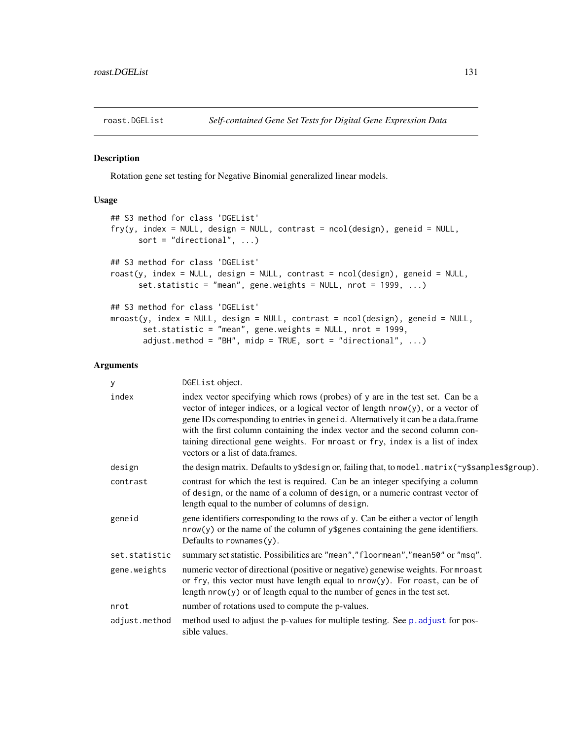Rotation gene set testing for Negative Binomial generalized linear models.

# Usage

```
## S3 method for class 'DGEList'
fry(y, index = NULL, design = NULL, contrast = ncol(design), geneid = NULL,
      sort = "directional", \ldots)
## S3 method for class 'DGEList'
roast(y, index = NULL, design = NULL, contrast = ncol(design), geneid = NULL,
      set.statistic = "mean", gene.weights = NULL, nrot = 1999, ...)
## S3 method for class 'DGEList'
mroast(y, index = NULL, design = NULL, contrast = ncol(design), geneid = NULL,
       set.statistic = "mean", gene.weights = NULL, nrot = 1999,
       adjust.method = "BH", midp = TRUE, sort = "directional", \ldots)
```
# Arguments

| у             | DGEList object.                                                                                                                                                                                                                                                                                                                                                                                                                                                  |
|---------------|------------------------------------------------------------------------------------------------------------------------------------------------------------------------------------------------------------------------------------------------------------------------------------------------------------------------------------------------------------------------------------------------------------------------------------------------------------------|
| index         | index vector specifying which rows (probes) of y are in the test set. Can be a<br>vector of integer indices, or a logical vector of length $nrow(y)$ , or a vector of<br>gene IDs corresponding to entries in geneid. Alternatively it can be a data.frame<br>with the first column containing the index vector and the second column con-<br>taining directional gene weights. For mroast or fry, index is a list of index<br>vectors or a list of data frames. |
| design        | the design matrix. Defaults to y\$design or, failing that, to model. matrix(~y\$samples\$group).                                                                                                                                                                                                                                                                                                                                                                 |
| contrast      | contrast for which the test is required. Can be an integer specifying a column<br>of design, or the name of a column of design, or a numeric contrast vector of<br>length equal to the number of columns of design.                                                                                                                                                                                                                                              |
| geneid        | gene identifiers corresponding to the rows of y. Can be either a vector of length<br>$nrow(y)$ or the name of the column of y\$genes containing the gene identifiers.<br>Defaults to rownames $(y)$ .                                                                                                                                                                                                                                                            |
| set.statistic | summary set statistic. Possibilities are "mean", "floormean", "mean50" or "msq".                                                                                                                                                                                                                                                                                                                                                                                 |
| gene.weights  | numeric vector of directional (positive or negative) genewise weights. For mroast<br>or fry, this vector must have length equal to nrow(y). For roast, can be of<br>length $nrow(y)$ or of length equal to the number of genes in the test set.                                                                                                                                                                                                                  |
| nrot          | number of rotations used to compute the p-values.                                                                                                                                                                                                                                                                                                                                                                                                                |
| adjust.method | method used to adjust the p-values for multiple testing. See p. adjust for pos-<br>sible values.                                                                                                                                                                                                                                                                                                                                                                 |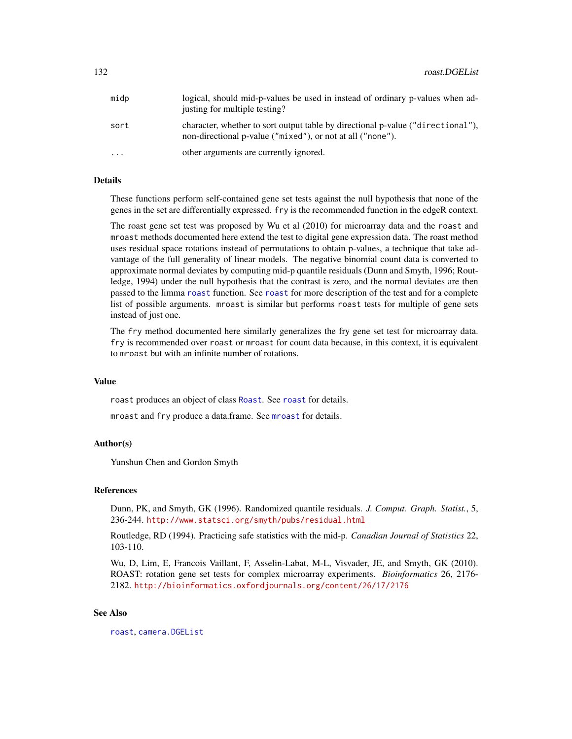| midp      | logical, should mid-p-values be used in instead of ordinary p-values when ad-<br>justing for multiple testing?                                |
|-----------|-----------------------------------------------------------------------------------------------------------------------------------------------|
| sort      | character, whether to sort output table by directional p-value ("directional"),<br>non-directional p-value ("mixed"), or not at all ("none"). |
| $\ddotsc$ | other arguments are currently ignored.                                                                                                        |

# Details

These functions perform self-contained gene set tests against the null hypothesis that none of the genes in the set are differentially expressed. fry is the recommended function in the edgeR context.

The roast gene set test was proposed by Wu et al (2010) for microarray data and the roast and mroast methods documented here extend the test to digital gene expression data. The roast method uses residual space rotations instead of permutations to obtain p-values, a technique that take advantage of the full generality of linear models. The negative binomial count data is converted to approximate normal deviates by computing mid-p quantile residuals (Dunn and Smyth, 1996; Routledge, 1994) under the null hypothesis that the contrast is zero, and the normal deviates are then passed to the limma [roast](#page-0-0) function. See [roast](#page-0-0) for more description of the test and for a complete list of possible arguments. mroast is similar but performs roast tests for multiple of gene sets instead of just one.

The fry method documented here similarly generalizes the fry gene set test for microarray data. fry is recommended over roast or mroast for count data because, in this context, it is equivalent to mroast but with an infinite number of rotations.

#### Value

roast produces an object of class [Roast](#page-0-0). See [roast](#page-0-0) for details.

[mroast](#page-0-0) and fry produce a data.frame. See mroast for details.

## Author(s)

Yunshun Chen and Gordon Smyth

## References

Dunn, PK, and Smyth, GK (1996). Randomized quantile residuals. *J. Comput. Graph. Statist.*, 5, 236-244. <http://www.statsci.org/smyth/pubs/residual.html>

Routledge, RD (1994). Practicing safe statistics with the mid-p. *Canadian Journal of Statistics* 22, 103-110.

Wu, D, Lim, E, Francois Vaillant, F, Asselin-Labat, M-L, Visvader, JE, and Smyth, GK (2010). ROAST: rotation gene set tests for complex microarray experiments. *Bioinformatics* 26, 2176- 2182. <http://bioinformatics.oxfordjournals.org/content/26/17/2176>

## See Also

[roast](#page-0-0), [camera.DGEList](#page-15-0)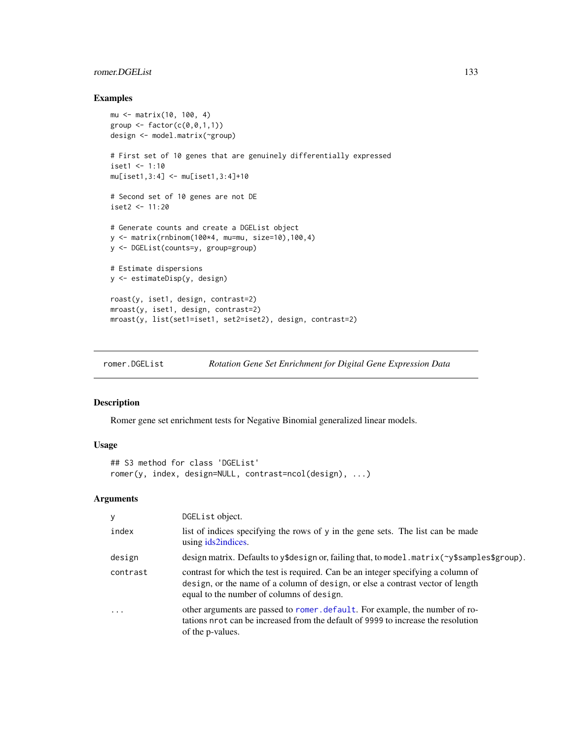# romer.DGEList 133

## Examples

```
mu <- matrix(10, 100, 4)
group \leq factor(c(0, 0, 1, 1))
design <- model.matrix(~group)
# First set of 10 genes that are genuinely differentially expressed
iset1 < -1:10mu[iset1,3:4] <- mu[iset1,3:4]+10
# Second set of 10 genes are not DE
iset2 < -11:20# Generate counts and create a DGEList object
y <- matrix(rnbinom(100*4, mu=mu, size=10),100,4)
y <- DGEList(counts=y, group=group)
# Estimate dispersions
y <- estimateDisp(y, design)
roast(y, iset1, design, contrast=2)
mroast(y, iset1, design, contrast=2)
mroast(y, list(set1=iset1, set2=iset2), design, contrast=2)
```
romer.DGEList *Rotation Gene Set Enrichment for Digital Gene Expression Data*

#### Description

Romer gene set enrichment tests for Negative Binomial generalized linear models.

#### Usage

```
## S3 method for class 'DGEList'
romer(y, index, design=NULL, contrast=ncol(design), ...)
```
# Arguments

| У                       | DGEList object.                                                                                                                                                                                                  |
|-------------------------|------------------------------------------------------------------------------------------------------------------------------------------------------------------------------------------------------------------|
| index                   | list of indices specifying the rows of y in the gene sets. The list can be made<br>using ids2indices.                                                                                                            |
| design                  | design matrix. Defaults to y\$design or, failing that, to model.matrix( $\gamma$ \$samples\$group).                                                                                                              |
| contrast                | contrast for which the test is required. Can be an integer specifying a column of<br>design, or the name of a column of design, or else a contrast vector of length<br>equal to the number of columns of design. |
| $\cdot$ $\cdot$ $\cdot$ | other arguments are passed to romer, default. For example, the number of ro-<br>tations nrot can be increased from the default of 9999 to increase the resolution<br>of the p-values.                            |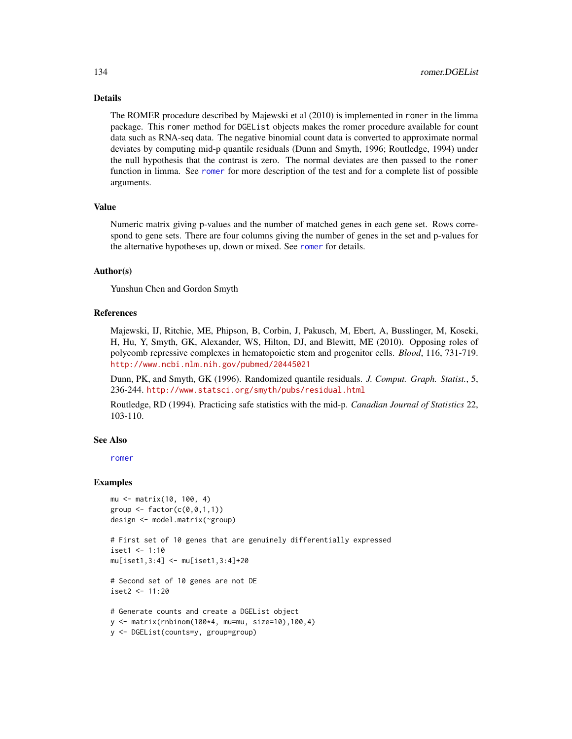### Details

The ROMER procedure described by Majewski et al (2010) is implemented in romer in the limma package. This romer method for DGEList objects makes the romer procedure available for count data such as RNA-seq data. The negative binomial count data is converted to approximate normal deviates by computing mid-p quantile residuals (Dunn and Smyth, 1996; Routledge, 1994) under the null hypothesis that the contrast is zero. The normal deviates are then passed to the romer function in limma. See [romer](#page-0-0) for more description of the test and for a complete list of possible arguments.

## Value

Numeric matrix giving p-values and the number of matched genes in each gene set. Rows correspond to gene sets. There are four columns giving the number of genes in the set and p-values for the alternative hypotheses up, down or mixed. See [romer](#page-0-0) for details.

## Author(s)

Yunshun Chen and Gordon Smyth

## References

Majewski, IJ, Ritchie, ME, Phipson, B, Corbin, J, Pakusch, M, Ebert, A, Busslinger, M, Koseki, H, Hu, Y, Smyth, GK, Alexander, WS, Hilton, DJ, and Blewitt, ME (2010). Opposing roles of polycomb repressive complexes in hematopoietic stem and progenitor cells. *Blood*, 116, 731-719. <http://www.ncbi.nlm.nih.gov/pubmed/20445021>

Dunn, PK, and Smyth, GK (1996). Randomized quantile residuals. *J. Comput. Graph. Statist.*, 5, 236-244. <http://www.statsci.org/smyth/pubs/residual.html>

Routledge, RD (1994). Practicing safe statistics with the mid-p. *Canadian Journal of Statistics* 22, 103-110.

## See Also

[romer](#page-0-0)

#### Examples

```
mu <- matrix(10, 100, 4)
group \leftarrow factor(c(0, 0, 1, 1))design <- model.matrix(~group)
```

```
# First set of 10 genes that are genuinely differentially expressed
iset1 <- 1:10
```

```
mu[iset1,3:4] <- mu[iset1,3:4]+20
```

```
# Second set of 10 genes are not DE
iset2 <- 11:20
```

```
# Generate counts and create a DGEList object
y <- matrix(rnbinom(100*4, mu=mu, size=10),100,4)
y <- DGEList(counts=y, group=group)
```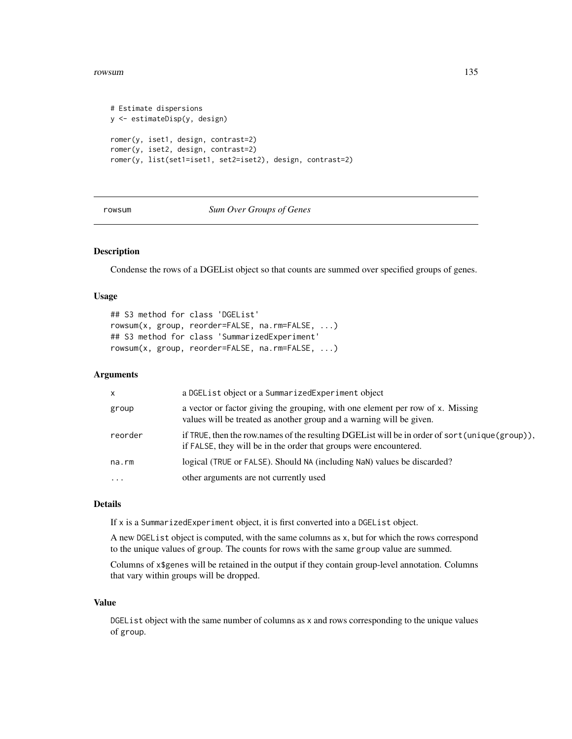#### rowsum and the contract of the contract of the contract of the contract of the contract of the contract of the contract of the contract of the contract of the contract of the contract of the contract of the contract of the

```
# Estimate dispersions
y <- estimateDisp(y, design)
romer(y, iset1, design, contrast=2)
romer(y, iset2, design, contrast=2)
romer(y, list(set1=iset1, set2=iset2), design, contrast=2)
```
<span id="page-134-0"></span>rowsum *Sum Over Groups of Genes*

# Description

Condense the rows of a DGEList object so that counts are summed over specified groups of genes.

## Usage

```
## S3 method for class 'DGEList'
rowsum(x, group, reorder=FALSE, na.rm=FALSE, ...)
## S3 method for class 'SummarizedExperiment'
rowsum(x, group, reorder=FALSE, na.rm=FALSE, ...)
```
# Arguments

| X         | a DGEList object or a SummarizedExperiment object                                                                                                                     |
|-----------|-----------------------------------------------------------------------------------------------------------------------------------------------------------------------|
| group     | a vector or factor giving the grouping, with one element per row of x. Missing<br>values will be treated as another group and a warning will be given.                |
| reorder   | if TRUE, then the row names of the resulting DGE List will be in order of sort (unique (group)),<br>if FALSE, they will be in the order that groups were encountered. |
| na.rm     | logical (TRUE or FALSE). Should NA (including NaN) values be discarded?                                                                                               |
| $\ddotsc$ | other arguments are not currently used                                                                                                                                |
|           |                                                                                                                                                                       |

#### Details

If x is a SummarizedExperiment object, it is first converted into a DGEList object.

A new DGEList object is computed, with the same columns as x, but for which the rows correspond to the unique values of group. The counts for rows with the same group value are summed.

Columns of x\$genes will be retained in the output if they contain group-level annotation. Columns that vary within groups will be dropped.

## Value

DGEList object with the same number of columns as x and rows corresponding to the unique values of group.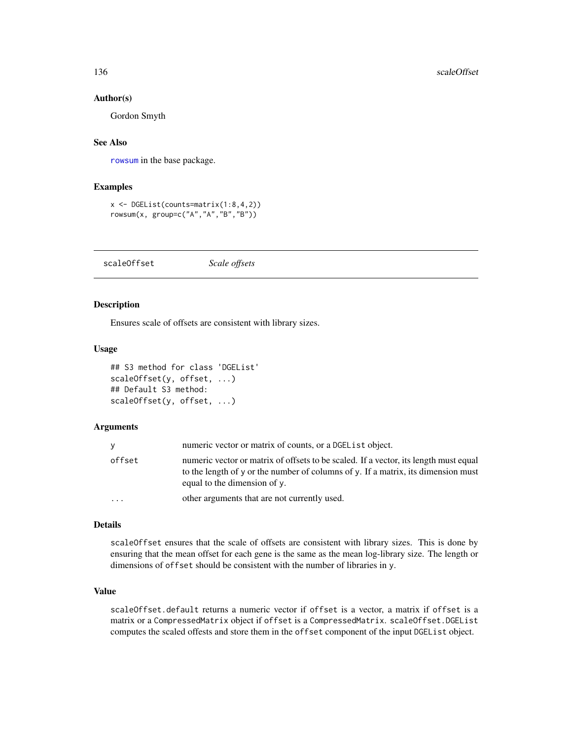#### Author(s)

Gordon Smyth

## See Also

[rowsum](#page-134-0) in the base package.

#### Examples

```
x <- DGEList(counts=matrix(1:8,4,2))
rowsum(x, group=c("A","A","B","B"))
```
scaleOffset *Scale offsets*

# Description

Ensures scale of offsets are consistent with library sizes.

#### Usage

```
## S3 method for class 'DGEList'
scaleOffset(y, offset, ...)
## Default S3 method:
scaleOffset(y, offset, ...)
```
#### Arguments

|        | numeric vector or matrix of counts, or a DGEL is t object.                                                                                                                                                |
|--------|-----------------------------------------------------------------------------------------------------------------------------------------------------------------------------------------------------------|
| offset | numeric vector or matrix of offsets to be scaled. If a vector, its length must equal<br>to the length of y or the number of columns of y. If a matrix, its dimension must<br>equal to the dimension of y. |
| .      | other arguments that are not currently used.                                                                                                                                                              |

#### Details

scaleOffset ensures that the scale of offsets are consistent with library sizes. This is done by ensuring that the mean offset for each gene is the same as the mean log-library size. The length or dimensions of offset should be consistent with the number of libraries in y.

## Value

scaleOffset.default returns a numeric vector if offset is a vector, a matrix if offset is a matrix or a CompressedMatrix object if offset is a CompressedMatrix. scaleOffset.DGEList computes the scaled offests and store them in the offset component of the input DGEList object.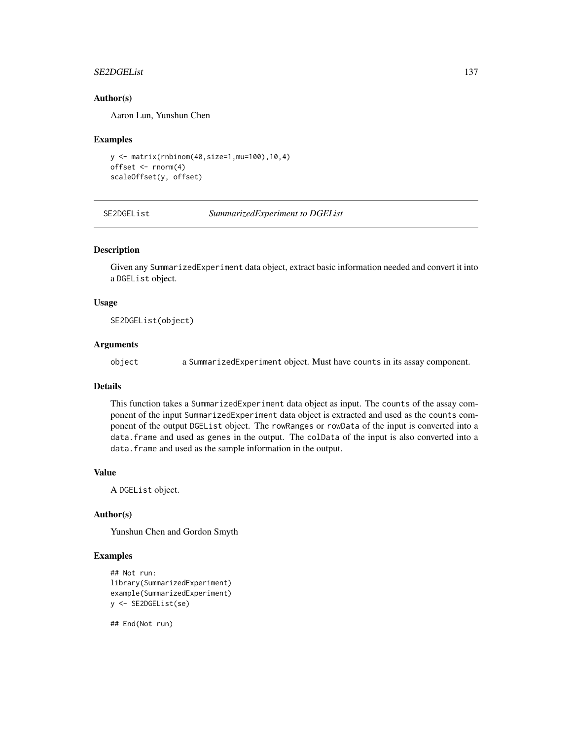#### SE2DGEList 137

## Author(s)

Aaron Lun, Yunshun Chen

#### Examples

```
y <- matrix(rnbinom(40,size=1,mu=100),10,4)
offset <- rnorm(4)
scaleOffset(y, offset)
```
SE2DGEList *SummarizedExperiment to DGEList*

## Description

Given any SummarizedExperiment data object, extract basic information needed and convert it into a DGEList object.

#### Usage

SE2DGEList(object)

#### Arguments

object a SummarizedExperiment object. Must have counts in its assay component.

## Details

This function takes a SummarizedExperiment data object as input. The counts of the assay component of the input SummarizedExperiment data object is extracted and used as the counts component of the output DGEList object. The rowRanges or rowData of the input is converted into a data.frame and used as genes in the output. The colData of the input is also converted into a data.frame and used as the sample information in the output.

### Value

A DGEList object.

## Author(s)

Yunshun Chen and Gordon Smyth

#### Examples

```
## Not run:
library(SummarizedExperiment)
example(SummarizedExperiment)
y <- SE2DGEList(se)
```
## End(Not run)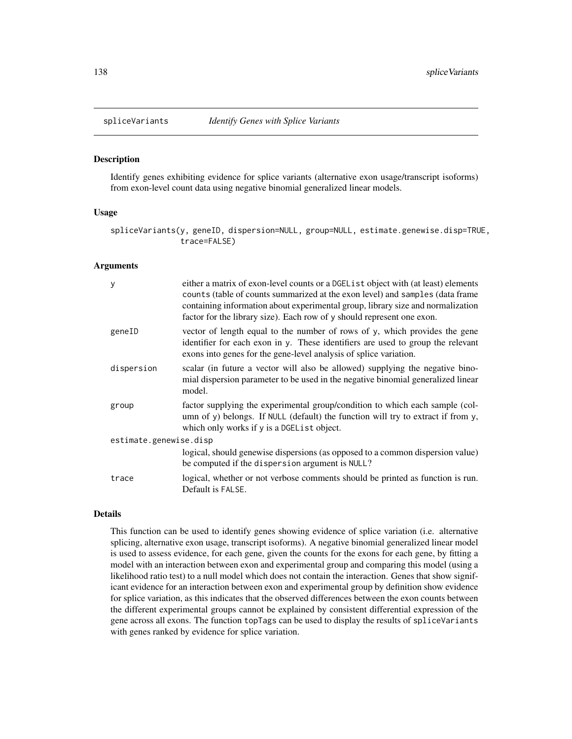<span id="page-137-0"></span>

Identify genes exhibiting evidence for splice variants (alternative exon usage/transcript isoforms) from exon-level count data using negative binomial generalized linear models.

#### Usage

spliceVariants(y, geneID, dispersion=NULL, group=NULL, estimate.genewise.disp=TRUE, trace=FALSE)

### Arguments

| у                      | either a matrix of exon-level counts or a DGEL is t object with (at least) elements<br>counts (table of counts summarized at the exon level) and samples (data frame<br>containing information about experimental group, library size and normalization<br>factor for the library size). Each row of y should represent one exon. |  |
|------------------------|-----------------------------------------------------------------------------------------------------------------------------------------------------------------------------------------------------------------------------------------------------------------------------------------------------------------------------------|--|
| geneID                 | vector of length equal to the number of rows of y, which provides the gene<br>identifier for each exon in y. These identifiers are used to group the relevant<br>exons into genes for the gene-level analysis of splice variation.                                                                                                |  |
| dispersion             | scalar (in future a vector will also be allowed) supplying the negative bino-<br>mial dispersion parameter to be used in the negative binomial generalized linear<br>model.                                                                                                                                                       |  |
| group                  | factor supplying the experimental group/condition to which each sample (col-<br>umn of y) belongs. If NULL (default) the function will try to extract if from y,<br>which only works if y is a DGEL ist object.                                                                                                                   |  |
| estimate.genewise.disp |                                                                                                                                                                                                                                                                                                                                   |  |
|                        | logical, should genewise dispersions (as opposed to a common dispersion value)<br>be computed if the dispersion argument is NULL?                                                                                                                                                                                                 |  |
| trace                  | logical, whether or not verbose comments should be printed as function is run.<br>Default is FALSE.                                                                                                                                                                                                                               |  |

## Details

This function can be used to identify genes showing evidence of splice variation (i.e. alternative splicing, alternative exon usage, transcript isoforms). A negative binomial generalized linear model is used to assess evidence, for each gene, given the counts for the exons for each gene, by fitting a model with an interaction between exon and experimental group and comparing this model (using a likelihood ratio test) to a null model which does not contain the interaction. Genes that show significant evidence for an interaction between exon and experimental group by definition show evidence for splice variation, as this indicates that the observed differences between the exon counts between the different experimental groups cannot be explained by consistent differential expression of the gene across all exons. The function topTags can be used to display the results of spliceVariants with genes ranked by evidence for splice variation.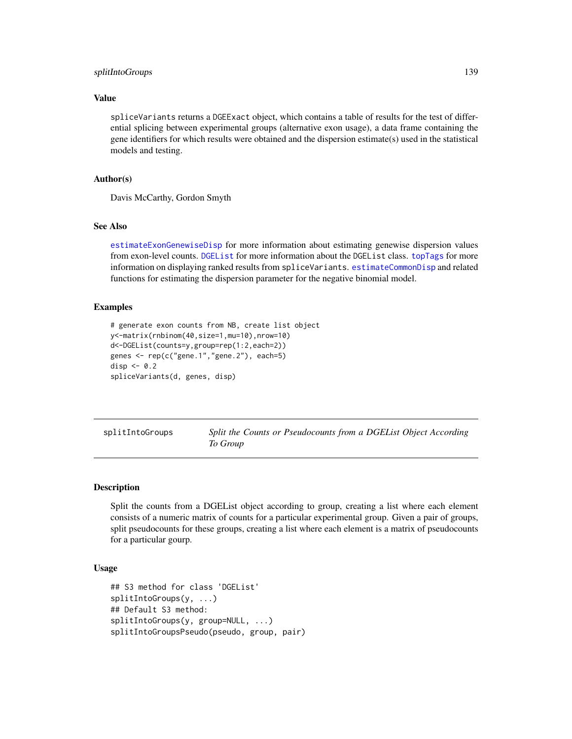## splitIntoGroups 139

## Value

spliceVariants returns a DGEExact object, which contains a table of results for the test of differential splicing between experimental groups (alternative exon usage), a data frame containing the gene identifiers for which results were obtained and the dispersion estimate(s) used in the statistical models and testing.

## Author(s)

Davis McCarthy, Gordon Smyth

## See Also

[estimateExonGenewiseDisp](#page-52-0) for more information about estimating genewise dispersion values from exon-level counts. [DGEList](#page-28-0) for more information about the DGEList class. [topTags](#page-145-0) for more information on displaying ranked results from spliceVariants. [estimateCommonDisp](#page-47-0) and related functions for estimating the dispersion parameter for the negative binomial model.

## Examples

```
# generate exon counts from NB, create list object
y<-matrix(rnbinom(40,size=1,mu=10),nrow=10)
d<-DGEList(counts=y,group=rep(1:2,each=2))
genes <- rep(c("gene.1","gene.2"), each=5)
disp <-0.2spliceVariants(d, genes, disp)
```
splitIntoGroups *Split the Counts or Pseudocounts from a DGEList Object According To Group*

## Description

Split the counts from a DGEList object according to group, creating a list where each element consists of a numeric matrix of counts for a particular experimental group. Given a pair of groups, split pseudocounts for these groups, creating a list where each element is a matrix of pseudocounts for a particular gourp.

## Usage

```
## S3 method for class 'DGEList'
splitIntoGroups(y, ...)
## Default S3 method:
splitIntoGroups(y, group=NULL, ...)
splitIntoGroupsPseudo(pseudo, group, pair)
```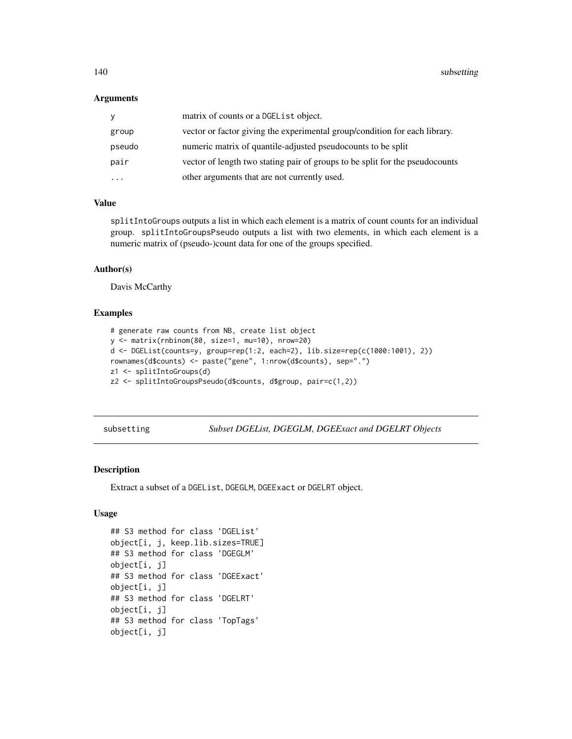#### **Arguments**

| y        | matrix of counts or a DGEList object.                                        |
|----------|------------------------------------------------------------------------------|
| group    | vector or factor giving the experimental group/condition for each library.   |
| pseudo   | numeric matrix of quantile-adjusted pseudocounts to be split                 |
| pair     | vector of length two stating pair of groups to be split for the pseudocounts |
| $\cdots$ | other arguments that are not currently used.                                 |

# Value

splitIntoGroups outputs a list in which each element is a matrix of count counts for an individual group. splitIntoGroupsPseudo outputs a list with two elements, in which each element is a numeric matrix of (pseudo-)count data for one of the groups specified.

## Author(s)

Davis McCarthy

# Examples

```
# generate raw counts from NB, create list object
y <- matrix(rnbinom(80, size=1, mu=10), nrow=20)
d <- DGEList(counts=y, group=rep(1:2, each=2), lib.size=rep(c(1000:1001), 2))
rownames(d$counts) <- paste("gene", 1:nrow(d$counts), sep=".")
z1 <- splitIntoGroups(d)
z2 <- splitIntoGroupsPseudo(d$counts, d$group, pair=c(1,2))
```
subsetting *Subset DGEList, DGEGLM, DGEExact and DGELRT Objects*

#### Description

Extract a subset of a DGEList, DGEGLM, DGEExact or DGELRT object.

# Usage

```
## S3 method for class 'DGEList'
object[i, j, keep.lib.sizes=TRUE]
## S3 method for class 'DGEGLM'
object[i, j]
## S3 method for class 'DGEExact'
object[i, j]
## S3 method for class 'DGELRT'
object[i, j]
## S3 method for class 'TopTags'
object[i, j]
```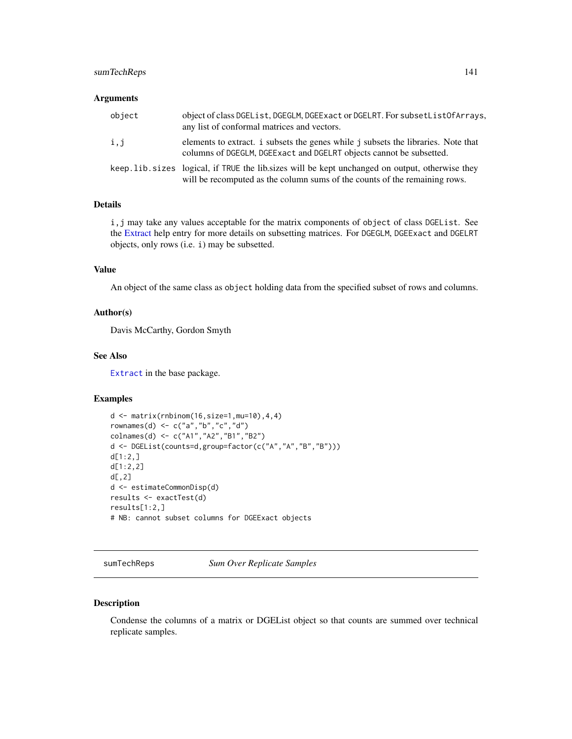# sumTechReps 141

#### **Arguments**

| object | object of class DGEList, DGEGLM, DGEExact or DGELRT. For subsetListOfArrays,<br>any list of conformal matrices and vectors.                                                     |
|--------|---------------------------------------------------------------------------------------------------------------------------------------------------------------------------------|
| i,j    | elements to extract. i subsets the genes while j subsets the libraries. Note that<br>columns of DGEGLM, DGEExact and DGELRT objects cannot be subsetted.                        |
|        | keep. lib. sizes logical, if TRUE the lib. sizes will be kept unchanged on output, otherwise they<br>will be recomputed as the column sums of the counts of the remaining rows. |

# Details

i,j may take any values acceptable for the matrix components of object of class DGEList. See the [Extract](#page-0-0) help entry for more details on subsetting matrices. For DGEGLM, DGEExact and DGELRT objects, only rows (i.e. i) may be subsetted.

## Value

An object of the same class as object holding data from the specified subset of rows and columns.

## Author(s)

Davis McCarthy, Gordon Smyth

## See Also

[Extract](#page-0-0) in the base package.

## Examples

```
d <- matrix(rnbinom(16,size=1,mu=10),4,4)
rownames(d) <- c("a","b","c","d")
colnames(d) <- c("A1","A2","B1","B2")
d <- DGEList(counts=d,group=factor(c("A","A","B","B")))
d[1:2,]
d[1:2,2]
d[, 2]d <- estimateCommonDisp(d)
results <- exactTest(d)
results[1:2,]
# NB: cannot subset columns for DGEExact objects
```
sumTechReps *Sum Over Replicate Samples*

#### Description

Condense the columns of a matrix or DGEList object so that counts are summed over technical replicate samples.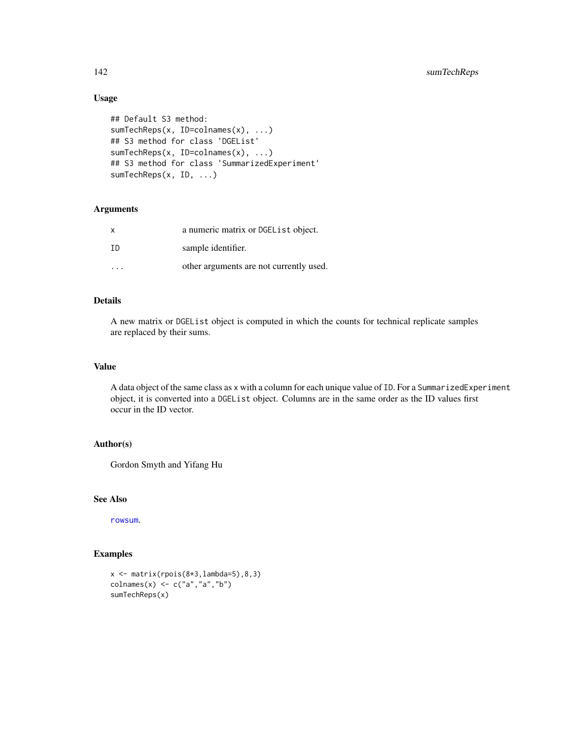# Usage

```
## Default S3 method:
sumTechReps(x, ID=colnames(x), ...)
## S3 method for class 'DGEList'
sumTechReps(x, ID=colnames(x), ...)
## S3 method for class 'SummarizedExperiment'
sumTechReps(x, ID, ...)
```
## Arguments

| X   | a numeric matrix or DGEL is t object.   |
|-----|-----------------------------------------|
| TD. | sample identifier.                      |
|     | other arguments are not currently used. |

## Details

A new matrix or DGEList object is computed in which the counts for technical replicate samples are replaced by their sums.

#### Value

A data object of the same class as x with a column for each unique value of ID. For a SummarizedExperiment object, it is converted into a DGEList object. Columns are in the same order as the ID values first occur in the ID vector.

# Author(s)

Gordon Smyth and Yifang Hu

# See Also

[rowsum](#page-134-0).

# Examples

```
x \leq - matrix(rpois(8*3,lambda=5),8,3)
colnames(x) <- c("a","a","b")
sumTechReps(x)
```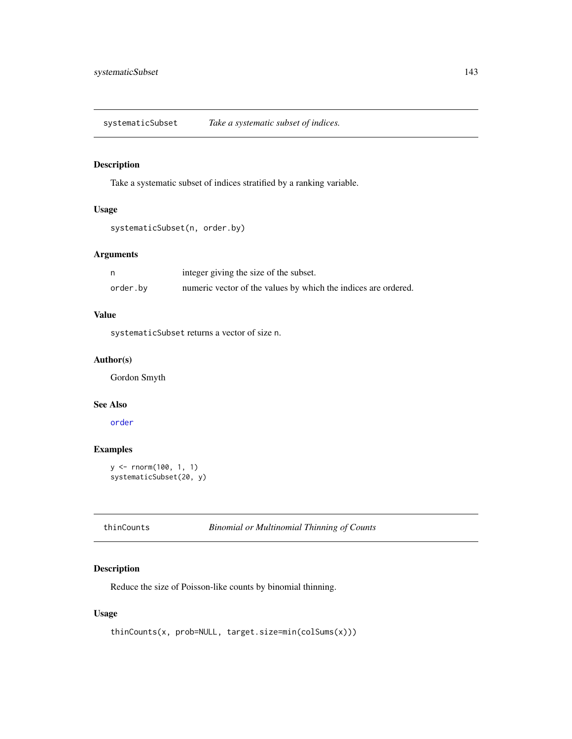systematicSubset *Take a systematic subset of indices.*

## Description

Take a systematic subset of indices stratified by a ranking variable.

# Usage

```
systematicSubset(n, order.by)
```
# Arguments

|          | integer giving the size of the subset.                         |
|----------|----------------------------------------------------------------|
| order.by | numeric vector of the values by which the indices are ordered. |

# Value

systematicSubset returns a vector of size n.

## Author(s)

Gordon Smyth

#### See Also

[order](#page-0-0)

# Examples

```
y <- rnorm(100, 1, 1)
systematicSubset(20, y)
```
thinCounts *Binomial or Multinomial Thinning of Counts*

# Description

Reduce the size of Poisson-like counts by binomial thinning.

# Usage

```
thinCounts(x, prob=NULL, target.size=min(colSums(x)))
```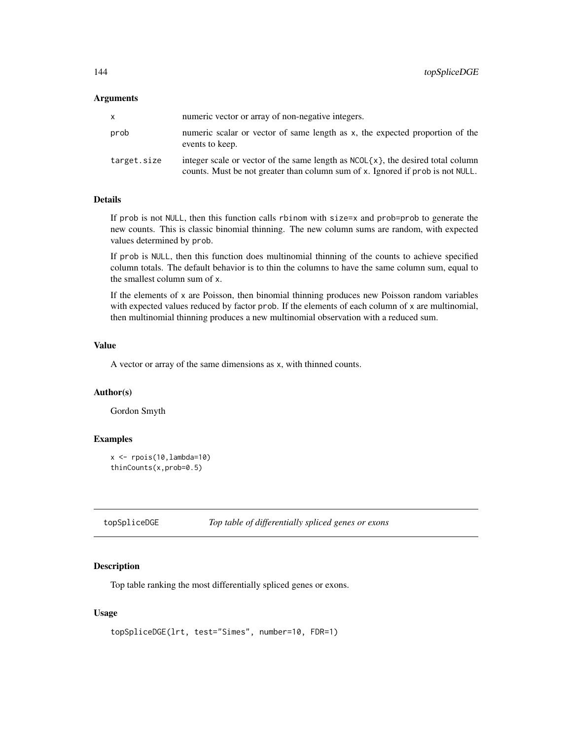#### Arguments

| x.          | numeric vector or array of non-negative integers.                                                                                                                    |
|-------------|----------------------------------------------------------------------------------------------------------------------------------------------------------------------|
| prob        | numeric scalar or vector of same length as x, the expected proportion of the<br>events to keep.                                                                      |
| target.size | integer scale or vector of the same length as $NCOL(x)$ , the desired total column<br>counts. Must be not greater than column sum of x. Ignored if prob is not NULL. |

## Details

If prob is not NULL, then this function calls rbinom with size=x and prob=prob to generate the new counts. This is classic binomial thinning. The new column sums are random, with expected values determined by prob.

If prob is NULL, then this function does multinomial thinning of the counts to achieve specified column totals. The default behavior is to thin the columns to have the same column sum, equal to the smallest column sum of x.

If the elements of  $x$  are Poisson, then binomial thinning produces new Poisson random variables with expected values reduced by factor prob. If the elements of each column of x are multinomial, then multinomial thinning produces a new multinomial observation with a reduced sum.

## Value

A vector or array of the same dimensions as x, with thinned counts.

### Author(s)

Gordon Smyth

### Examples

```
x \leftarrow \text{rpois}(10, \text{lambda=10})thinCounts(x,prob=0.5)
```
<span id="page-143-0"></span>topSpliceDGE *Top table of differentially spliced genes or exons*

### Description

Top table ranking the most differentially spliced genes or exons.

#### Usage

```
topSpliceDGE(lrt, test="Simes", number=10, FDR=1)
```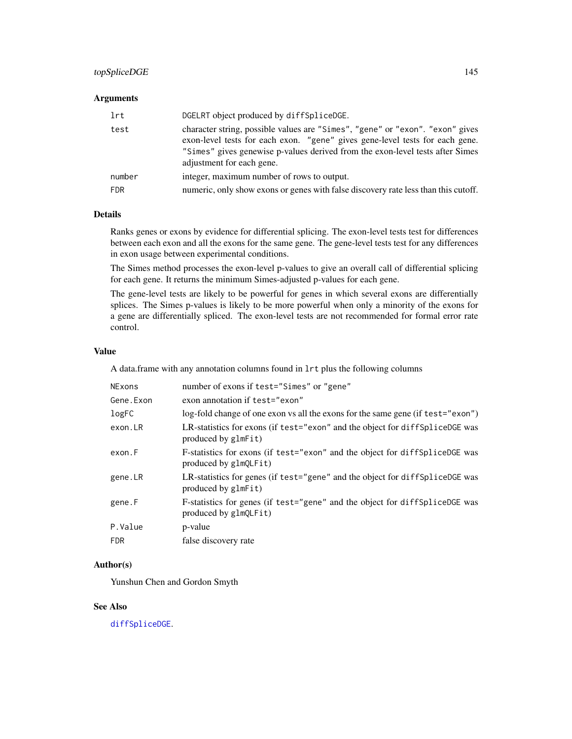# <span id="page-144-0"></span>topSpliceDGE 145

#### **Arguments**

| lrt        | DGELRT object produced by diffSpliceDGE.                                                                                                                                                                                                                                    |
|------------|-----------------------------------------------------------------------------------------------------------------------------------------------------------------------------------------------------------------------------------------------------------------------------|
| test       | character string, possible values are "Simes", "gene" or "exon". "exon" gives<br>exon-level tests for each exon. "gene" gives gene-level tests for each gene.<br>"Simes" gives genewise p-values derived from the exon-level tests after Simes<br>adjustment for each gene. |
| number     | integer, maximum number of rows to output.                                                                                                                                                                                                                                  |
| <b>FDR</b> | numeric, only show exons or genes with false discovery rate less than this cutoff.                                                                                                                                                                                          |

# Details

Ranks genes or exons by evidence for differential splicing. The exon-level tests test for differences between each exon and all the exons for the same gene. The gene-level tests test for any differences in exon usage between experimental conditions.

The Simes method processes the exon-level p-values to give an overall call of differential splicing for each gene. It returns the minimum Simes-adjusted p-values for each gene.

The gene-level tests are likely to be powerful for genes in which several exons are differentially splices. The Simes p-values is likely to be more powerful when only a minority of the exons for a gene are differentially spliced. The exon-level tests are not recommended for formal error rate control.

#### Value

A data.frame with any annotation columns found in lrt plus the following columns

| <b>NExons</b> | number of exons if test="Simes" or "gene"                                                             |
|---------------|-------------------------------------------------------------------------------------------------------|
| Gene. Exon    | exon annotation if test="exon"                                                                        |
| logFC         | log-fold change of one exon vs all the exons for the same gene (if test="exon")                       |
| exon.LR       | LR-statistics for exons (if test="exon" and the object for diff Splice DGE was<br>produced by glmFit) |
| exon.F        | F-statistics for exons (if test="exon" and the object for diffSpliceDGE was<br>produced by glmQLFit)  |
| gene.LR       | LR-statistics for genes (if test="gene" and the object for diffSpliceDGE was<br>produced by glmFit)   |
| gene.F        | F-statistics for genes (if test="gene" and the object for diffSpliceDGE was<br>produced by glmQLFit)  |
| P.Value       | p-value                                                                                               |
| <b>FDR</b>    | false discovery rate                                                                                  |

# Author(s)

Yunshun Chen and Gordon Smyth

# See Also

[diffSpliceDGE](#page-32-0).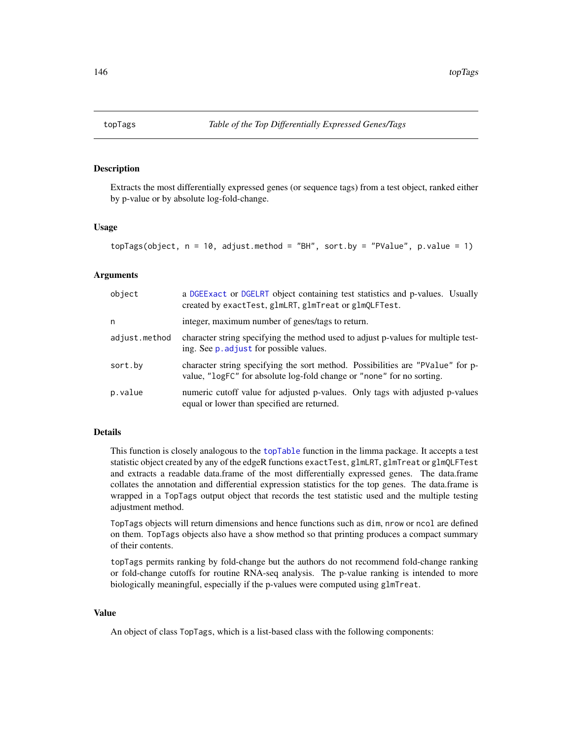<span id="page-145-0"></span>

# Description

Extracts the most differentially expressed genes (or sequence tags) from a test object, ranked either by p-value or by absolute log-fold-change.

#### Usage

```
topTags(object, n = 10, adjust.method = "BH", sort.by = "PValue", p.value = 1)
```
#### **Arguments**

| object        | a DGEExact or DGELRT object containing test statistics and p-values. Usually<br>created by exactTest, glmLRT, glmTreat or glmQLFTest.                   |
|---------------|---------------------------------------------------------------------------------------------------------------------------------------------------------|
| n             | integer, maximum number of genes/tags to return.                                                                                                        |
| adjust.method | character string specifying the method used to adjust p-values for multiple test-<br>ing. See p. adjust for possible values.                            |
| sort.by       | character string specifying the sort method. Possibilities are "PValue" for p-<br>value, "logFC" for absolute log-fold change or "none" for no sorting. |
| p.value       | numeric cutoff value for adjusted p-values. Only tags with adjusted p-values<br>equal or lower than specified are returned.                             |

# Details

This function is closely analogous to the [topTable](#page-0-0) function in the limma package. It accepts a test statistic object created by any of the edgeR functions exactTest, glmLRT, glmTreat or glmQLFTest and extracts a readable data.frame of the most differentially expressed genes. The data.frame collates the annotation and differential expression statistics for the top genes. The data.frame is wrapped in a TopTags output object that records the test statistic used and the multiple testing adjustment method.

TopTags objects will return dimensions and hence functions such as dim, nrow or ncol are defined on them. TopTags objects also have a show method so that printing produces a compact summary of their contents.

topTags permits ranking by fold-change but the authors do not recommend fold-change ranking or fold-change cutoffs for routine RNA-seq analysis. The p-value ranking is intended to more biologically meaningful, especially if the p-values were computed using glmTreat.

#### Value

An object of class TopTags, which is a list-based class with the following components: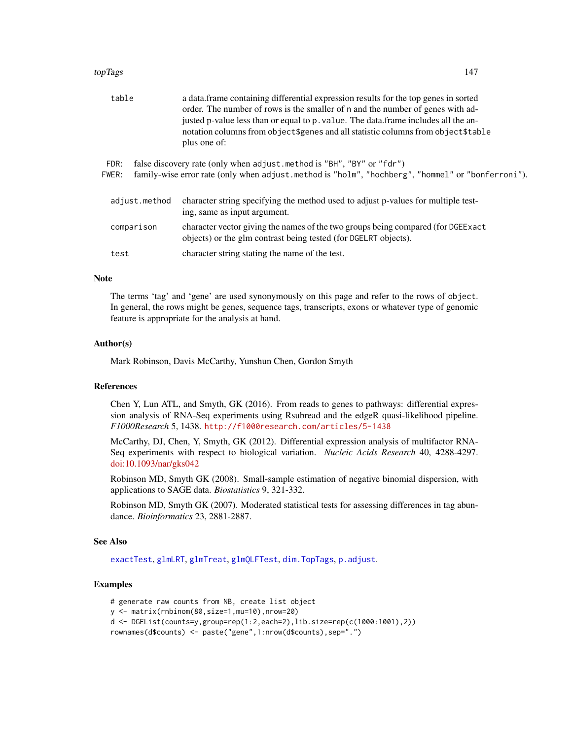#### <span id="page-146-0"></span>topTags 147

| a data. frame containing differential expression results for the top genes in sorted<br>order. The number of rows is the smaller of n and the number of genes with ad-<br>justed p-value less than or equal to p. value. The data frame includes all the an-<br>notation columns from object \$ genes and all statistic columns from object \$ table |
|------------------------------------------------------------------------------------------------------------------------------------------------------------------------------------------------------------------------------------------------------------------------------------------------------------------------------------------------------|
| family-wise error rate (only when adjust.method is "holm", "hochberg", "hommel" or "bonferroni").                                                                                                                                                                                                                                                    |
| character string specifying the method used to adjust p-values for multiple test-                                                                                                                                                                                                                                                                    |
| character vector giving the names of the two groups being compared (for DGEE xact                                                                                                                                                                                                                                                                    |
|                                                                                                                                                                                                                                                                                                                                                      |
|                                                                                                                                                                                                                                                                                                                                                      |

#### **Note**

The terms 'tag' and 'gene' are used synonymously on this page and refer to the rows of object. In general, the rows might be genes, sequence tags, transcripts, exons or whatever type of genomic feature is appropriate for the analysis at hand.

# Author(s)

Mark Robinson, Davis McCarthy, Yunshun Chen, Gordon Smyth

#### References

Chen Y, Lun ATL, and Smyth, GK (2016). From reads to genes to pathways: differential expression analysis of RNA-Seq experiments using Rsubread and the edgeR quasi-likelihood pipeline. *F1000Research* 5, 1438. <http://f1000research.com/articles/5-1438>

McCarthy, DJ, Chen, Y, Smyth, GK (2012). Differential expression analysis of multifactor RNA-Seq experiments with respect to biological variation. *Nucleic Acids Research* 40, 4288-4297. [doi:10.1093/nar/gks042](https://doi.org/10.1093/nar/gks042)

Robinson MD, Smyth GK (2008). Small-sample estimation of negative binomial dispersion, with applications to SAGE data. *Biostatistics* 9, 321-332.

Robinson MD, Smyth GK (2007). Moderated statistical tests for assessing differences in tag abundance. *Bioinformatics* 23, 2881-2887.

#### See Also

[exactTest](#page-63-0), [glmLRT](#page-72-0), [glmTreat](#page-79-0), [glmQLFTest](#page-75-0), [dim.TopTags](#page-34-0), [p.adjust](#page-0-0).

# Examples

# generate raw counts from NB, create list object y <- matrix(rnbinom(80,size=1,mu=10),nrow=20) d <- DGEList(counts=y,group=rep(1:2,each=2),lib.size=rep(c(1000:1001),2)) rownames(d\$counts) <- paste("gene",1:nrow(d\$counts),sep=".")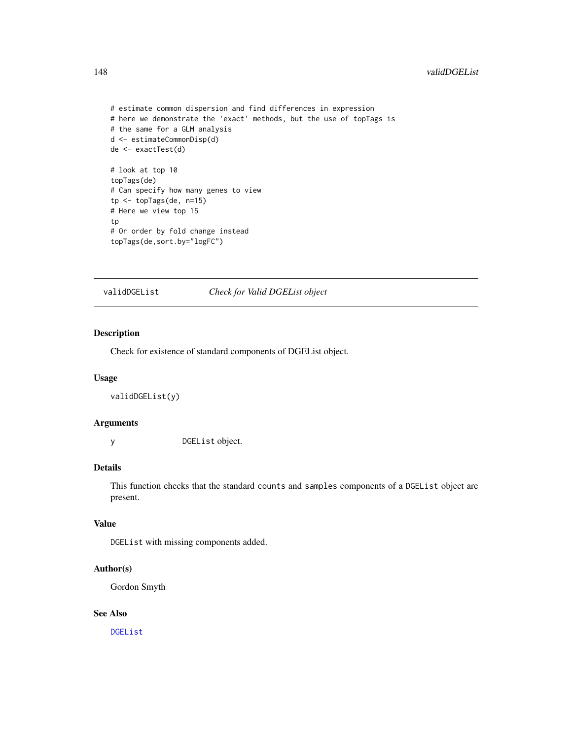```
# estimate common dispersion and find differences in expression
# here we demonstrate the 'exact' methods, but the use of topTags is
# the same for a GLM analysis
d <- estimateCommonDisp(d)
de <- exactTest(d)
# look at top 10
topTags(de)
# Can specify how many genes to view
tp <- topTags(de, n=15)
# Here we view top 15
tp
# Or order by fold change instead
topTags(de,sort.by="logFC")
```
validDGEList *Check for Valid DGEList object*

# Description

Check for existence of standard components of DGEList object.

#### Usage

validDGEList(y)

#### Arguments

y DGEList object.

# Details

This function checks that the standard counts and samples components of a DGEList object are present.

# Value

DGEList with missing components added.

# Author(s)

Gordon Smyth

#### See Also

[DGEList](#page-28-0)

<span id="page-147-0"></span>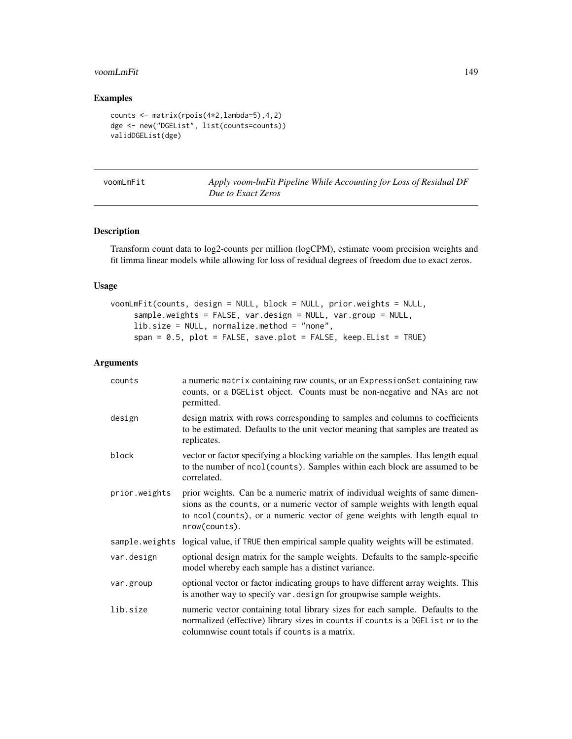#### <span id="page-148-0"></span>voomLmFit 149

# Examples

```
counts <- matrix(rpois(4*2,lambda=5),4,2)
dge <- new("DGEList", list(counts=counts))
validDGEList(dge)
```

|  | voomLmFit |  |
|--|-----------|--|
|--|-----------|--|

Apply voom-lmFit Pipeline While Accounting for Loss of Residual DF *Due to Exact Zeros*

# Description

Transform count data to log2-counts per million (logCPM), estimate voom precision weights and fit limma linear models while allowing for loss of residual degrees of freedom due to exact zeros.

#### Usage

```
voomLmFit(counts, design = NULL, block = NULL, prior.weights = NULL,
     sample.weights = FALSE, var.design = NULL, var.group = NULL,
     lib.size = NULL, normalize.method = "none",
     span = 0.5, plot = FALSE, save.plot = FALSE, keep.EList = TRUE)
```
# Arguments

| counts        | a numeric matrix containing raw counts, or an ExpressionSet containing raw<br>counts, or a DGEList object. Counts must be non-negative and NAs are not<br>permitted.                                                                                      |
|---------------|-----------------------------------------------------------------------------------------------------------------------------------------------------------------------------------------------------------------------------------------------------------|
| design        | design matrix with rows corresponding to samples and columns to coefficients<br>to be estimated. Defaults to the unit vector meaning that samples are treated as<br>replicates.                                                                           |
| block         | vector or factor specifying a blocking variable on the samples. Has length equal<br>to the number of ncol (counts). Samples within each block are assumed to be<br>correlated.                                                                            |
| prior.weights | prior weights. Can be a numeric matrix of individual weights of same dimen-<br>sions as the counts, or a numeric vector of sample weights with length equal<br>to ncol(counts), or a numeric vector of gene weights with length equal to<br>nrow(counts). |
|               | sample weights logical value, if TRUE then empirical sample quality weights will be estimated.                                                                                                                                                            |
| var.design    | optional design matrix for the sample weights. Defaults to the sample-specific<br>model whereby each sample has a distinct variance.                                                                                                                      |
| var.group     | optional vector or factor indicating groups to have different array weights. This<br>is another way to specify var. design for groupwise sample weights.                                                                                                  |
| lib.size      | numeric vector containing total library sizes for each sample. Defaults to the<br>normalized (effective) library sizes in counts if counts is a DGEList or to the<br>columnwise count totals if counts is a matrix.                                       |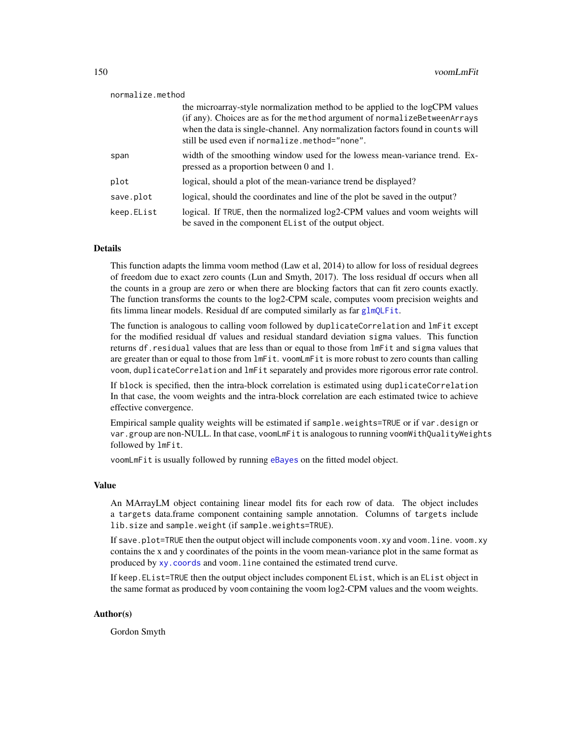<span id="page-149-0"></span>

|            | the microarray-style normalization method to be applied to the logCPM values<br>(if any). Choices are as for the method argument of normalizeBetweenArrays<br>when the data is single-channel. Any normalization factors found in counts will<br>still be used even if normalize.method="none". |
|------------|-------------------------------------------------------------------------------------------------------------------------------------------------------------------------------------------------------------------------------------------------------------------------------------------------|
| span       | width of the smoothing window used for the lowess mean-variance trend. Ex-<br>pressed as a proportion between 0 and 1.                                                                                                                                                                          |
| plot       | logical, should a plot of the mean-variance trend be displayed?                                                                                                                                                                                                                                 |
| save.plot  | logical, should the coordinates and line of the plot be saved in the output?                                                                                                                                                                                                                    |
| keep.EList | logical. If TRUE, then the normalized log2-CPM values and voom weights will<br>be saved in the component EList of the output object.                                                                                                                                                            |

### Details

This function adapts the limma voom method (Law et al, 2014) to allow for loss of residual degrees of freedom due to exact zero counts (Lun and Smyth, 2017). The loss residual df occurs when all the counts in a group are zero or when there are blocking factors that can fit zero counts exactly. The function transforms the counts to the log2-CPM scale, computes voom precision weights and fits limma linear models. Residual df are computed similarly as far [glmQLFit](#page-75-1).

The function is analogous to calling voom followed by duplicateCorrelation and lmFit except for the modified residual df values and residual standard deviation sigma values. This function returns df.residual values that are less than or equal to those from lmFit and sigma values that are greater than or equal to those from lmFit. voomLmFit is more robust to zero counts than calling voom, duplicateCorrelation and lmFit separately and provides more rigorous error rate control.

If block is specified, then the intra-block correlation is estimated using duplicateCorrelation In that case, the voom weights and the intra-block correlation are each estimated twice to achieve effective convergence.

Empirical sample quality weights will be estimated if sample.weights=TRUE or if var.design or var.group are non-NULL. In that case, voomLmFit is analogous to running voomWithQualityWeights followed by lmFit.

voomLmFit is usually followed by running [eBayes](#page-0-0) on the fitted model object.

#### Value

An MArrayLM object containing linear model fits for each row of data. The object includes a targets data.frame component containing sample annotation. Columns of targets include lib.size and sample.weight (if sample.weights=TRUE).

If save.plot=TRUE then the output object will include components voom.xy and voom.line. voom.xy contains the x and y coordinates of the points in the voom mean-variance plot in the same format as produced by [xy.coords](#page-0-0) and voom.line contained the estimated trend curve.

If keep.EList=TRUE then the output object includes component EList, which is an EList object in the same format as produced by voom containing the voom log2-CPM values and the voom weights.

#### Author(s)

Gordon Smyth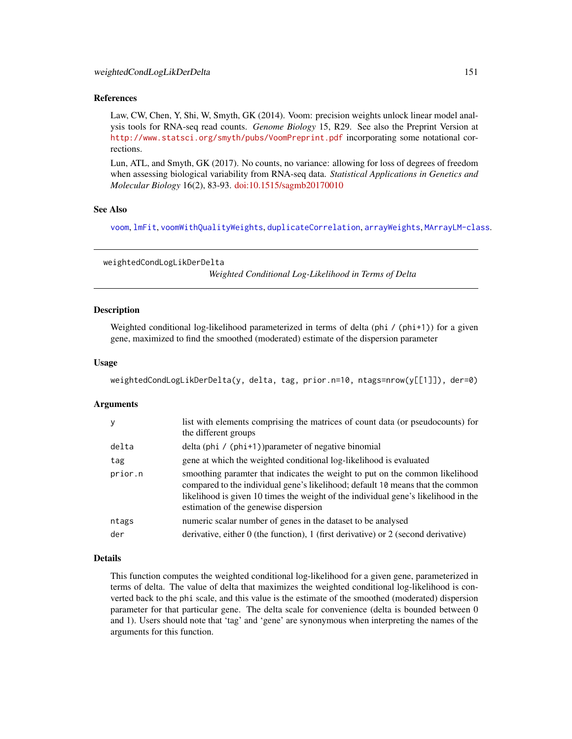#### <span id="page-150-0"></span>References

Law, CW, Chen, Y, Shi, W, Smyth, GK (2014). Voom: precision weights unlock linear model analysis tools for RNA-seq read counts. *Genome Biology* 15, R29. See also the Preprint Version at <http://www.statsci.org/smyth/pubs/VoomPreprint.pdf> incorporating some notational corrections.

Lun, ATL, and Smyth, GK (2017). No counts, no variance: allowing for loss of degrees of freedom when assessing biological variability from RNA-seq data. *Statistical Applications in Genetics and Molecular Biology* 16(2), 83-93. [doi:10.1515/sagmb20170010](https://doi.org/10.1515/sagmb-2017-0010)

#### See Also

[voom](#page-0-0), [lmFit](#page-0-0), [voomWithQualityWeights](#page-0-0), [duplicateCorrelation](#page-0-0), [arrayWeights](#page-0-0), [MArrayLM-class](#page-0-0).

weightedCondLogLikDerDelta *Weighted Conditional Log-Likelihood in Terms of Delta*

#### **Description**

Weighted conditional log-likelihood parameterized in terms of delta (phi  $/$  (phi+1)) for a given gene, maximized to find the smoothed (moderated) estimate of the dispersion parameter

#### Usage

```
weightedCondLogLikDerDelta(y, delta, tag, prior.n=10, ntags=nrow(y[[1]]), der=0)
```
#### Arguments

| y       | list with elements comprising the matrices of count data (or pseudocounts) for<br>the different groups                                                                                                                                                                                        |
|---------|-----------------------------------------------------------------------------------------------------------------------------------------------------------------------------------------------------------------------------------------------------------------------------------------------|
| delta   | delta (phi / (phi+1)) parameter of negative binomial                                                                                                                                                                                                                                          |
| tag     | gene at which the weighted conditional log-likelihood is evaluated                                                                                                                                                                                                                            |
| prior.n | smoothing paramter that indicates the weight to put on the common likelihood<br>compared to the individual gene's likelihood; default 10 means that the common<br>likelihood is given 10 times the weight of the individual gene's likelihood in the<br>estimation of the genewise dispersion |
| ntags   | numeric scalar number of genes in the dataset to be analysed                                                                                                                                                                                                                                  |
| der     | derivative, either 0 (the function), 1 (first derivative) or 2 (second derivative)                                                                                                                                                                                                            |

#### Details

This function computes the weighted conditional log-likelihood for a given gene, parameterized in terms of delta. The value of delta that maximizes the weighted conditional log-likelihood is converted back to the phi scale, and this value is the estimate of the smoothed (moderated) dispersion parameter for that particular gene. The delta scale for convenience (delta is bounded between 0 and 1). Users should note that 'tag' and 'gene' are synonymous when interpreting the names of the arguments for this function.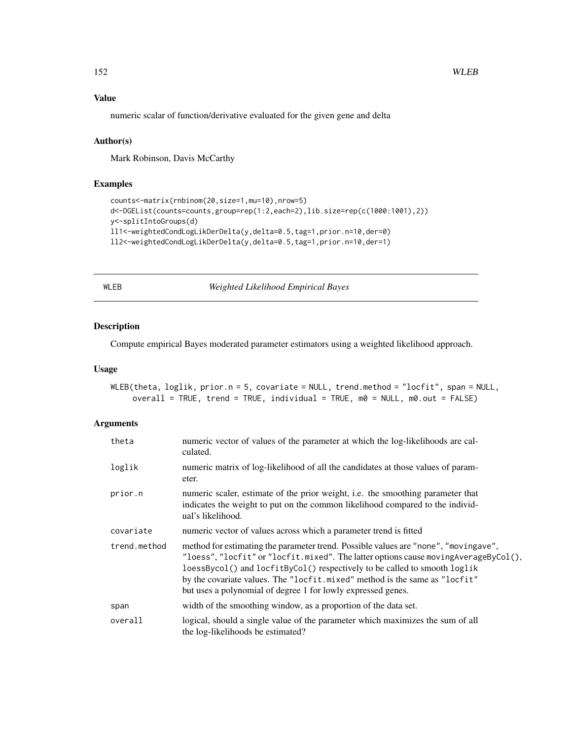# Value

numeric scalar of function/derivative evaluated for the given gene and delta

#### Author(s)

Mark Robinson, Davis McCarthy

# Examples

```
counts<-matrix(rnbinom(20,size=1,mu=10),nrow=5)
d<-DGEList(counts=counts,group=rep(1:2,each=2),lib.size=rep(c(1000:1001),2))
y<-splitIntoGroups(d)
ll1<-weightedCondLogLikDerDelta(y,delta=0.5,tag=1,prior.n=10,der=0)
ll2<-weightedCondLogLikDerDelta(y,delta=0.5,tag=1,prior.n=10,der=1)
```
WLEB *Weighted Likelihood Empirical Bayes*

# Description

Compute empirical Bayes moderated parameter estimators using a weighted likelihood approach.

#### Usage

```
WLEB(theta, loglik, prior.n = 5, covariate = NULL, trend.method = "locfit", span = NULL,
    overall = TRUE, trend = TRUE, individual = TRUE, m0 = NULL, m0.out = FALSE)
```
## Arguments

| theta        | numeric vector of values of the parameter at which the log-likelihoods are cal-<br>culated.                                                                                                                                                                                                                                                                                                             |
|--------------|---------------------------------------------------------------------------------------------------------------------------------------------------------------------------------------------------------------------------------------------------------------------------------------------------------------------------------------------------------------------------------------------------------|
| loglik       | numeric matrix of log-likelihood of all the candidates at those values of param-<br>eter.                                                                                                                                                                                                                                                                                                               |
| prior.n      | numeric scaler, estimate of the prior weight, i.e. the smoothing parameter that<br>indicates the weight to put on the common likelihood compared to the individ-<br>ual's likelihood.                                                                                                                                                                                                                   |
| covariate    | numeric vector of values across which a parameter trend is fitted                                                                                                                                                                                                                                                                                                                                       |
| trend.method | method for estimating the parameter trend. Possible values are "none", "movingave",<br>"loess", "locfit" or "locfit.mixed". The latter options cause moving Average ByCol(),<br>loessBycol() and locfitByCol() respectively to be called to smooth loglik<br>by the covariate values. The "locfit.mixed" method is the same as "locfit"<br>but uses a polynomial of degree 1 for lowly expressed genes. |
| span         | width of the smoothing window, as a proportion of the data set.                                                                                                                                                                                                                                                                                                                                         |
| overall      | logical, should a single value of the parameter which maximizes the sum of all<br>the log-likelihoods be estimated?                                                                                                                                                                                                                                                                                     |

<span id="page-151-0"></span>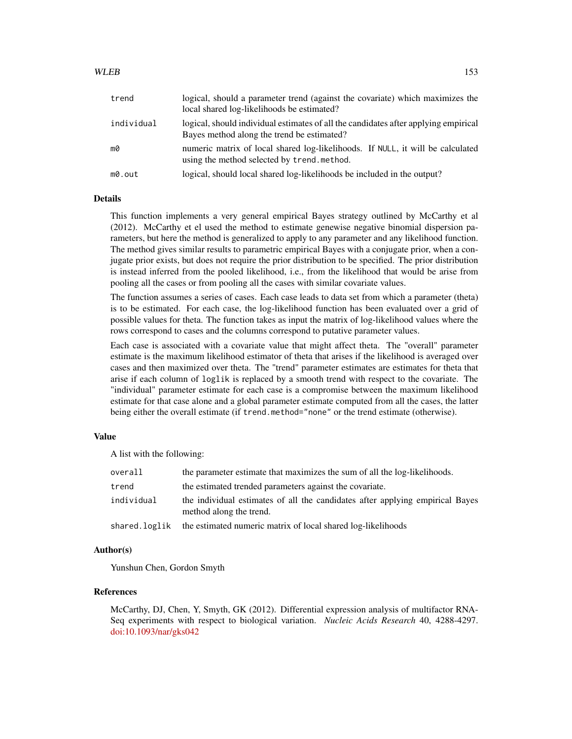## WLEB 153

| trend      | logical, should a parameter trend (against the covariate) which maximizes the<br>local shared log-likelihoods be estimated?       |
|------------|-----------------------------------------------------------------------------------------------------------------------------------|
| individual | logical, should individual estimates of all the candidates after applying empirical<br>Bayes method along the trend be estimated? |
| mØ         | numeric matrix of local shared log-likelihoods. If NULL, it will be calculated<br>using the method selected by trend.method.      |
| m0.out     | logical, should local shared log-likelihoods be included in the output?                                                           |

#### Details

This function implements a very general empirical Bayes strategy outlined by McCarthy et al (2012). McCarthy et el used the method to estimate genewise negative binomial dispersion parameters, but here the method is generalized to apply to any parameter and any likelihood function. The method gives similar results to parametric empirical Bayes with a conjugate prior, when a conjugate prior exists, but does not require the prior distribution to be specified. The prior distribution is instead inferred from the pooled likelihood, i.e., from the likelihood that would be arise from pooling all the cases or from pooling all the cases with similar covariate values.

The function assumes a series of cases. Each case leads to data set from which a parameter (theta) is to be estimated. For each case, the log-likelihood function has been evaluated over a grid of possible values for theta. The function takes as input the matrix of log-likelihood values where the rows correspond to cases and the columns correspond to putative parameter values.

Each case is associated with a covariate value that might affect theta. The "overall" parameter estimate is the maximum likelihood estimator of theta that arises if the likelihood is averaged over cases and then maximized over theta. The "trend" parameter estimates are estimates for theta that arise if each column of loglik is replaced by a smooth trend with respect to the covariate. The "individual" parameter estimate for each case is a compromise between the maximum likelihood estimate for that case alone and a global parameter estimate computed from all the cases, the latter being either the overall estimate (if trend.method="none" or the trend estimate (otherwise).

# Value

A list with the following:

| overall       | the parameter estimate that maximizes the sum of all the log-likelihoods.                                |
|---------------|----------------------------------------------------------------------------------------------------------|
| trend         | the estimated trended parameters against the covariate.                                                  |
| individual    | the individual estimates of all the candidates after applying empirical Bayes<br>method along the trend. |
| shared.loglik | the estimated numeric matrix of local shared log-likelihoods                                             |

#### Author(s)

Yunshun Chen, Gordon Smyth

#### References

McCarthy, DJ, Chen, Y, Smyth, GK (2012). Differential expression analysis of multifactor RNA-Seq experiments with respect to biological variation. *Nucleic Acids Research* 40, 4288-4297. [doi:10.1093/nar/gks042](https://doi.org/10.1093/nar/gks042)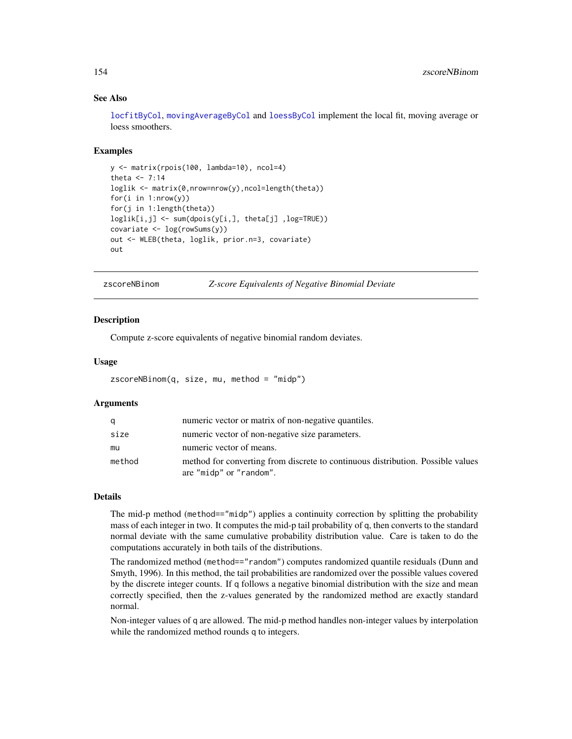# <span id="page-153-0"></span>See Also

[locfitByCol](#page-88-0), [movingAverageByCol](#page-102-0) and [loessByCol](#page-88-1) implement the local fit, moving average or loess smoothers.

#### Examples

```
y <- matrix(rpois(100, lambda=10), ncol=4)
theta <-7:14loglik <- matrix(0,nrow=nrow(y),ncol=length(theta))
for(i in 1:nrow(y))
for(j in 1:length(theta))
loglik[i,j] <- sum(dpois(y[i,], theta[j] ,log=TRUE))
covariate \leftarrow log(rowSums(y))
out <- WLEB(theta, loglik, prior.n=3, covariate)
out
```
zscoreNBinom *Z-score Equivalents of Negative Binomial Deviate*

#### Description

Compute z-score equivalents of negative binomial random deviates.

#### Usage

```
zscoreNBinom(q, size, mu, method = "midp")
```
#### **Arguments**

| a      | numeric vector or matrix of non-negative quantiles.                                                        |
|--------|------------------------------------------------------------------------------------------------------------|
| size   | numeric vector of non-negative size parameters.                                                            |
| mu     | numeric vector of means.                                                                                   |
| method | method for converting from discrete to continuous distribution. Possible values<br>are "midp" or "random". |

# Details

The mid-p method (method=="midp") applies a continuity correction by splitting the probability mass of each integer in two. It computes the mid-p tail probability of q, then converts to the standard normal deviate with the same cumulative probability distribution value. Care is taken to do the computations accurately in both tails of the distributions.

The randomized method (method=="random") computes randomized quantile residuals (Dunn and Smyth, 1996). In this method, the tail probabilities are randomized over the possible values covered by the discrete integer counts. If q follows a negative binomial distribution with the size and mean correctly specified, then the z-values generated by the randomized method are exactly standard normal.

Non-integer values of q are allowed. The mid-p method handles non-integer values by interpolation while the randomized method rounds q to integers.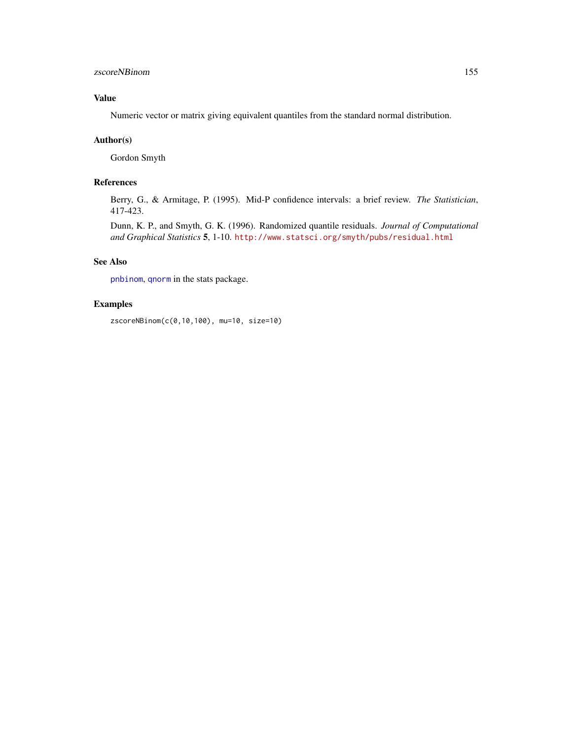# <span id="page-154-0"></span>zscoreNBinom 155

# Value

Numeric vector or matrix giving equivalent quantiles from the standard normal distribution.

# Author(s)

Gordon Smyth

## References

Berry, G., & Armitage, P. (1995). Mid-P confidence intervals: a brief review. *The Statistician*, 417-423.

Dunn, K. P., and Smyth, G. K. (1996). Randomized quantile residuals. *Journal of Computational and Graphical Statistics* 5, 1-10. <http://www.statsci.org/smyth/pubs/residual.html>

# See Also

[pnbinom](#page-0-0), [qnorm](#page-0-0) in the stats package.

# Examples

zscoreNBinom(c(0,10,100), mu=10, size=10)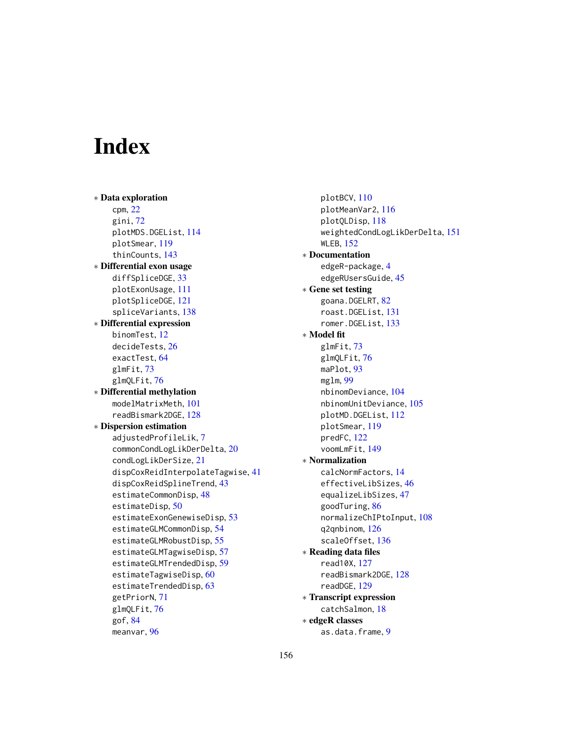# **Index**

∗ Data exploration cpm, [22](#page-21-0) gini, [72](#page-71-0) plotMDS.DGEList, [114](#page-113-0) plotSmear, [119](#page-118-0) thinCounts, [143](#page-142-0) ∗ Differential exon usage diffSpliceDGE, [33](#page-32-1) plotExonUsage, [111](#page-110-0) plotSpliceDGE, [121](#page-120-0) spliceVariants, [138](#page-137-0) ∗ Differential expression binomTest, [12](#page-11-0) decideTests, [26](#page-25-0) exactTest, [64](#page-63-1) glmFit, [73](#page-72-1) glmQLFit, [76](#page-75-2) ∗ Differential methylation modelMatrixMeth, [101](#page-100-0) readBismark2DGE, [128](#page-127-0) ∗ Dispersion estimation adjustedProfileLik, [7](#page-6-0) commonCondLogLikDerDelta, [20](#page-19-0) condLogLikDerSize, [21](#page-20-0) dispCoxReidInterpolateTagwise, [41](#page-40-0) dispCoxReidSplineTrend, [43](#page-42-0) estimateCommonDisp, [48](#page-47-0) estimateDisp, [50](#page-49-0) estimateExonGenewiseDisp, [53](#page-52-0) estimateGLMCommonDisp, [54](#page-53-0) estimateGLMRobustDisp, [55](#page-54-0) estimateGLMTagwiseDisp, [57](#page-56-0) estimateGLMTrendedDisp, [59](#page-58-0) estimateTagwiseDisp, [60](#page-59-0) estimateTrendedDisp, [63](#page-62-0) getPriorN, [71](#page-70-0) glmQLFit, [76](#page-75-2) gof, [84](#page-83-0) meanvar, [96](#page-95-0)

plotBCV, [110](#page-109-0) plotMeanVar2, [116](#page-115-0) plotQLDisp, [118](#page-117-0) weightedCondLogLikDerDelta, [151](#page-150-0) WLEB, [152](#page-151-0) ∗ Documentation edgeR-package, [4](#page-3-0) edgeRUsersGuide, [45](#page-44-0) ∗ Gene set testing goana.DGELRT, [82](#page-81-0) roast.DGEList, [131](#page-130-0) romer.DGEList, [133](#page-132-0) ∗ Model fit glmFit, [73](#page-72-1) glmQLFit, [76](#page-75-2) maPlot, [93](#page-92-0) mglm, [99](#page-98-0) nbinomDeviance, [104](#page-103-0) nbinomUnitDeviance, [105](#page-104-0) plotMD.DGEList, [112](#page-111-0) plotSmear, [119](#page-118-0) predFC, [122](#page-121-0) voomLmFit, [149](#page-148-0) ∗ Normalization calcNormFactors, [14](#page-13-0) effectiveLibSizes, [46](#page-45-0) equalizeLibSizes, [47](#page-46-0) goodTuring, [86](#page-85-0) normalizeChIPtoInput, [108](#page-107-0) q2qnbinom, [126](#page-125-0) scaleOffset, [136](#page-135-0) ∗ Reading data files read10X, [127](#page-126-0) readBismark2DGE, [128](#page-127-0) readDGE, [129](#page-128-0) ∗ Transcript expression catchSalmon, [18](#page-17-0) ∗ edgeR classes as.data.frame, [9](#page-8-0)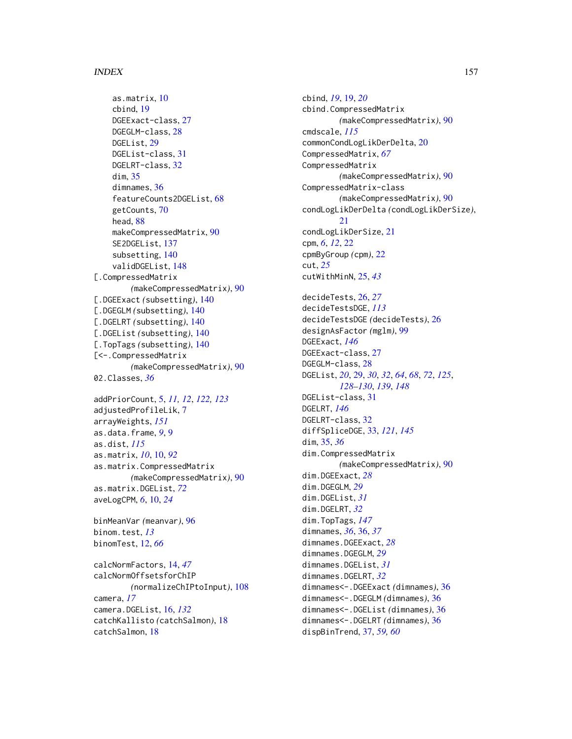#### INDEX  $157$

```
as.matrix, 10
    cbind, 19
    DGEExact-class, 27
    DGEGLM-class, 28
    DGEList, 29
    DGEList-class, 31
    DGELRT-class, 32
    dim, 35
    dimnames, 36
    featureCounts2DGEList, 68
    getCounts, 70
    head, 88
    makeCompressedMatrix, 90
    SE2DGEList, 137
    subsetting, 140
    validDGEList, 148
[.CompressedMatrix
        (makeCompressedMatrix), 90
[.DGEExact (subsetting), 140
[.DGEGLM (subsetting), 140
[.DGELRT (subsetting), 140
[.DGEList (subsetting), 140
[.TopTags (subsetting), 140
[<-.CompressedMatrix
        (makeCompressedMatrix), 90
02.Classes, 36
```

```
addPriorCount, 5, 11, 12, 122, 123
adjustedProfileLik, 7
arrayWeights, 151
as.data.frame, 9, 9
as.dist, 115
as.matrix, 10, 10, 92
as.matrix.CompressedMatrix
        (makeCompressedMatrix), 90
as.matrix.DGEList, 72
aveLogCPM, 6, 10, 24
```

```
binMeanVar (meanvar), 96
binom.test, 13
binomTest, 12, 66
```

```
calcNormFactors, 14, 47
calcNormOffsetsforChIP
        (normalizeChIPtoInput), 108
camera, 17
camera.DGEList, 16, 132
catchKallisto (catchSalmon), 18
catchSalmon, 18
```
cbind, *[19](#page-18-0)*, [19,](#page-18-0) *[20](#page-19-0)* cbind.CompressedMatrix *(*makeCompressedMatrix*)*, [90](#page-89-0) cmdscale, *[115](#page-114-0)* commonCondLogLikDerDelta, [20](#page-19-0) CompressedMatrix, *[67](#page-66-0)* CompressedMatrix *(*makeCompressedMatrix*)*, [90](#page-89-0) CompressedMatrix-class *(*makeCompressedMatrix*)*, [90](#page-89-0) condLogLikDerDelta *(*condLogLikDerSize*)*, [21](#page-20-0) condLogLikDerSize, [21](#page-20-0) cpm, *[6](#page-5-0)*, *[12](#page-11-0)*, [22](#page-21-0) cpmByGroup *(*cpm*)*, [22](#page-21-0) cut, *[25](#page-24-0)* cutWithMinN, [25,](#page-24-0) *[43](#page-42-0)* decideTests, [26,](#page-25-0) *[27](#page-26-0)* decideTestsDGE, *[113](#page-112-0)* decideTestsDGE *(*decideTests*)*, [26](#page-25-0) designAsFactor *(*mglm*)*, [99](#page-98-0) DGEExact, *[146](#page-145-0)* DGEExact-class, [27](#page-26-0) DGEGLM-class, [28](#page-27-0) DGEList, *[20](#page-19-0)*, [29,](#page-28-1) *[30](#page-29-0)*, *[32](#page-31-0)*, *[64](#page-63-1)*, *[68](#page-67-0)*, *[72](#page-71-0)*, *[125](#page-124-0)*, *[128](#page-127-0)[–130](#page-129-0)*, *[139](#page-138-0)*, *[148](#page-147-0)* DGEList-class, [31](#page-30-0) DGELRT, *[146](#page-145-0)* DGELRT-class, [32](#page-31-0) diffSpliceDGE, [33,](#page-32-1) *[121](#page-120-0)*, *[145](#page-144-0)* dim, [35,](#page-34-1) *[36](#page-35-0)* dim.CompressedMatrix *(*makeCompressedMatrix*)*, [90](#page-89-0) dim.DGEExact, *[28](#page-27-0)* dim.DGEGLM, *[29](#page-28-1)* dim.DGEList, *[31](#page-30-0)* dim.DGELRT, *[32](#page-31-0)* dim.TopTags, *[147](#page-146-0)* dimnames, *[36](#page-35-0)*, [36,](#page-35-0) *[37](#page-36-0)* dimnames.DGEExact, *[28](#page-27-0)* dimnames.DGEGLM, *[29](#page-28-1)* dimnames.DGEList, *[31](#page-30-0)* dimnames.DGELRT, *[32](#page-31-0)* dimnames<-.DGEExact *(*dimnames*)*, [36](#page-35-0) dimnames<-.DGEGLM *(*dimnames*)*, [36](#page-35-0) dimnames<-.DGEList *(*dimnames*)*, [36](#page-35-0) dimnames<-.DGELRT *(*dimnames*)*, [36](#page-35-0) dispBinTrend, [37,](#page-36-0) *[59,](#page-58-0) [60](#page-59-0)*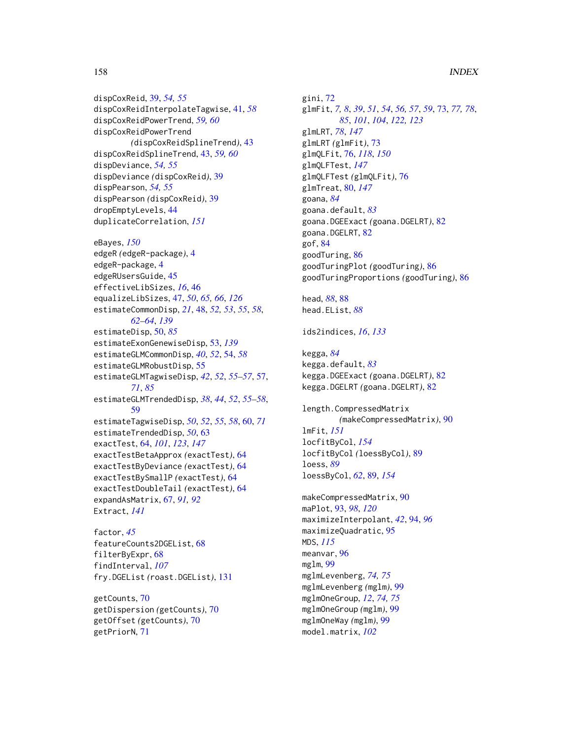dispCoxReid, [39,](#page-38-0) *[54,](#page-53-0) [55](#page-54-0)* dispCoxReidInterpolateTagwise, [41,](#page-40-0) *[58](#page-57-0)* dispCoxReidPowerTrend, *[59,](#page-58-0) [60](#page-59-0)* dispCoxReidPowerTrend *(*dispCoxReidSplineTrend*)*, [43](#page-42-0) dispCoxReidSplineTrend, [43,](#page-42-0) *[59,](#page-58-0) [60](#page-59-0)* dispDeviance, *[54,](#page-53-0) [55](#page-54-0)* dispDeviance *(*dispCoxReid*)*, [39](#page-38-0) dispPearson, *[54,](#page-53-0) [55](#page-54-0)* dispPearson *(*dispCoxReid*)*, [39](#page-38-0) dropEmptyLevels, [44](#page-43-0) duplicateCorrelation, *[151](#page-150-0)*

eBayes, *[150](#page-149-0)* edgeR *(*edgeR-package*)*, [4](#page-3-0) edgeR-package, [4](#page-3-0) edgeRUsersGuide, [45](#page-44-0) effectiveLibSizes, *[16](#page-15-0)*, [46](#page-45-0) equalizeLibSizes, [47,](#page-46-0) *[50](#page-49-0)*, *[65,](#page-64-0) [66](#page-65-0)*, *[126](#page-125-0)* estimateCommonDisp, *[21](#page-20-0)*, [48,](#page-47-0) *[52,](#page-51-0) [53](#page-52-0)*, *[55](#page-54-0)*, *[58](#page-57-0)*, *[62](#page-61-0)[–64](#page-63-1)*, *[139](#page-138-0)* estimateDisp, [50,](#page-49-0) *[85](#page-84-0)* estimateExonGenewiseDisp, [53,](#page-52-0) *[139](#page-138-0)* estimateGLMCommonDisp, *[40](#page-39-0)*, *[52](#page-51-0)*, [54,](#page-53-0) *[58](#page-57-0)* estimateGLMRobustDisp, [55](#page-54-0) estimateGLMTagwiseDisp, *[42](#page-41-0)*, *[52](#page-51-0)*, *[55–](#page-54-0)[57](#page-56-0)*, [57,](#page-56-0) *[71](#page-70-0)*, *[85](#page-84-0)* estimateGLMTrendedDisp, *[38](#page-37-0)*, *[44](#page-43-0)*, *[52](#page-51-0)*, *[55–](#page-54-0)[58](#page-57-0)*, [59](#page-58-0) estimateTagwiseDisp, *[50](#page-49-0)*, *[52](#page-51-0)*, *[55](#page-54-0)*, *[58](#page-57-0)*, [60,](#page-59-0) *[71](#page-70-0)* estimateTrendedDisp, *[50](#page-49-0)*, [63](#page-62-0) exactTest, [64,](#page-63-1) *[101](#page-100-0)*, *[123](#page-122-0)*, *[147](#page-146-0)* exactTestBetaApprox *(*exactTest*)*, [64](#page-63-1) exactTestByDeviance *(*exactTest*)*, [64](#page-63-1) exactTestBySmallP *(*exactTest*)*, [64](#page-63-1) exactTestDoubleTail *(*exactTest*)*, [64](#page-63-1) expandAsMatrix, [67,](#page-66-0) *[91,](#page-90-0) [92](#page-91-0)* Extract, *[141](#page-140-0)*

```
factor, 45
featureCounts2DGEList, 68
filterByExpr, 68
findInterval, 107
fry.DGEList (roast.DGEList), 131
```
getCounts, [70](#page-69-0) getDispersion *(*getCounts*)*, [70](#page-69-0) getOffset *(*getCounts*)*, [70](#page-69-0) getPriorN, [71](#page-70-0)

gini, [72](#page-71-0) glmFit, *[7,](#page-6-0) [8](#page-7-0)*, *[39](#page-38-0)*, *[51](#page-50-0)*, *[54](#page-53-0)*, *[56,](#page-55-0) [57](#page-56-0)*, *[59](#page-58-0)*, [73,](#page-72-1) *[77,](#page-76-0) [78](#page-77-0)*, *[85](#page-84-0)*, *[101](#page-100-0)*, *[104](#page-103-0)*, *[122,](#page-121-0) [123](#page-122-0)* glmLRT, *[78](#page-77-0)*, *[147](#page-146-0)* glmLRT *(*glmFit*)*, [73](#page-72-1) glmQLFit, [76,](#page-75-2) *[118](#page-117-0)*, *[150](#page-149-0)* glmQLFTest, *[147](#page-146-0)* glmQLFTest *(*glmQLFit*)*, [76](#page-75-2) glmTreat, [80,](#page-79-1) *[147](#page-146-0)* goana, *[84](#page-83-0)* goana.default, *[83](#page-82-0)* goana.DGEExact *(*goana.DGELRT*)*, [82](#page-81-0) goana.DGELRT, [82](#page-81-0) gof, [84](#page-83-0) goodTuring, [86](#page-85-0) goodTuringPlot *(*goodTuring*)*, [86](#page-85-0) goodTuringProportions *(*goodTuring*)*, [86](#page-85-0)

```
head, 88, 88
head.EList, 88
```

```
ids2indices, 16, 133
```
kegga, *[84](#page-83-0)* kegga.default, *[83](#page-82-0)* kegga.DGEExact *(*goana.DGELRT*)*, [82](#page-81-0) kegga.DGELRT *(*goana.DGELRT*)*, [82](#page-81-0)

length.CompressedMatrix *(*makeCompressedMatrix*)*, [90](#page-89-0) lmFit, *[151](#page-150-0)* locfitByCol, *[154](#page-153-0)* locfitByCol *(*loessByCol*)*, [89](#page-88-2) loess, *[89](#page-88-2)* loessByCol, *[62](#page-61-0)*, [89,](#page-88-2) *[154](#page-153-0)*

makeCompressedMatrix, [90](#page-89-0) maPlot, [93,](#page-92-0) *[98](#page-97-0)*, *[120](#page-119-0)* maximizeInterpolant, *[42](#page-41-0)*, [94,](#page-93-0) *[96](#page-95-0)* maximizeQuadratic, [95](#page-94-0) MDS, *[115](#page-114-0)* meanvar, [96](#page-95-0) mglm, [99](#page-98-0) mglmLevenberg, *[74,](#page-73-0) [75](#page-74-0)* mglmLevenberg *(*mglm*)*, [99](#page-98-0) mglmOneGroup, *[12](#page-11-0)*, *[74,](#page-73-0) [75](#page-74-0)* mglmOneGroup *(*mglm*)*, [99](#page-98-0) mglmOneWay *(*mglm*)*, [99](#page-98-0) model.matrix, *[102](#page-101-0)*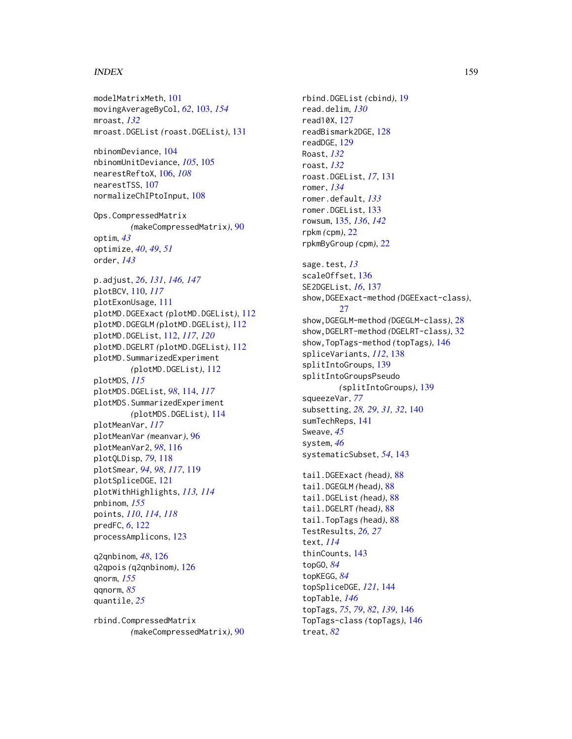#### INDEX 159

modelMatrixMeth, [101](#page-100-0) movingAverageByCol, *[62](#page-61-0)*, [103,](#page-102-1) *[154](#page-153-0)* mroast, *[132](#page-131-0)* mroast.DGEList *(*roast.DGEList*)*, [131](#page-130-0) nbinomDeviance, [104](#page-103-0) nbinomUnitDeviance, *[105](#page-104-0)*, [105](#page-104-0) nearestReftoX, [106,](#page-105-0) *[108](#page-107-0)* nearestTSS, [107](#page-106-0) normalizeChIPtoInput, [108](#page-107-0) Ops.CompressedMatrix *(*makeCompressedMatrix*)*, [90](#page-89-0) optim, *[43](#page-42-0)* optimize, *[40](#page-39-0)*, *[49](#page-48-0)*, *[51](#page-50-0)* order, *[143](#page-142-0)* p.adjust, *[26](#page-25-0)*, *[131](#page-130-0)*, *[146,](#page-145-0) [147](#page-146-0)* plotBCV, [110,](#page-109-0) *[117](#page-116-0)* plotExonUsage, [111](#page-110-0) plotMD.DGEExact *(*plotMD.DGEList*)*, [112](#page-111-0) plotMD.DGEGLM *(*plotMD.DGEList*)*, [112](#page-111-0) plotMD.DGEList, [112,](#page-111-0) *[117](#page-116-0)*, *[120](#page-119-0)* plotMD.DGELRT *(*plotMD.DGEList*)*, [112](#page-111-0) plotMD.SummarizedExperiment *(*plotMD.DGEList*)*, [112](#page-111-0) plotMDS, *[115](#page-114-0)* plotMDS.DGEList, *[98](#page-97-0)*, [114,](#page-113-0) *[117](#page-116-0)* plotMDS.SummarizedExperiment *(*plotMDS.DGEList*)*, [114](#page-113-0) plotMeanVar, *[117](#page-116-0)* plotMeanVar *(*meanvar*)*, [96](#page-95-0) plotMeanVar2, *[98](#page-97-0)*, [116](#page-115-0) plotQLDisp, *[79](#page-78-0)*, [118](#page-117-0) plotSmear, *[94](#page-93-0)*, *[98](#page-97-0)*, *[117](#page-116-0)*, [119](#page-118-0) plotSpliceDGE, [121](#page-120-0) plotWithHighlights, *[113,](#page-112-0) [114](#page-113-0)* pnbinom, *[155](#page-154-0)* points, *[110](#page-109-0)*, *[114](#page-113-0)*, *[118](#page-117-0)* predFC, *[6](#page-5-0)*, [122](#page-121-0) processAmplicons, [123](#page-122-0) q2qnbinom, *[48](#page-47-0)*, [126](#page-125-0) q2qpois *(*q2qnbinom*)*, [126](#page-125-0) qnorm, *[155](#page-154-0)* qqnorm, *[85](#page-84-0)* quantile, *[25](#page-24-0)*

rbind.CompressedMatrix *(*makeCompressedMatrix*)*, [90](#page-89-0) rbind.DGEList *(*cbind*)*, [19](#page-18-0) read.delim, *[130](#page-129-0)* read10X, [127](#page-126-0) readBismark2DGE, [128](#page-127-0) readDGE, [129](#page-128-0) Roast, *[132](#page-131-0)* roast, *[132](#page-131-0)* roast.DGEList, *[17](#page-16-0)*, [131](#page-130-0) romer, *[134](#page-133-0)* romer.default, *[133](#page-132-0)* romer.DGEList, [133](#page-132-0) rowsum, [135,](#page-134-0) *[136](#page-135-0)*, *[142](#page-141-0)* rpkm *(*cpm*)*, [22](#page-21-0) rpkmByGroup *(*cpm*)*, [22](#page-21-0) sage.test, *[13](#page-12-0)* scaleOffset, [136](#page-135-0) SE2DGEList, *[16](#page-15-0)*, [137](#page-136-0) show,DGEExact-method *(*DGEExact-class*)*, [27](#page-26-0) show,DGEGLM-method *(*DGEGLM-class*)*, [28](#page-27-0) show,DGELRT-method *(*DGELRT-class*)*, [32](#page-31-0) show,TopTags-method *(*topTags*)*, [146](#page-145-0) spliceVariants, *[112](#page-111-0)*, [138](#page-137-0) splitIntoGroups, [139](#page-138-0) splitIntoGroupsPseudo *(*splitIntoGroups*)*, [139](#page-138-0) squeezeVar, *[77](#page-76-0)* subsetting, *[28,](#page-27-0) [29](#page-28-1)*, *[31,](#page-30-0) [32](#page-31-0)*, [140](#page-139-0) sumTechReps, [141](#page-140-0) Sweave, *[45](#page-44-0)* system, *[46](#page-45-0)* systematicSubset, *[54](#page-53-0)*, [143](#page-142-0) tail.DGEExact *(*head*)*, [88](#page-87-0) tail.DGEGLM *(*head*)*, [88](#page-87-0) tail.DGEList *(*head*)*, [88](#page-87-0) tail.DGELRT *(*head*)*, [88](#page-87-0) tail.TopTags *(*head*)*, [88](#page-87-0) TestResults, *[26,](#page-25-0) [27](#page-26-0)* text, *[114](#page-113-0)* thinCounts, [143](#page-142-0) topGO, *[84](#page-83-0)* topKEGG, *[84](#page-83-0)* topSpliceDGE, *[121](#page-120-0)*, [144](#page-143-0) topTable, *[146](#page-145-0)* topTags, *[75](#page-74-0)*, *[79](#page-78-0)*, *[82](#page-81-0)*, *[139](#page-138-0)*, [146](#page-145-0)

TopTags-class *(*topTags*)*, [146](#page-145-0)

treat, *[82](#page-81-0)*